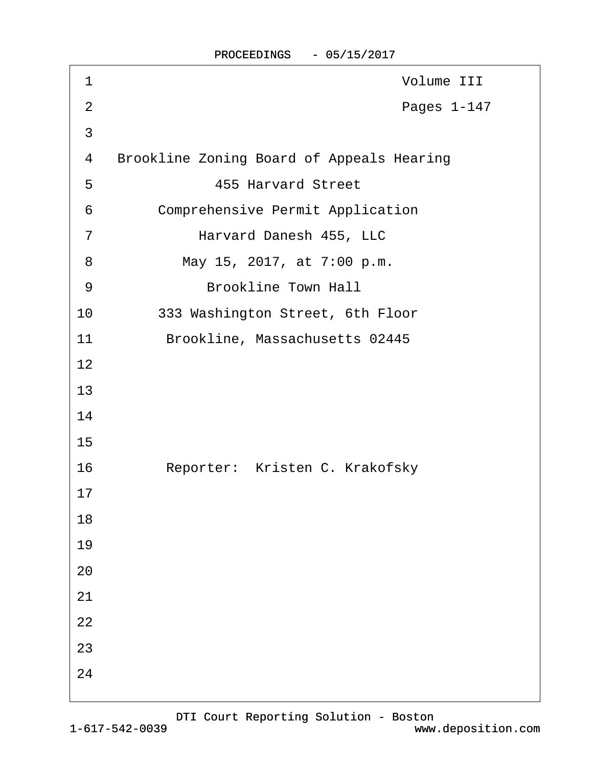| 1              | Volume III                                       |
|----------------|--------------------------------------------------|
| $\overline{2}$ | Pages 1-147                                      |
| 3              |                                                  |
| 4              | <b>Brookline Zoning Board of Appeals Hearing</b> |
| 5              | <b>455 Harvard Street</b>                        |
| 6              | <b>Comprehensive Permit Application</b>          |
| 7              | Harvard Danesh 455, LLC                          |
| 8              | May 15, 2017, at 7:00 p.m.                       |
| 9              | <b>Brookline Town Hall</b>                       |
| 10             | 333 Washington Street, 6th Floor                 |
| 11             | Brookline, Massachusetts 02445                   |
| 12             |                                                  |
| 13             |                                                  |
| 14             |                                                  |
| 15             |                                                  |
| 16             | Reporter: Kristen C. Krakofsky                   |
| 17             |                                                  |
| 18             |                                                  |
| 19             |                                                  |
| 20             |                                                  |
| 21             |                                                  |
| 22             |                                                  |
| 23             |                                                  |
| 24             |                                                  |
|                |                                                  |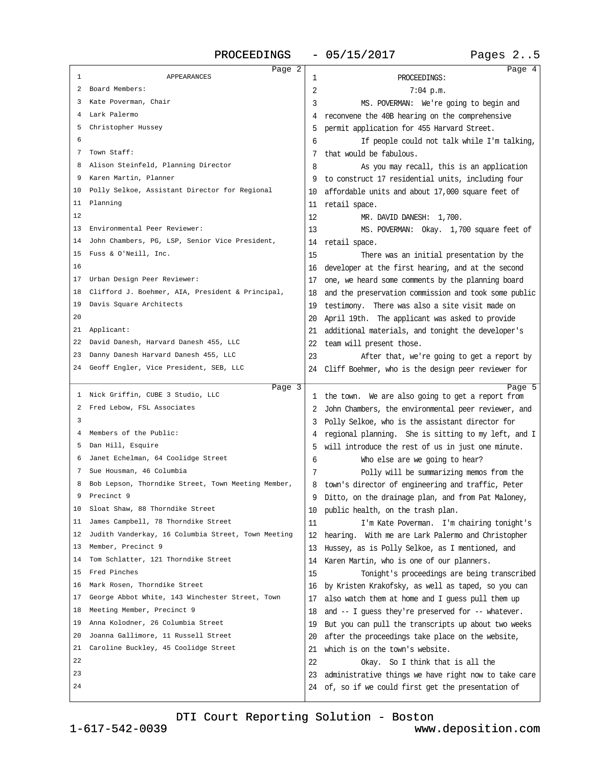PROCEEDINGS - 05/15/2017 Pages 2..5

| Page 2                                                |                                                                                                                |        |
|-------------------------------------------------------|----------------------------------------------------------------------------------------------------------------|--------|
| APPEARANCES<br>1                                      | 1<br>PROCEEDINGS:                                                                                              | Page 4 |
| 2 Board Members:                                      | 2<br>7:04 p.m.                                                                                                 |        |
| 3 Kate Poverman, Chair                                | 3<br>MS. POVERMAN: We're going to begin and                                                                    |        |
| 4 Lark Palermo                                        | 4 reconvene the 40B hearing on the comprehensive                                                               |        |
| 5 Christopher Hussey                                  | 5 permit application for 455 Harvard Street.                                                                   |        |
| 6                                                     | If people could not talk while I'm talking,<br>6                                                               |        |
| 7 Town Staff:                                         | 7 that would be fabulous.                                                                                      |        |
| 8 Alison Steinfeld, Planning Director                 | 8<br>As you may recall, this is an application                                                                 |        |
| 9 Karen Martin, Planner                               | 9 to construct 17 residential units, including four                                                            |        |
| 10 Polly Selkoe, Assistant Director for Regional      | 10 affordable units and about 17,000 square feet of                                                            |        |
| 11 Planning                                           | 11 retail space.                                                                                               |        |
| 12                                                    | 12<br>MR. DAVID DANESH: 1,700.                                                                                 |        |
| 13 Environmental Peer Reviewer:                       | 13<br>MS. POVERMAN: Okay. 1,700 square feet of                                                                 |        |
| 14 John Chambers, PG, LSP, Senior Vice President,     | 14 retail space.                                                                                               |        |
| 15 Fuss & O'Neill, Inc.                               | 15<br>There was an initial presentation by the                                                                 |        |
| 16                                                    | 16 developer at the first hearing, and at the second                                                           |        |
| 17 Urban Design Peer Reviewer:                        | 17 one, we heard some comments by the planning board                                                           |        |
| 18 Clifford J. Boehmer, AIA, President & Principal,   | 18 and the preservation commission and took some public                                                        |        |
| 19 Davis Square Architects                            | 19 testimony. There was also a site visit made on                                                              |        |
| 20                                                    | 20 April 19th. The applicant was asked to provide                                                              |        |
| 21 Applicant:                                         | 21 additional materials, and tonight the developer's                                                           |        |
| 22 David Danesh, Harvard Danesh 455, LLC              | 22 team will present those.                                                                                    |        |
| 23 Danny Danesh Harvard Danesh 455, LLC               | 23<br>After that, we're going to get a report by                                                               |        |
| 24 Geoff Engler, Vice President, SEB, LLC             |                                                                                                                |        |
|                                                       | 24 Cliff Boehmer, who is the design peer reviewer for                                                          |        |
| Page 3                                                |                                                                                                                | Page 5 |
| 1 Nick Griffin, CUBE 3 Studio, LLC                    | 1 the town. We are also going to get a report from                                                             |        |
| 2 Fred Lebow, FSL Associates<br>3                     | 2 John Chambers, the environmental peer reviewer, and                                                          |        |
|                                                       | 3 Polly Selkoe, who is the assistant director for                                                              |        |
|                                                       |                                                                                                                |        |
| 4 Members of the Public:                              | 4 regional planning. She is sitting to my left, and I                                                          |        |
| 5 Dan Hill, Esquire                                   | 5 will introduce the rest of us in just one minute.                                                            |        |
| 6 Janet Echelman, 64 Coolidge Street                  | 6<br>Who else are we going to hear?                                                                            |        |
| 7 Sue Housman, 46 Columbia                            | Polly will be summarizing memos from the<br>7                                                                  |        |
| 8 Bob Lepson, Thorndike Street, Town Meeting Member,  | 8 town's director of engineering and traffic, Peter                                                            |        |
| 9 Precinct 9                                          | 9 Ditto, on the drainage plan, and from Pat Maloney,                                                           |        |
| 10 Sloat Shaw, 88 Thorndike Street                    | 10 public health, on the trash plan.                                                                           |        |
| 11 James Campbell, 78 Thorndike Street                | 11<br>I'm Kate Poverman. I'm chairing tonight's                                                                |        |
| 12 Judith Vanderkay, 16 Columbia Street, Town Meeting | 12 hearing. With me are Lark Palermo and Christopher                                                           |        |
| 13 Member, Precinct 9                                 | 13 Hussey, as is Polly Selkoe, as I mentioned, and                                                             |        |
| 14 Tom Schlatter, 121 Thorndike Street                | 14 Karen Martin, who is one of our planners.                                                                   |        |
| 15 Fred Pinches                                       | 15<br>Tonight's proceedings are being transcribed                                                              |        |
| 16 Mark Rosen, Thorndike Street                       | 16 by Kristen Krakofsky, as well as taped, so you can                                                          |        |
| 17 George Abbot White, 143 Winchester Street, Town    | 17 also watch them at home and I guess pull them up                                                            |        |
| 18 Meeting Member, Precinct 9                         | 18 and -- I guess they're preserved for -- whatever.                                                           |        |
| 19 Anna Kolodner, 26 Columbia Street                  | 19 But you can pull the transcripts up about two weeks                                                         |        |
| Joanna Gallimore, 11 Russell Street<br>20             | 20 after the proceedings take place on the website,                                                            |        |
| 21 Caroline Buckley, 45 Coolidge Street               | 21 which is on the town's website.                                                                             |        |
| 22                                                    | 22<br>Okay. So I think that is all the                                                                         |        |
| 23<br>24                                              | 23 administrative things we have right now to take care<br>24 of, so if we could first get the presentation of |        |

[DTI Court Reporting Solution - Boston](http://www.deposition.com)

1-617-542-0039

www.deposition.com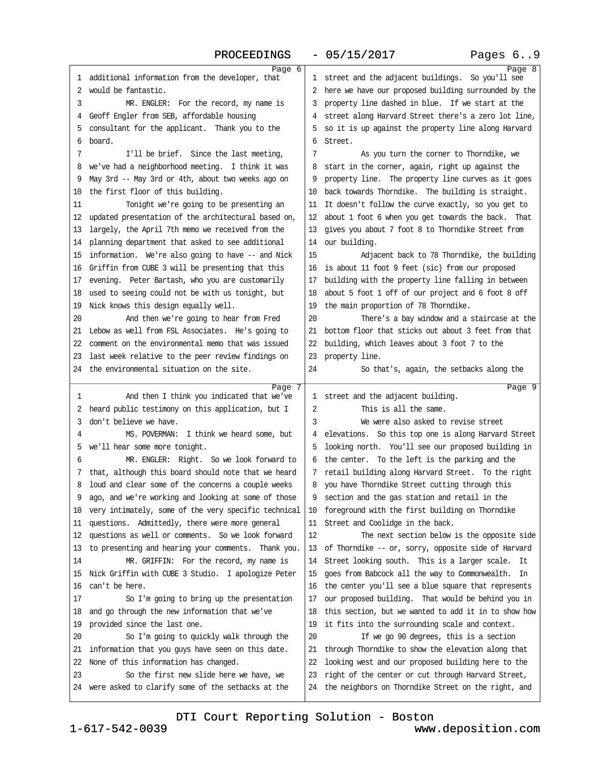## PROCEEDINGS - 05/15/2017

| Page 6                                                  |                                                         | Page 8 |
|---------------------------------------------------------|---------------------------------------------------------|--------|
| 1 additional information from the developer, that       | 1 street and the adjacent buildings. So you'll see      |        |
| 2 would be fantastic.                                   | 2 here we have our proposed building surrounded by the  |        |
| 3<br>MR. ENGLER: For the record, my name is             | 3 property line dashed in blue. If we start at the      |        |
| 4 Geoff Engler from SEB, affordable housing             | 4 street along Harvard Street there's a zero lot line,  |        |
| 5 consultant for the applicant. Thank you to the        | 5 so it is up against the property line along Harvard   |        |
| 6 board.                                                | 6 Street.                                               |        |
| 7<br>I'll be brief. Since the last meeting,             | 7<br>As you turn the corner to Thorndike, we            |        |
| 8 we've had a neighborhood meeting. I think it was      | 8 start in the corner, again, right up against the      |        |
| 9 May 3rd - May 3rd or 4th, about two weeks ago on      | 9 property line. The property line curves as it goes    |        |
| 10 the first floor of this building.                    | 10 back towards Thorndike. The building is straight.    |        |
| Tonight we're going to be presenting an<br>11           | 11 It doesn't follow the curve exactly, so you get to   |        |
| 12 updated presentation of the architectural based on,  | 12 about 1 foot 6 when you get towards the back. That   |        |
| 13 largely, the April 7th memo we received from the     | 13 gives you about 7 foot 8 to Thomdike Street from     |        |
| 14 planning department that asked to see additional     | 14 our building.                                        |        |
| 15 information. We're also going to have -- and Nick    | 15<br>Adjacent back to 78 Thorndike, the building       |        |
| 16 Griffin from CUBE 3 will be presenting that this     | 16 is about 11 foot 9 feet (sic) from our proposed      |        |
| 17 evening. Peter Bartash, who you are customarily      | 17 building with the property line falling in between   |        |
| 18 used to seeing could not be with us tonight, but     | 18 about 5 foot 1 off of our project and 6 foot 8 off   |        |
| 19 Nick knows this design equally well.                 | 19 the main proportion of 78 Thorndike.                 |        |
| And then we're going to hear from Fred<br>20            | 20<br>There's a bay window and a staircase at the       |        |
| 21 Lebow as well from FSL Associates. He's going to     | 21 bottom floor that sticks out about 3 feet from that  |        |
| 22 comment on the environmental memo that was issued    |                                                         |        |
|                                                         | 22 building, which leaves about 3 foot 7 to the         |        |
| 23 last week relative to the peer review findings on    | 23 property line.                                       |        |
| 24 the environmental situation on the site.             | 24<br>So that's, again, the setbacks along the          |        |
|                                                         |                                                         |        |
| Page 7                                                  |                                                         | Page 9 |
| And then I think you indicated that we've<br>1          | 1 street and the adjacent building.                     |        |
| 2 heard public testimony on this application, but I     | 2<br>This is all the same.                              |        |
| 3 don't believe we have.                                | 3<br>We were also asked to revise street                |        |
| MS. POVERMAN: I think we heard some, but<br>4           | 4 elevations. So this top one is along Harvard Street   |        |
| 5 we'll hear some more tonight.                         | 5 looking north. You'll see our proposed building in    |        |
| MR. ENGLER: Right. So we look forward to<br>6           | 6 the center. To the left is the parking and the        |        |
| 7 that, although this board should note that we heard   | 7 retail building along Harvard Street. To the right    |        |
| 8 loud and clear some of the concerns a couple weeks    | 8 you have Thorndike Street cutting through this        |        |
| 9 ago, and we're working and looking at some of those   | 9 section and the gas station and retail in the         |        |
| 10 very intimately, some of the very specific technical | 10 foreground with the first building on Thorndike      |        |
| 11 questions. Admittedly, there were more general       | 11 Street and Coolidge in the back.                     |        |
| 12 questions as well or comments. So we look forward    | 12<br>The next section below is the opposite side       |        |
| 13 to presenting and hearing your comments. Thank you.  | 13 of Thorndike -- or, sorry, opposite side of Harvard  |        |
| MR. GRIFFIN: For the record, my name is<br>14           | 14 Street looking south. This is a larger scale. It     |        |
| 15 Nick Griffin with CUBE 3 Studio. I apologize Peter   | 15 goes from Babcock all the way to Commonwealth. In    |        |
| 16 can't be here.                                       | 16 the center you'll see a blue square that represents  |        |
| So I'm going to bring up the presentation<br>17         | 17 our proposed building. That would be behind you in   |        |
| 18 and go through the new information that we've        | 18 this section, but we wanted to add it in to show how |        |
| 19 provided since the last one.                         | 19 it fits into the surrounding scale and context.      |        |
| So I'm going to quickly walk through the<br>20          | If we go 90 degrees, this is a section<br>20            |        |
| 21 information that you guys have seen on this date.    | 21 through Thorndike to show the elevation along that   |        |
| 22 None of this information has changed.                | 22 looking west and our proposed building here to the   |        |
| So the first new slide here we have, we<br>23           | 23 right of the center or cut through Harvard Street,   |        |
| 24 were asked to clarify some of the setbacks at the    | 24 the neighbors on Thomdike Street on the right, and   |        |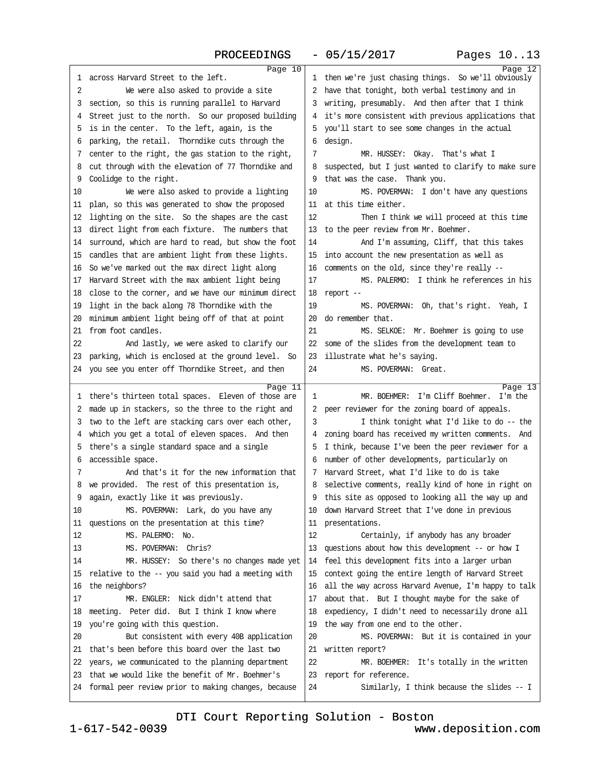| Page 10                                                                                                      |                                                                                                  | Page 12 |
|--------------------------------------------------------------------------------------------------------------|--------------------------------------------------------------------------------------------------|---------|
| 1 across Harvard Street to the left.                                                                         | 1 then we're just chasing things. So we'll obviously                                             |         |
| 2<br>We were also asked to provide a site                                                                    | 2 have that tonight, both verbal testimony and in                                                |         |
| 3 section, so this is running parallel to Harvard                                                            | 3 writing, presumably. And then after that I think                                               |         |
| 4 Street just to the north. So our proposed building                                                         | 4 it's more consistent with previous applications that                                           |         |
| 5 is in the center. To the left, again, is the                                                               | 5 you'll start to see some changes in the actual                                                 |         |
| 6 parking, the retail. Thorndike cuts through the                                                            | 6 design.                                                                                        |         |
| 7 center to the right, the gas station to the right,                                                         | 7<br>MR. HUSSEY: Okay. That's what I                                                             |         |
| 8 cut through with the elevation of 77 Thomdike and                                                          | 8 suspected, but I just wanted to clarify to make sure                                           |         |
| 9 Coolidge to the right.                                                                                     | 9 that was the case. Thank you.                                                                  |         |
| We were also asked to provide a lighting<br>10                                                               | 10<br>MS. POVERMAN: I don't have any questions                                                   |         |
| 11 plan, so this was generated to show the proposed                                                          | 11 at this time either.                                                                          |         |
| 12 lighting on the site. So the shapes are the cast                                                          | 12<br>Then I think we will proceed at this time                                                  |         |
| 13 direct light from each fixture. The numbers that                                                          | 13 to the peer review from Mr. Boehmer.                                                          |         |
| 14 surround, which are hard to read, but show the foot                                                       | 14<br>And I'm assuming, Cliff, that this takes                                                   |         |
| 15 candles that are ambient light from these lights.                                                         | 15 into account the new presentation as well as                                                  |         |
| 16 So we've marked out the max direct light along                                                            | 16 comments on the old, since they're really --                                                  |         |
| 17 Harvard Street with the max ambient light being                                                           | MS. PALERMO: I think he references in his<br>17                                                  |         |
| 18 close to the corner, and we have our minimum direct                                                       | 18 report-                                                                                       |         |
| 19 light in the back along 78 Thorndike with the                                                             | 19<br>MS. POVERMAN: Oh, that's right. Yeah, I                                                    |         |
| 20 minimum ambient light being off of that at point                                                          | 20 do remember that.                                                                             |         |
| 21 from foot candles.                                                                                        | 21<br>MS. SELKOE: Mr. Boehmer is going to use                                                    |         |
| 22<br>And lastly, we were asked to clarify our                                                               | 22 some of the slides from the development team to                                               |         |
| 23 parking, which is enclosed at the ground level. So                                                        | 23 illustrate what he's saying.                                                                  |         |
| 24 you see you enter off Thorndike Street, and then                                                          | 24<br>MS. POVERMAN: Great.                                                                       |         |
|                                                                                                              |                                                                                                  |         |
|                                                                                                              |                                                                                                  |         |
| Page 11                                                                                                      | MR. BOEHMER: I'm Cliff Boehmer. I'm the<br>1                                                     | Page 13 |
| 1 there's thirteen total spaces. Eleven of those are                                                         |                                                                                                  |         |
| 2 made up in stackers, so the three to the right and                                                         | 2 peer reviewer for the zoning board of appeals.<br>3                                            |         |
| 3 two to the left are stacking cars over each other,                                                         | I think tonight what I'd like to do -- the                                                       |         |
| 4 which you get a total of eleven spaces. And then                                                           | 4 zoning board has received my written comments. And                                             |         |
| 5 there's a single standard space and a single                                                               | 5 I think, because I've been the peer reviewer for a                                             |         |
| 6 accessible space.<br>7                                                                                     | 6 number of other developments, particularly on<br>7 Harvard Street, what I'd like to do is take |         |
| And that's it for the new information that                                                                   |                                                                                                  |         |
| 8 we provided. The rest of this presentation is,                                                             | 8 selective comments, really kind of hone in right on                                            |         |
| 9 again, exactly like it was previously.<br>10                                                               | 9 this site as opposed to looking all the way up and                                             |         |
| MS. POVERMAN: Lark, do you have any                                                                          | 10 down Harvard Street that I've done in previous                                                |         |
| 11 questions on the presentation at this time?<br>12<br>MS. PALERMO: No.                                     | 11 presentations.<br>12                                                                          |         |
|                                                                                                              | Certainly, if anybody has any broader                                                            |         |
| 13<br>MS. POVERMAN: Chris?<br>14                                                                             | 13 questions about how this development -- or how I                                              |         |
| MR. HUSSEY: So there's no changes made yet                                                                   | 14 feel this development fits into a larger urban                                                |         |
| 15 relative to the -- you said you had a meeting with                                                        | 15 context going the entire length of Harvard Street                                             |         |
| 16 the neighbors?                                                                                            | 16 all the way across Harvard Avenue, I'm happy to talk                                          |         |
| MR. ENGLER: Nick didn't attend that<br>17                                                                    | 17 about that. But I thought maybe for the sake of                                               |         |
| 18 meeting. Peter did. But I think I know where                                                              | 18 expediency, I didn't need to necessarily drone all                                            |         |
| 19 you're going with this question.                                                                          | 19 the way from one end to the other.                                                            |         |
| 20<br>But consistent with every 40B application<br>21 that's been before this board over the last two        | 20<br>MS. POVERMAN: But it is contained in your                                                  |         |
|                                                                                                              | 21 written report?                                                                               |         |
| 22 years, we communicated to the planning department                                                         | 22<br>MR. BOEHMER: It's totally in the written                                                   |         |
| 23 that we would like the benefit of Mr. Boehmer's<br>24 formal peer review prior to making changes, because | 23 report for reference.<br>24<br>Similarly, I think because the slides -- I                     |         |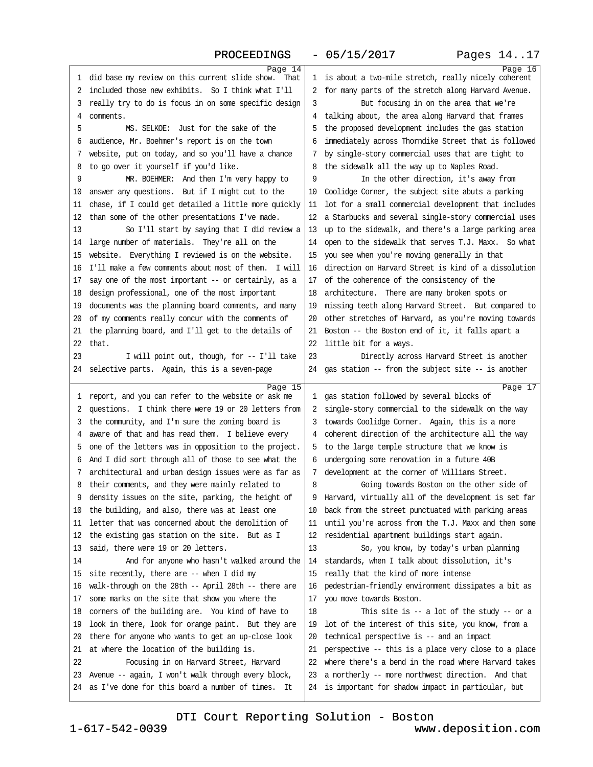### PROCEEDINGS - 05/15/2017 Pages 14..17

| Page 14                                                                                                   |                                                                                                                  | Page 16 |
|-----------------------------------------------------------------------------------------------------------|------------------------------------------------------------------------------------------------------------------|---------|
| 1 did base my review on this current slide show. That                                                     | 1 is about a two-mile stretch, really nicely coherent                                                            |         |
| 2 included those new exhibits. So I think what I'll                                                       | 2 for many parts of the stretch along Harvard Avenue.                                                            |         |
| 3 really try to do is focus in on some specific design                                                    | But focusing in on the area that we're<br>3                                                                      |         |
| 4 comments.                                                                                               | 4 talking about, the area along Harvard that frames                                                              |         |
| MS. SELKOE: Just for the sake of the<br>5                                                                 | 5 the proposed development includes the gas station                                                              |         |
| 6 audience, Mr. Boehmer's report is on the town                                                           | 6 immediately across Thomdike Street that is followed                                                            |         |
| 7 website, put on today, and so you'll have a chance                                                      | 7 by single-story commercial uses that are tight to                                                              |         |
| 8 to go over it yourself if you'd like.                                                                   | 8 the sidewalk all the way up to Naples Road.                                                                    |         |
| 9<br>MR. BOEHMER: And then I'm very happy to                                                              | 9<br>In the other direction, it's away from                                                                      |         |
| 10 answer any questions. But if I might cut to the                                                        | 10 Coolidge Corner, the subject site abuts a parking                                                             |         |
| 11 chase, if I could get detailed a little more quickly                                                   | 11 lot for a small commercial development that includes                                                          |         |
| 12 than some of the other presentations I've made.                                                        | 12 a Starbucks and several single-story commercial uses                                                          |         |
| 13<br>So I'll start by saying that I did review a                                                         | 13 up to the sidewalk, and there's a large parking area                                                          |         |
| 14 large number of materials. They're all on the                                                          | 14 open to the sidewalk that serves T.J. Maxx. So what                                                           |         |
| 15 website. Everything I reviewed is on the website.                                                      | 15 you see when you're moving generally in that                                                                  |         |
| 16 I'll make a few comments about most of them. I will                                                    | 16 direction on Harvard Street is kind of a dissolution                                                          |         |
| 17 say one of the most important -- or certainly, as a                                                    | 17 of the coherence of the consistency of the                                                                    |         |
| 18 design professional, one of the most important                                                         | 18 architecture. There are many broken spots or                                                                  |         |
| 19 documents was the planning board comments, and many                                                    | 19 missing teeth along Harvard Street. But compared to                                                           |         |
| 20 of my comments really concur with the comments of                                                      | 20 other stretches of Harvard, as you're moving towards                                                          |         |
| 21 the planning board, and I'll get to the details of                                                     | 21 Boston -- the Boston end of it, it falls apart a                                                              |         |
| 22 that.                                                                                                  | 22 little bit for a ways.                                                                                        |         |
| 23<br>I will point out, though, for -- I'll take                                                          | 23<br>Directly across Harvard Street is another                                                                  |         |
| 24 selective parts. Again, this is a seven-page                                                           | 24 gas station - from the subject site - is another                                                              |         |
|                                                                                                           |                                                                                                                  |         |
| Page 15<br>1 report, and you can refer to the website or ask me                                           | 1 gas station followed by several blocks of                                                                      | Page 17 |
| 2 questions. I think there were 19 or 20 letters from                                                     | 2 single-story commercial to the sidewalk on the way                                                             |         |
| 3 the community, and I'm sure the zoning board is                                                         | 3 towards Coolidge Corner. Again, this is a more                                                                 |         |
| 4 aware of that and has read them. I believe every                                                        | 4 coherent direction of the architecture all the way                                                             |         |
| 5 one of the letters was in opposition to the project.                                                    | 5 to the large temple structure that we know is                                                                  |         |
| 6 And I did sort through all of those to see what the                                                     | 6 undergoing some renovation in a future 40B                                                                     |         |
| 7 architectural and urban design issues were as far as                                                    | 7 development at the comer of Williams Street.                                                                   |         |
|                                                                                                           | 8                                                                                                                |         |
| 8 their comments, and they were mainly related to<br>9 density issues on the site, parking, the height of | Going towards Boston on the other side of<br>9 Harvard, virtually all of the development is set far              |         |
|                                                                                                           |                                                                                                                  |         |
| 10 the building, and also, there was at least one<br>11 letter that was concerned about the demolition of | 10 back from the street punctuated with parking areas<br>11 until you're across from the T.J. Maxx and then some |         |
|                                                                                                           |                                                                                                                  |         |
| 12 the existing gas station on the site. But as I                                                         | 12 residential apartment buildings start again.<br>13                                                            |         |
| 13 said, there were 19 or 20 letters.                                                                     | So, you know, by today's urban planning                                                                          |         |
| 14<br>And for anyone who hasn't walked around the                                                         |                                                                                                                  |         |
| 15 site recently, there are -- when I did my                                                              | 14 standards, when I talk about dissolution, it's                                                                |         |
|                                                                                                           | 15 really that the kind of more intense                                                                          |         |
| 16 walk-through on the 28th -- April 28th -- there are                                                    | 16 pedestrian-friendly environment dissipates a bit as                                                           |         |
| 17 some marks on the site that show you where the                                                         | 17 you move towards Boston.                                                                                      |         |
| 18 corners of the building are. You kind of have to                                                       | 18<br>This site is $-$ a lot of the study $-$ or a                                                               |         |
| 19 look in there, look for orange paint. But they are                                                     | 19 lot of the interest of this site, you know, from a                                                            |         |
| 20 there for anyone who wants to get an up-close look                                                     | 20 technical perspective is -- and an impact                                                                     |         |
| 21 at where the location of the building is.                                                              | 21 perspective -- this is a place very close to a place                                                          |         |
| Focusing in on Harvard Street, Harvard<br>22                                                              | 22 where there's a bend in the road where Harvard takes                                                          |         |
| 23 Avenue -- again, I won't walk through every block,                                                     | 23 a northerly -- more northwest direction. And that                                                             |         |
| 24 as I've done for this board a number of times. It                                                      | 24 is important for shadow impact in particular, but                                                             |         |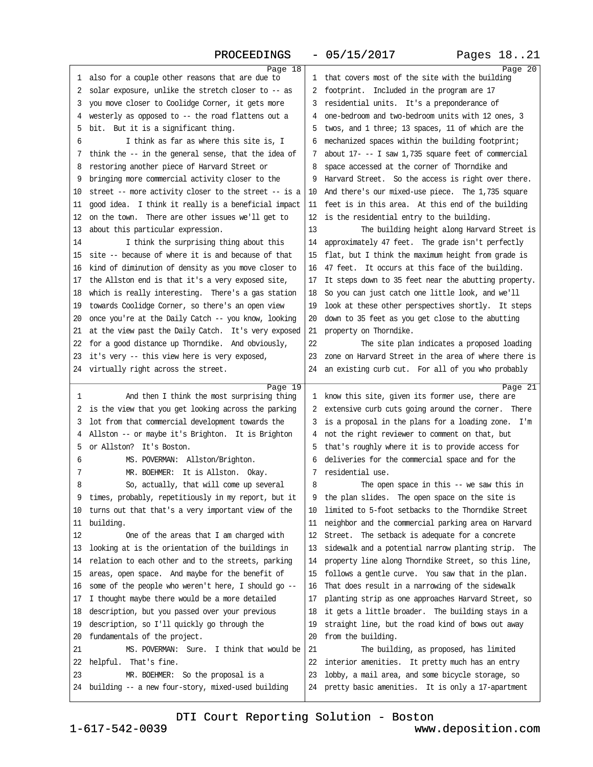# PROCEEDINGS - 05/15/2017

| Page 18<br>1 also for a couple other reasons that are due to                                    | 1 that covers most of the site with the building                                                            | Page 20 |
|-------------------------------------------------------------------------------------------------|-------------------------------------------------------------------------------------------------------------|---------|
| 2 solar exposure, unlike the stretch closer to -- as                                            | 2 footprint. Included in the program are 17                                                                 |         |
| 3 you move closer to Coolidge Corner, it gets more                                              | 3 residential units. It's a preponderance of                                                                |         |
| 4 westerly as opposed to -- the road flattens out a                                             | 4 one-bedroom and two-bedroom units with 12 ones, 3                                                         |         |
| 5 bit. But it is a significant thing.                                                           | 5 twos, and 1 three; 13 spaces, 11 of which are the                                                         |         |
| I think as far as where this site is, I<br>6                                                    | 6 mechanized spaces within the building footprint;                                                          |         |
| 7 think the -- in the general sense, that the idea of                                           | 7 about 17--I saw 1,735 square feet of commercial                                                           |         |
| 8 restoring another piece of Harvard Street or                                                  | 8 space accessed at the corner of Thorndike and                                                             |         |
| 9 bringing more commercial activity closer to the                                               | 9 Harvard Street. So the access is right over there.                                                        |         |
| 10 street – more activity closer to the street – is a                                           | 10 And there's our mixed-use piece. The 1,735 square                                                        |         |
| 11 good idea. I think it really is a beneficial impact                                          | 11 feet is in this area. At this end of the building                                                        |         |
| 12 on the town. There are other issues we'll get to                                             | 12 is the residential entry to the building.                                                                |         |
| 13 about this particular expression.                                                            | 13<br>The building height along Harvard Street is                                                           |         |
| I think the surprising thing about this<br>14                                                   | 14 approximately 47 feet. The grade isn't perfectly                                                         |         |
| 15 site -- because of where it is and because of that                                           | 15 flat, but I think the maximum height from grade is                                                       |         |
| 16 kind of diminution of density as you move closer to                                          | 16 47 feet. It occurs at this face of the building.                                                         |         |
| 17 the Allston end is that it's a very exposed site,                                            | 17 It steps down to 35 feet near the abutting property.                                                     |         |
| 18 which is really interesting. There's a gas station                                           | 18 So you can just catch one little look, and we'll                                                         |         |
| 19 towards Coolidge Corner, so there's an open view                                             | 19 look at these other perspectives shortly. It steps                                                       |         |
| 20 once you're at the Daily Catch -- you know, looking                                          | 20 down to 35 feet as you get close to the abutting                                                         |         |
| 21 at the view past the Daily Catch. It's very exposed                                          | 21 property on Thorndike.                                                                                   |         |
| 22 for a good distance up Thorndike. And obviously,                                             | 22<br>The site plan indicates a proposed loading                                                            |         |
| 23 it's very -- this view here is very exposed,                                                 | 23 zone on Harvard Street in the area of where there is                                                     |         |
| 24 virtually right across the street.                                                           | 24 an existing curb cut. For all of you who probably                                                        |         |
|                                                                                                 |                                                                                                             |         |
|                                                                                                 |                                                                                                             |         |
| Page 19                                                                                         |                                                                                                             | Page 21 |
| And then I think the most surprising thing<br>1                                                 | 1 know this site, given its former use, there are                                                           |         |
| 2 is the view that you get looking across the parking                                           | 2 extensive curb cuts going around the corner. There                                                        |         |
| 3 lot from that commercial development towards the                                              | 3 is a proposal in the plans for a loading zone. I'm                                                        |         |
| 4 Allston -- or maybe it's Brighton. It is Brighton                                             | 4 not the right reviewer to comment on that, but                                                            |         |
| 5 or Allston? It's Boston.                                                                      | 5 that's roughly where it is to provide access for                                                          |         |
| MS. POVERMAN: Allston/Brighton.<br>6                                                            | 6 deliveries for the commercial space and for the                                                           |         |
| MR. BOEHMER: It is Allston. Okay.<br>7                                                          | 7 residential use.                                                                                          |         |
| 8<br>So, actually, that will come up several                                                    | 8<br>The open space in this -- we saw this in                                                               |         |
| 9 times, probably, repetitiously in my report, but it                                           | 9 the plan slides. The open space on the site is                                                            |         |
| 10 turns out that that's a very important view of the                                           | 10 limited to 5-foot setbacks to the Thomdike Street                                                        |         |
| 11 building.                                                                                    | 11 neighbor and the commercial parking area on Harvard                                                      |         |
| 12<br>One of the areas that I am charged with                                                   | 12 Street. The setback is adequate for a concrete                                                           |         |
| 13 looking at is the orientation of the buildings in                                            | 13 sidewalk and a potential narrow planting strip. The                                                      |         |
| 14 relation to each other and to the streets, parking                                           | 14 property line along Thorndike Street, so this line,                                                      |         |
| 15 areas, open space. And maybe for the benefit of                                              | 15 follows a gentle curve. You saw that in the plan.                                                        |         |
| 16 some of the people who weren't here, I should go --                                          | 16 That does result in a narrowing of the sidewalk                                                          |         |
| 17 I thought maybe there would be a more detailed                                               | 17 planting strip as one approaches Harvard Street, so                                                      |         |
| 18 description, but you passed over your previous                                               | 18 it gets a little broader. The building stays in a                                                        |         |
| 19 description, so I'll quickly go through the                                                  | 19 straight line, but the road kind of bows out away                                                        |         |
| 20 fundamentals of the project.                                                                 | 20 from the building.                                                                                       |         |
| 21<br>MS. POVERMAN: Sure. I think that would be                                                 | 21<br>The building, as proposed, has limited                                                                |         |
| 22 helpful. That's fine.                                                                        | 22 interior amenities. It pretty much has an entry                                                          |         |
| 23<br>MR. BOEHMER: So the proposal is a<br>24 building -- a new four-story, mixed-used building | 23 lobby, a mail area, and some bicycle storage, so<br>24 pretty basic amenities. It is only a 17-apartment |         |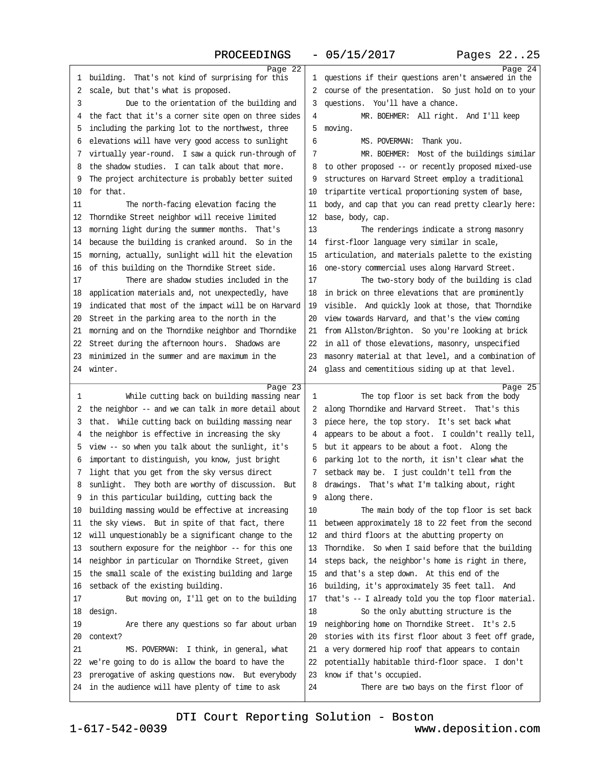| Page 22                                                 |                                                         | Page 24 |
|---------------------------------------------------------|---------------------------------------------------------|---------|
| 1 building. That's not kind of surprising for this      | 1 questions if their questions aren't answered in the   |         |
| 2 scale, but that's what is proposed.                   | 2 course of the presentation. So just hold on to your   |         |
| Due to the orientation of the building and<br>3         | 3 questions. You'll have a chance.                      |         |
| 4 the fact that it's a corner site open on three sides  | MR. BOEHMER: All right. And I'll keep<br>4              |         |
| 5 including the parking lot to the northwest, three     | 5 moving.                                               |         |
| 6 elevations will have very good access to sunlight     | 6<br>MS. POVERMAN: Thank you.                           |         |
| 7 virtually year-round. I saw a quick run-through of    | MR. BOEHMER: Most of the buildings similar<br>7         |         |
| 8 the shadow studies. I can talk about that more.       | 8 to other proposed -- or recently proposed mixed-use   |         |
| 9 The project architecture is probably better suited    | 9 structures on Harvard Street employ a traditional     |         |
| 10 for that.                                            | 10 tripartite vertical proportioning system of base,    |         |
| 11<br>The north-facing elevation facing the             | 11 body, and cap that you can read pretty clearly here: |         |
| 12 Thorndike Street neighbor will receive limited       | 12 base, body, cap.                                     |         |
| 13 morning light during the summer months. That's       | 13<br>The renderings indicate a strong masonry          |         |
| 14 because the building is cranked around. So in the    | 14 first-floor language very similar in scale,          |         |
|                                                         |                                                         |         |
| 15 morning, actually, sunlight will hit the elevation   | 15 articulation, and materials palette to the existing  |         |
| 16 of this building on the Thorndike Street side.       | 16 one-story commercial uses along Harvard Street.      |         |
| There are shadow studies included in the<br>17          | 17<br>The two-story body of the building is clad        |         |
| 18 application materials and, not unexpectedly, have    | 18 in brick on three elevations that are prominently    |         |
| 19 indicated that most of the impact will be on Harvard | 19 visible. And quickly look at those, that Thorndike   |         |
| 20 Street in the parking area to the north in the       | 20 view towards Harvard, and that's the view coming     |         |
| 21 morning and on the Thomdike neighbor and Thorndike   | 21 from Allston/Brighton. So you're looking at brick    |         |
| 22 Street during the afternoon hours. Shadows are       | 22 in all of those elevations, masonry, unspecified     |         |
| 23 minimized in the summer and are maximum in the       | 23 masonry material at that level, and a combination of |         |
| 24 winter.                                              | 24 glass and cementitious siding up at that level.      |         |
|                                                         |                                                         |         |
|                                                         |                                                         |         |
| Page 23<br>1                                            | 1                                                       | Page 25 |
| While cutting back on building massing near             | The top floor is set back from the body                 |         |
| 2 the neighbor -- and we can talk in more detail about  | 2 along Thorndike and Harvard Street. That's this       |         |
| 3 that. While cutting back on building massing near     | 3 piece here, the top story. It's set back what         |         |
| 4 the neighbor is effective in increasing the sky       | 4 appears to be about a foot. I couldn't really tell,   |         |
| 5 view -- so when you talk about the sunlight, it's     | 5 but it appears to be about a foot. Along the          |         |
| 6 important to distinguish, you know, just bright       | 6 parking lot to the north, it isn't clear what the     |         |
| 7 light that you get from the sky versus direct         | 7 setback may be. I just couldn't tell from the         |         |
| 8 sunlight. They both are worthy of discussion. But     | 8 drawings. That's what I'm talking about, right        |         |
| 9 in this particular building, cutting back the         | 9 along there.                                          |         |
| 10 building massing would be effective at increasing    | 10<br>The main body of the top floor is set back        |         |
| 11 the sky views. But in spite of that fact, there      | 11 between approximately 18 to 22 feet from the second  |         |
| 12 will unquestionably be a significant change to the   | 12 and third floors at the abutting property on         |         |
| 13 southern exposure for the neighbor -- for this one   | 13 Thorndike. So when I said before that the building   |         |
| 14 neighbor in particular on Thorndike Street, given    | 14 steps back, the neighbor's home is right in there,   |         |
| 15 the small scale of the existing building and large   | 15 and that's a step down. At this end of the           |         |
| 16 setback of the existing building.                    | 16 building, it's approximately 35 feet tall. And       |         |
| 17<br>But moving on, I'll get on to the building        | 17 that's -- I already told you the top floor material. |         |
| 18 design.                                              | 18<br>So the only abutting structure is the             |         |
| 19<br>Are there any questions so far about urban        | 19 neighboring home on Thorndike Street. It's 2.5       |         |
| 20 context?                                             | 20 stories with its first floor about 3 feet off grade, |         |
| 21<br>MS. POVERMAN: I think, in general, what           | 21 a very dormered hip roof that appears to contain     |         |
| 22 we're going to do is allow the board to have the     | 22 potentially habitable third-floor space. I don't     |         |
| 23 prerogative of asking questions now. But everybody   | 23 know if that's occupied.                             |         |
| 24 in the audience will have plenty of time to ask      | 24<br>There are two bays on the first floor of          |         |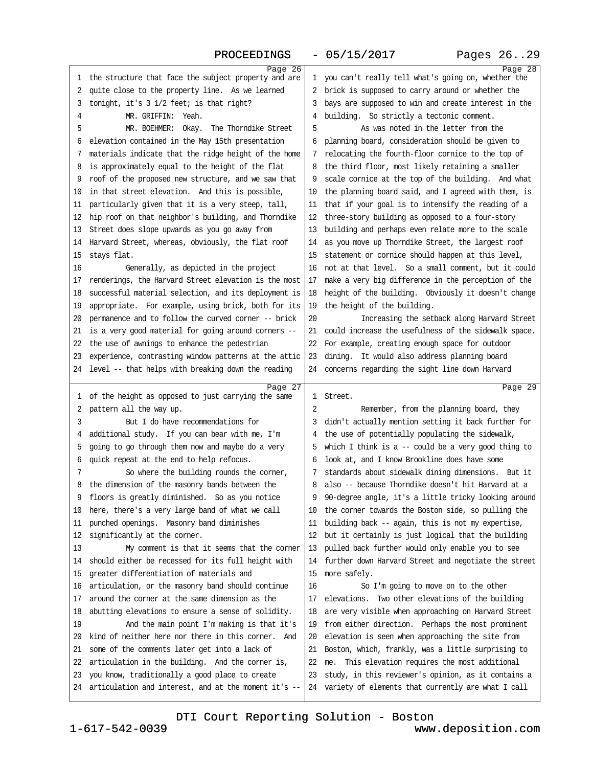### PROCEEDINGS - 05/15/2017 Pages 26..29

| Page 26                                                                                                   |                                                                                                               | Page 28 |
|-----------------------------------------------------------------------------------------------------------|---------------------------------------------------------------------------------------------------------------|---------|
| 1 the structure that face the subject property and are                                                    | 1 you can't really tell what's going on, whether the                                                          |         |
| 2 quite close to the property line. As we learned                                                         | 2 brick is supposed to carry around or whether the                                                            |         |
| 3 tonight, it's 3 1/2 feet; is that right?                                                                | 3 bays are supposed to win and create interest in the                                                         |         |
| MR. GRIFFIN: Yeah.<br>4                                                                                   | 4 building. So strictly a tectonic comment.                                                                   |         |
| MR. BOEHMER: Okay. The Thomdike Street<br>5                                                               | As was noted in the letter from the<br>5                                                                      |         |
| 6 elevation contained in the May 15th presentation                                                        | 6 planning board, consideration should be given to                                                            |         |
| 7 materials indicate that the ridge height of the home                                                    | 7 relocating the fourth-floor cornice to the top of                                                           |         |
| 8 is approximately equal to the height of the flat                                                        | 8 the third floor, most likely retaining a smaller                                                            |         |
| 9 roof of the proposed new structure, and we saw that                                                     | 9 scale comice at the top of the building. And what                                                           |         |
| 10 in that street elevation. And this is possible,                                                        | 10 the planning board said, and I agreed with them, is                                                        |         |
| 11 particularly given that it is a very steep, tall,                                                      | 11 that if your goal is to intensify the reading of a                                                         |         |
| 12 hip roof on that neighbor's building, and Thorndike                                                    | 12 three-story building as opposed to a four-story                                                            |         |
| 13 Street does slope upwards as you go away from                                                          | 13 building and perhaps even relate more to the scale                                                         |         |
| 14 Harvard Street, whereas, obviously, the flat roof                                                      | 14 as you move up Thorndike Street, the largest roof                                                          |         |
| 15 stays flat.                                                                                            | 15 statement or cornice should happen at this level,                                                          |         |
| 16<br>Generally, as depicted in the project                                                               | 16 not at that level. So a small comment, but it could                                                        |         |
| 17 renderings, the Harvard Street elevation is the most                                                   | 17 make a very big difference in the perception of the                                                        |         |
| 18 successful material selection, and its deployment is                                                   | 18 height of the building. Obviously it doesn't change                                                        |         |
| 19 appropriate. For example, using brick, both for its                                                    | 19 the height of the building.                                                                                |         |
| 20 permanence and to follow the curved corner -- brick                                                    | 20<br>Increasing the setback along Harvard Street                                                             |         |
| 21 is a very good material for going around corners --                                                    | 21 could increase the usefulness of the sidewalk space.                                                       |         |
| 22 the use of awnings to enhance the pedestrian                                                           | 22 For example, creating enough space for outdoor                                                             |         |
| 23 experience, contrasting window patterns at the attic                                                   | 23 dining. It would also address planning board                                                               |         |
| 24 level -- that helps with breaking down the reading                                                     | 24 concerns regarding the sight line down Harvard                                                             |         |
|                                                                                                           |                                                                                                               |         |
|                                                                                                           |                                                                                                               |         |
| Page 27                                                                                                   | 1 Street.                                                                                                     | Page 29 |
| 1 of the height as opposed to just carrying the same                                                      | 2                                                                                                             |         |
| 2 pattern all the way up.<br>3                                                                            | Remember, from the planning board, they                                                                       |         |
| But I do have recommendations for                                                                         | 3 didn't actually mention setting it back further for                                                         |         |
| 4 additional study. If you can bear with me, I'm                                                          | 4 the use of potentially populating the sidewalk,                                                             |         |
| 5 going to go through them now and maybe do a very                                                        | 5 which I think is a -- could be a very good thing to                                                         |         |
| 6 quick repeat at the end to help refocus.<br>7                                                           | 6 look at, and I know Brookline does have some                                                                |         |
| So where the building rounds the corner,                                                                  | 7 standards about sidewalk dining dimensions. But it                                                          |         |
| 8 the dimension of the masonry bands between the                                                          | 8 also -- because Thorndike doesn't hit Harvard at a                                                          |         |
| 9 floors is greatly diminished. So as you notice                                                          | 9 90-degree angle, it's a little tricky looking around                                                        |         |
| 10 here, there's a very large band of what we call                                                        | 10 the corner towards the Boston side, so pulling the                                                         |         |
| 11 punched openings. Masonry band diminishes<br>12 significantly at the corner.                           | 11 building back -- again, this is not my expertise,<br>12 but it certainly is just logical that the building |         |
| 13<br>My comment is that it seems that the comer                                                          | 13 pulled back further would only enable you to see                                                           |         |
| 14 should either be recessed for its full height with                                                     | 14 further down Harvard Street and negotiate the street                                                       |         |
| 15 greater differentiation of materials and                                                               |                                                                                                               |         |
|                                                                                                           | 15 more safely.<br>16<br>So I'm going to move on to the other                                                 |         |
| 16 articulation, or the masonry band should continue<br>17 around the corner at the same dimension as the | 17 elevations. Two other elevations of the building                                                           |         |
|                                                                                                           | 18 are very visible when approaching on Harvard Street                                                        |         |
| 18 abutting elevations to ensure a sense of solidity.<br>19                                               |                                                                                                               |         |
| And the main point I'm making is that it's<br>20 kind of neither here nor there in this corner. And       | 19 from either direction. Perhaps the most prominent                                                          |         |
|                                                                                                           | 20 elevation is seen when approaching the site from                                                           |         |
| 21 some of the comments later get into a lack of<br>22 articulation in the building. And the corner is,   | 21 Boston, which, frankly, was a little surprising to<br>22 me. This elevation requires the most additional   |         |
| 23 you know, traditionally a good place to create                                                         | 23 study, in this reviewer's opinion, as it contains a                                                        |         |
| 24 articulation and interest, and at the moment it's --                                                   | 24 variety of elements that currently are what I call                                                         |         |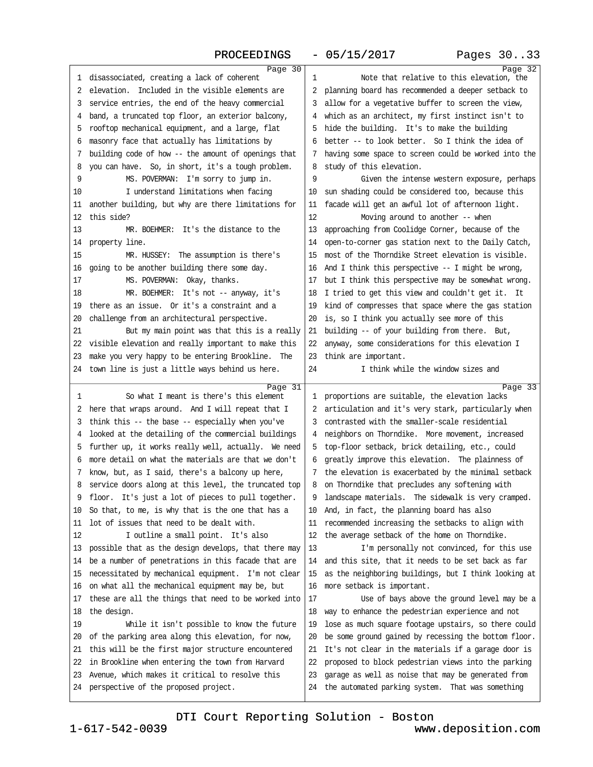| PROCEEDINGS                                                                                          | $-05/15/2017$                                           | Pages 3033 |
|------------------------------------------------------------------------------------------------------|---------------------------------------------------------|------------|
| Page 30                                                                                              |                                                         | Page 32    |
| 1 disassociated, creating a lack of coherent                                                         | Note that relative to this elevation, the<br>1          |            |
| 2 elevation. Included in the visible elements are                                                    | 2 planning board has recommended a deeper setback to    |            |
| 3 service entries, the end of the heavy commercial                                                   | 3 allow for a vegetative buffer to screen the view,     |            |
| 4 band, a truncated top floor, an exterior balcony,                                                  | 4 which as an architect, my first instinct isn't to     |            |
| 5 rooftop mechanical equipment, and a large, flat                                                    | 5 hide the building. It's to make the building          |            |
| 6 masonry face that actually has limitations by                                                      | 6 better -- to look better. So I think the idea of      |            |
| 7 building code of how -- the amount of openings that                                                | 7 having some space to screen could be worked into the  |            |
| 8 you can have. So, in short, it's a tough problem.                                                  | 8 study of this elevation.                              |            |
| 9<br>MS. POVERMAN: I'm sorry to jump in.                                                             | 9<br>Given the intense westem exposure, perhaps         |            |
| I understand limitations when facing<br>10                                                           | 10 sun shading could be considered too, because this    |            |
| 11 another building, but why are there limitations for                                               | 11 facade will get an awful lot of afternoon light.     |            |
| 12 this side?                                                                                        | 12<br>Moving around to another -- when                  |            |
| 13<br>MR. BOEHMER: It's the distance to the                                                          | 13 approaching from Coolidge Comer, because of the      |            |
| 14 property line.                                                                                    | 14 open-to-comer gas station next to the Daily Catch,   |            |
| 15<br>MR. HUSSEY: The assumption is there's                                                          | 15 most of the Thorndike Street elevation is visible.   |            |
| 16 going to be another building there some day.                                                      | 16 And I think this perspective -- I might be wrong,    |            |
| MS. POVERMAN: Okay, thanks.<br>17                                                                    | 17 but I think this perspective may be somewhat wrong.  |            |
| 18<br>MR. BOEHMER: It's not -- anyway, it's                                                          | 18 I tried to get this view and couldn't get it. It     |            |
| 19 there as an issue. Or it's a constraint and a                                                     | 19 kind of compresses that space where the gas station  |            |
| 20 challenge from an architectural perspective.                                                      | 20 is, so I think you actually see more of this         |            |
| 21<br>But my main point was that this is a really                                                    | 21 building -- of your building from there. But,        |            |
| 22 visible elevation and really important to make this                                               | 22 anyway, some considerations for this elevation I     |            |
| 23 make you very happy to be entering Brookline. The                                                 | 23 think are important.                                 |            |
| 24 town line is just a little ways behind us here.                                                   | 24<br>I think while the window sizes and                |            |
| Page 31                                                                                              |                                                         | Page 33    |
| So what I meant is there's this element<br>1                                                         | 1 proportions are suitable, the elevation lacks         |            |
| 2 here that wraps around. And I will repeat that I                                                   | 2 articulation and it's very stark, particularly when   |            |
| 3 think this -- the base -- especially when you've                                                   | 3 contrasted with the smaller-scale residential         |            |
| 4 looked at the detailing of the commercial buildings                                                | 4 neighbors on Thorndike. More movement, increased      |            |
| 5 further up, it works really well, actually. We need                                                | 5 top-floor setback, brick detailing, etc., could       |            |
| 6 more detail on what the materials are that we don't                                                | 6 greatly improve this elevation. The plainness of      |            |
| 7 know, but, as I said, there's a balcony up here,                                                   | 7 the elevation is exacerbated by the minimal setback   |            |
| 8 service doors along at this level, the truncated top                                               | 8 on Thorndike that precludes any softening with        |            |
| 9 floor. It's just a lot of pieces to pull together.                                                 | 9 landscape materials. The sidewalk is very cramped.    |            |
| 10 So that, to me, is why that is the one that has a<br>11 lot of issues that need to be dealt with. | 10 And, in fact, the planning board has also            |            |
|                                                                                                      | 11 recommended increasing the setbacks to align with    |            |
| I outline a small point. It's also<br>12                                                             | 12 the average setback of the home on Thomdike.         |            |
| 13 possible that as the design develops, that there may                                              | 13<br>I'm personally not convinced, for this use        |            |
| 14 be a number of penetrations in this facade that are                                               | 14 and this site, that it needs to be set back as far   |            |
| 15 necessitated by mechanical equipment. I'm not clear                                               | 15 as the neighboring buildings, but I think looking at |            |
| 16 on what all the mechanical equipment may be, but                                                  | 16 more setback is important.                           |            |
| 17 these are all the things that need to be worked into                                              | Use of bays above the ground level may be a<br>17       |            |
| 18 the design.                                                                                       | 18 way to enhance the pedestrian experience and not     |            |
| 19<br>While it isn't possible to know the future                                                     | 19 lose as much square footage upstairs, so there could |            |
| 20 of the parking area along this elevation, for now,                                                | 20 be some ground gained by recessing the bottom floor. |            |
| 21 this will be the first major structure encountered                                                | 21 It's not clear in the materials if a garage door is  |            |
| 22 in Brookline when entering the town from Harvard                                                  | 22 proposed to block pedestrian views into the parking  |            |
| 23 Avenue, which makes it critical to resolve this                                                   | 23 garage as well as noise that may be generated from   |            |
| 24 perspective of the proposed project.                                                              | 24 the automated parking system. That was something     |            |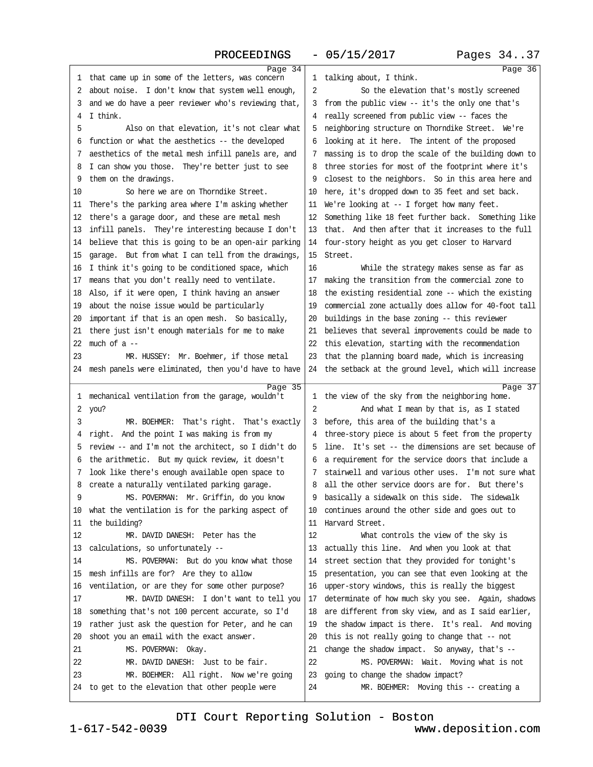|                                                         | Page 34 |                                                         | Page 36 |
|---------------------------------------------------------|---------|---------------------------------------------------------|---------|
| 1 that came up in some of the letters, was concern      |         | 1 talking about, I think.                               |         |
| 2 about noise. I don't know that system well enough,    |         | 2<br>So the elevation that's mostly screened            |         |
| 3 and we do have a peer reviewer who's reviewing that,  |         | 3 from the public view -- it's the only one that's      |         |
| 4 I think.                                              |         | 4 really screened from public view - faces the          |         |
| 5<br>Also on that elevation, it's not clear what        |         | 5 neighboring structure on Thorndike Street. We're      |         |
| 6 function or what the aesthetics -- the developed      |         | 6 looking at it here. The intent of the proposed        |         |
| 7 aesthetics of the metal mesh infill panels are, and   |         | 7 massing is to drop the scale of the building down to  |         |
| 8 I can show you those. They're better just to see      |         | 8 three stories for most of the footprint where it's    |         |
| 9 them on the drawings.                                 |         | 9 closest to the neighbors. So in this area here and    |         |
| So here we are on Thomdike Street.<br>10                |         | 10 here, it's dropped down to 35 feet and set back.     |         |
| 11 There's the parking area where I'm asking whether    |         | 11 We're looking at -- I forget how many feet.          |         |
| 12 there's a garage door, and these are metal mesh      |         | 12 Something like 18 feet further back. Something like  |         |
| 13 infill panels. They're interesting because I don't   |         | 13 that. And then after that it increases to the full   |         |
| 14 believe that this is going to be an open-air parking |         | 14 four-story height as you get closer to Harvard       |         |
| 15 garage. But from what I can tell from the drawings,  |         | 15 Street.                                              |         |
| 16 I think it's going to be conditioned space, which    |         | 16<br>While the strategy makes sense as far as          |         |
| 17 means that you don't really need to ventilate.       |         | 17 making the transition from the commercial zone to    |         |
| 18 Also, if it were open, I think having an answer      |         | 18 the existing residential zone -- which the existing  |         |
| 19 about the noise issue would be particularly          |         | 19 commercial zone actually does allow for 40-foot tall |         |
| 20 important if that is an open mesh. So basically,     |         | 20 buildings in the base zoning -- this reviewer        |         |
| 21 there just isn't enough materials for me to make     |         | 21 believes that several improvements could be made to  |         |
| 22 much of $a -$                                        |         | 22 this elevation, starting with the recommendation     |         |
| MR. HUSSEY: Mr. Boehmer, if those metal<br>23           |         | 23 that the planning board made, which is increasing    |         |
| 24 mesh panels were eliminated, then you'd have to have |         | 24 the setback at the ground level, which will increase |         |
|                                                         | Page 35 |                                                         | Page 37 |
| 1 mechanical ventilation from the garage, wouldn't      |         | 1 the view of the sky from the neighboring home.        |         |
| 2 you?                                                  |         | 2<br>And what I mean by that is, as I stated            |         |
| 3<br>MR. BOEHMER: That's right. That's exactly          |         | 3 before, this area of the building that's a            |         |
| 4 right. And the point I was making is from my          |         | 4 three-story piece is about 5 feet from the property   |         |
| 5 review -- and I'm not the architect, so I didn't do   |         | 5 line. It's set -- the dimensions are set because of   |         |
| 6 the arithmetic. But my quick review, it doesn't       |         | 6 a requirement for the service doors that include a    |         |
| 7 look like there's enough available open space to      |         | 7 stairwell and various other uses. I'm not sure what   |         |
| 8 create a naturally ventilated parking garage.         |         | 8 all the other service doors are for. But there's      |         |
| 9<br>MS. POVERMAN: Mr. Griffin, do you know             |         | 9 basically a sidewalk on this side. The sidewalk       |         |
| 10 what the ventilation is for the parking aspect of    |         | 10 continues around the other side and goes out to      |         |
| 11 the building?                                        |         | 11 Harvard Street.                                      |         |
| 12<br>MR. DAVID DANESH: Peter has the                   |         | 12<br>What controls the view of the sky is              |         |
| 13 calculations, so unfortunately --                    |         | 13 actually this line. And when you look at that        |         |
| MS. POVERMAN: But do you know what those<br>14          |         | 14 street section that they provided for tonight's      |         |
| 15 mesh infills are for? Are they to allow              |         | 15 presentation, you can see that even looking at the   |         |
| 16 ventilation, or are they for some other purpose?     |         | 16 upper-story windows, this is really the biggest      |         |
| MR. DAVID DANESH: I don't want to tell you<br>17        |         | 17 determinate of how much sky you see. Again, shadows  |         |
| 18 something that's not 100 percent accurate, so I'd    |         | 18 are different from sky view, and as I said earlier,  |         |
| 19 rather just ask the question for Peter, and he can   |         | 19 the shadow impact is there. It's real. And moving    |         |
| 20 shoot you an email with the exact answer.            |         | 20 this is not really going to change that - not        |         |
| MS. POVERMAN: Okay.<br>21                               |         | 21 change the shadow impact. So anyway, that's --       |         |
| 22<br>MR. DAVID DANESH: Just to be fair.                |         | 22<br>MS. POVERMAN: Wait. Moving what is not            |         |
| 23<br>MR. BOEHMER: All right. Now we're going           |         | 23 going to change the shadow impact?                   |         |
| 24 to get to the elevation that other people were       |         | 24<br>MR. BOEHMER: Moving this -- creating a            |         |
|                                                         |         |                                                         |         |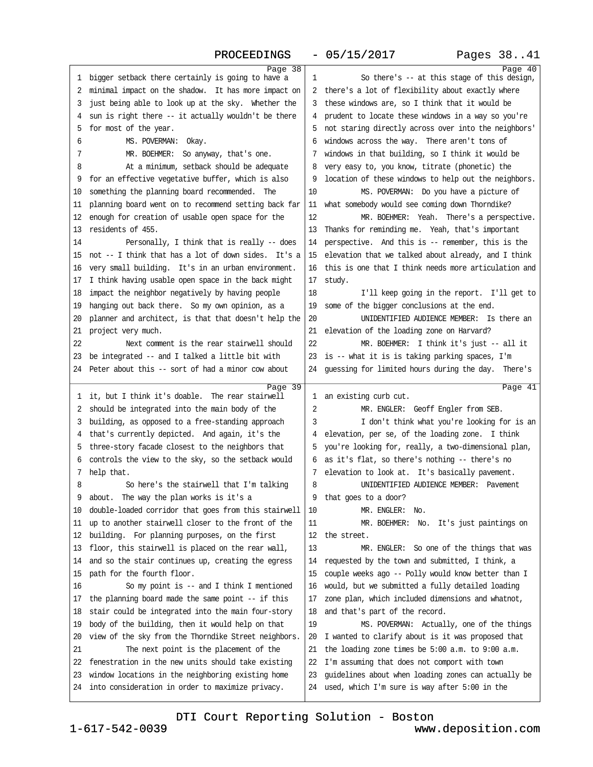| Page 38                                                                                                     |                                                                                                            | Page 40 |
|-------------------------------------------------------------------------------------------------------------|------------------------------------------------------------------------------------------------------------|---------|
| 1 bigger setback there certainly is going to have a                                                         | So there's -- at this stage of this design,<br>1                                                           |         |
| 2 minimal impact on the shadow. It has more impact on                                                       | 2 there's a lot of flexibility about exactly where                                                         |         |
| 3 just being able to look up at the sky. Whether the                                                        | 3 these windows are, so I think that it would be                                                           |         |
| 4 sun is right there -- it actually wouldn't be there                                                       | 4 prudent to locate these windows in a way so you're                                                       |         |
| 5 for most of the year.                                                                                     | 5 not staring directly across over into the neighbors'                                                     |         |
| MS. POVERMAN: Okay.<br>6                                                                                    | 6 windows across the way. There aren't tons of                                                             |         |
| MR. BOEHMER: So anyway, that's one.<br>7                                                                    | 7 windows in that building, so I think it would be                                                         |         |
| At a minimum, setback should be adequate<br>8                                                               | 8 very easy to, you know, titrate (phonetic) the                                                           |         |
| 9 for an effective vegetative buffer, which is also                                                         | 9 location of these windows to help out the neighbors.                                                     |         |
| 10 something the planning board recommended. The                                                            | MS. POVERMAN: Do you have a picture of<br>10                                                               |         |
| 11 planning board went on to recommend setting back far                                                     | 11 what somebody would see coming down Thorndike?                                                          |         |
| 12 enough for creation of usable open space for the                                                         | 12<br>MR. BOEHMER: Yeah. There's a perspective.                                                            |         |
| 13 residents of 455.                                                                                        | 13 Thanks for reminding me. Yeah, that's important                                                         |         |
| 14<br>Personally, I think that is really -- does                                                            | 14 perspective. And this is -- remember, this is the                                                       |         |
| 15 not -- I think that has a lot of down sides. It's a                                                      | 15 elevation that we talked about already, and I think                                                     |         |
| 16 very small building. It's in an urban environment.                                                       | 16 this is one that I think needs more articulation and                                                    |         |
|                                                                                                             |                                                                                                            |         |
| 17 I think having usable open space in the back might<br>18 impact the neighbor negatively by having people | 17 study.                                                                                                  |         |
|                                                                                                             | 18<br>I'll keep going in the report. I'll get to                                                           |         |
| 19 hanging out back there. So my own opinion, as a                                                          | 19 some of the bigger conclusions at the end.                                                              |         |
| 20 planner and architect, is that that doesn't help the                                                     | 20<br>UNIDENTIFIED AUDIENCE MEMBER: Is there an                                                            |         |
| 21 project very much.                                                                                       | 21 elevation of the loading zone on Harvard?                                                               |         |
| Next comment is the rear stairwell should<br>22                                                             | 22<br>MR. BOEHMER: I think it's just -- all it                                                             |         |
| 23 be integrated -- and I talked a little bit with                                                          | 23 is -- what it is is taking parking spaces, I'm                                                          |         |
| 24 Peter about this -- sort of had a minor cow about                                                        | 24 guessing for limited hours during the day. There's                                                      |         |
|                                                                                                             |                                                                                                            |         |
| Page 39                                                                                                     |                                                                                                            | Page 41 |
| 1 it, but I think it's doable. The rear stairwell                                                           | 1 an existing curb cut.                                                                                    |         |
| 2 should be integrated into the main body of the                                                            | 2<br>MR. ENGLER: Geoff Engler from SEB.                                                                    |         |
| 3 building, as opposed to a free-standing approach                                                          | 3<br>I don't think what you're looking for is an                                                           |         |
| 4 that's currently depicted. And again, it's the                                                            | 4 elevation, per se, of the loading zone. I think                                                          |         |
| 5 three-story facade closest to the neighbors that                                                          | 5 you're looking for, really, a two-dimensional plan,                                                      |         |
| 6 controls the view to the sky, so the setback would                                                        | 6 as it's flat, so there's nothing -- there's no                                                           |         |
| 7 help that.                                                                                                | 7 elevation to look at. It's basically pavement.                                                           |         |
| So here's the stairwell that I'm talking<br>8                                                               | UNIDENTIFIED AUDIENCE MEMBER: Pavement<br>8                                                                |         |
| 9 about. The way the plan works is it's a                                                                   | 9 that goes to a door?                                                                                     |         |
| 10 double-loaded corridor that goes from this stairwell                                                     | 10<br>MR. ENGLER: No.                                                                                      |         |
| 11 up to another stairwell closer to the front of the                                                       | 11<br>MR. BOEHMER: No. It's just paintings on                                                              |         |
| 12 building. For planning purposes, on the first                                                            | 12 the street.                                                                                             |         |
| 13 floor, this stairwell is placed on the rear wall,                                                        | 13<br>MR. ENGLER: So one of the things that was                                                            |         |
| 14 and so the stair continues up, creating the egress                                                       | 14 requested by the town and submitted, I think, a                                                         |         |
| 15 path for the fourth floor.                                                                               | 15 couple weeks ago - Polly would know better than I                                                       |         |
| So my point is -- and I think I mentioned<br>16                                                             | 16 would, but we submitted a fully detailed loading                                                        |         |
| 17 the planning board made the same point -- if this                                                        | 17 zone plan, which included dimensions and whatnot,                                                       |         |
| 18 stair could be integrated into the main four-story                                                       | 18 and that's part of the record.                                                                          |         |
|                                                                                                             | 19                                                                                                         |         |
| 19 body of the building, then it would help on that                                                         | MS. POVERMAN: Actually, one of the things                                                                  |         |
| 20 view of the sky from the Thorndike Street neighbors.                                                     | 20 I wanted to clarify about is it was proposed that                                                       |         |
| 21<br>The next point is the placement of the                                                                | 21 the loading zone times be 5:00 a.m. to 9:00 a.m.                                                        |         |
| 22 fenestration in the new units should take existing                                                       | 22 I'm assuming that does not comport with town                                                            |         |
| 23 window locations in the neighboring existing home<br>24 into consideration in order to maximize privacy. | 23 guidelines about when loading zones can actually be<br>24 used, which I'm sure is way after 5:00 in the |         |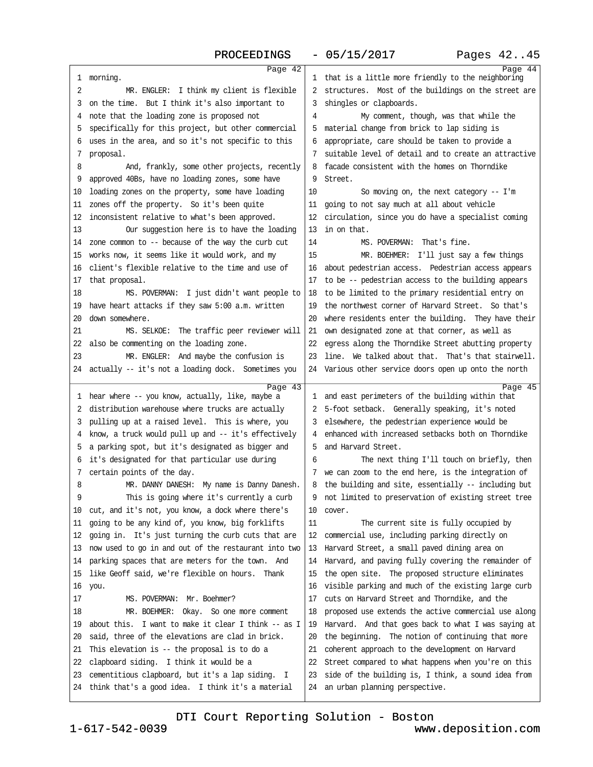### PROCEEDINGS - 05/15/2017 Pages 42..45

| Page 42                                                                                                     |                                                                                             | Page 44 |
|-------------------------------------------------------------------------------------------------------------|---------------------------------------------------------------------------------------------|---------|
| 1 morning.                                                                                                  | 1 that is a little more friendly to the neighboring                                         |         |
| 2<br>MR. ENGLER: I think my client is flexible                                                              | 2 structures. Most of the buildings on the street are                                       |         |
| 3 on the time. But I think it's also important to                                                           | 3 shingles or clapboards.                                                                   |         |
| 4 note that the loading zone is proposed not                                                                | My comment, though, was that while the<br>4                                                 |         |
| 5 specifically for this project, but other commercial                                                       | 5 material change from brick to lap siding is                                               |         |
| 6 uses in the area, and so it's not specific to this                                                        | 6 appropriate, care should be taken to provide a                                            |         |
| 7 proposal.                                                                                                 | 7 suitable level of detail and to create an attractive                                      |         |
| 8<br>And, frankly, some other projects, recently                                                            | 8 facade consistent with the homes on Thorndike                                             |         |
| 9 approved 40Bs, have no loading zones, some have                                                           | 9 Street.                                                                                   |         |
| 10 loading zones on the property, some have loading                                                         | 10<br>So moving on, the next category -- I'm                                                |         |
| 11 zones off the property. So it's been quite                                                               | 11 going to not say much at all about vehicle                                               |         |
| 12 inconsistent relative to what's been approved.                                                           | 12 circulation, since you do have a specialist coming                                       |         |
|                                                                                                             | 13 in on that.                                                                              |         |
| Our suggestion here is to have the loading<br>13                                                            |                                                                                             |         |
| 14 zone common to -- because of the way the curb cut                                                        | MS. POVERMAN: That's fine.<br>14                                                            |         |
| 15 works now, it seems like it would work, and my                                                           | 15<br>MR. BOEHMER: I'll just say a few things                                               |         |
| 16 client's flexible relative to the time and use of                                                        | 16 about pedestrian access. Pedestrian access appears                                       |         |
| 17 that proposal.                                                                                           | 17 to be -- pedestrian access to the building appears                                       |         |
| 18<br>MS. POVERMAN: I just didn't want people to                                                            | 18 to be limited to the primary residential entry on                                        |         |
| 19 have heart attacks if they saw 5:00 a.m. written                                                         | 19 the northwest comer of Harvard Street. So that's                                         |         |
| 20 down somewhere.                                                                                          | 20 where residents enter the building. They have their                                      |         |
| 21<br>MS. SELKOE: The traffic peer reviewer will                                                            | 21 own designated zone at that corner, as well as                                           |         |
| 22 also be commenting on the loading zone.                                                                  | 22 egress along the Thorndike Street abutting property                                      |         |
| 23<br>MR. ENGLER: And maybe the confusion is                                                                | 23 line. We talked about that. That's that stairwell.                                       |         |
| 24 actually -- it's not a loading dock. Sometimes you                                                       | 24 Various other service doors open up onto the north                                       |         |
|                                                                                                             |                                                                                             |         |
|                                                                                                             |                                                                                             |         |
| Page 43                                                                                                     |                                                                                             | Page 45 |
| 1 hear where -- you know, actually, like, maybe a                                                           | 1 and east perimeters of the building within that                                           |         |
| 2 distribution warehouse where trucks are actually                                                          | 2 5-foot setback. Generally speaking, it's noted                                            |         |
| 3 pulling up at a raised level. This is where, you                                                          | 3 elsewhere, the pedestrian experience would be                                             |         |
| 4 know, a truck would pull up and -- it's effectively                                                       | 4 enhanced with increased setbacks both on Thorndike                                        |         |
| 5 a parking spot, but it's designated as bigger and                                                         | 5 and Harvard Street.                                                                       |         |
| 6 it's designated for that particular use during                                                            | 6<br>The next thing I'll touch on briefly, then                                             |         |
| 7 certain points of the day.                                                                                | 7 we can zoom to the end here, is the integration of                                        |         |
| MR. DANNY DANESH: My name is Danny Danesh.<br>8                                                             | 8 the building and site, essentially -- including but                                       |         |
| q<br>This is going where it's currently a curb                                                              | 9 not limited to preservation of existing street tree                                       |         |
| 10 cut, and it's not, you know, a dock where there's                                                        | 10 cover.                                                                                   |         |
| 11 going to be any kind of, you know, big forklifts                                                         | 11<br>The current site is fully occupied by                                                 |         |
| 12 going in. It's just tuming the curb cuts that are                                                        | 12 commercial use, including parking directly on                                            |         |
| 13 now used to go in and out of the restaurant into two                                                     | 13 Harvard Street, a small paved dining area on                                             |         |
| 14 parking spaces that are meters for the town. And                                                         | 14 Harvard, and paving fully covering the remainder of                                      |         |
| 15 like Geoff said, we're flexible on hours. Thank                                                          | 15 the open site. The proposed structure eliminates                                         |         |
| 16 you.                                                                                                     | 16 visible parking and much of the existing large curb                                      |         |
| 17<br>MS. POVERMAN: Mr. Boehmer?                                                                            | 17 cuts on Harvard Street and Thorndike, and the                                            |         |
| MR. BOEHMER: Okay. So one more comment<br>18                                                                | 18 proposed use extends the active commercial use along                                     |         |
| 19 about this. I want to make it clear I think - as I                                                       | 19 Harvard. And that goes back to what I was saying at                                      |         |
| 20 said, three of the elevations are clad in brick.                                                         |                                                                                             |         |
|                                                                                                             | 20 the beginning. The notion of continuing that more                                        |         |
| 21 This elevation is -- the proposal is to do a                                                             | 21 coherent approach to the development on Harvard                                          |         |
| 22 clapboard siding. I think it would be a                                                                  | 22 Street compared to what happens when you're on this                                      |         |
| 23 cementitious clapboard, but it's a lap siding. I<br>24 think that's a good idea. I think it's a material | 23 side of the building is, I think, a sound idea from<br>24 an urban planning perspective. |         |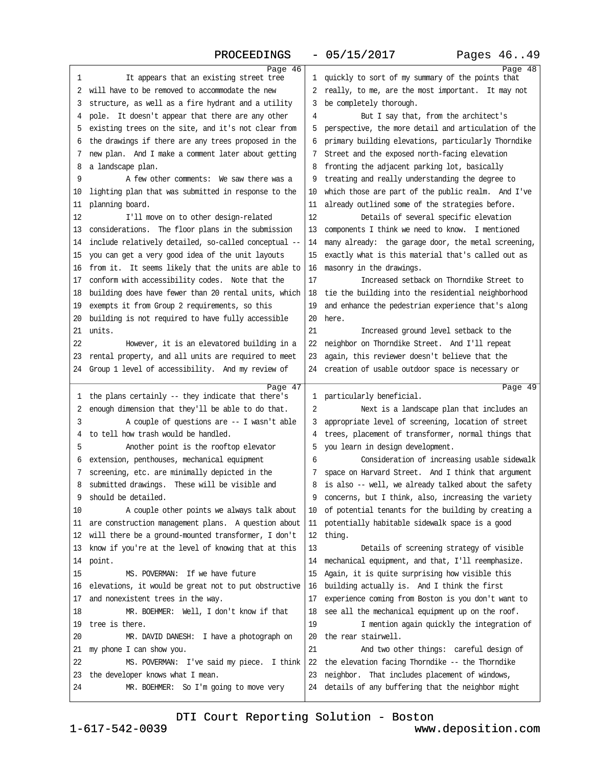### PROCEEDINGS - 05/15/2017 Pages 46..49

| Page 46                                                                             |                                                                                                         | Page 48 |
|-------------------------------------------------------------------------------------|---------------------------------------------------------------------------------------------------------|---------|
| It appears that an existing street tree<br>1                                        | 1 quickly to sort of my summary of the points that                                                      |         |
| 2 will have to be removed to accommodate the new                                    | 2 really, to me, are the most important. It may not                                                     |         |
| 3 structure, as well as a fire hydrant and a utility                                | 3 be completely thorough.                                                                               |         |
| 4 pole. It doesn't appear that there are any other                                  | But I say that, from the architect's<br>4                                                               |         |
| 5 existing trees on the site, and it's not clear from                               | 5 perspective, the more detail and articulation of the                                                  |         |
| 6 the drawings if there are any trees proposed in the                               | 6 primary building elevations, particularly Thorndike                                                   |         |
| 7 new plan. And I make a comment later about getting                                | 7 Street and the exposed north-facing elevation                                                         |         |
| 8 a landscape plan.                                                                 | 8 fronting the adjacent parking lot, basically                                                          |         |
| A few other comments: We saw there was a<br>9                                       | 9 treating and really understanding the degree to                                                       |         |
| 10 lighting plan that was submitted in response to the                              | 10 which those are part of the public realm. And I've                                                   |         |
| 11 planning board.                                                                  | 11 already outlined some of the strategies before.                                                      |         |
| 12<br>I'll move on to other design-related                                          | 12<br>Details of several specific elevation                                                             |         |
| 13 considerations. The floor plans in the submission                                | 13 components I think we need to know. I mentioned                                                      |         |
| 14 include relatively detailed, so-called conceptual --                             | 14 many already: the garage door, the metal screening,                                                  |         |
| 15 you can get a very good idea of the unit layouts                                 | 15 exactly what is this material that's called out as                                                   |         |
| 16 from it. It seems likely that the units are able to                              | 16 masonry in the drawings.                                                                             |         |
| 17 conform with accessibility codes. Note that the                                  | 17<br>Increased setback on Thorndike Street to                                                          |         |
| 18 building does have fewer than 20 rental units, which                             | 18 tie the building into the residential neighborhood                                                   |         |
| 19 exempts it from Group 2 requirements, so this                                    | 19 and enhance the pedestrian experience that's along                                                   |         |
| 20 building is not required to have fully accessible                                | 20 here.                                                                                                |         |
| 21 units.                                                                           | 21<br>Increased ground level setback to the                                                             |         |
| 22<br>However, it is an elevatored building in a                                    | 22 neighbor on Thorndike Street. And I'll repeat                                                        |         |
| 23 rental property, and all units are required to meet                              | 23 again, this reviewer doesn't believe that the                                                        |         |
| 24 Group 1 level of accessibility. And my review of                                 | 24 creation of usable outdoor space is necessary or                                                     |         |
|                                                                                     |                                                                                                         |         |
|                                                                                     |                                                                                                         |         |
| Page 47                                                                             |                                                                                                         | Page 49 |
| 1 the plans certainly -- they indicate that there's                                 | 1 particularly beneficial.                                                                              |         |
| 2 enough dimension that they'll be able to do that.                                 | 2<br>Next is a landscape plan that includes an                                                          |         |
| A couple of questions are -- I wasn't able<br>3                                     | 3 appropriate level of screening, location of street                                                    |         |
| 4 to tell how trash would be handled.                                               | 4 trees, placement of transformer, normal things that                                                   |         |
| 5<br>Another point is the rooftop elevator                                          | 5 you learn in design development.                                                                      |         |
| 6 extension, penthouses, mechanical equipment                                       | Consideration of increasing usable sidewalk<br>6                                                        |         |
| 7 screening, etc. are minimally depicted in the                                     | 7 space on Harvard Street. And I think that argument                                                    |         |
| 8 submitted drawings. These will be visible and                                     | 8 is also -- well, we already talked about the safety                                                   |         |
| 9 should be detailed.                                                               | 9 concerns, but I think, also, increasing the variety                                                   |         |
| 10<br>A couple other points we always talk about                                    | 10 of potential tenants for the building by creating a                                                  |         |
| 11 are construction management plans. A question about                              | 11 potentially habitable sidewalk space is a good                                                       |         |
| 12 will there be a ground-mounted transformer, I don't                              | 12 thing.                                                                                               |         |
| 13 know if you're at the level of knowing that at this                              | 13<br>Details of screening strategy of visible                                                          |         |
| 14 point.                                                                           | 14 mechanical equipment, and that, I'll reemphasize.                                                    |         |
| 15<br>MS. POVERMAN: If we have future                                               | 15 Again, it is quite surprising how visible this                                                       |         |
| 16 elevations, it would be great not to put obstructive                             | 16 building actually is. And I think the first                                                          |         |
| 17 and nonexistent trees in the way.                                                | 17 experience coming from Boston is you don't want to                                                   |         |
| MR. BOEHMER: Well, I don't know if that<br>18                                       | 18 see all the mechanical equipment up on the roof.                                                     |         |
| 19 tree is there.                                                                   | 19<br>I mention again quickly the integration of                                                        |         |
| 20<br>MR. DAVID DANESH: I have a photograph on                                      | 20 the rear stairwell.                                                                                  |         |
| 21 my phone I can show you.                                                         | 21<br>And two other things: careful design of                                                           |         |
| 22<br>MS. POVERMAN: I've said my piece. I think                                     | 22 the elevation facing Thorndike -- the Thorndike                                                      |         |
| 23 the developer knows what I mean.<br>24<br>MR. BOEHMER: So I'm going to move very | 23 neighbor. That includes placement of windows,<br>24 details of any buffering that the neighbor might |         |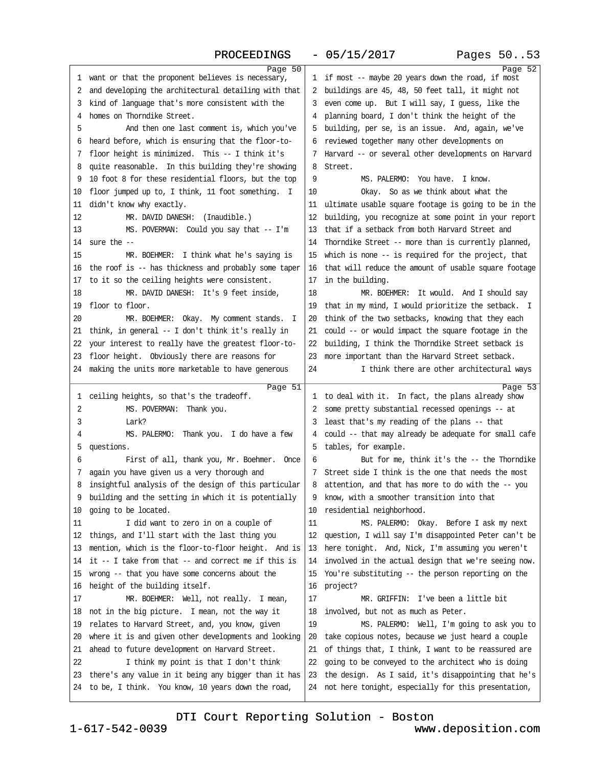### PROCEEDINGS - 05/15/2017 Pages 50..53

| Page 50<br>1 want or that the proponent believes is necessary,                                                  | 1 if most -- maybe 20 years down the road, if most                                                               | Page 52 |
|-----------------------------------------------------------------------------------------------------------------|------------------------------------------------------------------------------------------------------------------|---------|
| 2 and developing the architectural detailing with that                                                          | 2 buildings are 45, 48, 50 feet tall, it might not                                                               |         |
| 3 kind of language that's more consistent with the                                                              | 3 even come up. But I will say, I guess, like the                                                                |         |
| 4 homes on Thorndike Street.                                                                                    | 4 planning board, I don't think the height of the                                                                |         |
| And then one last comment is, which you've<br>5                                                                 | 5 building, per se, is an issue. And, again, we've                                                               |         |
|                                                                                                                 |                                                                                                                  |         |
| 6 heard before, which is ensuring that the floor-to-                                                            | 6 reviewed together many other developments on                                                                   |         |
| 7 floor height is minimized. This -- I think it's                                                               | 7 Harvard -- or several other developments on Harvard                                                            |         |
| 8 quite reasonable. In this building they're showing                                                            | 8 Street.                                                                                                        |         |
| 9 10 foot 8 for these residential floors, but the top                                                           | 9<br>MS. PALERMO: You have. I know.                                                                              |         |
| 10 floor jumped up to, I think, 11 foot something. I                                                            | 10<br>Okay. So as we think about what the                                                                        |         |
| 11 didn't know why exactly.                                                                                     | 11 ultimate usable square footage is going to be in the                                                          |         |
| MR. DAVID DANESH: (Inaudible.)<br>12                                                                            | 12 building, you recognize at some point in your report                                                          |         |
| MS. POVERMAN: Could you say that -- I'm<br>13                                                                   | 13 that if a setback from both Harvard Street and                                                                |         |
| 14 sure the $-$                                                                                                 | 14 Thorndike Street -- more than is currently planned,                                                           |         |
| 15<br>MR. BOEHMER: I think what he's saying is                                                                  | 15 which is none -- is required for the project, that                                                            |         |
| 16 the roof is -- has thickness and probably some taper                                                         | 16 that will reduce the amount of usable square footage                                                          |         |
| 17 to it so the ceiling heights were consistent.                                                                | 17 in the building.                                                                                              |         |
| MR. DAVID DANESH: It's 9 feet inside,<br>18                                                                     | 18<br>MR. BOEHMER: It would. And I should say                                                                    |         |
| 19 floor to floor.                                                                                              | 19 that in my mind, I would prioritize the setback. I                                                            |         |
| MR. BOEHMER: Okay. My comment stands. I<br>20                                                                   | 20 think of the two setbacks, knowing that they each                                                             |         |
| 21 think, in general -- I don't think it's really in                                                            | 21 could - or would impact the square footage in the                                                             |         |
| 22 your interest to really have the greatest floor-to-                                                          | 22 building, I think the Thomdike Street setback is                                                              |         |
| 23 floor height. Obviously there are reasons for                                                                | 23 more important than the Harvard Street setback.                                                               |         |
| 24 making the units more marketable to have generous                                                            | I think there are other architectural ways<br>24                                                                 |         |
|                                                                                                                 |                                                                                                                  |         |
|                                                                                                                 |                                                                                                                  |         |
| Page 51<br>1 ceiling heights, so that's the tradeoff.                                                           | 1 to deal with it. In fact, the plans already show                                                               | Page 53 |
| MS. POVERMAN: Thank you.<br>2                                                                                   | 2 some pretty substantial recessed openings -- at                                                                |         |
| 3<br>Lark?                                                                                                      | 3 least that's my reading of the plans -- that                                                                   |         |
| 4<br>MS. PALERMO: Thank you. I do have a few                                                                    | 4 could -- that may already be adequate for small cafe                                                           |         |
| 5 questions.                                                                                                    | 5 tables, for example.                                                                                           |         |
| First of all, thank you, Mr. Boehmer. Once<br>6                                                                 | 6<br>But for me, think it's the -- the Thorndike                                                                 |         |
| 7 again you have given us a very thorough and                                                                   | 7 Street side I think is the one that needs the most                                                             |         |
| 8 insightful analysis of the design of this particular                                                          | 8 attention, and that has more to do with the -- you                                                             |         |
| 9 building and the setting in which it is potentially                                                           | 9 know, with a smoother transition into that                                                                     |         |
| 10 going to be located.                                                                                         | 10 residential neighborhood.                                                                                     |         |
| 11<br>I did want to zero in on a couple of                                                                      | MS. PALERMO: Okay. Before I ask my next<br>11                                                                    |         |
| 12 things, and I'll start with the last thing you                                                               | 12 question, I will say I'm disappointed Peter can't be                                                          |         |
| 13 mention, which is the floor-to-floor height. And is                                                          | 13 here tonight. And, Nick, I'm assuming you weren't                                                             |         |
| 14 it -- I take from that -- and correct me if this is                                                          | 14 involved in the actual design that we're seeing now.                                                          |         |
| 15 wrong -- that you have some concerns about the                                                               | 15 You're substituting -- the person reporting on the                                                            |         |
| 16 height of the building itself.                                                                               | 16 project?                                                                                                      |         |
| MR. BOEHMER: Well, not really. I mean,<br>17                                                                    | 17<br>MR. GRIFFIN: I've been a little bit                                                                        |         |
| 18 not in the big picture. I mean, not the way it                                                               | 18 involved, but not as much as Peter.                                                                           |         |
| 19 relates to Harvard Street, and, you know, given                                                              | 19<br>MS. PALERMO: Well, I'm going to ask you to                                                                 |         |
|                                                                                                                 |                                                                                                                  |         |
| 20 where it is and given other developments and looking                                                         | 20 take copious notes, because we just heard a couple                                                            |         |
| 21 ahead to future development on Harvard Street.<br>22                                                         | 21 of things that, I think, I want to be reassured are                                                           |         |
| I think my point is that I don't think                                                                          | 22 going to be conveyed to the architect who is doing                                                            |         |
| 23 there's any value in it being any bigger than it has<br>24 to be, I think. You know, 10 years down the road, | 23 the design. As I said, it's disappointing that he's<br>24 not here tonight, especially for this presentation, |         |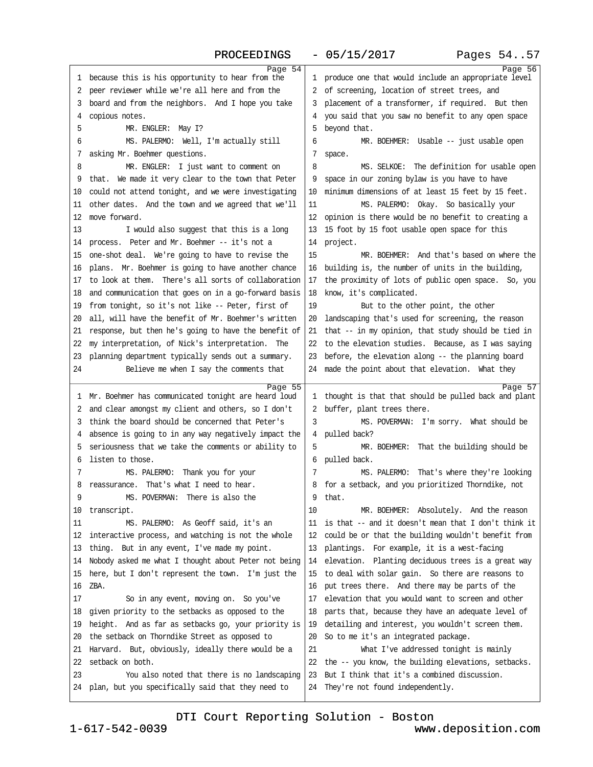### PROCEEDINGS - 05/15/2017 Pages 54..57

| Page 54                                                                                                    |                                                         | Page 56 |
|------------------------------------------------------------------------------------------------------------|---------------------------------------------------------|---------|
| 1 because this is his opportunity to hear from the                                                         | 1 produce one that would include an appropriate level   |         |
| 2 peer reviewer while we're all here and from the                                                          | 2 of screening, location of street trees, and           |         |
| 3 board and from the neighbors. And I hope you take                                                        | 3 placement of a transformer, if required. But then     |         |
| 4 copious notes.                                                                                           | 4 you said that you saw no benefit to any open space    |         |
| MR. ENGLER: May I?<br>5                                                                                    | 5 beyond that.                                          |         |
| MS. PALERMO: Well, I'm actually still<br>6                                                                 | 6<br>MR. BOEHMER: Usable -- just usable open            |         |
| 7 asking Mr. Boehmer questions.                                                                            | 7 space.                                                |         |
| 8<br>MR. ENGLER: I just want to comment on                                                                 | 8<br>MS. SELKOE: The definition for usable open         |         |
| 9 that. We made it very clear to the town that Peter                                                       | 9 space in our zoning bylaw is you have to have         |         |
| 10 could not attend tonight, and we were investigating                                                     | 10 minimum dimensions of at least 15 feet by 15 feet.   |         |
| 11 other dates. And the town and we agreed that we'll                                                      | MS. PALERMO: Okay. So basically your<br>11              |         |
| 12 move forward.                                                                                           | 12 opinion is there would be no benefit to creating a   |         |
| 13<br>I would also suggest that this is a long                                                             | 13 15 foot by 15 foot usable open space for this        |         |
|                                                                                                            | 14 project.                                             |         |
| 14 process. Peter and Mr. Boehmer -- it's not a                                                            | 15<br>MR. BOEHMER: And that's based on where the        |         |
| 15 one-shot deal. We're going to have to revise the                                                        |                                                         |         |
| 16 plans. Mr. Boehmer is going to have another chance                                                      | 16 building is, the number of units in the building,    |         |
| 17 to look at them. There's all sorts of collaboration                                                     | 17 the proximity of lots of public open space. So, you  |         |
| 18 and communication that goes on in a go-forward basis                                                    | 18 know, it's complicated.                              |         |
| 19 from tonight, so it's not like -- Peter, first of                                                       | 19<br>But to the other point, the other                 |         |
| 20 all, will have the benefit of Mr. Boehmer's written                                                     | 20 landscaping that's used for screening, the reason    |         |
| 21 response, but then he's going to have the benefit of                                                    | 21 that -- in my opinion, that study should be tied in  |         |
| 22 my interpretation, of Nick's interpretation. The                                                        | 22 to the elevation studies. Because, as I was saying   |         |
| 23 planning department typically sends out a summary.                                                      | 23 before, the elevation along -- the planning board    |         |
| Believe me when I say the comments that<br>24                                                              | 24 made the point about that elevation. What they       |         |
|                                                                                                            |                                                         |         |
|                                                                                                            |                                                         |         |
| Page 55<br>1 Mr. Boehmer has communicated tonight are heard loud                                           | 1 thought is that that should be pulled back and plant  | Page 57 |
|                                                                                                            |                                                         |         |
| 2 and clear amongst my client and others, so I don't<br>3 think the board should be concerned that Peter's | 2 buffer, plant trees there.<br>3                       |         |
|                                                                                                            | MS. POVERMAN: I'm sorry. What should be                 |         |
| 4 absence is going to in any way negatively impact the                                                     | 4 pulled back?<br>5                                     |         |
| 5 seriousness that we take the comments or ability to<br>6 listen to those.                                | MR. BOEHMER: That the building should be                |         |
| 7                                                                                                          | 6 pulled back.<br>7                                     |         |
| MS. PALERMO: Thank you for your                                                                            | MS. PALERMO: That's where they're looking               |         |
| 8 reassurance. That's what I need to hear.                                                                 | 8 for a setback, and you prioritized Thorndike, not     |         |
| MS. POVERMAN: There is also the                                                                            | 9 that.                                                 |         |
| 10 transcript.                                                                                             | 10<br>MR. BOEHMER: Absolutely. And the reason           |         |
| MS. PALERMO: As Geoff said, it's an<br>11                                                                  | 11 is that -- and it doesn't mean that I don't think it |         |
| 12 interactive process, and watching is not the whole                                                      | 12 could be or that the building wouldn't benefit from  |         |
| 13 thing. But in any event, I've made my point.                                                            | 13 plantings. For example, it is a west-facing          |         |
| 14 Nobody asked me what I thought about Peter not being                                                    | 14 elevation. Planting deciduous trees is a great way   |         |
| 15 here, but I don't represent the town. I'm just the                                                      | 15 to deal with solar gain. So there are reasons to     |         |
| 16 ZBA.                                                                                                    | 16 put trees there. And there may be parts of the       |         |
| 17<br>So in any event, moving on. So you've                                                                | 17 elevation that you would want to screen and other    |         |
| 18 given priority to the setbacks as opposed to the                                                        | 18 parts that, because they have an adequate level of   |         |
| 19 height. And as far as setbacks go, your priority is                                                     | 19 detailing and interest, you wouldn't screen them.    |         |
| 20 the setback on Thomdike Street as opposed to                                                            | 20 So to me it's an integrated package.                 |         |
| 21 Harvard. But, obviously, ideally there would be a                                                       | 21<br>What I've addressed tonight is mainly             |         |
| 22 setback on both.                                                                                        | 22 the -- you know, the building elevations, setbacks.  |         |
| You also noted that there is no landscaping<br>23                                                          | 23 But I think that it's a combined discussion.         |         |
| 24 plan, but you specifically said that they need to                                                       | 24 They're not found independently.                     |         |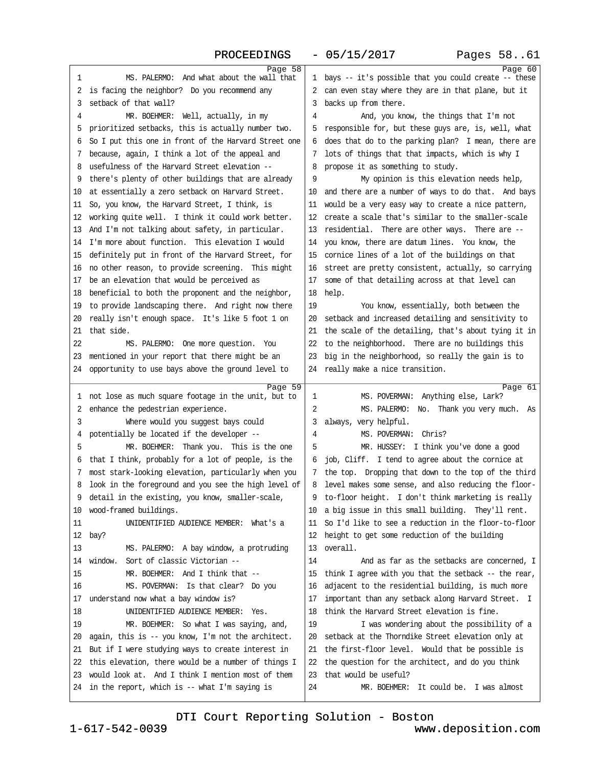| Page 58                                                          |                                                         | Page 60 |
|------------------------------------------------------------------|---------------------------------------------------------|---------|
| 1<br>MS. PALERMO: And what about the wall that                   | 1 bays -- it's possible that you could create -- these  |         |
| 2 is facing the neighbor? Do you recommend any                   | 2 can even stay where they are in that plane, but it    |         |
| 3 setback of that wall?                                          | 3 backs up from there.                                  |         |
| MR. BOEHMER: Well, actually, in my<br>4                          | And, you know, the things that I'm not<br>4             |         |
| 5 prioritized setbacks, this is actually number two.             | 5 responsible for, but these guys are, is, well, what   |         |
| 6 So I put this one in front of the Harvard Street one           | 6 does that do to the parking plan? I mean, there are   |         |
| 7 because, again, I think a lot of the appeal and                | 7 lots of things that that impacts, which is why I      |         |
| 8 usefulness of the Harvard Street elevation --                  | 8 propose it as something to study.                     |         |
| 9 there's plenty of other buildings that are already             | My opinion is this elevation needs help,<br>9           |         |
| 10 at essentially a zero setback on Harvard Street.              | 10 and there are a number of ways to do that. And bays  |         |
| 11 So, you know, the Harvard Street, I think, is                 | 11 would be a very easy way to create a nice pattern,   |         |
| 12 working quite well. I think it could work better.             | 12 create a scale that's similar to the smaller-scale   |         |
| 13 And I'm not talking about safety, in particular.              | 13 residential. There are other ways. There are --      |         |
| 14 I'm more about function. This elevation I would               | 14 you know, there are datum lines. You know, the       |         |
| 15 definitely put in front of the Harvard Street, for            | 15 comice lines of a lot of the buildings on that       |         |
| 16 no other reason, to provide screening. This might             | 16 street are pretty consistent, actually, so carrying  |         |
| 17 be an elevation that would be perceived as                    | 17 some of that detailing across at that level can      |         |
| 18 beneficial to both the proponent and the neighbor,            | 18 help.                                                |         |
| 19 to provide landscaping there. And right now there             | 19<br>You know, essentially, both between the           |         |
| 20 really isn't enough space. It's like 5 foot 1 on              | 20 setback and increased detailing and sensitivity to   |         |
| 21 that side.                                                    | 21 the scale of the detailing, that's about tying it in |         |
| 22<br>MS. PALERMO: One more question. You                        | 22 to the neighborhood. There are no buildings this     |         |
| 23 mentioned in your report that there might be an               | 23 big in the neighborhood, so really the gain is to    |         |
| 24 opportunity to use bays above the ground level to             | 24 really make a nice transition.                       |         |
|                                                                  |                                                         |         |
| Page 59<br>1 not lose as much square footage in the unit, but to | MS. POVERMAN: Anything else, Lark?<br>1                 | Page 61 |
| 2 enhance the pedestrian experience.                             | 2<br>MS. PALERMO: No. Thank you very much. As           |         |
| 3<br>Where would you suggest bays could                          | 3 always, very helpful.                                 |         |
| 4 potentially be located if the developer -                      | MS. POVERMAN: Chris?<br>4                               |         |
| MR. BOEHMER: Thank you. This is the one<br>5                     | 5<br>MR. HUSSEY: I think you've done a good             |         |
| 6 that I think, probably for a lot of people, is the             | 6 job, Cliff. I tend to agree about the cornice at      |         |
| 7 most stark-looking elevation, particularly when you            | 7 the top. Dropping that down to the top of the third   |         |
| 8 look in the foreground and you see the high level of           |                                                         |         |
| 9 detail in the existing, you know, smaller-scale,               | 8 level makes some sense, and also reducing the floor-  |         |
|                                                                  | 9 to-floor height. I don't think marketing is really    |         |
| 10 wood-framed buildings.                                        | 10 a big issue in this small building. They'll rent.    |         |
| UNIDENTIFIED AUDIENCE MEMBER: What's a<br>11                     | 11 So I'd like to see a reduction in the floor-to-floor |         |
| 12 bay?                                                          | 12 height to get some reduction of the building         |         |
| 13<br>MS. PALERMO: A bay window, a protruding                    | 13 overall.                                             |         |
| 14 window. Sort of classic Victorian --                          | 14<br>And as far as the setbacks are concerned, I       |         |
| 15<br>MR. BOEHMER: And I think that --                           | 15 think I agree with you that the setback -- the rear, |         |
| 16<br>MS. POVERMAN: Is that clear? Do you                        | 16 adjacent to the residential building, is much more   |         |
| 17 understand now what a bay window is?                          | 17 important than any setback along Harvard Street. I   |         |
| UNIDENTIFIED AUDIENCE MEMBER: Yes.<br>18                         | 18 think the Harvard Street elevation is fine.          |         |
| 19<br>MR. BOEHMER: So what I was saying, and,                    | 19<br>I was wondering about the possibility of a        |         |
| 20 again, this is -- you know, I'm not the architect.            | 20 setback at the Thorndike Street elevation only at    |         |
| 21 But if I were studying ways to create interest in             | 21 the first-floor level. Would that be possible is     |         |
| 22 this elevation, there would be a number of things I           | 22 the question for the architect, and do you think     |         |
| 23 would look at. And I think I mention most of them             | 23 that would be useful?                                |         |
| 24 in the report, which is -- what I'm saying is                 | 24<br>MR. BOEHMER: It could be. I was almost            |         |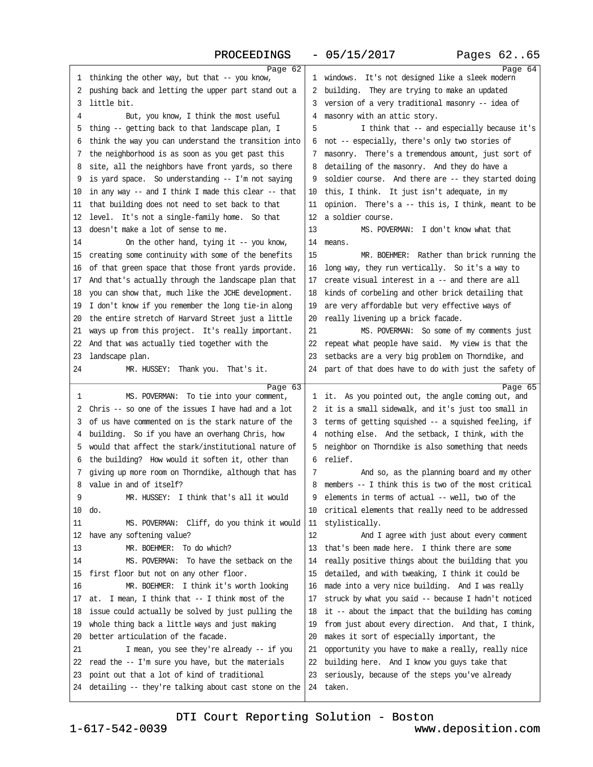### PROCEEDINGS - 05/15/2017 Pages 62..65

| Page 62                                                 |                                                         | Page 64 |
|---------------------------------------------------------|---------------------------------------------------------|---------|
| 1 thinking the other way, but that -- you know,         | 1 windows. It's not designed like a sleek modern        |         |
| 2 pushing back and letting the upper part stand out a   | 2 building. They are trying to make an updated          |         |
| 3 little bit.                                           | 3 version of a very traditional masonry -- idea of      |         |
| 4<br>But, you know, I think the most useful             | 4 masonry with an attic story.                          |         |
| 5 thing -- getting back to that landscape plan, I       | I think that -- and especially because it's<br>5        |         |
| 6 think the way you can understand the transition into  | 6 not -- especially, there's only two stories of        |         |
| 7 the neighborhood is as soon as you get past this      | 7 masonry. There's a tremendous amount, just sort of    |         |
| 8 site, all the neighbors have front yards, so there    | 8 detailing of the masonry. And they do have a          |         |
| 9 is yard space. So understanding - I'm not saying      | 9 soldier course. And there are -- they started doing   |         |
| 10 in any way -- and I think I made this clear -- that  | 10 this, I think. It just isn't adequate, in my         |         |
| 11 that building does not need to set back to that      | 11 opinion. There's a -- this is, I think, meant to be  |         |
| 12 level. It's not a single-family home. So that        | 12 a soldier course.                                    |         |
| 13 doesn't make a lot of sense to me.                   | 13<br>MS. POVERMAN: I don't know what that              |         |
| 14<br>On the other hand, tying it -- you know,          | 14 means.                                               |         |
| 15 creating some continuity with some of the benefits   | 15<br>MR. BOEHMER: Rather than brick running the        |         |
| 16 of that green space that those front yards provide.  | 16 long way, they run vertically. So it's a way to      |         |
| 17 And that's actually through the landscape plan that  | 17 create visual interest in a -- and there are all     |         |
| 18 you can show that, much like the JCHE development.   | 18 kinds of corbeling and other brick detailing that    |         |
| 19 I don't know if you remember the long tie-in along   | 19 are very affordable but very effective ways of       |         |
| 20 the entire stretch of Harvard Street just a little   | 20 really livening up a brick facade.                   |         |
| 21 ways up from this project. It's really important.    | 21<br>MS. POVERMAN: So some of my comments just         |         |
| 22 And that was actually tied together with the         | 22 repeat what people have said. My view is that the    |         |
| 23 landscape plan.                                      | 23 setbacks are a very big problem on Thorndike, and    |         |
| 24<br>MR. HUSSEY: Thank you. That's it.                 | 24 part of that does have to do with just the safety of |         |
|                                                         |                                                         |         |
| Page 63<br>MS. POVERMAN: To tie into your comment,<br>1 | 1 it. As you pointed out, the angle coming out, and     | Page 65 |
| 2 Chris -- so one of the issues I have had and a lot    | 2 it is a small sidewalk, and it's just too small in    |         |
| 3 of us have commented on is the stark nature of the    | 3 terms of getting squished -- a squished feeling, if   |         |
| 4 building. So if you have an overhang Chris, how       | 4 nothing else. And the setback, I think, with the      |         |
| 5 would that affect the stark/institutional nature of   | 5 neighbor on Thorndike is also something that needs    |         |
| 6 the building? How would it soften it, other than      | 6 relief.                                               |         |
| 7 giving up more room on Thorndike, although that has   | And so, as the planning board and my other<br>7         |         |
| 8 value in and of itself?                               | 8 members -- I think this is two of the most critical   |         |
| MR. HUSSEY: I think that's all it would<br>9            | 9 elements in terms of actual -- well, two of the       |         |
| 10 do.                                                  | 10 critical elements that really need to be addressed   |         |
| 11<br>MS. POVERMAN: Cliff, do you think it would        | 11 stylistically.                                       |         |
| 12 have any softening value?                            | 12<br>And I agree with just about every comment         |         |
| MR. BOEHMER: To do which?<br>13                         | 13 that's been made here. I think there are some        |         |
| 14<br>MS. POVERMAN: To have the setback on the          | 14 really positive things about the building that you   |         |
| 15 first floor but not on any other floor.              | 15 detailed, and with tweaking, I think it could be     |         |
| MR. BOEHMER: I think it's worth looking<br>16           | 16 made into a very nice building. And I was really     |         |
| 17 at. I mean, I think that -- I think most of the      | 17 struck by what you said -- because I hadn't noticed  |         |
| 18 issue could actually be solved by just pulling the   | 18 it -- about the impact that the building has coming  |         |
| 19 whole thing back a little ways and just making       | 19 from just about every direction. And that, I think,  |         |
| 20 better articulation of the facade.                   | 20 makes it sort of especially important, the           |         |
| 21<br>I mean, you see they're already - if you          | 21 opportunity you have to make a really, really nice   |         |
| 22 read the - I'm sure you have, but the materials      | 22 building here. And I know you guys take that         |         |
| 23 point out that a lot of kind of traditional          | 23 seriously, because of the steps you've already       |         |
| 24 detailing -- they're talking about cast stone on the | 24 taken.                                               |         |
|                                                         |                                                         |         |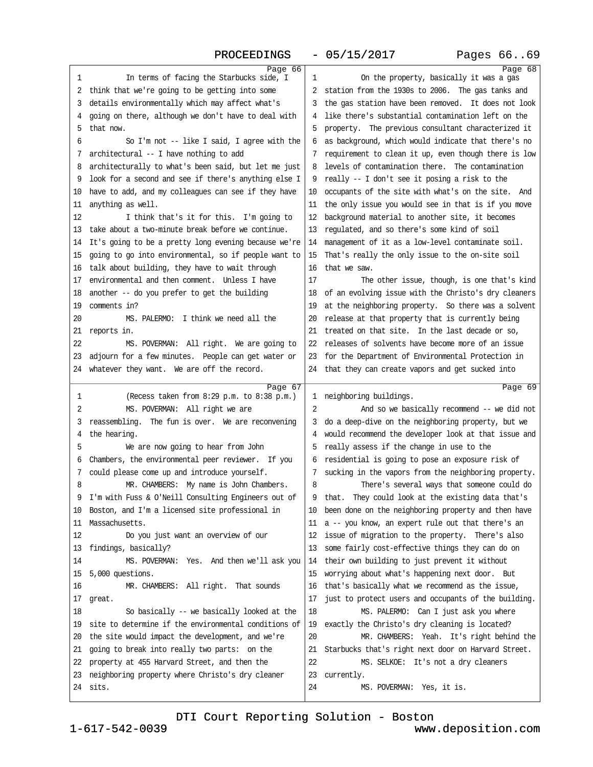### PROCEEDINGS - 05/15/2017 Pages 66..69

| Page 66                                                            |                                                               | Page 68 |
|--------------------------------------------------------------------|---------------------------------------------------------------|---------|
| In terms of facing the Starbucks side, I<br>1                      | 1<br>On the property, basically it was a gas                  |         |
| 2 think that we're going to be getting into some                   | 2 station from the 1930s to 2006. The gas tanks and           |         |
| 3 details environmentally which may affect what's                  | 3 the gas station have been removed. It does not look         |         |
| 4 going on there, although we don't have to deal with              | 4 like there's substantial contamination left on the          |         |
| 5 that now.                                                        | 5 property. The previous consultant characterized it          |         |
| So I'm not -- like I said, I agree with the<br>6                   | 6 as background, which would indicate that there's no         |         |
| 7 architectural -- I have nothing to add                           | 7 requirement to clean it up, even though there is low        |         |
| 8 architecturally to what's been said, but let me just             | 8 levels of contamination there. The contamination            |         |
| 9 look for a second and see if there's anything else I             | 9 really -- I don't see it posing a risk to the               |         |
| 10 have to add, and my colleagues can see if they have             | 10 occupants of the site with what's on the site. And         |         |
| 11 anything as well.                                               | 11 the only issue you would see in that is if you move        |         |
| 12<br>I think that's it for this. I'm going to                     | 12 background material to another site, it becomes            |         |
| 13 take about a two-minute break before we continue.               | 13 regulated, and so there's some kind of soil                |         |
| 14 It's going to be a pretty long evening because we're            | 14 management of it as a low-level contaminate soil.          |         |
| 15 going to go into environmental, so if people want to            | 15 That's really the only issue to the on-site soil           |         |
| 16 talk about building, they have to wait through                  | 16 that we saw.                                               |         |
| 17 environmental and then comment. Unless I have                   | 17<br>The other issue, though, is one that's kind             |         |
|                                                                    |                                                               |         |
| 18 another -- do you prefer to get the building<br>19 comments in? | 18 of an evolving issue with the Christo's dry cleaners       |         |
|                                                                    | 19 at the neighboring property. So there was a solvent        |         |
| MS. PALERMO: I think we need all the<br>20                         | 20 release at that property that is currently being           |         |
| 21 reports in.                                                     | 21 treated on that site. In the last decade or so,            |         |
| 22<br>MS. POVERMAN: All right. We are going to                     | 22 releases of solvents have become more of an issue          |         |
| 23 adjoum for a few minutes. People can get water or               | 23 for the Department of Environmental Protection in          |         |
| 24 whatever they want. We are off the record.                      | 24 that they can create vapors and get sucked into            |         |
|                                                                    |                                                               |         |
| Page 67                                                            |                                                               | Page 69 |
| (Recess taken from 8:29 p.m. to 8:38 p.m.)<br>1                    | 1 neighboring buildings.                                      |         |
| 2<br>MS. POVERMAN: All right we are                                | 2<br>And so we basically recommend -- we did not              |         |
| 3 reassembling. The fun is over. We are reconvening                | 3 do a deep-dive on the neighboring property, but we          |         |
| 4 the hearing.                                                     | 4 would recommend the developer look at that issue and        |         |
| 5<br>We are now going to hear from John                            | 5 really assess if the change in use to the                   |         |
| 6 Chambers, the environmental peer reviewer. If you                | 6 residential is going to pose an exposure risk of            |         |
| 7 could please come up and introduce yourself.                     | 7 sucking in the vapors from the neighboring property.        |         |
| MR. CHAMBERS: My name is John Chambers.<br>8                       | There's several ways that someone could do<br>8               |         |
| 9 I'm with Fuss & O'Neill Consulting Engineers out of              | 9 that. They could look at the existing data that's           |         |
| 10 Boston, and I'm a licensed site professional in                 | 10 been done on the neighboring property and then have        |         |
| 11 Massachusetts.                                                  | 11 a -- you know, an expert rule out that there's an          |         |
| 12<br>Do you just want an overview of our                          | 12 issue of migration to the property. There's also           |         |
| 13 findings, basically?                                            | 13 some fairly cost-effective things they can do on           |         |
| 14                                                                 |                                                               |         |
| MS. POVERMAN: Yes. And then we'll ask you                          | 14 their own building to just prevent it without              |         |
| 15 5,000 questions.                                                | 15 worrying about what's happening next door. But             |         |
| 16<br>MR. CHAMBERS: All right. That sounds                         | 16 that's basically what we recommend as the issue,           |         |
| 17 great.<br>18                                                    | 17 just to protect users and occupants of the building.<br>18 |         |
| So basically - we basically looked at the                          | MS. PALERMO: Can I just ask you where                         |         |
| 19 site to determine if the environmental conditions of            | 19 exactly the Christo's dry cleaning is located?             |         |
| 20 the site would impact the development, and we're                | 20<br>MR. CHAMBERS: Yeah. It's right behind the               |         |
| 21 going to break into really two parts: on the                    | 21 Starbucks that's right next door on Harvard Street.        |         |
| 22 property at 455 Harvard Street, and then the                    | 22<br>MS. SELKOE: It's not a dry cleaners                     |         |
| 23 neighboring property where Christo's dry cleaner<br>24 sits.    | 23 currently.<br>24<br>MS. POVERMAN: Yes, it is.              |         |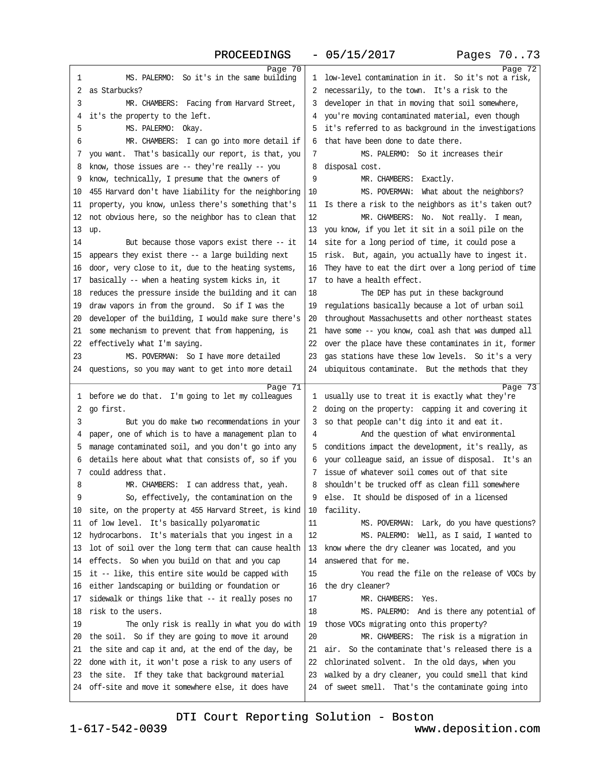### PROCEEDINGS - 05/15/2017 Pages 70..73

| Page 70                                                                                                    |                                                                                                               | Page 72 |
|------------------------------------------------------------------------------------------------------------|---------------------------------------------------------------------------------------------------------------|---------|
| MS. PALERMO: So it's in the same building<br>1                                                             | 1 low-level contamination in it. So it's not a risk,                                                          |         |
| 2 as Starbucks?                                                                                            | 2 necessarily, to the town. It's a risk to the                                                                |         |
| 3<br>MR. CHAMBERS: Facing from Harvard Street,                                                             | 3 developer in that in moving that soil somewhere,                                                            |         |
| 4 it's the property to the left.                                                                           | 4 you're moving contaminated material, even though                                                            |         |
| 5<br>MS. PALERMO: Okay.                                                                                    | 5 it's referred to as background in the investigations                                                        |         |
| MR. CHAMBERS: I can go into more detail if<br>6                                                            | 6 that have been done to date there.                                                                          |         |
| 7 you want. That's basically our report, is that, you                                                      | MS. PALERMO: So it increases their<br>7                                                                       |         |
| 8 know, those issues are -- they're really -- you                                                          | 8 disposal cost.                                                                                              |         |
| 9 know, technically, I presume that the owners of                                                          | 9<br>MR. CHAMBERS: Exactly.                                                                                   |         |
| 10 455 Harvard don't have liability for the neighboring                                                    | 10<br>MS. POVERMAN: What about the neighbors?                                                                 |         |
| 11 property, you know, unless there's something that's                                                     | 11 Is there a risk to the neighbors as it's taken out?                                                        |         |
| 12 not obvious here, so the neighbor has to clean that                                                     | 12<br>MR. CHAMBERS: No. Not really. I mean,                                                                   |         |
|                                                                                                            |                                                                                                               |         |
| 13 up.                                                                                                     | 13 you know, if you let it sit in a soil pile on the                                                          |         |
| 14<br>But because those vapors exist there -- it                                                           | 14 site for a long period of time, it could pose a                                                            |         |
| 15 appears they exist there - a large building next                                                        | 15 risk. But, again, you actually have to ingest it.                                                          |         |
| 16 door, very close to it, due to the heating systems,                                                     | 16 They have to eat the dirt over a long period of time                                                       |         |
| 17 basically -- when a heating system kicks in, it                                                         | 17 to have a health effect.                                                                                   |         |
| 18 reduces the pressure inside the building and it can                                                     | 18<br>The DEP has put in these background                                                                     |         |
| 19 draw vapors in from the ground. So if I was the                                                         | 19 regulations basically because a lot of urban soil                                                          |         |
| 20 developer of the building, I would make sure there's                                                    | 20 throughout Massachusetts and other northeast states                                                        |         |
| 21 some mechanism to prevent that from happening, is                                                       | 21 have some -- you know, coal ash that was dumped all                                                        |         |
| 22 effectively what I'm saying.                                                                            | 22 over the place have these contaminates in it, former                                                       |         |
| 23<br>MS. POVERMAN: So I have more detailed                                                                | 23 gas stations have these low levels. So it's a very                                                         |         |
| 24 questions, so you may want to get into more detail                                                      | 24 ubiquitous contaminate. But the methods that they                                                          |         |
|                                                                                                            |                                                                                                               |         |
| Page 71<br>1 before we do that. I'm going to let my colleagues                                             | 1 usually use to treat it is exactly what they're                                                             | Page 73 |
| 2 go first.                                                                                                | 2 doing on the property: capping it and covering it                                                           |         |
| 3<br>But you do make two recommendations in your                                                           | 3 so that people can't dig into it and eat it.                                                                |         |
| 4 paper, one of which is to have a management plan to                                                      | And the question of what environmental<br>4                                                                   |         |
| 5 manage contaminated soil, and you don't go into any                                                      | 5 conditions impact the development, it's really, as                                                          |         |
|                                                                                                            | 6 your colleague said, an issue of disposal. It's an                                                          |         |
| 6 details here about what that consists of, so if you                                                      |                                                                                                               |         |
| 7 could address that.                                                                                      | 7 issue of whatever soil comes out of that site                                                               |         |
| MR. CHAMBERS: I can address that, yeah.<br>8                                                               | 8 shouldn't be trucked off as clean fill somewhere                                                            |         |
| So, effectively, the contamination on the                                                                  | 9 else. It should be disposed of in a licensed                                                                |         |
| 10 site, on the property at 455 Harvard Street, is kind                                                    | 10 facility.                                                                                                  |         |
| 11 of low level. It's basically polyaromatic                                                               | 11<br>MS. POVERMAN: Lark, do you have questions?                                                              |         |
| 12 hydrocarbons. It's materials that you ingest in a                                                       | 12<br>MS. PALERMO: Well, as I said, I wanted to                                                               |         |
| 13 lot of soil over the long term that can cause health                                                    | 13 know where the dry cleaner was located, and you                                                            |         |
| 14 effects. So when you build on that and you cap                                                          | 14 answered that for me.                                                                                      |         |
| 15 it -- like, this entire site would be capped with                                                       | 15<br>You read the file on the release of VOCs by                                                             |         |
| 16 either landscaping or building or foundation or                                                         | 16 the dry cleaner?                                                                                           |         |
| 17 sidewalk or things like that -- it really poses no                                                      | 17<br>MR. CHAMBERS: Yes.                                                                                      |         |
| 18 risk to the users.                                                                                      | 18<br>MS. PALERMO: And is there any potential of                                                              |         |
| 19<br>The only risk is really in what you do with                                                          | 19 those VOCs migrating onto this property?                                                                   |         |
| 20 the soil. So if they are going to move it around                                                        | 20<br>MR. CHAMBERS: The risk is a migration in                                                                |         |
| 21 the site and cap it and, at the end of the day, be                                                      |                                                                                                               |         |
|                                                                                                            | 21 air. So the contaminate that's released there is a                                                         |         |
|                                                                                                            |                                                                                                               |         |
| 22 done with it, it won't pose a risk to any users of                                                      | 22 chlorinated solvent. In the old days, when you                                                             |         |
| 23 the site. If they take that background material<br>24 off-site and move it somewhere else, it does have | 23 walked by a dry cleaner, you could smell that kind<br>24 of sweet smell. That's the contaminate going into |         |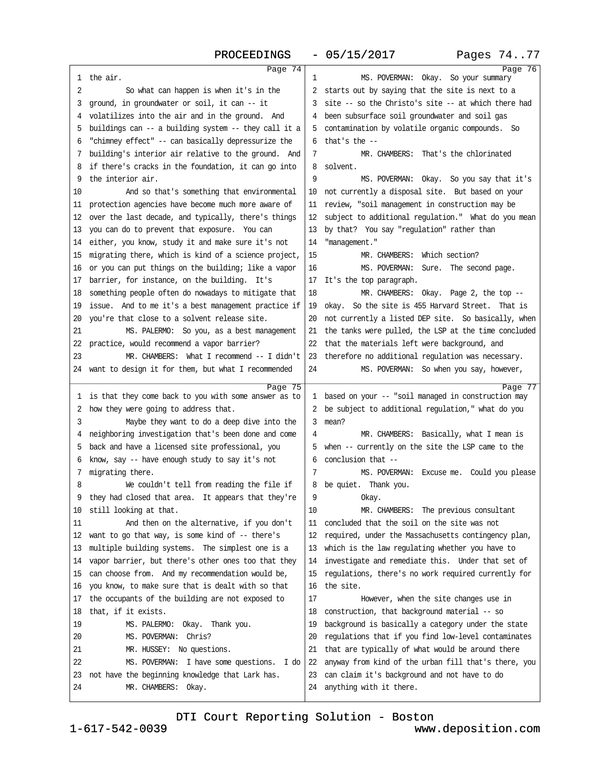| PROCEEDINGS                                                       | $-05/15/2017$                                           | Pages 7477 |
|-------------------------------------------------------------------|---------------------------------------------------------|------------|
| Page 74<br>1 the air.                                             | MS. POVERMAN: Okay. So your summary<br>1                | Page 76    |
| 2<br>So what can happen is when it's in the                       | 2 starts out by saying that the site is next to a       |            |
| 3 ground, in groundwater or soil, it can - it                     | 3 site -- so the Christo's site -- at which there had   |            |
| 4 volatilizes into the air and in the ground. And                 | 4 been subsurface soil groundwater and soil gas         |            |
| 5 buildings can -- a building system -- they call it a            | 5 contamination by volatile organic compounds. So       |            |
| 6 "chimney effect" -- can basically depressurize the              | $6$ that's the $-$                                      |            |
| 7 building's interior air relative to the ground. And             | MR. CHAMBERS: That's the chlorinated<br>7               |            |
| 8 if there's cracks in the foundation, it can go into             | 8 solvent.                                              |            |
| 9 the interior air.                                               | 9<br>MS. POVERMAN: Okay. So you say that it's           |            |
| 10<br>And so that's something that environmental                  | 10 not currently a disposal site. But based on your     |            |
| 11 protection agencies have become much more aware of             | 11 review, "soil management in construction may be      |            |
| 12 over the last decade, and typically, there's things            | 12 subject to additional regulation." What do you mean  |            |
| 13 you can do to prevent that exposure. You can                   | 13 by that? You say "regulation" rather than            |            |
| 14 either, you know, study it and make sure it's not              | 14 "management."                                        |            |
| 15 migrating there, which is kind of a science project,           | MR. CHAMBERS: Which section?<br>15                      |            |
| 16 or you can put things on the building; like a vapor            | MS. POVERMAN: Sure. The second page.<br>16              |            |
| 17 barrier, for instance, on the building. It's                   | 17 It's the top paragraph.                              |            |
| 18 something people often do nowadays to mitigate that            | 18<br>MR. CHAMBERS: Okay. Page 2, the top -             |            |
| 19 issue. And to me it's a best management practice if            | 19 okay. So the site is 455 Harvard Street. That is     |            |
| 20 you're that close to a solvent release site.                   | 20 not currently a listed DEP site. So basically, when  |            |
| 21<br>MS. PALERMO: So you, as a best management                   | 21 the tanks were pulled, the LSP at the time concluded |            |
| 22 practice, would recommend a vapor barrier?                     | 22 that the materials left were background, and         |            |
| 23<br>MR. CHAMBERS: What I recommend -- I didn't                  | 23 therefore no additional regulation was necessary.    |            |
| 24 want to design it for them, but what I recommended             | MS. POVERMAN: So when you say, however,<br>24           |            |
|                                                                   |                                                         |            |
| Page 75<br>1 is that they come back to you with some answer as to | 1 based on your -- "soil managed in construction may    | Page 77    |
| 2 how they were going to address that.                            | 2 be subject to additional regulation," what do you     |            |
| 3<br>Maybe they want to do a deep dive into the                   | 3 mean?                                                 |            |
| 4 neighboring investigation that's been done and come             | MR. CHAMBERS: Basically, what I mean is<br>4            |            |
| 5 back and have a licensed site professional, you                 | 5 when -- currently on the site the LSP came to the     |            |
| 6 know, say -- have enough study to say it's not                  | 6 conclusion that --                                    |            |
| 7 migrating there.                                                | 7<br>MS. POVERMAN: Excuse me. Could you please          |            |
| We couldn't tell from reading the file if                         | 8 be quiet. Thank you.                                  |            |
| 9 they had closed that area. It appears that they're              | 9<br>Okay.                                              |            |
| 10 still looking at that.                                         | MR. CHAMBERS: The previous consultant<br>10             |            |
| And then on the alternative, if you don't<br>11                   | 11 concluded that the soil on the site was not          |            |
| 12 want to go that way, is some kind of -- there's                | 12 required, under the Massachusetts contingency plan,  |            |
| 13 multiple building systems. The simplest one is a               | 13 which is the law regulating whether you have to      |            |
| 14 vapor barrier, but there's other ones too that they            | 14 investigate and remediate this. Under that set of    |            |
| 15 can choose from. And my recommendation would be,               | 15 regulations, there's no work required currently for  |            |
| 16 you know, to make sure that is dealt with so that              | 16 the site.                                            |            |
| 17 the occupants of the building are not exposed to               | 17<br>However, when the site changes use in             |            |
| 18 that, if it exists.                                            | 18 construction, that background material -- so         |            |
| 19<br>MS. PALERMO: Okay. Thank you.                               | 19 background is basically a category under the state   |            |
| 20<br>MS. POVERMAN: Chris?                                        | 20 regulations that if you find low-level contaminates  |            |
| 21<br>MR. HUSSEY: No questions.                                   | 21 that are typically of what would be around there     |            |
| 22<br>MS. POVERMAN: I have some questions. I do                   | 22 anyway from kind of the urban fill that's there, you |            |
| 23 not have the beginning knowledge that Lark has.                | 23 can claim it's background and not have to do         |            |
| 24<br>MR. CHAMBERS: Okay.                                         | 24 anything with it there.                              |            |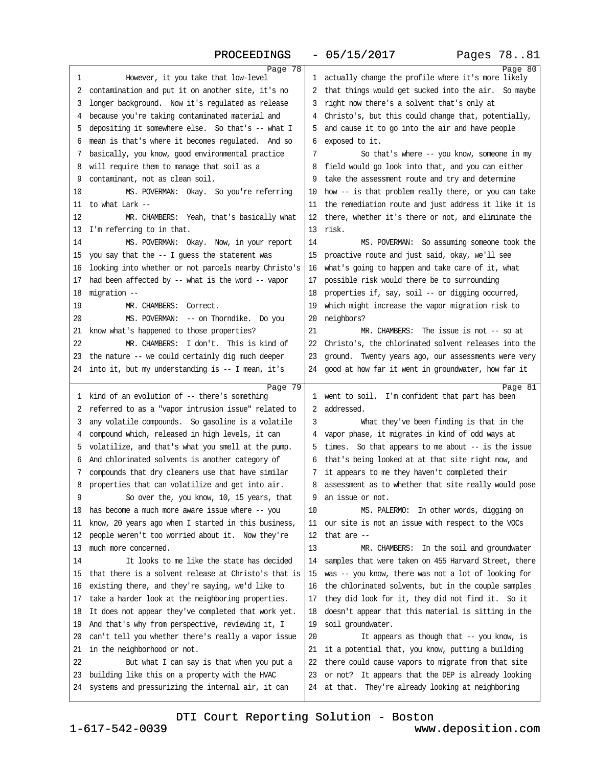### PROCEEDINGS - 05/15/2017 Pages 78..81

| Page 78                                                                                                   |                                                                                                             | Page 80 |
|-----------------------------------------------------------------------------------------------------------|-------------------------------------------------------------------------------------------------------------|---------|
| However, it you take that low-level<br>1                                                                  | 1 actually change the profile where it's more likely                                                        |         |
| 2 contamination and put it on another site, it's no                                                       | 2 that things would get sucked into the air. So maybe                                                       |         |
| 3 longer background. Now it's regulated as release                                                        | 3 right now there's a solvent that's only at                                                                |         |
| 4 because you're taking contaminated material and                                                         | 4 Christo's, but this could change that, potentially,                                                       |         |
| 5 depositing it somewhere else. So that's -- what I                                                       | 5 and cause it to go into the air and have people                                                           |         |
| 6 mean is that's where it becomes regulated. And so                                                       | 6 exposed to it.                                                                                            |         |
| 7 basically, you know, good environmental practice                                                        | 7<br>So that's where -- you know, someone in my                                                             |         |
| 8 will require them to manage that soil as a                                                              | 8 field would go look into that, and you can either                                                         |         |
| 9 contaminant, not as clean soil.                                                                         | 9 take the assessment route and try and determine                                                           |         |
| MS. POVERMAN: Okay. So you're referring<br>10                                                             | 10 how - is that problem really there, or you can take                                                      |         |
| 11 to what Lark --                                                                                        | 11 the remediation route and just address it like it is                                                     |         |
| 12<br>MR. CHAMBERS: Yeah, that's basically what                                                           | 12 there, whether it's there or not, and eliminate the                                                      |         |
| 13 I'm referring to in that.                                                                              | 13 risk.                                                                                                    |         |
| 14<br>MS. POVERMAN: Okay. Now, in your report                                                             | 14<br>MS. POVERMAN: So assuming someone took the                                                            |         |
| 15 you say that the -- I guess the statement was                                                          | 15 proactive route and just said, okay, we'll see                                                           |         |
| 16 looking into whether or not parcels nearby Christo's                                                   | 16 what's going to happen and take care of it, what                                                         |         |
| 17 had been affected by -- what is the word -- vapor                                                      | 17 possible risk would there be to surrounding                                                              |         |
| 18 migration -                                                                                            | 18 properties if, say, soil -- or digging occurred,                                                         |         |
| 19<br>MR. CHAMBERS: Correct.                                                                              | 19 which might increase the vapor migration risk to                                                         |         |
| MS. POVERMAN: -- on Thomdike. Do you<br>20                                                                | 20 neighbors?                                                                                               |         |
| 21 know what's happened to those properties?                                                              | 21<br>MR, CHAMBERS: The issue is not -- so at                                                               |         |
| 22<br>MR. CHAMBERS: I don't. This is kind of                                                              | 22 Christo's, the chlorinated solvent releases into the                                                     |         |
| 23 the nature -- we could certainly dig much deeper                                                       | 23 ground. Twenty years ago, our assessments were very                                                      |         |
| 24 into it, but my understanding is -- I mean, it's                                                       | 24 good at how far it went in groundwater, how far it                                                       |         |
|                                                                                                           |                                                                                                             |         |
|                                                                                                           |                                                                                                             |         |
| Page 79                                                                                                   |                                                                                                             | Page 81 |
| 1 kind of an evolution of -- there's something                                                            | 1 went to soil. I'm confident that part has been                                                            |         |
| 2 referred to as a "vapor intrusion issue" related to                                                     | 2 addressed.                                                                                                |         |
| 3 any volatile compounds. So gasoline is a volatile                                                       | 3<br>What they've been finding is that in the                                                               |         |
| 4 compound which, released in high levels, it can                                                         | 4 vapor phase, it migrates in kind of odd ways at                                                           |         |
| 5 volatilize, and that's what you smell at the pump.                                                      | 5 times. So that appears to me about - is the issue                                                         |         |
| 6 And chlorinated solvents is another category of                                                         | 6 that's being looked at at that site right now, and                                                        |         |
| 7 compounds that dry cleaners use that have similar                                                       | 7 it appears to me they haven't completed their                                                             |         |
| 8 properties that can volatilize and get into air.                                                        | 8 assessment as to whether that site really would pose                                                      |         |
| So over the, you know, 10, 15 years, that                                                                 | 9 an issue or not.                                                                                          |         |
| 10 has become a much more aware issue where -- you                                                        | 10<br>MS. PALERMO: In other words, digging on                                                               |         |
| 11 know, 20 years ago when I started in this business,                                                    | 11 our site is not an issue with respect to the VOCs                                                        |         |
| 12 people weren't too worried about it. Now they're                                                       | 12 that are $-$                                                                                             |         |
| 13 much more concerned.                                                                                   | 13<br>MR. CHAMBERS: In the soil and groundwater                                                             |         |
| It looks to me like the state has decided<br>14                                                           | 14 samples that were taken on 455 Harvard Street, there                                                     |         |
| 15 that there is a solvent release at Christo's that is                                                   | 15 was -- you know, there was not a lot of looking for                                                      |         |
| 16 existing there, and they're saying, we'd like to                                                       | 16 the chlorinated solvents, but in the couple samples                                                      |         |
| 17 take a harder look at the neighboring properties.                                                      | 17 they did look for it, they did not find it. So it                                                        |         |
| 18 It does not appear they've completed that work yet.                                                    | 18 doesn't appear that this material is sitting in the                                                      |         |
| 19 And that's why from perspective, reviewing it, I                                                       | 19 soil groundwater.                                                                                        |         |
| 20 can't tell you whether there's really a vapor issue                                                    | 20<br>It appears as though that -- you know, is                                                             |         |
| 21 in the neighborhood or not.                                                                            | 21 it a potential that, you know, putting a building                                                        |         |
| 22<br>But what I can say is that when you put a                                                           | 22 there could cause vapors to migrate from that site                                                       |         |
| 23 building like this on a property with the HVAC<br>24 systems and pressurizing the internal air, it can | 23 or not? It appears that the DEP is already looking<br>24 at that. They're already looking at neighboring |         |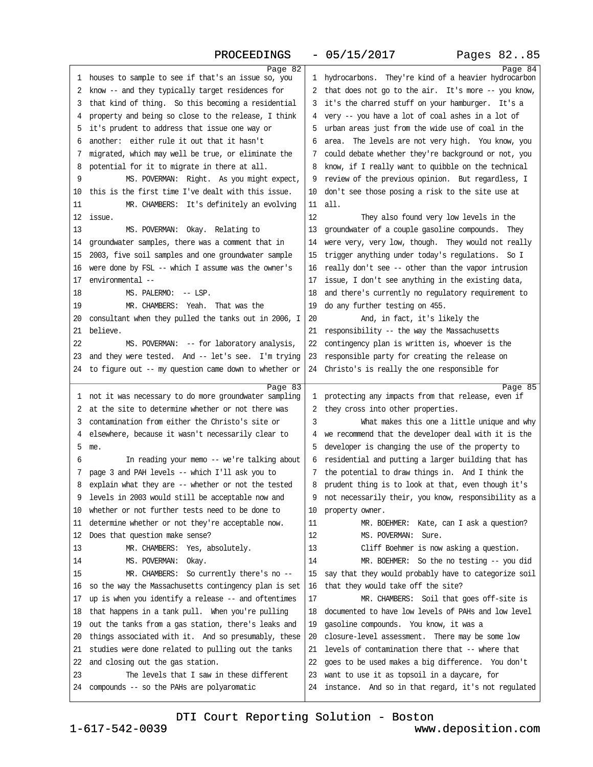# PROCEEDINGS· ·- 05/15/2017

| <b>FRACFFDTMAD</b>                                                                                         | - US/IS/ZUI <i>I</i>                                                                                     | rayes ozop |
|------------------------------------------------------------------------------------------------------------|----------------------------------------------------------------------------------------------------------|------------|
| Page 82                                                                                                    |                                                                                                          | Page 84    |
| 1 houses to sample to see if that's an issue so, you                                                       | 1 hydrocarbons. They're kind of a heavier hydrocarbon                                                    |            |
| 2 know - and they typically target residences for                                                          | 2 that does not go to the air. It's more -- you know,                                                    |            |
| 3 that kind of thing. So this becoming a residential                                                       | 3 it's the charred stuff on your hamburger. It's a                                                       |            |
| 4 property and being so close to the release, I think                                                      | 4 very -- you have a lot of coal ashes in a lot of                                                       |            |
| 5 it's prudent to address that issue one way or                                                            | 5 urban areas just from the wide use of coal in the                                                      |            |
| 6 another: either rule it out that it hasn't                                                               | 6 area. The levels are not very high. You know, you                                                      |            |
| 7 migrated, which may well be true, or eliminate the                                                       | 7 could debate whether they're background or not, you                                                    |            |
| 8 potential for it to migrate in there at all.                                                             | 8 know, if I really want to quibble on the technical                                                     |            |
| 9<br>MS. POVERMAN: Right. As you might expect,                                                             | 9 review of the previous opinion. But regardless, I                                                      |            |
| 10 this is the first time I've dealt with this issue.                                                      | 10 don't see those posing a risk to the site use at                                                      |            |
| MR. CHAMBERS: It's definitely an evolving<br>11                                                            | 11 all.                                                                                                  |            |
| 12 issue.                                                                                                  | 12<br>They also found very low levels in the                                                             |            |
| 13<br>MS. POVERMAN: Okay. Relating to                                                                      | 13 groundwater of a couple gasoline compounds. They                                                      |            |
| 14 groundwater samples, there was a comment that in                                                        | 14 were very, very low, though. They would not really                                                    |            |
| 15 2003, five soil samples and one groundwater sample                                                      | 15 trigger anything under today's regulations. So I                                                      |            |
| 16 were done by FSL -- which I assume was the owner's                                                      | 16 really don't see -- other than the vapor intrusion                                                    |            |
| 17 environmental --                                                                                        | 17 issue, I don't see anything in the existing data,                                                     |            |
| 18<br>MS. PALERMO: - LSP.                                                                                  | 18 and there's currently no regulatory requirement to                                                    |            |
| MR. CHAMBERS: Yeah. That was the<br>19                                                                     | 19 do any further testing on 455.                                                                        |            |
| 20 consultant when they pulled the tanks out in 2006, I                                                    | 20<br>And, in fact, it's likely the                                                                      |            |
| 21 believe.                                                                                                | 21 responsibility -- the way the Massachusetts                                                           |            |
| 22<br>MS. POVERMAN: -- for laboratory analysis,                                                            | 22 contingency plan is written is, whoever is the                                                        |            |
| 23 and they were tested. And -- let's see. I'm trying                                                      | 23 responsible party for creating the release on                                                         |            |
| 24 to figure out -- my question came down to whether or                                                    | 24 Christo's is really the one responsible for                                                           |            |
|                                                                                                            |                                                                                                          |            |
|                                                                                                            |                                                                                                          |            |
| Page 83<br>1 not it was necessary to do more groundwater sampling                                          | 1 protecting any impacts from that release, even if                                                      | Page 85    |
| 2 at the site to determine whether or not there was                                                        |                                                                                                          |            |
| 3 contamination from either the Christo's site or                                                          | 2 they cross into other properties.<br>3                                                                 |            |
|                                                                                                            | What makes this one a little unique and why<br>4 we recommend that the developer deal with it is the     |            |
| 4 elsewhere, because it wasn't necessarily clear to<br>5 me.                                               | 5 developer is changing the use of the property to                                                       |            |
| In reading your memo -- we're talking about<br>6                                                           | 6 residential and putting a larger building that has                                                     |            |
| 7 page 3 and PAH levels -- which I'll ask you to                                                           | 7 the potential to draw things in. And I think the                                                       |            |
|                                                                                                            | 8 prudent thing is to look at that, even though it's                                                     |            |
| 8 explain what they are -- whether or not the tested<br>9 levels in 2003 would still be acceptable now and | 9 not necessarily their, you know, responsibility as a                                                   |            |
| 10 whether or not further tests need to be done to                                                         |                                                                                                          |            |
| 11 determine whether or not they're acceptable now.                                                        | 10 property owner.<br>MR. BOEHMER: Kate, can I ask a question?<br>11                                     |            |
| 12 Does that question make sense?                                                                          | $12 \overline{ }$<br>MS. POVERMAN: Sure.                                                                 |            |
| 13<br>MR. CHAMBERS: Yes, absolutely.                                                                       | 13                                                                                                       |            |
| 14                                                                                                         | Cliff Boehmer is now asking a question.<br>14                                                            |            |
| MS. POVERMAN: Okay.<br>15                                                                                  | MR. BOEHMER: So the no testing -- you did                                                                |            |
| MR. CHAMBERS: So currently there's no --                                                                   | 15 say that they would probably have to categorize soil                                                  |            |
| 16 so the way the Massachusetts contingency plan is set                                                    | 16 that they would take off the site?                                                                    |            |
| 17 up is when you identify a release - and oftentimes                                                      | MR. CHAMBERS: Soil that goes off-site is<br>17                                                           |            |
| 18 that happens in a tank pull. When you're pulling                                                        | 18 documented to have low levels of PAHs and low level                                                   |            |
| 19 out the tanks from a gas station, there's leaks and                                                     | 19 gasoline compounds. You know, it was a                                                                |            |
| 20 things associated with it. And so presumably, these                                                     | 20 closure-level assessment. There may be some low                                                       |            |
| 21 studies were done related to pulling out the tanks                                                      | 21 levels of contamination there that -- where that                                                      |            |
| 22 and closing out the gas station.                                                                        | 22 goes to be used makes a big difference. You don't                                                     |            |
| The levels that I saw in these different<br>23<br>24 compounds -- so the PAHs are polyaromatic             | 23 want to use it as topsoil in a daycare, for<br>24 instance. And so in that regard, it's not regulated |            |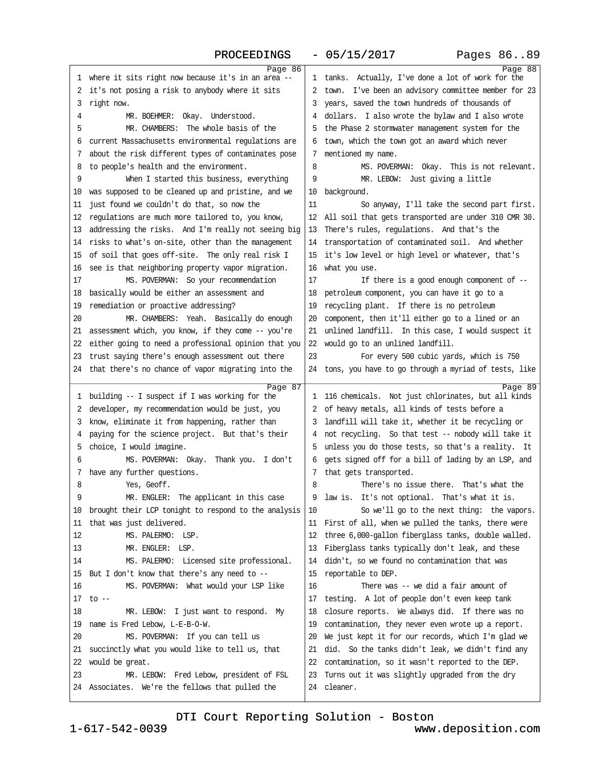### PROCEEDINGS - 05/15/2017 Pages 86..89

| Page 86                                                 |                                                                                                         | Page 88 |
|---------------------------------------------------------|---------------------------------------------------------------------------------------------------------|---------|
| 1 where it sits right now because it's in an area -     | 1 tanks. Actually, I've done a lot of work for the                                                      |         |
| 2 it's not posing a risk to anybody where it sits       | 2 town. I've been an advisory committee member for 23                                                   |         |
| 3 right now.                                            | 3 years, saved the town hundreds of thousands of                                                        |         |
| MR. BOEHMER: Okay. Understood.<br>4                     | 4 dollars. I also wrote the bylaw and I also wrote                                                      |         |
| MR. CHAMBERS: The whole basis of the<br>5               | 5 the Phase 2 stormwater management system for the                                                      |         |
| 6 current Massachusetts environmental regulations are   | 6 town, which the town got an award which never                                                         |         |
| 7 about the risk different types of contaminates pose   | 7 mentioned my name.                                                                                    |         |
| 8 to people's health and the environment.               | MS. POVERMAN: Okay. This is not relevant.<br>8                                                          |         |
| 9<br>When I started this business, everything           | MR. LEBOW: Just giving a little<br>9                                                                    |         |
| 10 was supposed to be cleaned up and pristine, and we   | 10 background.                                                                                          |         |
| 11 just found we couldn't do that, so now the           | So anyway, I'll take the second part first.<br>11                                                       |         |
| 12 regulations are much more tailored to, you know,     | 12 All soil that gets transported are under 310 CMR 30.                                                 |         |
| 13 addressing the risks. And I'm really not seeing big  | 13 There's rules, regulations. And that's the                                                           |         |
| 14 risks to what's on-site, other than the management   | 14 transportation of contaminated soil. And whether                                                     |         |
| 15 of soil that goes off-site. The only real risk I     | 15 it's low level or high level or whatever, that's                                                     |         |
| 16 see is that neighboring property vapor migration.    | 16 what you use.                                                                                        |         |
| 17<br>MS. POVERMAN: So your recommendation              | 17<br>If there is a good enough component of --                                                         |         |
| 18 basically would be either an assessment and          | 18 petroleum component, you can have it go to a                                                         |         |
| 19 remediation or proactive addressing?                 | 19 recycling plant. If there is no petroleum                                                            |         |
| MR. CHAMBERS: Yeah. Basically do enough<br>20           | 20 component, then it'll either go to a lined or an                                                     |         |
| 21 assessment which, you know, if they come -- you're   | 21 unlined landfill. In this case, I would suspect it                                                   |         |
| 22 either going to need a professional opinion that you | 22 would go to an unlined landfill.                                                                     |         |
| 23 trust saying there's enough assessment out there     | 23<br>For every 500 cubic yards, which is 750                                                           |         |
| 24 that there's no chance of vapor migrating into the   | 24 tons, you have to go through a myriad of tests, like                                                 |         |
|                                                         |                                                                                                         |         |
|                                                         |                                                                                                         |         |
| Page 87                                                 |                                                                                                         | Page 89 |
| 1 building -- I suspect if I was working for the        | 1 116 chemicals. Not just chlorinates, but all kinds                                                    |         |
| 2 developer, my recommendation would be just, you       | 2 of heavy metals, all kinds of tests before a                                                          |         |
| 3 know, eliminate it from happening, rather than        | 3 landfill will take it, whether it be recycling or                                                     |         |
| 4 paying for the science project. But that's their      | 4 not recycling. So that test -- nobody will take it                                                    |         |
| 5 choice, I would imagine.<br>6                         | 5 unless you do those tests, so that's a reality. It                                                    |         |
| MS. POVERMAN: Okay. Thank you. I don't                  | 6 gets signed off for a bill of lading by an LSP, and                                                   |         |
| 7 have any further questions.<br>8<br>Yes, Geoff.       | 7 that gets transported.<br>8                                                                           |         |
| a                                                       | There's no issue there. That's what the<br>9 law is. It's not optional. That's what it is.              |         |
| MR. ENGLER: The applicant in this case                  | 10                                                                                                      |         |
| 10 brought their LCP tonight to respond to the analysis | So we'll go to the next thing: the vapors.                                                              |         |
| 11 that was just delivered.<br>12<br>MS. PALERMO: LSP.  | 11 First of all, when we pulled the tanks, there were                                                   |         |
| MR. ENGLER: LSP.<br>13                                  | 12 three 6,000-gallon fiberglass tanks, double walled.                                                  |         |
| 14<br>MS. PALERMO: Licensed site professional.          | 13 Fiberglass tanks typically don't leak, and these<br>14 didn't, so we found no contamination that was |         |
| 15 But I don't know that there's any need to --         | 15 reportable to DEP.                                                                                   |         |
| MS. POVERMAN: What would your LSP like<br>16            | 16<br>There was -- we did a fair amount of                                                              |         |
| 17 to $-$                                               | 17 testing. A lot of people don't even keep tank                                                        |         |
| 18<br>MR. LEBOW: I just want to respond. My             | 18 closure reports. We always did. If there was no                                                      |         |
| 19 name is Fred Lebow, L-E-B-O-W.                       | 19 contamination, they never even wrote up a report.                                                    |         |
| 20<br>MS. POVERMAN: If you can tell us                  | 20 We just kept it for our records, which I'm glad we                                                   |         |
| 21 succinctly what you would like to tell us, that      | 21 did. So the tanks didn't leak, we didn't find any                                                    |         |
| 22 would be great.                                      | 22 contamination, so it wasn't reported to the DEP.                                                     |         |
| MR. LEBOW: Fred Lebow, president of FSL<br>23           | 23 Tums out it was slightly upgraded from the dry                                                       |         |
| 24 Associates. We're the fellows that pulled the        | 24 cleaner.                                                                                             |         |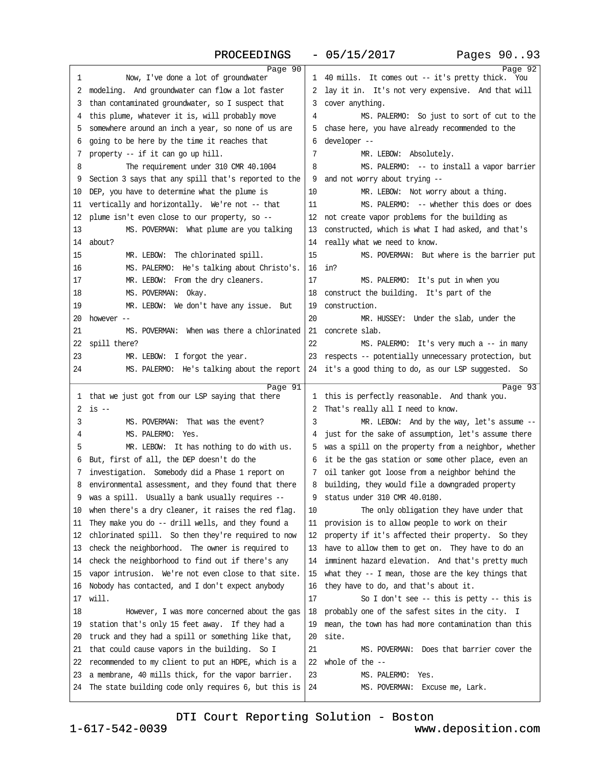PROCEEDINGS - 05/15/2017 Pages 90..93

|                                                         | Page 90                                                    | Page 92 |
|---------------------------------------------------------|------------------------------------------------------------|---------|
| Now, I've done a lot of groundwater<br>1                | 1 40 mills. It comes out -- it's pretty thick. You         |         |
| 2 modeling. And groundwater can flow a lot faster       | 2 lay it in. It's not very expensive. And that will        |         |
| 3 than contaminated groundwater, so I suspect that      | 3 cover anything.                                          |         |
| 4 this plume, whatever it is, will probably move        | MS. PALERMO: So just to sort of cut to the<br>4            |         |
| 5 somewhere around an inch a year, so none of us are    | 5 chase here, you have already recommended to the          |         |
| 6 going to be here by the time it reaches that          | 6 developer --                                             |         |
| 7 property -- if it can go up hill.                     | 7<br>MR. LEBOW: Absolutely.                                |         |
| 8<br>The requirement under 310 CMR 40.1004              | MS. PALERMO: - to install a vapor barrier<br>8             |         |
| 9 Section 3 says that any spill that's reported to the  | 9 and not worry about trying --                            |         |
| 10 DEP, you have to determine what the plume is         | MR. LEBOW: Not worry about a thing.<br>10                  |         |
| 11 vertically and horizontally. We're not -- that       | 11<br>MS. PALERMO: - whether this does or does             |         |
| 12 plume isn't even close to our property, so -         | 12 not create vapor problems for the building as           |         |
| MS. POVERMAN: What plume are you talking<br>13          | 13 constructed, which is what I had asked, and that's      |         |
| 14 about?                                               | 14 really what we need to know.                            |         |
| 15<br>MR. LEBOW: The chlorinated spill.                 | 15<br>MS. POVERMAN: But where is the barrier put           |         |
| MS. PALERMO: He's talking about Christo's.<br>16        | 16 in?                                                     |         |
| MR. LEBOW: From the dry cleaners.<br>17                 | 17<br>MS. PALERMO: It's put in when you                    |         |
| MS. POVERMAN: Okay.<br>18                               | 18 construct the building. It's part of the                |         |
| MR. LEBOW: We don't have any issue. But<br>19           | 19 construction.                                           |         |
| 20 however --                                           | 20                                                         |         |
| 21<br>MS. POVERMAN: When was there a chlorinated        | MR. HUSSEY: Under the slab, under the<br>21 concrete slab. |         |
|                                                         | 22                                                         |         |
| 22 spill there?                                         | MS. PALERMO: It's very much a -- in many                   |         |
| 23<br>MR. LEBOW: I forgot the year.                     | 23 respects -- potentially unnecessary protection, but     |         |
| 24<br>MS. PALERMO: He's talking about the report        | 24 it's a good thing to do, as our LSP suggested. So       |         |
|                                                         |                                                            |         |
|                                                         | Page 91                                                    | Page 93 |
| 1 that we just got from our LSP saying that there       | 1 this is perfectly reasonable. And thank you.             |         |
| $2$ is $-$                                              | 2 That's really all I need to know.                        |         |
| 3<br>MS. POVERMAN: That was the event?                  | 3<br>MR. LEBOW: And by the way, let's assume --            |         |
| MS. PALERMO: Yes.<br>4                                  | 4 just for the sake of assumption, let's assume there      |         |
| MR. LEBOW: It has nothing to do with us.<br>5           | 5 was a spill on the property from a neighbor, whether     |         |
| 6 But, first of all, the DEP doesn't do the             | 6 it be the gas station or some other place, even an       |         |
| 7 investigation. Somebody did a Phase 1 report on       | 7 oil tanker got loose from a neighbor behind the          |         |
| 8 environmental assessment, and they found that there   | 8 building, they would file a downgraded property          |         |
| 9 was a spill. Usually a bank usually requires --       | 9 status under 310 CMR 40.0180.                            |         |
| 10 when there's a dry cleaner, it raises the red flag.  | 10<br>The only obligation they have under that             |         |
| 11 They make you do -- drill wells, and they found a    | 11 provision is to allow people to work on their           |         |
| 12 chlorinated spill. So then they're required to now   | 12 property if it's affected their property. So they       |         |
| 13 check the neighborhood. The owner is required to     | 13 have to allow them to get on. They have to do an        |         |
| 14 check the neighborhood to find out if there's any    | 14 imminent hazard elevation. And that's pretty much       |         |
| 15 vapor intrusion. We're not even close to that site.  | 15 what they -- I mean, those are the key things that      |         |
| 16 Nobody has contacted, and I don't expect anybody     | 16 they have to do, and that's about it.                   |         |
| 17 will.                                                | 17<br>So I don't see -- this is petty -- this is           |         |
| 18<br>However, I was more concerned about the gas       | 18 probably one of the safest sites in the city. I         |         |
| 19 station that's only 15 feet away. If they had a      | 19 mean, the town has had more contamination than this     |         |
| 20 truck and they had a spill or something like that,   | 20 site.                                                   |         |
| 21 that could cause vapors in the building. So I        | 21<br>MS. POVERMAN: Does that barrier cover the            |         |
| 22 recommended to my client to put an HDPE, which is a  | 22 whole of the --                                         |         |
| 23 a membrane, 40 mills thick, for the vapor barrier.   | 23<br>MS. PALERMO: Yes.                                    |         |
| 24 The state building code only requires 6, but this is | 24<br>MS. POVERMAN: Excuse me, Lark.                       |         |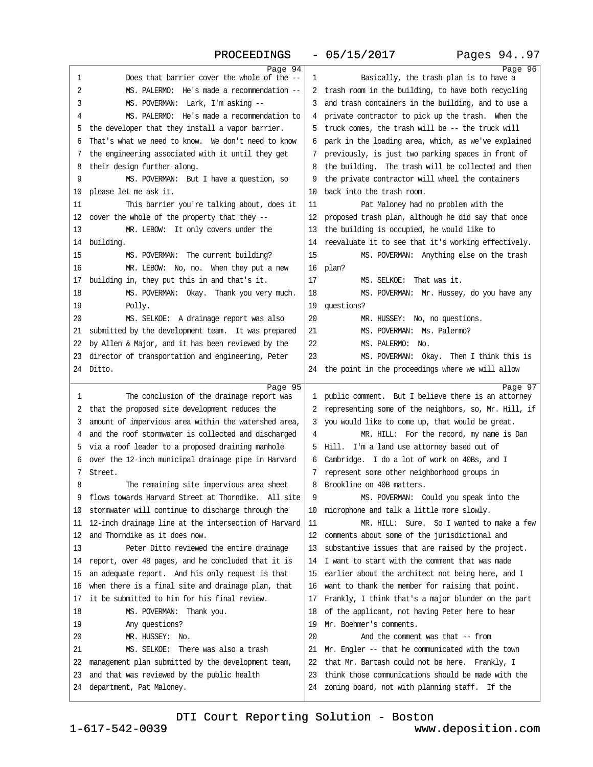PROCEEDINGS - 05/15/2017

| Page 94                                                                                                  | Page 96                                                                                                   |  |
|----------------------------------------------------------------------------------------------------------|-----------------------------------------------------------------------------------------------------------|--|
| 1<br>Does that barrier cover the whole of the --                                                         | 1<br>Basically, the trash plan is to have a                                                               |  |
| 2<br>MS. PALERMO: He's made a recommendation --                                                          | 2 trash room in the building, to have both recycling                                                      |  |
| 3<br>MS. POVERMAN: Lark, I'm asking --                                                                   | 3 and trash containers in the building, and to use a                                                      |  |
| MS. PALERMO: He's made a recommendation to<br>4                                                          | 4 private contractor to pick up the trash. When the                                                       |  |
| 5 the developer that they install a vapor barrier.                                                       | 5 truck comes, the trash will be -- the truck will                                                        |  |
| 6 That's what we need to know. We don't need to know                                                     | 6 park in the loading area, which, as we've explained                                                     |  |
| 7 the engineering associated with it until they get                                                      | 7 previously, is just two parking spaces in front of                                                      |  |
| 8 their design further along.                                                                            | 8 the building. The trash will be collected and then                                                      |  |
| 9<br>MS. POVERMAN: But I have a question, so                                                             | 9 the private contractor will wheel the containers                                                        |  |
| 10 please let me ask it.                                                                                 | 10 back into the trash room.                                                                              |  |
|                                                                                                          | 11                                                                                                        |  |
| This barrier you're talking about, does it<br>11                                                         | Pat Maloney had no problem with the                                                                       |  |
| 12 cover the whole of the property that they --                                                          | 12 proposed trash plan, although he did say that once                                                     |  |
| 13<br>MR. LEBOW: It only covers under the                                                                | 13 the building is occupied, he would like to                                                             |  |
| 14 building.                                                                                             | 14 reevaluate it to see that it's working effectively.                                                    |  |
| 15<br>MS. POVERMAN: The current building?                                                                | 15<br>MS. POVERMAN: Anything else on the trash                                                            |  |
| 16<br>MR. LEBOW: No, no. When they put a new                                                             | 16 plan?                                                                                                  |  |
| 17 building in, they put this in and that's it.                                                          | 17<br>MS. SELKOE: That was it.                                                                            |  |
| MS. POVERMAN: Okay. Thank you very much.<br>18                                                           | MS. POVERMAN: Mr. Hussey, do you have any<br>18                                                           |  |
| Polly.<br>19                                                                                             | 19 questions?                                                                                             |  |
| MS. SELKOE: A drainage report was also<br>20                                                             | 20<br>MR. HUSSEY: No, no questions.                                                                       |  |
| 21 submitted by the development team. It was prepared                                                    | MS. POVERMAN: Ms. Palermo?<br>21                                                                          |  |
| 22 by Allen & Major, and it has been reviewed by the                                                     | 22<br>MS. PALERMO: No.                                                                                    |  |
| 23 director of transportation and engineering, Peter                                                     | 23<br>MS. POVERMAN: Okay. Then I think this is                                                            |  |
| 24 Ditto.                                                                                                | 24 the point in the proceedings where we will allow                                                       |  |
| Page 95                                                                                                  | Page 97                                                                                                   |  |
| 1<br>The conclusion of the drainage report was                                                           | 1 public comment. But I believe there is an attorney                                                      |  |
| 2 that the proposed site development reduces the                                                         | 2 representing some of the neighbors, so, Mr. Hill, if                                                    |  |
| 3 amount of impervious area within the watershed area,                                                   | 3 you would like to come up, that would be great.                                                         |  |
| 4 and the roof stormwater is collected and discharged                                                    | MR. HILL: For the record, my name is Dan<br>4                                                             |  |
| 5 via a roof leader to a proposed draining manhole                                                       | 5 Hill. I'm a land use attorney based out of                                                              |  |
| 6 over the 12-inch municipal drainage pipe in Harvard                                                    | 6 Cambridge. I do a lot of work on 40Bs, and I                                                            |  |
| 7 Street.                                                                                                | 7 represent some other neighborhood groups in                                                             |  |
| 8<br>The remaining site impervious area sheet                                                            | 8 Brookline on 40B matters.                                                                               |  |
|                                                                                                          |                                                                                                           |  |
| 9 flows towards Harvard Street at Thorndike. All site                                                    | MS. POVERMAN: Could you speak into the<br>9                                                               |  |
| 10 stormwater will continue to discharge through the                                                     | 10 microphone and talk a little more slowly.                                                              |  |
| 11 12-inch drainage line at the intersection of Harvard                                                  | 11<br>MR. HILL: Sure. So I wanted to make a few                                                           |  |
| 12 and Thorndike as it does now.                                                                         | 12 comments about some of the jurisdictional and                                                          |  |
| 13<br>Peter Ditto reviewed the entire drainage                                                           | 13 substantive issues that are raised by the project.                                                     |  |
| 14 report, over 48 pages, and he concluded that it is                                                    | 14 I want to start with the comment that was made                                                         |  |
| 15 an adequate report. And his only request is that                                                      | 15 earlier about the architect not being here, and I                                                      |  |
|                                                                                                          |                                                                                                           |  |
| 16 when there is a final site and drainage plan, that<br>17 it be submitted to him for his final review. | 16 want to thank the member for raising that point.                                                       |  |
|                                                                                                          | 17 Frankly, I think that's a major blunder on the part                                                    |  |
| 18<br>MS. POVERMAN: Thank you.                                                                           | 18 of the applicant, not having Peter here to hear<br>19 Mr. Boehmer's comments.                          |  |
| 19<br>Any questions?                                                                                     |                                                                                                           |  |
| MR. HUSSEY: No.<br>20                                                                                    | 20<br>And the comment was that -- from                                                                    |  |
| MS. SELKOE: There was also a trash<br>21                                                                 | 21 Mr. Engler -- that he communicated with the town                                                       |  |
| 22 management plan submitted by the development team,                                                    | 22 that Mr. Bartash could not be here. Frankly, I                                                         |  |
| 23 and that was reviewed by the public health<br>24 department, Pat Maloney.                             | 23 think those communications should be made with the<br>24 zoning board, not with planning staff. If the |  |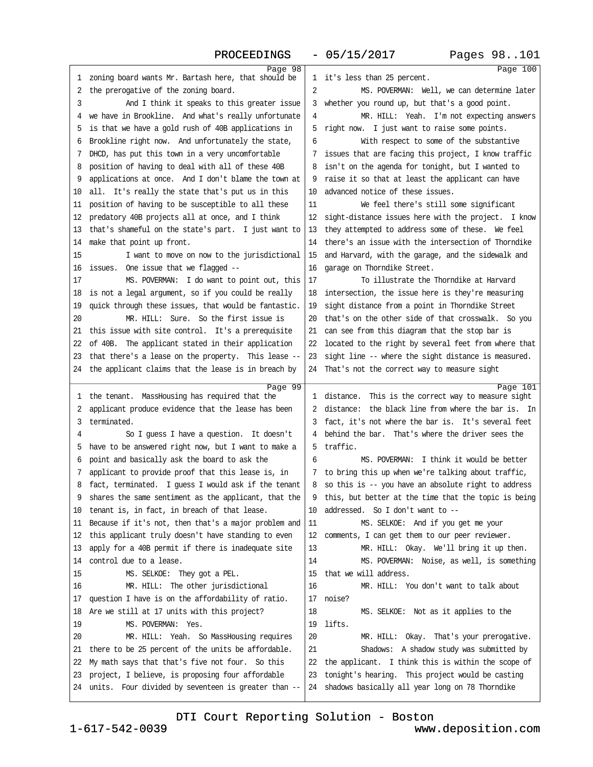| Page 98<br>1 zoning board wants Mr. Bartash here, that should be<br>1 it's less than 25 percent.<br>2 the prerogative of the zoning board.<br>2<br>MS. POVERMAN: Well, we can determine later<br>3<br>And I think it speaks to this greater issue<br>3 whether you round up, but that's a good point.<br>4 we have in Brookline. And what's really unfortunate<br>MR. HILL: Yeah. I'm not expecting answers<br>4<br>5 is that we have a gold rush of 40B applications in<br>5 right now. I just want to raise some points.<br>6 Brookline right now. And unfortunately the state,<br>6<br>With respect to some of the substantive<br>7 DHCD, has put this town in a very uncomfortable<br>7 issues that are facing this project, I know traffic<br>8 isn't on the agenda for tonight, but I wanted to<br>8 position of having to deal with all of these 40B<br>9 applications at once. And I don't blame the town at<br>9 raise it so that at least the applicant can have<br>10 advanced notice of these issues.<br>10 all. It's really the state that's put us in this<br>11<br>We feel there's still some significant<br>11 position of having to be susceptible to all these<br>12 predatory 40B projects all at once, and I think<br>12 sight-distance issues here with the project. I know<br>13 that's shameful on the state's part. I just want to<br>13 they attempted to address some of these. We feel<br>14 there's an issue with the intersection of Thorndike<br>14 make that point up front.<br>15 and Harvard, with the garage, and the sidewalk and<br>15<br>I want to move on now to the jurisdictional<br>16 issues. One issue that we flagged --<br>16 garage on Thorndike Street.<br>17<br>To illustrate the Thorndike at Harvard<br>17<br>MS. POVERMAN: I do want to point out, this<br>18 is not a legal argument, so if you could be really<br>18 intersection, the issue here is they're measuring<br>19 quick through these issues, that would be fantastic.<br>19 sight distance from a point in Thorndike Street<br>MR. HILL: Sure. So the first issue is<br>20<br>20 that's on the other side of that crosswalk. So you<br>21 can see from this diagram that the stop bar is<br>21 this issue with site control. It's a prerequisite<br>22 of 40B. The applicant stated in their application<br>22 located to the right by several feet from where that<br>23 that there's a lease on the property. This lease --<br>23 sight line -- where the sight distance is measured.<br>24 the applicant claims that the lease is in breach by<br>24 That's not the correct way to measure sight<br>Page 99<br>Page 101<br>1 the tenant. MassHousing has required that the<br>1 distance. This is the correct way to measure sight<br>2 distance: the black line from where the bar is. In<br>2 applicant produce evidence that the lease has been<br>3 terminated.<br>3 fact, it's not where the bar is. It's several feet<br>4 behind the bar. That's where the driver sees the<br>So I guess I have a question. It doesn't<br>4<br>5 have to be answered right now, but I want to make a<br>5 traffic.<br>MS. POVERMAN: I think it would be better<br>6 point and basically ask the board to ask the<br>6<br>7 applicant to provide proof that this lease is, in<br>7 to bring this up when we're talking about traffic,<br>8 fact, terminated. I guess I would ask if the tenant<br>8 so this is -- you have an absolute right to address<br>9 shares the same sentiment as the applicant, that the<br>9 this, but better at the time that the topic is being<br>10 addressed. So I don't want to --<br>10 tenant is, in fact, in breach of that lease.<br>11 Because if it's not, then that's a major problem and<br>11<br>MS. SELKOE: And if you get me your<br>12 this applicant truly doesn't have standing to even<br>12 comments, I can get them to our peer reviewer.<br>13 apply for a 40B permit if there is inadequate site<br>13<br>MR. HILL: Okay. We'll bring it up then.<br>14 control due to a lease.<br>14<br>MS. POVERMAN: Noise, as well, is something<br>15 that we will address.<br>15<br>MS. SELKOE: They got a PEL.<br>MR. HILL: The other jurisdictional<br>MR. HILL: You don't want to talk about<br>16<br>16<br>17 question I have is on the affordability of ratio.<br>17 noise?<br>18 Are we still at 17 units with this project?<br>18<br>MS. SELKOE: Not as it applies to the<br>MS. POVERMAN: Yes.<br>19 lifts.<br>19<br>20<br>20<br>MR. HILL: Yeah. So MassHousing requires<br>MR. HILL: Okay. That's your prerogative.<br>21 there to be 25 percent of the units be affordable.<br>21<br>Shadows: A shadow study was submitted by<br>22 My math says that that's five not four. So this<br>22 the applicant. I think this is within the scope of<br>23 project, I believe, is proposing four affordable<br>23 tonight's hearing. This project would be casting<br>24 units. Four divided by seventeen is greater than --<br>24 shadows basically all year long on 78 Thorndike |          |
|----------------------------------------------------------------------------------------------------------------------------------------------------------------------------------------------------------------------------------------------------------------------------------------------------------------------------------------------------------------------------------------------------------------------------------------------------------------------------------------------------------------------------------------------------------------------------------------------------------------------------------------------------------------------------------------------------------------------------------------------------------------------------------------------------------------------------------------------------------------------------------------------------------------------------------------------------------------------------------------------------------------------------------------------------------------------------------------------------------------------------------------------------------------------------------------------------------------------------------------------------------------------------------------------------------------------------------------------------------------------------------------------------------------------------------------------------------------------------------------------------------------------------------------------------------------------------------------------------------------------------------------------------------------------------------------------------------------------------------------------------------------------------------------------------------------------------------------------------------------------------------------------------------------------------------------------------------------------------------------------------------------------------------------------------------------------------------------------------------------------------------------------------------------------------------------------------------------------------------------------------------------------------------------------------------------------------------------------------------------------------------------------------------------------------------------------------------------------------------------------------------------------------------------------------------------------------------------------------------------------------------------------------------------------------------------------------------------------------------------------------------------------------------------------------------------------------------------------------------------------------------------------------------------------------------------------------------------------------------------------------------------------------------------------------------------------------------------------------------------------------------------------------------------------------------------------------------------------------------------------------------------------------------------------------------------------------------------------------------------------------------------------------------------------------------------------------------------------------------------------------------------------------------------------------------------------------------------------------------------------------------------------------------------------------------------------------------------------------------------------------------------------------------------------------------------------------------------------------------------------------------------------------------------------------------------------------------------------------------------------------------------------------------------------------------------------------------------------------------------------------------------------------------------------------------------------------------------------------------------------------------------------------------------------------------------------------------------------------------------------------------------------------------------------------------------------------------------------------------------------------------------------------------------------------------------------------------------------------------------------------------------------------------------------------------------------------------------------------------------------------------------------------------------------------------------------------------------------------------------------------------------------------------------------------------------------------------------------------------------------------------------------------------------|----------|
|                                                                                                                                                                                                                                                                                                                                                                                                                                                                                                                                                                                                                                                                                                                                                                                                                                                                                                                                                                                                                                                                                                                                                                                                                                                                                                                                                                                                                                                                                                                                                                                                                                                                                                                                                                                                                                                                                                                                                                                                                                                                                                                                                                                                                                                                                                                                                                                                                                                                                                                                                                                                                                                                                                                                                                                                                                                                                                                                                                                                                                                                                                                                                                                                                                                                                                                                                                                                                                                                                                                                                                                                                                                                                                                                                                                                                                                                                                                                                                                                                                                                                                                                                                                                                                                                                                                                                                                                                                                                                                                                                                                                                                                                                                                                                                                                                                                                                                                                                                                                                                        | Page 100 |
|                                                                                                                                                                                                                                                                                                                                                                                                                                                                                                                                                                                                                                                                                                                                                                                                                                                                                                                                                                                                                                                                                                                                                                                                                                                                                                                                                                                                                                                                                                                                                                                                                                                                                                                                                                                                                                                                                                                                                                                                                                                                                                                                                                                                                                                                                                                                                                                                                                                                                                                                                                                                                                                                                                                                                                                                                                                                                                                                                                                                                                                                                                                                                                                                                                                                                                                                                                                                                                                                                                                                                                                                                                                                                                                                                                                                                                                                                                                                                                                                                                                                                                                                                                                                                                                                                                                                                                                                                                                                                                                                                                                                                                                                                                                                                                                                                                                                                                                                                                                                                                        |          |
|                                                                                                                                                                                                                                                                                                                                                                                                                                                                                                                                                                                                                                                                                                                                                                                                                                                                                                                                                                                                                                                                                                                                                                                                                                                                                                                                                                                                                                                                                                                                                                                                                                                                                                                                                                                                                                                                                                                                                                                                                                                                                                                                                                                                                                                                                                                                                                                                                                                                                                                                                                                                                                                                                                                                                                                                                                                                                                                                                                                                                                                                                                                                                                                                                                                                                                                                                                                                                                                                                                                                                                                                                                                                                                                                                                                                                                                                                                                                                                                                                                                                                                                                                                                                                                                                                                                                                                                                                                                                                                                                                                                                                                                                                                                                                                                                                                                                                                                                                                                                                                        |          |
|                                                                                                                                                                                                                                                                                                                                                                                                                                                                                                                                                                                                                                                                                                                                                                                                                                                                                                                                                                                                                                                                                                                                                                                                                                                                                                                                                                                                                                                                                                                                                                                                                                                                                                                                                                                                                                                                                                                                                                                                                                                                                                                                                                                                                                                                                                                                                                                                                                                                                                                                                                                                                                                                                                                                                                                                                                                                                                                                                                                                                                                                                                                                                                                                                                                                                                                                                                                                                                                                                                                                                                                                                                                                                                                                                                                                                                                                                                                                                                                                                                                                                                                                                                                                                                                                                                                                                                                                                                                                                                                                                                                                                                                                                                                                                                                                                                                                                                                                                                                                                                        |          |
|                                                                                                                                                                                                                                                                                                                                                                                                                                                                                                                                                                                                                                                                                                                                                                                                                                                                                                                                                                                                                                                                                                                                                                                                                                                                                                                                                                                                                                                                                                                                                                                                                                                                                                                                                                                                                                                                                                                                                                                                                                                                                                                                                                                                                                                                                                                                                                                                                                                                                                                                                                                                                                                                                                                                                                                                                                                                                                                                                                                                                                                                                                                                                                                                                                                                                                                                                                                                                                                                                                                                                                                                                                                                                                                                                                                                                                                                                                                                                                                                                                                                                                                                                                                                                                                                                                                                                                                                                                                                                                                                                                                                                                                                                                                                                                                                                                                                                                                                                                                                                                        |          |
|                                                                                                                                                                                                                                                                                                                                                                                                                                                                                                                                                                                                                                                                                                                                                                                                                                                                                                                                                                                                                                                                                                                                                                                                                                                                                                                                                                                                                                                                                                                                                                                                                                                                                                                                                                                                                                                                                                                                                                                                                                                                                                                                                                                                                                                                                                                                                                                                                                                                                                                                                                                                                                                                                                                                                                                                                                                                                                                                                                                                                                                                                                                                                                                                                                                                                                                                                                                                                                                                                                                                                                                                                                                                                                                                                                                                                                                                                                                                                                                                                                                                                                                                                                                                                                                                                                                                                                                                                                                                                                                                                                                                                                                                                                                                                                                                                                                                                                                                                                                                                                        |          |
|                                                                                                                                                                                                                                                                                                                                                                                                                                                                                                                                                                                                                                                                                                                                                                                                                                                                                                                                                                                                                                                                                                                                                                                                                                                                                                                                                                                                                                                                                                                                                                                                                                                                                                                                                                                                                                                                                                                                                                                                                                                                                                                                                                                                                                                                                                                                                                                                                                                                                                                                                                                                                                                                                                                                                                                                                                                                                                                                                                                                                                                                                                                                                                                                                                                                                                                                                                                                                                                                                                                                                                                                                                                                                                                                                                                                                                                                                                                                                                                                                                                                                                                                                                                                                                                                                                                                                                                                                                                                                                                                                                                                                                                                                                                                                                                                                                                                                                                                                                                                                                        |          |
|                                                                                                                                                                                                                                                                                                                                                                                                                                                                                                                                                                                                                                                                                                                                                                                                                                                                                                                                                                                                                                                                                                                                                                                                                                                                                                                                                                                                                                                                                                                                                                                                                                                                                                                                                                                                                                                                                                                                                                                                                                                                                                                                                                                                                                                                                                                                                                                                                                                                                                                                                                                                                                                                                                                                                                                                                                                                                                                                                                                                                                                                                                                                                                                                                                                                                                                                                                                                                                                                                                                                                                                                                                                                                                                                                                                                                                                                                                                                                                                                                                                                                                                                                                                                                                                                                                                                                                                                                                                                                                                                                                                                                                                                                                                                                                                                                                                                                                                                                                                                                                        |          |
|                                                                                                                                                                                                                                                                                                                                                                                                                                                                                                                                                                                                                                                                                                                                                                                                                                                                                                                                                                                                                                                                                                                                                                                                                                                                                                                                                                                                                                                                                                                                                                                                                                                                                                                                                                                                                                                                                                                                                                                                                                                                                                                                                                                                                                                                                                                                                                                                                                                                                                                                                                                                                                                                                                                                                                                                                                                                                                                                                                                                                                                                                                                                                                                                                                                                                                                                                                                                                                                                                                                                                                                                                                                                                                                                                                                                                                                                                                                                                                                                                                                                                                                                                                                                                                                                                                                                                                                                                                                                                                                                                                                                                                                                                                                                                                                                                                                                                                                                                                                                                                        |          |
|                                                                                                                                                                                                                                                                                                                                                                                                                                                                                                                                                                                                                                                                                                                                                                                                                                                                                                                                                                                                                                                                                                                                                                                                                                                                                                                                                                                                                                                                                                                                                                                                                                                                                                                                                                                                                                                                                                                                                                                                                                                                                                                                                                                                                                                                                                                                                                                                                                                                                                                                                                                                                                                                                                                                                                                                                                                                                                                                                                                                                                                                                                                                                                                                                                                                                                                                                                                                                                                                                                                                                                                                                                                                                                                                                                                                                                                                                                                                                                                                                                                                                                                                                                                                                                                                                                                                                                                                                                                                                                                                                                                                                                                                                                                                                                                                                                                                                                                                                                                                                                        |          |
|                                                                                                                                                                                                                                                                                                                                                                                                                                                                                                                                                                                                                                                                                                                                                                                                                                                                                                                                                                                                                                                                                                                                                                                                                                                                                                                                                                                                                                                                                                                                                                                                                                                                                                                                                                                                                                                                                                                                                                                                                                                                                                                                                                                                                                                                                                                                                                                                                                                                                                                                                                                                                                                                                                                                                                                                                                                                                                                                                                                                                                                                                                                                                                                                                                                                                                                                                                                                                                                                                                                                                                                                                                                                                                                                                                                                                                                                                                                                                                                                                                                                                                                                                                                                                                                                                                                                                                                                                                                                                                                                                                                                                                                                                                                                                                                                                                                                                                                                                                                                                                        |          |
|                                                                                                                                                                                                                                                                                                                                                                                                                                                                                                                                                                                                                                                                                                                                                                                                                                                                                                                                                                                                                                                                                                                                                                                                                                                                                                                                                                                                                                                                                                                                                                                                                                                                                                                                                                                                                                                                                                                                                                                                                                                                                                                                                                                                                                                                                                                                                                                                                                                                                                                                                                                                                                                                                                                                                                                                                                                                                                                                                                                                                                                                                                                                                                                                                                                                                                                                                                                                                                                                                                                                                                                                                                                                                                                                                                                                                                                                                                                                                                                                                                                                                                                                                                                                                                                                                                                                                                                                                                                                                                                                                                                                                                                                                                                                                                                                                                                                                                                                                                                                                                        |          |
|                                                                                                                                                                                                                                                                                                                                                                                                                                                                                                                                                                                                                                                                                                                                                                                                                                                                                                                                                                                                                                                                                                                                                                                                                                                                                                                                                                                                                                                                                                                                                                                                                                                                                                                                                                                                                                                                                                                                                                                                                                                                                                                                                                                                                                                                                                                                                                                                                                                                                                                                                                                                                                                                                                                                                                                                                                                                                                                                                                                                                                                                                                                                                                                                                                                                                                                                                                                                                                                                                                                                                                                                                                                                                                                                                                                                                                                                                                                                                                                                                                                                                                                                                                                                                                                                                                                                                                                                                                                                                                                                                                                                                                                                                                                                                                                                                                                                                                                                                                                                                                        |          |
|                                                                                                                                                                                                                                                                                                                                                                                                                                                                                                                                                                                                                                                                                                                                                                                                                                                                                                                                                                                                                                                                                                                                                                                                                                                                                                                                                                                                                                                                                                                                                                                                                                                                                                                                                                                                                                                                                                                                                                                                                                                                                                                                                                                                                                                                                                                                                                                                                                                                                                                                                                                                                                                                                                                                                                                                                                                                                                                                                                                                                                                                                                                                                                                                                                                                                                                                                                                                                                                                                                                                                                                                                                                                                                                                                                                                                                                                                                                                                                                                                                                                                                                                                                                                                                                                                                                                                                                                                                                                                                                                                                                                                                                                                                                                                                                                                                                                                                                                                                                                                                        |          |
|                                                                                                                                                                                                                                                                                                                                                                                                                                                                                                                                                                                                                                                                                                                                                                                                                                                                                                                                                                                                                                                                                                                                                                                                                                                                                                                                                                                                                                                                                                                                                                                                                                                                                                                                                                                                                                                                                                                                                                                                                                                                                                                                                                                                                                                                                                                                                                                                                                                                                                                                                                                                                                                                                                                                                                                                                                                                                                                                                                                                                                                                                                                                                                                                                                                                                                                                                                                                                                                                                                                                                                                                                                                                                                                                                                                                                                                                                                                                                                                                                                                                                                                                                                                                                                                                                                                                                                                                                                                                                                                                                                                                                                                                                                                                                                                                                                                                                                                                                                                                                                        |          |
|                                                                                                                                                                                                                                                                                                                                                                                                                                                                                                                                                                                                                                                                                                                                                                                                                                                                                                                                                                                                                                                                                                                                                                                                                                                                                                                                                                                                                                                                                                                                                                                                                                                                                                                                                                                                                                                                                                                                                                                                                                                                                                                                                                                                                                                                                                                                                                                                                                                                                                                                                                                                                                                                                                                                                                                                                                                                                                                                                                                                                                                                                                                                                                                                                                                                                                                                                                                                                                                                                                                                                                                                                                                                                                                                                                                                                                                                                                                                                                                                                                                                                                                                                                                                                                                                                                                                                                                                                                                                                                                                                                                                                                                                                                                                                                                                                                                                                                                                                                                                                                        |          |
|                                                                                                                                                                                                                                                                                                                                                                                                                                                                                                                                                                                                                                                                                                                                                                                                                                                                                                                                                                                                                                                                                                                                                                                                                                                                                                                                                                                                                                                                                                                                                                                                                                                                                                                                                                                                                                                                                                                                                                                                                                                                                                                                                                                                                                                                                                                                                                                                                                                                                                                                                                                                                                                                                                                                                                                                                                                                                                                                                                                                                                                                                                                                                                                                                                                                                                                                                                                                                                                                                                                                                                                                                                                                                                                                                                                                                                                                                                                                                                                                                                                                                                                                                                                                                                                                                                                                                                                                                                                                                                                                                                                                                                                                                                                                                                                                                                                                                                                                                                                                                                        |          |
|                                                                                                                                                                                                                                                                                                                                                                                                                                                                                                                                                                                                                                                                                                                                                                                                                                                                                                                                                                                                                                                                                                                                                                                                                                                                                                                                                                                                                                                                                                                                                                                                                                                                                                                                                                                                                                                                                                                                                                                                                                                                                                                                                                                                                                                                                                                                                                                                                                                                                                                                                                                                                                                                                                                                                                                                                                                                                                                                                                                                                                                                                                                                                                                                                                                                                                                                                                                                                                                                                                                                                                                                                                                                                                                                                                                                                                                                                                                                                                                                                                                                                                                                                                                                                                                                                                                                                                                                                                                                                                                                                                                                                                                                                                                                                                                                                                                                                                                                                                                                                                        |          |
|                                                                                                                                                                                                                                                                                                                                                                                                                                                                                                                                                                                                                                                                                                                                                                                                                                                                                                                                                                                                                                                                                                                                                                                                                                                                                                                                                                                                                                                                                                                                                                                                                                                                                                                                                                                                                                                                                                                                                                                                                                                                                                                                                                                                                                                                                                                                                                                                                                                                                                                                                                                                                                                                                                                                                                                                                                                                                                                                                                                                                                                                                                                                                                                                                                                                                                                                                                                                                                                                                                                                                                                                                                                                                                                                                                                                                                                                                                                                                                                                                                                                                                                                                                                                                                                                                                                                                                                                                                                                                                                                                                                                                                                                                                                                                                                                                                                                                                                                                                                                                                        |          |
|                                                                                                                                                                                                                                                                                                                                                                                                                                                                                                                                                                                                                                                                                                                                                                                                                                                                                                                                                                                                                                                                                                                                                                                                                                                                                                                                                                                                                                                                                                                                                                                                                                                                                                                                                                                                                                                                                                                                                                                                                                                                                                                                                                                                                                                                                                                                                                                                                                                                                                                                                                                                                                                                                                                                                                                                                                                                                                                                                                                                                                                                                                                                                                                                                                                                                                                                                                                                                                                                                                                                                                                                                                                                                                                                                                                                                                                                                                                                                                                                                                                                                                                                                                                                                                                                                                                                                                                                                                                                                                                                                                                                                                                                                                                                                                                                                                                                                                                                                                                                                                        |          |
|                                                                                                                                                                                                                                                                                                                                                                                                                                                                                                                                                                                                                                                                                                                                                                                                                                                                                                                                                                                                                                                                                                                                                                                                                                                                                                                                                                                                                                                                                                                                                                                                                                                                                                                                                                                                                                                                                                                                                                                                                                                                                                                                                                                                                                                                                                                                                                                                                                                                                                                                                                                                                                                                                                                                                                                                                                                                                                                                                                                                                                                                                                                                                                                                                                                                                                                                                                                                                                                                                                                                                                                                                                                                                                                                                                                                                                                                                                                                                                                                                                                                                                                                                                                                                                                                                                                                                                                                                                                                                                                                                                                                                                                                                                                                                                                                                                                                                                                                                                                                                                        |          |
|                                                                                                                                                                                                                                                                                                                                                                                                                                                                                                                                                                                                                                                                                                                                                                                                                                                                                                                                                                                                                                                                                                                                                                                                                                                                                                                                                                                                                                                                                                                                                                                                                                                                                                                                                                                                                                                                                                                                                                                                                                                                                                                                                                                                                                                                                                                                                                                                                                                                                                                                                                                                                                                                                                                                                                                                                                                                                                                                                                                                                                                                                                                                                                                                                                                                                                                                                                                                                                                                                                                                                                                                                                                                                                                                                                                                                                                                                                                                                                                                                                                                                                                                                                                                                                                                                                                                                                                                                                                                                                                                                                                                                                                                                                                                                                                                                                                                                                                                                                                                                                        |          |
|                                                                                                                                                                                                                                                                                                                                                                                                                                                                                                                                                                                                                                                                                                                                                                                                                                                                                                                                                                                                                                                                                                                                                                                                                                                                                                                                                                                                                                                                                                                                                                                                                                                                                                                                                                                                                                                                                                                                                                                                                                                                                                                                                                                                                                                                                                                                                                                                                                                                                                                                                                                                                                                                                                                                                                                                                                                                                                                                                                                                                                                                                                                                                                                                                                                                                                                                                                                                                                                                                                                                                                                                                                                                                                                                                                                                                                                                                                                                                                                                                                                                                                                                                                                                                                                                                                                                                                                                                                                                                                                                                                                                                                                                                                                                                                                                                                                                                                                                                                                                                                        |          |
|                                                                                                                                                                                                                                                                                                                                                                                                                                                                                                                                                                                                                                                                                                                                                                                                                                                                                                                                                                                                                                                                                                                                                                                                                                                                                                                                                                                                                                                                                                                                                                                                                                                                                                                                                                                                                                                                                                                                                                                                                                                                                                                                                                                                                                                                                                                                                                                                                                                                                                                                                                                                                                                                                                                                                                                                                                                                                                                                                                                                                                                                                                                                                                                                                                                                                                                                                                                                                                                                                                                                                                                                                                                                                                                                                                                                                                                                                                                                                                                                                                                                                                                                                                                                                                                                                                                                                                                                                                                                                                                                                                                                                                                                                                                                                                                                                                                                                                                                                                                                                                        |          |
|                                                                                                                                                                                                                                                                                                                                                                                                                                                                                                                                                                                                                                                                                                                                                                                                                                                                                                                                                                                                                                                                                                                                                                                                                                                                                                                                                                                                                                                                                                                                                                                                                                                                                                                                                                                                                                                                                                                                                                                                                                                                                                                                                                                                                                                                                                                                                                                                                                                                                                                                                                                                                                                                                                                                                                                                                                                                                                                                                                                                                                                                                                                                                                                                                                                                                                                                                                                                                                                                                                                                                                                                                                                                                                                                                                                                                                                                                                                                                                                                                                                                                                                                                                                                                                                                                                                                                                                                                                                                                                                                                                                                                                                                                                                                                                                                                                                                                                                                                                                                                                        |          |
|                                                                                                                                                                                                                                                                                                                                                                                                                                                                                                                                                                                                                                                                                                                                                                                                                                                                                                                                                                                                                                                                                                                                                                                                                                                                                                                                                                                                                                                                                                                                                                                                                                                                                                                                                                                                                                                                                                                                                                                                                                                                                                                                                                                                                                                                                                                                                                                                                                                                                                                                                                                                                                                                                                                                                                                                                                                                                                                                                                                                                                                                                                                                                                                                                                                                                                                                                                                                                                                                                                                                                                                                                                                                                                                                                                                                                                                                                                                                                                                                                                                                                                                                                                                                                                                                                                                                                                                                                                                                                                                                                                                                                                                                                                                                                                                                                                                                                                                                                                                                                                        |          |
|                                                                                                                                                                                                                                                                                                                                                                                                                                                                                                                                                                                                                                                                                                                                                                                                                                                                                                                                                                                                                                                                                                                                                                                                                                                                                                                                                                                                                                                                                                                                                                                                                                                                                                                                                                                                                                                                                                                                                                                                                                                                                                                                                                                                                                                                                                                                                                                                                                                                                                                                                                                                                                                                                                                                                                                                                                                                                                                                                                                                                                                                                                                                                                                                                                                                                                                                                                                                                                                                                                                                                                                                                                                                                                                                                                                                                                                                                                                                                                                                                                                                                                                                                                                                                                                                                                                                                                                                                                                                                                                                                                                                                                                                                                                                                                                                                                                                                                                                                                                                                                        |          |
|                                                                                                                                                                                                                                                                                                                                                                                                                                                                                                                                                                                                                                                                                                                                                                                                                                                                                                                                                                                                                                                                                                                                                                                                                                                                                                                                                                                                                                                                                                                                                                                                                                                                                                                                                                                                                                                                                                                                                                                                                                                                                                                                                                                                                                                                                                                                                                                                                                                                                                                                                                                                                                                                                                                                                                                                                                                                                                                                                                                                                                                                                                                                                                                                                                                                                                                                                                                                                                                                                                                                                                                                                                                                                                                                                                                                                                                                                                                                                                                                                                                                                                                                                                                                                                                                                                                                                                                                                                                                                                                                                                                                                                                                                                                                                                                                                                                                                                                                                                                                                                        |          |
|                                                                                                                                                                                                                                                                                                                                                                                                                                                                                                                                                                                                                                                                                                                                                                                                                                                                                                                                                                                                                                                                                                                                                                                                                                                                                                                                                                                                                                                                                                                                                                                                                                                                                                                                                                                                                                                                                                                                                                                                                                                                                                                                                                                                                                                                                                                                                                                                                                                                                                                                                                                                                                                                                                                                                                                                                                                                                                                                                                                                                                                                                                                                                                                                                                                                                                                                                                                                                                                                                                                                                                                                                                                                                                                                                                                                                                                                                                                                                                                                                                                                                                                                                                                                                                                                                                                                                                                                                                                                                                                                                                                                                                                                                                                                                                                                                                                                                                                                                                                                                                        |          |
|                                                                                                                                                                                                                                                                                                                                                                                                                                                                                                                                                                                                                                                                                                                                                                                                                                                                                                                                                                                                                                                                                                                                                                                                                                                                                                                                                                                                                                                                                                                                                                                                                                                                                                                                                                                                                                                                                                                                                                                                                                                                                                                                                                                                                                                                                                                                                                                                                                                                                                                                                                                                                                                                                                                                                                                                                                                                                                                                                                                                                                                                                                                                                                                                                                                                                                                                                                                                                                                                                                                                                                                                                                                                                                                                                                                                                                                                                                                                                                                                                                                                                                                                                                                                                                                                                                                                                                                                                                                                                                                                                                                                                                                                                                                                                                                                                                                                                                                                                                                                                                        |          |
|                                                                                                                                                                                                                                                                                                                                                                                                                                                                                                                                                                                                                                                                                                                                                                                                                                                                                                                                                                                                                                                                                                                                                                                                                                                                                                                                                                                                                                                                                                                                                                                                                                                                                                                                                                                                                                                                                                                                                                                                                                                                                                                                                                                                                                                                                                                                                                                                                                                                                                                                                                                                                                                                                                                                                                                                                                                                                                                                                                                                                                                                                                                                                                                                                                                                                                                                                                                                                                                                                                                                                                                                                                                                                                                                                                                                                                                                                                                                                                                                                                                                                                                                                                                                                                                                                                                                                                                                                                                                                                                                                                                                                                                                                                                                                                                                                                                                                                                                                                                                                                        |          |
|                                                                                                                                                                                                                                                                                                                                                                                                                                                                                                                                                                                                                                                                                                                                                                                                                                                                                                                                                                                                                                                                                                                                                                                                                                                                                                                                                                                                                                                                                                                                                                                                                                                                                                                                                                                                                                                                                                                                                                                                                                                                                                                                                                                                                                                                                                                                                                                                                                                                                                                                                                                                                                                                                                                                                                                                                                                                                                                                                                                                                                                                                                                                                                                                                                                                                                                                                                                                                                                                                                                                                                                                                                                                                                                                                                                                                                                                                                                                                                                                                                                                                                                                                                                                                                                                                                                                                                                                                                                                                                                                                                                                                                                                                                                                                                                                                                                                                                                                                                                                                                        |          |
|                                                                                                                                                                                                                                                                                                                                                                                                                                                                                                                                                                                                                                                                                                                                                                                                                                                                                                                                                                                                                                                                                                                                                                                                                                                                                                                                                                                                                                                                                                                                                                                                                                                                                                                                                                                                                                                                                                                                                                                                                                                                                                                                                                                                                                                                                                                                                                                                                                                                                                                                                                                                                                                                                                                                                                                                                                                                                                                                                                                                                                                                                                                                                                                                                                                                                                                                                                                                                                                                                                                                                                                                                                                                                                                                                                                                                                                                                                                                                                                                                                                                                                                                                                                                                                                                                                                                                                                                                                                                                                                                                                                                                                                                                                                                                                                                                                                                                                                                                                                                                                        |          |
|                                                                                                                                                                                                                                                                                                                                                                                                                                                                                                                                                                                                                                                                                                                                                                                                                                                                                                                                                                                                                                                                                                                                                                                                                                                                                                                                                                                                                                                                                                                                                                                                                                                                                                                                                                                                                                                                                                                                                                                                                                                                                                                                                                                                                                                                                                                                                                                                                                                                                                                                                                                                                                                                                                                                                                                                                                                                                                                                                                                                                                                                                                                                                                                                                                                                                                                                                                                                                                                                                                                                                                                                                                                                                                                                                                                                                                                                                                                                                                                                                                                                                                                                                                                                                                                                                                                                                                                                                                                                                                                                                                                                                                                                                                                                                                                                                                                                                                                                                                                                                                        |          |
|                                                                                                                                                                                                                                                                                                                                                                                                                                                                                                                                                                                                                                                                                                                                                                                                                                                                                                                                                                                                                                                                                                                                                                                                                                                                                                                                                                                                                                                                                                                                                                                                                                                                                                                                                                                                                                                                                                                                                                                                                                                                                                                                                                                                                                                                                                                                                                                                                                                                                                                                                                                                                                                                                                                                                                                                                                                                                                                                                                                                                                                                                                                                                                                                                                                                                                                                                                                                                                                                                                                                                                                                                                                                                                                                                                                                                                                                                                                                                                                                                                                                                                                                                                                                                                                                                                                                                                                                                                                                                                                                                                                                                                                                                                                                                                                                                                                                                                                                                                                                                                        |          |
|                                                                                                                                                                                                                                                                                                                                                                                                                                                                                                                                                                                                                                                                                                                                                                                                                                                                                                                                                                                                                                                                                                                                                                                                                                                                                                                                                                                                                                                                                                                                                                                                                                                                                                                                                                                                                                                                                                                                                                                                                                                                                                                                                                                                                                                                                                                                                                                                                                                                                                                                                                                                                                                                                                                                                                                                                                                                                                                                                                                                                                                                                                                                                                                                                                                                                                                                                                                                                                                                                                                                                                                                                                                                                                                                                                                                                                                                                                                                                                                                                                                                                                                                                                                                                                                                                                                                                                                                                                                                                                                                                                                                                                                                                                                                                                                                                                                                                                                                                                                                                                        |          |
|                                                                                                                                                                                                                                                                                                                                                                                                                                                                                                                                                                                                                                                                                                                                                                                                                                                                                                                                                                                                                                                                                                                                                                                                                                                                                                                                                                                                                                                                                                                                                                                                                                                                                                                                                                                                                                                                                                                                                                                                                                                                                                                                                                                                                                                                                                                                                                                                                                                                                                                                                                                                                                                                                                                                                                                                                                                                                                                                                                                                                                                                                                                                                                                                                                                                                                                                                                                                                                                                                                                                                                                                                                                                                                                                                                                                                                                                                                                                                                                                                                                                                                                                                                                                                                                                                                                                                                                                                                                                                                                                                                                                                                                                                                                                                                                                                                                                                                                                                                                                                                        |          |
|                                                                                                                                                                                                                                                                                                                                                                                                                                                                                                                                                                                                                                                                                                                                                                                                                                                                                                                                                                                                                                                                                                                                                                                                                                                                                                                                                                                                                                                                                                                                                                                                                                                                                                                                                                                                                                                                                                                                                                                                                                                                                                                                                                                                                                                                                                                                                                                                                                                                                                                                                                                                                                                                                                                                                                                                                                                                                                                                                                                                                                                                                                                                                                                                                                                                                                                                                                                                                                                                                                                                                                                                                                                                                                                                                                                                                                                                                                                                                                                                                                                                                                                                                                                                                                                                                                                                                                                                                                                                                                                                                                                                                                                                                                                                                                                                                                                                                                                                                                                                                                        |          |
|                                                                                                                                                                                                                                                                                                                                                                                                                                                                                                                                                                                                                                                                                                                                                                                                                                                                                                                                                                                                                                                                                                                                                                                                                                                                                                                                                                                                                                                                                                                                                                                                                                                                                                                                                                                                                                                                                                                                                                                                                                                                                                                                                                                                                                                                                                                                                                                                                                                                                                                                                                                                                                                                                                                                                                                                                                                                                                                                                                                                                                                                                                                                                                                                                                                                                                                                                                                                                                                                                                                                                                                                                                                                                                                                                                                                                                                                                                                                                                                                                                                                                                                                                                                                                                                                                                                                                                                                                                                                                                                                                                                                                                                                                                                                                                                                                                                                                                                                                                                                                                        |          |
|                                                                                                                                                                                                                                                                                                                                                                                                                                                                                                                                                                                                                                                                                                                                                                                                                                                                                                                                                                                                                                                                                                                                                                                                                                                                                                                                                                                                                                                                                                                                                                                                                                                                                                                                                                                                                                                                                                                                                                                                                                                                                                                                                                                                                                                                                                                                                                                                                                                                                                                                                                                                                                                                                                                                                                                                                                                                                                                                                                                                                                                                                                                                                                                                                                                                                                                                                                                                                                                                                                                                                                                                                                                                                                                                                                                                                                                                                                                                                                                                                                                                                                                                                                                                                                                                                                                                                                                                                                                                                                                                                                                                                                                                                                                                                                                                                                                                                                                                                                                                                                        |          |
|                                                                                                                                                                                                                                                                                                                                                                                                                                                                                                                                                                                                                                                                                                                                                                                                                                                                                                                                                                                                                                                                                                                                                                                                                                                                                                                                                                                                                                                                                                                                                                                                                                                                                                                                                                                                                                                                                                                                                                                                                                                                                                                                                                                                                                                                                                                                                                                                                                                                                                                                                                                                                                                                                                                                                                                                                                                                                                                                                                                                                                                                                                                                                                                                                                                                                                                                                                                                                                                                                                                                                                                                                                                                                                                                                                                                                                                                                                                                                                                                                                                                                                                                                                                                                                                                                                                                                                                                                                                                                                                                                                                                                                                                                                                                                                                                                                                                                                                                                                                                                                        |          |
|                                                                                                                                                                                                                                                                                                                                                                                                                                                                                                                                                                                                                                                                                                                                                                                                                                                                                                                                                                                                                                                                                                                                                                                                                                                                                                                                                                                                                                                                                                                                                                                                                                                                                                                                                                                                                                                                                                                                                                                                                                                                                                                                                                                                                                                                                                                                                                                                                                                                                                                                                                                                                                                                                                                                                                                                                                                                                                                                                                                                                                                                                                                                                                                                                                                                                                                                                                                                                                                                                                                                                                                                                                                                                                                                                                                                                                                                                                                                                                                                                                                                                                                                                                                                                                                                                                                                                                                                                                                                                                                                                                                                                                                                                                                                                                                                                                                                                                                                                                                                                                        |          |
|                                                                                                                                                                                                                                                                                                                                                                                                                                                                                                                                                                                                                                                                                                                                                                                                                                                                                                                                                                                                                                                                                                                                                                                                                                                                                                                                                                                                                                                                                                                                                                                                                                                                                                                                                                                                                                                                                                                                                                                                                                                                                                                                                                                                                                                                                                                                                                                                                                                                                                                                                                                                                                                                                                                                                                                                                                                                                                                                                                                                                                                                                                                                                                                                                                                                                                                                                                                                                                                                                                                                                                                                                                                                                                                                                                                                                                                                                                                                                                                                                                                                                                                                                                                                                                                                                                                                                                                                                                                                                                                                                                                                                                                                                                                                                                                                                                                                                                                                                                                                                                        |          |
|                                                                                                                                                                                                                                                                                                                                                                                                                                                                                                                                                                                                                                                                                                                                                                                                                                                                                                                                                                                                                                                                                                                                                                                                                                                                                                                                                                                                                                                                                                                                                                                                                                                                                                                                                                                                                                                                                                                                                                                                                                                                                                                                                                                                                                                                                                                                                                                                                                                                                                                                                                                                                                                                                                                                                                                                                                                                                                                                                                                                                                                                                                                                                                                                                                                                                                                                                                                                                                                                                                                                                                                                                                                                                                                                                                                                                                                                                                                                                                                                                                                                                                                                                                                                                                                                                                                                                                                                                                                                                                                                                                                                                                                                                                                                                                                                                                                                                                                                                                                                                                        |          |
|                                                                                                                                                                                                                                                                                                                                                                                                                                                                                                                                                                                                                                                                                                                                                                                                                                                                                                                                                                                                                                                                                                                                                                                                                                                                                                                                                                                                                                                                                                                                                                                                                                                                                                                                                                                                                                                                                                                                                                                                                                                                                                                                                                                                                                                                                                                                                                                                                                                                                                                                                                                                                                                                                                                                                                                                                                                                                                                                                                                                                                                                                                                                                                                                                                                                                                                                                                                                                                                                                                                                                                                                                                                                                                                                                                                                                                                                                                                                                                                                                                                                                                                                                                                                                                                                                                                                                                                                                                                                                                                                                                                                                                                                                                                                                                                                                                                                                                                                                                                                                                        |          |
|                                                                                                                                                                                                                                                                                                                                                                                                                                                                                                                                                                                                                                                                                                                                                                                                                                                                                                                                                                                                                                                                                                                                                                                                                                                                                                                                                                                                                                                                                                                                                                                                                                                                                                                                                                                                                                                                                                                                                                                                                                                                                                                                                                                                                                                                                                                                                                                                                                                                                                                                                                                                                                                                                                                                                                                                                                                                                                                                                                                                                                                                                                                                                                                                                                                                                                                                                                                                                                                                                                                                                                                                                                                                                                                                                                                                                                                                                                                                                                                                                                                                                                                                                                                                                                                                                                                                                                                                                                                                                                                                                                                                                                                                                                                                                                                                                                                                                                                                                                                                                                        |          |
|                                                                                                                                                                                                                                                                                                                                                                                                                                                                                                                                                                                                                                                                                                                                                                                                                                                                                                                                                                                                                                                                                                                                                                                                                                                                                                                                                                                                                                                                                                                                                                                                                                                                                                                                                                                                                                                                                                                                                                                                                                                                                                                                                                                                                                                                                                                                                                                                                                                                                                                                                                                                                                                                                                                                                                                                                                                                                                                                                                                                                                                                                                                                                                                                                                                                                                                                                                                                                                                                                                                                                                                                                                                                                                                                                                                                                                                                                                                                                                                                                                                                                                                                                                                                                                                                                                                                                                                                                                                                                                                                                                                                                                                                                                                                                                                                                                                                                                                                                                                                                                        |          |
|                                                                                                                                                                                                                                                                                                                                                                                                                                                                                                                                                                                                                                                                                                                                                                                                                                                                                                                                                                                                                                                                                                                                                                                                                                                                                                                                                                                                                                                                                                                                                                                                                                                                                                                                                                                                                                                                                                                                                                                                                                                                                                                                                                                                                                                                                                                                                                                                                                                                                                                                                                                                                                                                                                                                                                                                                                                                                                                                                                                                                                                                                                                                                                                                                                                                                                                                                                                                                                                                                                                                                                                                                                                                                                                                                                                                                                                                                                                                                                                                                                                                                                                                                                                                                                                                                                                                                                                                                                                                                                                                                                                                                                                                                                                                                                                                                                                                                                                                                                                                                                        |          |
|                                                                                                                                                                                                                                                                                                                                                                                                                                                                                                                                                                                                                                                                                                                                                                                                                                                                                                                                                                                                                                                                                                                                                                                                                                                                                                                                                                                                                                                                                                                                                                                                                                                                                                                                                                                                                                                                                                                                                                                                                                                                                                                                                                                                                                                                                                                                                                                                                                                                                                                                                                                                                                                                                                                                                                                                                                                                                                                                                                                                                                                                                                                                                                                                                                                                                                                                                                                                                                                                                                                                                                                                                                                                                                                                                                                                                                                                                                                                                                                                                                                                                                                                                                                                                                                                                                                                                                                                                                                                                                                                                                                                                                                                                                                                                                                                                                                                                                                                                                                                                                        |          |
|                                                                                                                                                                                                                                                                                                                                                                                                                                                                                                                                                                                                                                                                                                                                                                                                                                                                                                                                                                                                                                                                                                                                                                                                                                                                                                                                                                                                                                                                                                                                                                                                                                                                                                                                                                                                                                                                                                                                                                                                                                                                                                                                                                                                                                                                                                                                                                                                                                                                                                                                                                                                                                                                                                                                                                                                                                                                                                                                                                                                                                                                                                                                                                                                                                                                                                                                                                                                                                                                                                                                                                                                                                                                                                                                                                                                                                                                                                                                                                                                                                                                                                                                                                                                                                                                                                                                                                                                                                                                                                                                                                                                                                                                                                                                                                                                                                                                                                                                                                                                                                        |          |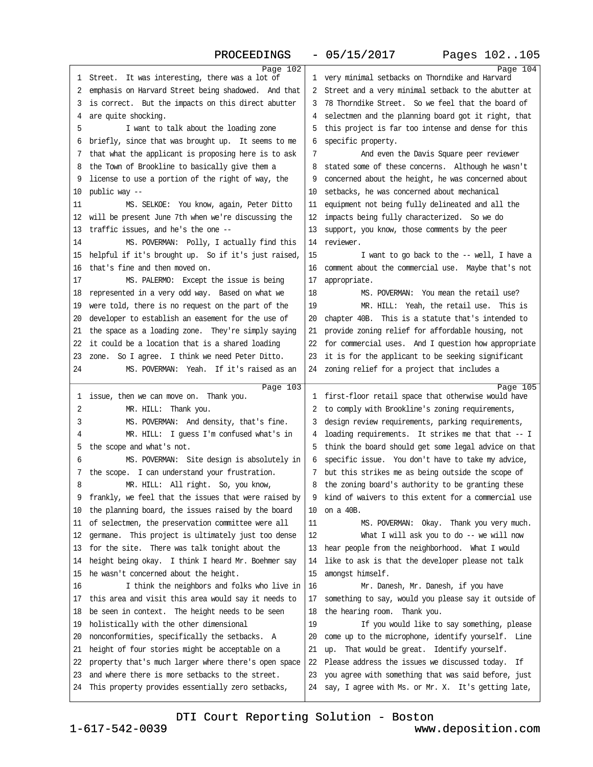| Page 102                                                                                                   |                                                                                                                 | Page 104 |
|------------------------------------------------------------------------------------------------------------|-----------------------------------------------------------------------------------------------------------------|----------|
| 1 Street. It was interesting, there was a lot of                                                           | 1 very minimal setbacks on Thomdike and Harvard                                                                 |          |
| 2 emphasis on Harvard Street being shadowed. And that                                                      | 2 Street and a very minimal setback to the abutter at                                                           |          |
| 3 is correct. But the impacts on this direct abutter                                                       | 3 78 Thorndike Street. So we feel that the board of                                                             |          |
| 4 are quite shocking.                                                                                      | 4 selectmen and the planning board got it right, that                                                           |          |
| 5<br>I want to talk about the loading zone                                                                 | 5 this project is far too intense and dense for this                                                            |          |
| 6 briefly, since that was brought up. It seems to me                                                       | 6 specific property.                                                                                            |          |
| 7 that what the applicant is proposing here is to ask                                                      | 7<br>And even the Davis Square peer reviewer                                                                    |          |
| 8 the Town of Brookline to basically give them a                                                           | 8 stated some of these concerns. Although he wasn't                                                             |          |
| 9 license to use a portion of the right of way, the                                                        | 9 concerned about the height, he was concerned about                                                            |          |
| 10 public way --                                                                                           | 10 setbacks, he was concerned about mechanical                                                                  |          |
| 11<br>MS. SELKOE: You know, again, Peter Ditto                                                             | 11 equipment not being fully delineated and all the                                                             |          |
| 12 will be present June 7th when we're discussing the                                                      | 12 impacts being fully characterized. So we do                                                                  |          |
| 13 traffic issues, and he's the one --                                                                     | 13 support, you know, those comments by the peer                                                                |          |
| 14<br>MS. POVERMAN: Polly, I actually find this                                                            | 14 reviewer.                                                                                                    |          |
| 15 helpful if it's brought up. So if it's just raised,                                                     | 15<br>I want to go back to the -- well, I have a                                                                |          |
| 16 that's fine and then moved on.                                                                          | 16 comment about the commercial use. Maybe that's not                                                           |          |
| 17<br>MS. PALERMO: Except the issue is being                                                               | 17 appropriate.                                                                                                 |          |
| 18 represented in a very odd way. Based on what we                                                         | 18<br>MS. POVERMAN: You mean the retail use?                                                                    |          |
| 19 were told, there is no request on the part of the                                                       | 19<br>MR. HILL: Yeah, the retail use. This is                                                                   |          |
| 20 developer to establish an easement for the use of                                                       | 20 chapter 40B. This is a statute that's intended to                                                            |          |
| 21 the space as a loading zone. They're simply saying                                                      | 21 provide zoning relief for affordable housing, not                                                            |          |
| 22 it could be a location that is a shared loading                                                         | 22 for commercial uses. And I question how appropriate                                                          |          |
| 23 zone. So I agree. I think we need Peter Ditto.                                                          | 23 it is for the applicant to be seeking significant                                                            |          |
| 24<br>MS. POVERMAN: Yeah. If it's raised as an                                                             | 24 zoning relief for a project that includes a                                                                  |          |
|                                                                                                            |                                                                                                                 |          |
| Page 103<br>1 issue, then we can move on. Thank you.                                                       | 1 first-floor retail space that otherwise would have                                                            | Page 105 |
| 2<br>MR. HILL: Thank you.                                                                                  | 2 to comply with Brookline's zoning requirements,                                                               |          |
| 3<br>MS. POVERMAN: And density, that's fine.                                                               | 3 design review requirements, parking requirements,                                                             |          |
| MR. HILL: I guess I'm confused what's in<br>4                                                              | 4 loading requirements. It strikes me that that -- I                                                            |          |
| 5 the scope and what's not.                                                                                | 5 think the board should get some legal advice on that                                                          |          |
| 6<br>MS. POVERMAN: Site design is absolutely in                                                            | 6 specific issue. You don't have to take my advice,                                                             |          |
| 7 the scope. I can understand your frustration.                                                            | 7 but this strikes me as being outside the scope of                                                             |          |
| MR. HILL: All right. So, you know,<br>8                                                                    | 8 the zoning board's authority to be granting these                                                             |          |
| 9 frankly, we feel that the issues that were raised by                                                     | 9 kind of waivers to this extent for a commercial use                                                           |          |
| 10 the planning board, the issues raised by the board                                                      | 10 on a 40B.                                                                                                    |          |
| 11 of selectmen, the preservation committee were all                                                       | MS. POVERMAN: Okay. Thank you very much.<br>11                                                                  |          |
| 12 germane. This project is ultimately just too dense                                                      | 12<br>What I will ask you to do -- we will now                                                                  |          |
| 13 for the site. There was talk tonight about the                                                          | 13 hear people from the neighborhood. What I would                                                              |          |
| 14 height being okay. I think I heard Mr. Boehmer say                                                      | 14 like to ask is that the developer please not talk                                                            |          |
| 15 he wasn't concerned about the height.                                                                   | 15 amongst himself.                                                                                             |          |
| I think the neighbors and folks who live in<br>16                                                          | 16<br>Mr. Danesh, Mr. Danesh, if you have                                                                       |          |
| 17 this area and visit this area would say it needs to                                                     | 17 something to say, would you please say it outside of                                                         |          |
| 18 be seen in context. The height needs to be seen                                                         | 18 the hearing room. Thank you.                                                                                 |          |
| 19 holistically with the other dimensional                                                                 | 19<br>If you would like to say something, please                                                                |          |
| 20 nonconformities, specifically the setbacks. A                                                           | 20 come up to the microphone, identify yourself. Line                                                           |          |
| 21 height of four stories might be acceptable on a                                                         | 21 up. That would be great. Identify yourself.                                                                  |          |
| 22 property that's much larger where there's open space                                                    | 22 Please address the issues we discussed today. If                                                             |          |
|                                                                                                            |                                                                                                                 |          |
|                                                                                                            |                                                                                                                 |          |
| 23 and where there is more setbacks to the street.<br>24 This property provides essentially zero setbacks, | 23 you agree with something that was said before, just<br>24 say, I agree with Ms. or Mr. X. It's getting late, |          |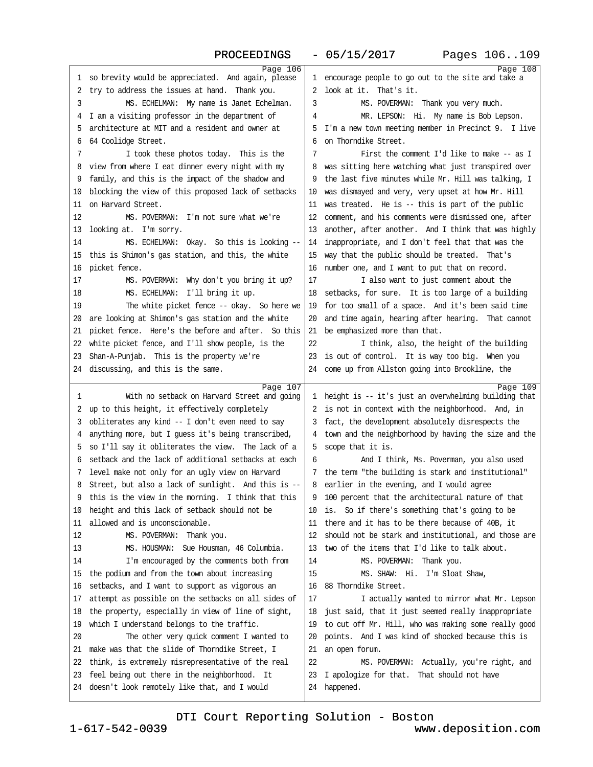| Page 106                                               |                                                         | Page 108 |
|--------------------------------------------------------|---------------------------------------------------------|----------|
| 1 so brevity would be appreciated. And again, please   | 1 encourage people to go out to the site and take a     |          |
| 2 try to address the issues at hand. Thank you.        | 2 look at it. That's it.                                |          |
| MS. ECHELMAN: My name is Janet Echelman.<br>3          | 3<br>MS. POVERMAN: Thank you very much.                 |          |
| 4 I am a visiting professor in the department of       | MR. LEPSON: Hi. My name is Bob Lepson.<br>4             |          |
| 5 architecture at MIT and a resident and owner at      | 5 I'm a new town meeting member in Precinct 9. I live   |          |
| 6 64 Coolidge Street.                                  | 6 on Thorndike Street.                                  |          |
| 7<br>I took these photos today. This is the            | 7<br>First the comment I'd like to make -- as I         |          |
| 8 view from where I eat dinner every night with my     | 8 was sitting here watching what just transpired over   |          |
| 9 family, and this is the impact of the shadow and     | 9 the last five minutes while Mr. Hill was talking, I   |          |
| 10 blocking the view of this proposed lack of setbacks | 10 was dismayed and very, very upset at how Mr. Hill    |          |
| 11 on Harvard Street.                                  | 11 was treated. He is -- this is part of the public     |          |
| 12<br>MS. POVERMAN: I'm not sure what we're            | 12 comment, and his comments were dismissed one, after  |          |
| 13 looking at. I'm sorry.                              | 13 another, after another. And I think that was highly  |          |
| 14<br>MS. ECHELMAN: Okay. So this is looking -         | 14 inappropriate, and I don't feel that that was the    |          |
| 15 this is Shimon's gas station, and this, the white   | 15 way that the public should be treated. That's        |          |
| 16 picket fence.                                       | 16 number one, and I want to put that on record.        |          |
| 17<br>MS. POVERMAN: Why don't you bring it up?         | 17<br>I also want to just comment about the             |          |
| 18<br>MS. ECHELMAN: I'll bring it up.                  | 18 setbacks, for sure. It is too large of a building    |          |
| 19<br>The white picket fence -- okay. So here we       | 19 for too small of a space. And it's been said time    |          |
| 20 are looking at Shimon's gas station and the white   | 20 and time again, hearing after hearing. That cannot   |          |
| 21 picket fence. Here's the before and after. So this  | 21 be emphasized more than that.                        |          |
| 22 white picket fence, and I'll show people, is the    | 22                                                      |          |
|                                                        | I think, also, the height of the building               |          |
| 23 Shan-A-Punjab. This is the property we're           | 23 is out of control. It is way too big. When you       |          |
| 24 discussing, and this is the same.                   | 24 come up from Allston going into Brookline, the       |          |
| Page 107                                               |                                                         | Page 109 |
| 1<br>With no setback on Harvard Street and going       | 1 height is -- it's just an overwhelming building that  |          |
| 2 up to this height, it effectively completely         | 2 is not in context with the neighborhood. And, in      |          |
| 3 obliterates any kind - I don't even need to say      | 3 fact, the development absolutely disrespects the      |          |
| 4 anything more, but I guess it's being transcribed,   | 4 town and the neighborhood by having the size and the  |          |
| 5 so I'll say it obliterates the view. The lack of a   | 5 scope that it is.                                     |          |
| 6 setback and the lack of additional setbacks at each  | And I think, Ms. Poverman, you also used<br>6           |          |
| 7 level make not only for an ugly view on Harvard      | 7 the term "the building is stark and institutional"    |          |
| 8 Street, but also a lack of sunlight. And this is --  | 8 earlier in the evening, and I would agree             |          |
| 9 this is the view in the morning. I think that this   | 9 100 percent that the architectural nature of that     |          |
| 10 height and this lack of setback should not be       | 10 is. So if there's something that's going to be       |          |
| 11 allowed and is unconscionable.                      | 11 there and it has to be there because of 40B, it      |          |
| 12<br>MS. POVERMAN: Thank you.                         | 12 should not be stark and institutional, and those are |          |
| 13<br>MS. HOUSMAN: Sue Housman, 46 Columbia.           | 13 two of the items that I'd like to talk about.        |          |
| 14<br>I'm encouraged by the comments both from         | 14<br>MS. POVERMAN: Thank you.                          |          |
| 15 the podium and from the town about increasing       | MS. SHAW: Hi. I'm Sloat Shaw,<br>15                     |          |
| 16 setbacks, and I want to support as vigorous an      | 16 88 Thorndike Street.                                 |          |
| 17 attempt as possible on the setbacks on all sides of | 17<br>I actually wanted to mirror what Mr. Lepson       |          |
| 18 the property, especially in view of line of sight,  | 18 just said, that it just seemed really inappropriate  |          |
| 19 which I understand belongs to the traffic.          | 19 to cut off Mr. Hill, who was making some really good |          |
| 20<br>The other very quick comment I wanted to         | 20 points. And I was kind of shocked because this is    |          |
| 21 make was that the slide of Thorndike Street, I      | 21 an open forum.                                       |          |
| 22 think, is extremely misrepresentative of the real   | 22<br>MS. POVERMAN: Actually, you're right, and         |          |
| 23 feel being out there in the neighborhood. It        | 23 I apologize for that. That should not have           |          |
| 24 doesn't look remotely like that, and I would        | 24 happened.                                            |          |
|                                                        |                                                         |          |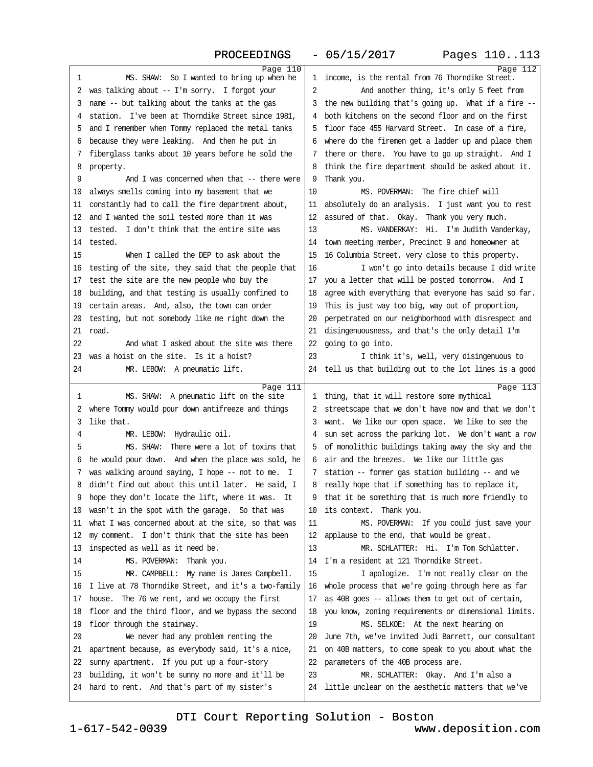| Page 110                                                                                               |                                                                                                    | Page 112 |
|--------------------------------------------------------------------------------------------------------|----------------------------------------------------------------------------------------------------|----------|
| 1<br>MS. SHAW: So I wanted to bring up when he                                                         | 1 income, is the rental from 76 Thomdike Street.                                                   |          |
| 2 was talking about -- I'm sorry. I forgot your                                                        | 2<br>And another thing, it's only 5 feet from                                                      |          |
| 3 name -- but talking about the tanks at the gas                                                       | 3 the new building that's going up. What if a fire -                                               |          |
| 4 station. I've been at Thomdike Street since 1981,                                                    | 4 both kitchens on the second floor and on the first                                               |          |
| 5 and I remember when Tommy replaced the metal tanks                                                   | 5 floor face 455 Harvard Street. In case of a fire,                                                |          |
| 6 because they were leaking. And then he put in                                                        | 6 where do the firemen get a ladder up and place them                                              |          |
| 7 fiberglass tanks about 10 years before he sold the                                                   | 7 there or there. You have to go up straight. And I                                                |          |
| 8 property.                                                                                            | 8 think the fire department should be asked about it.                                              |          |
| And I was concerned when that -- there were<br>9                                                       | 9 Thank you.                                                                                       |          |
| 10 always smells coming into my basement that we                                                       | 10<br>MS. POVERMAN: The fire chief will                                                            |          |
| 11 constantly had to call the fire department about,                                                   | 11 absolutely do an analysis. I just want you to rest                                              |          |
| 12 and I wanted the soil tested more than it was                                                       | 12 assured of that. Okay. Thank you very much.                                                     |          |
| 13 tested. I don't think that the entire site was                                                      | 13<br>MS. VANDERKAY: Hi. I'm Judith Vanderkay,                                                     |          |
| 14 tested.                                                                                             | 14 town meeting member, Precinct 9 and homeowner at                                                |          |
| 15<br>When I called the DEP to ask about the                                                           | 15 16 Columbia Street, very close to this property.                                                |          |
| 16 testing of the site, they said that the people that                                                 | 16<br>I won't go into details because I did write                                                  |          |
| 17 test the site are the new people who buy the                                                        | 17 you a letter that will be posted tomorrow. And I                                                |          |
| 18 building, and that testing is usually confined to                                                   | 18 agree with everything that everyone has said so far.                                            |          |
| 19 certain areas. And, also, the town can order                                                        | 19 This is just way too big, way out of proportion,                                                |          |
| 20 testing, but not somebody like me right down the                                                    | 20 perpetrated on our neighborhood with disrespect and                                             |          |
| 21 road.                                                                                               | 21 disingenuousness, and that's the only detail I'm                                                |          |
| 22<br>And what I asked about the site was there                                                        | 22 going to go into.                                                                               |          |
| 23 was a hoist on the site. Is it a hoist?                                                             | 23<br>I think it's, well, very disingenuous to                                                     |          |
| 24<br>MR. LEBOW: A pneumatic lift.                                                                     | 24 tell us that building out to the lot lines is a good                                            |          |
|                                                                                                        |                                                                                                    |          |
| Page 111<br>MS. SHAW: A pneumatic lift on the site<br>1                                                | 1 thing, that it will restore some mythical                                                        | Page 113 |
| 2 where Tommy would pour down antifreeze and things                                                    | 2 streetscape that we don't have now and that we don't                                             |          |
| 3 like that.                                                                                           | 3 want. We like our open space. We like to see the                                                 |          |
| MR. LEBOW: Hydraulic oil.<br>4                                                                         | 4 sun set across the parking lot. We don't want a row                                              |          |
| MS. SHAW: There were a lot of toxins that<br>5                                                         | 5 of monolithic buildings taking away the sky and the                                              |          |
| 6 he would pour down. And when the place was sold, he                                                  | 6 air and the breezes. We like our little gas                                                      |          |
| 7 was walking around saying, I hope -- not to me. I                                                    | 7 station -- former gas station building -- and we                                                 |          |
| 8 didn't find out about this until later. He said, I                                                   | 8 really hope that if something has to replace it,                                                 |          |
| 9 hope they don't locate the lift, where it was. It                                                    | 9 that it be something that is much more friendly to                                               |          |
| 10 wasn't in the spot with the garage. So that was                                                     | 10 its context. Thank you.                                                                         |          |
| 11 what I was concerned about at the site, so that was                                                 | MS. POVERMAN: If you could just save your<br>11                                                    |          |
| 12 my comment. I don't think that the site has been                                                    | 12 applause to the end, that would be great.                                                       |          |
| 13 inspected as well as it need be.                                                                    | 13<br>MR. SCHLATTER: Hi. I'm Tom Schlatter.                                                        |          |
| 14<br>MS. POVERMAN: Thank you.                                                                         | 14 I'm a resident at 121 Thomdike Street.                                                          |          |
| 15<br>MR. CAMPBELL: My name is James Campbell.                                                         | 15<br>I apologize. I'm not really clear on the                                                     |          |
| 16 I live at 78 Thomdike Street, and it's a two-family                                                 | 16 whole process that we're going through here as far                                              |          |
| 17 house. The 76 we rent, and we occupy the first                                                      | 17 as 40B goes - allows them to get out of certain,                                                |          |
| 18 floor and the third floor, and we bypass the second                                                 | 18 you know, zoning requirements or dimensional limits.                                            |          |
| 19 floor through the stairway.                                                                         | 19<br>MS. SELKOE: At the next hearing on                                                           |          |
| 20<br>We never had any problem renting the                                                             |                                                                                                    |          |
|                                                                                                        |                                                                                                    |          |
|                                                                                                        | 20 June 7th, we've invited Judi Barrett, our consultant                                            |          |
| 21 apartment because, as everybody said, it's a nice,                                                  | 21 on 40B matters, to come speak to you about what the                                             |          |
| 22 sunny apartment. If you put up a four-story                                                         | 22 parameters of the 40B process are.                                                              |          |
| 23 building, it won't be sunny no more and it'll be<br>24 hard to rent. And that's part of my sister's | 23<br>MR. SCHLATTER: Okay. And I'm also a<br>24 little unclear on the aesthetic matters that we've |          |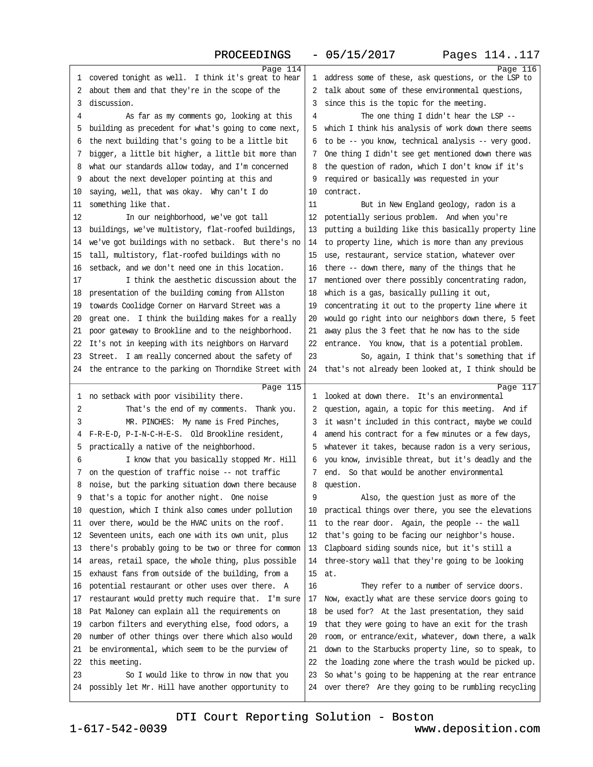| Page 114                                                                                               |                                                                                                                   | Page 116 |
|--------------------------------------------------------------------------------------------------------|-------------------------------------------------------------------------------------------------------------------|----------|
| 1 covered tonight as well. I think it's great to hear                                                  | 1 address some of these, ask questions, or the LSP to                                                             |          |
| 2 about them and that they're in the scope of the                                                      | 2 talk about some of these environmental questions,                                                               |          |
| 3 discussion.                                                                                          | 3 since this is the topic for the meeting.                                                                        |          |
| 4<br>As far as my comments go, looking at this                                                         | The one thing I didn't hear the LSP --<br>4                                                                       |          |
| 5 building as precedent for what's going to come next,                                                 | 5 which I think his analysis of work down there seems                                                             |          |
| 6 the next building that's going to be a little bit                                                    | 6 to be -- you know, technical analysis -- very good.                                                             |          |
| 7 bigger, a little bit higher, a little bit more than                                                  | 7 One thing I didn't see get mentioned down there was                                                             |          |
| 8 what our standards allow today, and I'm concerned                                                    | 8 the question of radon, which I don't know if it's                                                               |          |
| 9 about the next developer pointing at this and                                                        | 9 required or basically was requested in your                                                                     |          |
| 10 saying, well, that was okay. Why can't I do                                                         | 10 contract.                                                                                                      |          |
| 11 something like that.                                                                                | 11<br>But in New England geology, radon is a                                                                      |          |
| 12<br>In our neighborhood, we've got tall                                                              | 12 potentially serious problem. And when you're                                                                   |          |
| 13 buildings, we've multistory, flat-roofed buildings,                                                 | 13 putting a building like this basically property line                                                           |          |
| 14 we've got buildings with no setback. But there's no                                                 | 14 to property line, which is more than any previous                                                              |          |
| 15 tall, multistory, flat-roofed buildings with no                                                     | 15 use, restaurant, service station, whatever over                                                                |          |
| 16 setback, and we don't need one in this location.                                                    | 16 there -- down there, many of the things that he                                                                |          |
| I think the aesthetic discussion about the<br>17                                                       | 17 mentioned over there possibly concentrating radon,                                                             |          |
| 18 presentation of the building coming from Allston                                                    | 18 which is a gas, basically pulling it out,                                                                      |          |
| 19 towards Coolidge Corner on Harvard Street was a                                                     | 19 concentrating it out to the property line where it                                                             |          |
| 20 great one. I think the building makes for a really                                                  | 20 would go right into our neighbors down there, 5 feet                                                           |          |
| 21 poor gateway to Brookline and to the neighborhood.                                                  | 21 away plus the 3 feet that he now has to the side                                                               |          |
| 22 It's not in keeping with its neighbors on Harvard                                                   | 22 entrance. You know, that is a potential problem.                                                               |          |
| 23 Street. I am really concerned about the safety of                                                   | 23<br>So, again, I think that's something that if                                                                 |          |
| 24 the entrance to the parking on Thorndike Street with                                                | 24 that's not already been looked at, I think should be                                                           |          |
|                                                                                                        |                                                                                                                   |          |
|                                                                                                        |                                                                                                                   |          |
| Page 115                                                                                               |                                                                                                                   | Page 117 |
| 1 no setback with poor visibility there.                                                               | 1 looked at down there. It's an environmental                                                                     |          |
| 2<br>That's the end of my comments. Thank you.                                                         | 2 question, again, a topic for this meeting. And if                                                               |          |
| MR. PINCHES: My name is Fred Pinches,<br>3                                                             | 3 it wasn't included in this contract, maybe we could                                                             |          |
| 4 F-R-E-D, P-I-N-C-H-E-S. Old Brookline resident,                                                      | 4 amend his contract for a few minutes or a few days,                                                             |          |
| 5 practically a native of the neighborhood.                                                            | 5 whatever it takes, because radon is a very serious,                                                             |          |
| I know that you basically stopped Mr. Hill<br>6                                                        | 6 you know, invisible threat, but it's deadly and the                                                             |          |
| 7 on the question of traffic noise -- not traffic                                                      | 7 end. So that would be another environmental                                                                     |          |
| 8 noise, but the parking situation down there because                                                  | 8 question.                                                                                                       |          |
| 9 that's a topic for another night. One noise                                                          | Also, the question just as more of the<br>9                                                                       |          |
| 10 question, which I think also comes under pollution                                                  | 10 practical things over there, you see the elevations                                                            |          |
| 11 over there, would be the HVAC units on the roof.                                                    | 11 to the rear door. Again, the people -- the wall                                                                |          |
| 12 Seventeen units, each one with its own unit, plus                                                   | 12 that's going to be facing our neighbor's house.                                                                |          |
| 13 there's probably going to be two or three for common                                                | 13 Clapboard siding sounds nice, but it's still a                                                                 |          |
| 14 areas, retail space, the whole thing, plus possible                                                 | 14 three-story wall that they're going to be looking                                                              |          |
| 15 exhaust fans from outside of the building, from a                                                   | 15 at.                                                                                                            |          |
| 16 potential restaurant or other uses over there. A                                                    | 16<br>They refer to a number of service doors.                                                                    |          |
| 17 restaurant would pretty much require that. I'm sure                                                 | 17 Now, exactly what are these service doors going to                                                             |          |
| 18 Pat Maloney can explain all the requirements on                                                     | 18 be used for? At the last presentation, they said                                                               |          |
| 19 carbon filters and everything else, food odors, a                                                   | 19 that they were going to have an exit for the trash                                                             |          |
| 20 number of other things over there which also would                                                  | 20 room, or entrance/exit, whatever, down there, a walk                                                           |          |
| 21 be environmental, which seem to be the purview of                                                   | 21 down to the Starbucks property line, so to speak, to                                                           |          |
| 22 this meeting.                                                                                       | 22 the loading zone where the trash would be picked up.                                                           |          |
| 23<br>So I would like to throw in now that you<br>24 possibly let Mr. Hill have another opportunity to | 23 So what's going to be happening at the rear entrance<br>24 over there? Are they going to be rumbling recycling |          |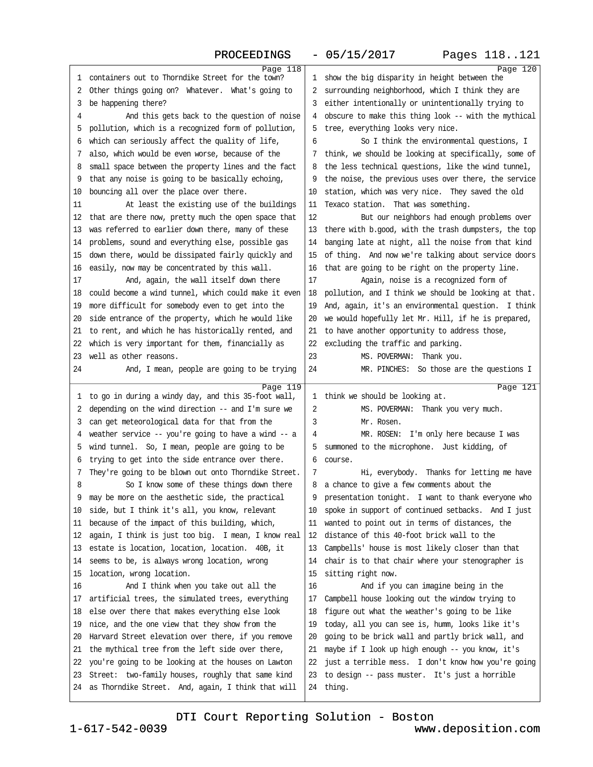| 1 containers out to Thorndike Street for the town?                                                            | Page 118 | 1 show the big disparity in height between the                 | Page 120 |
|---------------------------------------------------------------------------------------------------------------|----------|----------------------------------------------------------------|----------|
| 2 Other things going on? Whatever. What's going to                                                            |          | 2 surrounding neighborhood, which I think they are             |          |
| 3 be happening there?                                                                                         |          | 3 either intentionally or unintentionally trying to            |          |
| 4<br>And this gets back to the question of noise                                                              |          | 4 obscure to make this thing look -- with the mythical         |          |
| 5 pollution, which is a recognized form of pollution,                                                         |          | 5 tree, everything looks very nice.                            |          |
| 6 which can seriously affect the quality of life,                                                             |          | So I think the environmental questions, I<br>6                 |          |
| 7 also, which would be even worse, because of the                                                             |          | 7 think, we should be looking at specifically, some of         |          |
| 8 small space between the property lines and the fact                                                         |          | 8 the less technical questions, like the wind tunnel,          |          |
| 9 that any noise is going to be basically echoing,                                                            |          | 9 the noise, the previous uses over there, the service         |          |
| 10 bouncing all over the place over there.                                                                    |          | 10 station, which was very nice. They saved the old            |          |
| 11<br>At least the existing use of the buildings                                                              |          | 11 Texaco station. That was something.                         |          |
| 12 that are there now, pretty much the open space that                                                        |          | 12<br>But our neighbors had enough problems over               |          |
| 13 was referred to earlier down there, many of these                                                          |          | 13 there with b.good, with the trash dumpsters, the top        |          |
| 14 problems, sound and everything else, possible gas                                                          |          | 14 banging late at night, all the noise from that kind         |          |
| 15 down there, would be dissipated fairly quickly and                                                         |          | 15 of thing. And now we're talking about service doors         |          |
| 16 easily, now may be concentrated by this wall.                                                              |          | 16 that are going to be right on the property line.            |          |
| And, again, the wall itself down there<br>17                                                                  |          | 17<br>Again, noise is a recognized form of                     |          |
| 18 could become a wind tunnel, which could make it even                                                       |          | 18 pollution, and I think we should be looking at that.        |          |
| 19 more difficult for somebody even to get into the                                                           |          | 19 And, again, it's an environmental question. I think         |          |
| 20 side entrance of the property, which he would like                                                         |          | 20 we would hopefully let Mr. Hill, if he is prepared,         |          |
| 21 to rent, and which he has historically rented, and                                                         |          | 21 to have another opportunity to address those,               |          |
| 22 which is very important for them, financially as                                                           |          | 22 excluding the traffic and parking.                          |          |
| 23 well as other reasons.                                                                                     |          | 23<br>MS. POVERMAN: Thank you.                                 |          |
| 24<br>And, I mean, people are going to be trying                                                              |          | 24<br>MR. PINCHES: So those are the questions I                |          |
|                                                                                                               | Page 119 |                                                                | Page 121 |
| 1 to go in during a windy day, and this 35-foot wall,                                                         |          | 1 think we should be looking at.                               |          |
| 2 depending on the wind direction -- and I'm sure we                                                          |          | 2<br>MS. POVERMAN: Thank you very much.                        |          |
| 3 can get meteorological data for that from the                                                               |          | Mr. Rosen.<br>3                                                |          |
| 4 weather service -- you're going to have a wind -- a                                                         |          | MR. ROSEN: I'm only here because I was<br>4                    |          |
| 5 wind tunnel. So, I mean, people are going to be                                                             |          | 5 summoned to the microphone. Just kidding, of                 |          |
| 6 trying to get into the side entrance over there.                                                            |          | 6 course.                                                      |          |
| 7 They're going to be blown out onto Thorndike Street.                                                        |          | 7<br>Hi, everybody. Thanks for letting me have                 |          |
| 8<br>So I know some of these things down there                                                                |          | 8 a chance to give a few comments about the                    |          |
| 9 may be more on the aesthetic side, the practical                                                            |          | 9 presentation tonight. I want to thank everyone who           |          |
| 10 side, but I think it's all, you know, relevant                                                             |          | 10 spoke in support of continued setbacks. And I just          |          |
| 11 because of the impact of this building, which,                                                             |          |                                                                |          |
|                                                                                                               |          | 11 wanted to point out in terms of distances, the              |          |
| 12 again, I think is just too big. I mean, I know real                                                        |          | 12 distance of this 40-foot brick wall to the                  |          |
| 13 estate is location, location, location. 40B, it                                                            |          | 13 Campbells' house is most likely closer than that            |          |
| 14 seems to be, is always wrong location, wrong                                                               |          | 14 chair is to that chair where your stenographer is           |          |
| 15 location, wrong location.                                                                                  |          | 15 sitting right now.                                          |          |
| 16<br>And I think when you take out all the                                                                   |          | 16<br>And if you can imagine being in the                      |          |
| 17 artificial trees, the simulated trees, everything                                                          |          | 17 Campbell house looking out the window trying to             |          |
| 18 else over there that makes everything else look                                                            |          | 18 figure out what the weather's going to be like              |          |
| 19 nice, and the one view that they show from the                                                             |          | 19 today, all you can see is, humm, looks like it's            |          |
| 20 Harvard Street elevation over there, if you remove                                                         |          | 20 going to be brick wall and partly brick wall, and           |          |
| 21 the mythical tree from the left side over there,                                                           |          | 21 maybe if I look up high enough -- you know, it's            |          |
| 22 you're going to be looking at the houses on Lawton                                                         |          | 22 just a terrible mess. I don't know how you're going         |          |
| 23 Street: two-family houses, roughly that same kind<br>24 as Thorndike Street. And, again, I think that will |          | 23 to design -- pass muster. It's just a horrible<br>24 thing. |          |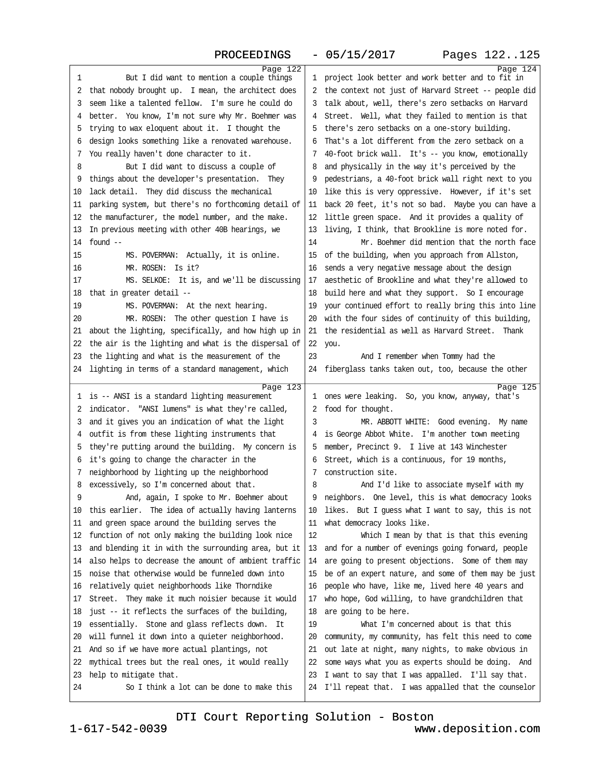| Page 122                                                                     |                                                                                                                | Page 124 |
|------------------------------------------------------------------------------|----------------------------------------------------------------------------------------------------------------|----------|
| 1<br>But I did want to mention a couple things                               | 1 project look better and work better and to fit in                                                            |          |
| 2 that nobody brought up. I mean, the architect does                         | 2 the context not just of Harvard Street -- people did                                                         |          |
| 3 seem like a talented fellow. I'm sure he could do                          | 3 talk about, well, there's zero setbacks on Harvard                                                           |          |
| 4 better. You know, I'm not sure why Mr. Boehmer was                         | 4 Street. Well, what they failed to mention is that                                                            |          |
| 5 trying to wax eloquent about it. I thought the                             | 5 there's zero setbacks on a one-story building.                                                               |          |
| 6 design looks something like a renovated warehouse.                         | 6 That's a lot different from the zero setback on a                                                            |          |
| 7 You really haven't done character to it.                                   | 7 40-foot brick wall. It's -- you know, emotionally                                                            |          |
| 8<br>But I did want to discuss a couple of                                   | 8 and physically in the way it's perceived by the                                                              |          |
| 9 things about the developer's presentation. They                            | 9 pedestrians, a 40-foot brick wall right next to you                                                          |          |
| 10 lack detail. They did discuss the mechanical                              | 10 like this is very oppressive. However, if it's set                                                          |          |
| 11 parking system, but there's no forthcoming detail of                      | 11 back 20 feet, it's not so bad. Maybe you can have a                                                         |          |
| 12 the manufacturer, the model number, and the make.                         | 12 little green space. And it provides a quality of                                                            |          |
|                                                                              |                                                                                                                |          |
| 13 In previous meeting with other 40B hearings, we                           | 13 living, I think, that Brookline is more noted for.<br>Mr. Boehmer did mention that the north face<br>14     |          |
| 14 found $-$                                                                 |                                                                                                                |          |
| 15<br>MS. POVERMAN: Actually, it is online.                                  | 15 of the building, when you approach from Allston,                                                            |          |
| 16<br>MR. ROSEN: Is it?                                                      | 16 sends a very negative message about the design                                                              |          |
| 17<br>MS. SELKOE: It is, and we'll be discussing                             | 17 aesthetic of Brookline and what they're allowed to                                                          |          |
| 18 that in greater detail --                                                 | 18 build here and what they support. So I encourage                                                            |          |
| 19<br>MS. POVERMAN: At the next hearing.                                     | 19 your continued effort to really bring this into line                                                        |          |
| MR. ROSEN: The other question I have is<br>20                                | 20 with the four sides of continuity of this building,                                                         |          |
| 21 about the lighting, specifically, and how high up in                      | 21 the residential as well as Harvard Street. Thank                                                            |          |
| 22 the air is the lighting and what is the dispersal of                      | 22 you.                                                                                                        |          |
| 23 the lighting and what is the measurement of the                           | 23<br>And I remember when Tommy had the                                                                        |          |
| 24 lighting in terms of a standard management, which                         | 24 fiberglass tanks taken out, too, because the other                                                          |          |
|                                                                              |                                                                                                                |          |
|                                                                              |                                                                                                                |          |
| Page 123<br>1 is -- ANSI is a standard lighting measurement                  | 1 ones were leaking. So, you know, anyway, that's                                                              | Page 125 |
| 2 indicator. "ANSI lumens" is what they're called,                           | 2 food for thought.                                                                                            |          |
| 3 and it gives you an indication of what the light                           | 3<br>MR. ABBOTT WHITE: Good evening. My name                                                                   |          |
| 4 outfit is from these lighting instruments that                             | 4 is George Abbot White. I'm another town meeting                                                              |          |
| 5 they're putting around the building. My concern is                         | 5 member, Precinct 9. I live at 143 Winchester                                                                 |          |
| 6 it's going to change the character in the                                  | 6 Street, which is a continuous, for 19 months,                                                                |          |
| 7 neighborhood by lighting up the neighborhood                               | 7 construction site.                                                                                           |          |
| 8 excessively, so I'm concerned about that.                                  | 8<br>And I'd like to associate myself with my                                                                  |          |
| 9<br>And, again, I spoke to Mr. Boehmer about                                | 9 neighbors. One level, this is what democracy looks                                                           |          |
| 10 this earlier. The idea of actually having lanterns                        | 10 likes. But I guess what I want to say, this is not                                                          |          |
| 11 and green space around the building serves the                            | 11 what democracy looks like.                                                                                  |          |
| 12 function of not only making the building look nice                        | 12<br>Which I mean by that is that this evening                                                                |          |
| 13 and blending it in with the surrounding area, but it                      | 13 and for a number of evenings going forward, people                                                          |          |
|                                                                              |                                                                                                                |          |
| 14 also helps to decrease the amount of ambient traffic                      | 14 are going to present objections. Some of them may                                                           |          |
| 15 noise that otherwise would be funneled down into                          | 15 be of an expert nature, and some of them may be just                                                        |          |
| 16 relatively quiet neighborhoods like Thorndike                             | 16 people who have, like me, lived here 40 years and                                                           |          |
| 17 Street. They make it much noisier because it would                        | 17 who hope, God willing, to have grandchildren that                                                           |          |
| 18 just -- it reflects the surfaces of the building,                         | 18 are going to be here.                                                                                       |          |
| 19 essentially. Stone and glass reflects down. It                            | 19<br>What I'm concerned about is that this                                                                    |          |
| 20 will funnel it down into a quieter neighborhood.                          | 20 community, my community, has felt this need to come                                                         |          |
| 21 And so if we have more actual plantings, not                              | 21 out late at night, many nights, to make obvious in                                                          |          |
| 22 mythical trees but the real ones, it would really                         | 22 some ways what you as experts should be doing. And                                                          |          |
| 23 help to mitigate that.<br>24<br>So I think a lot can be done to make this | 23 I want to say that I was appalled. I'll say that.<br>24 I'll repeat that. I was appalled that the counselor |          |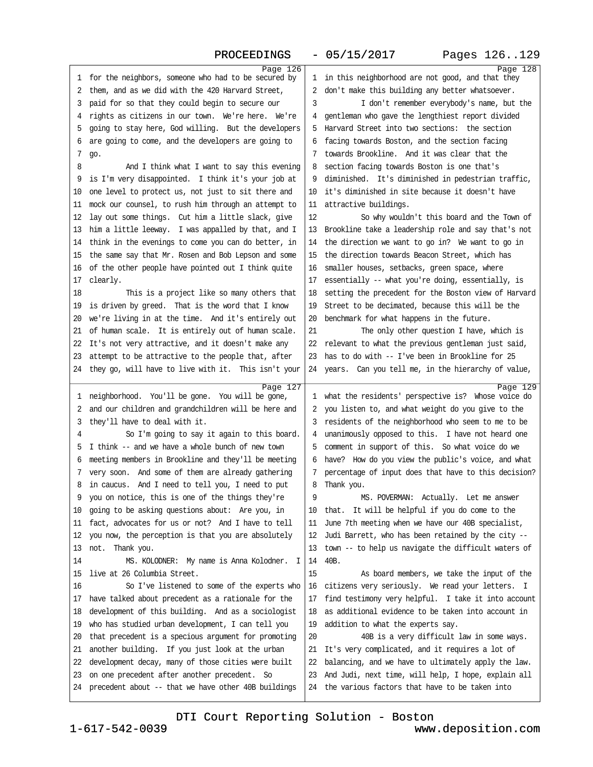| 1 for the neighbors, someone who had to be secured by  | Page 126 | 1 in this neighborhood are not good, and that they      | Page 128 |
|--------------------------------------------------------|----------|---------------------------------------------------------|----------|
| 2 them, and as we did with the 420 Harvard Street,     |          | 2 don't make this building any better whatsoever.       |          |
| 3 paid for so that they could begin to secure our      |          | 3<br>I don't remember everybody's name, but the         |          |
| 4 rights as citizens in our town. We're here. We're    |          | 4 gentleman who gave the lengthiest report divided      |          |
| 5 going to stay here, God willing. But the developers  |          | 5 Harvard Street into two sections: the section         |          |
| 6 are going to come, and the developers are going to   |          | 6 facing towards Boston, and the section facing         |          |
| 7 go.                                                  |          | 7 towards Brookline. And it was clear that the          |          |
| 8<br>And I think what I want to say this evening       |          | 8 section facing towards Boston is one that's           |          |
| 9 is I'm very disappointed. I think it's your job at   |          | 9 diminished. It's diminished in pedestrian traffic,    |          |
| 10 one level to protect us, not just to sit there and  |          | 10 it's diminished in site because it doesn't have      |          |
| 11 mock our counsel, to rush him through an attempt to |          | 11 attractive buildings.                                |          |
| 12 lay out some things. Cut him a little slack, give   |          | 12<br>So why wouldn't this board and the Town of        |          |
| 13 him a little leeway. I was appalled by that, and I  |          | 13 Brookline take a leadership role and say that's not  |          |
| 14 think in the evenings to come you can do better, in |          | 14 the direction we want to go in? We want to go in     |          |
| 15 the same say that Mr. Rosen and Bob Lepson and some |          | 15 the direction towards Beacon Street, which has       |          |
| 16 of the other people have pointed out I think quite  |          | 16 smaller houses, setbacks, green space, where         |          |
| 17 clearly.                                            |          | 17 essentially -- what you're doing, essentially, is    |          |
| 18<br>This is a project like so many others that       |          | 18 setting the precedent for the Boston view of Harvard |          |
| 19 is driven by greed. That is the word that I know    |          | 19 Street to be decimated, because this will be the     |          |
| 20 we're living in at the time. And it's entirely out  |          | 20 benchmark for what happens in the future.            |          |
| 21 of human scale. It is entirely out of human scale.  |          | 21<br>The only other question I have, which is          |          |
| 22 It's not very attractive, and it doesn't make any   |          | 22 relevant to what the previous gentleman just said,   |          |
| 23 attempt to be attractive to the people that, after  |          | 23 has to do with -- I've been in Brookline for 25      |          |
| 24 they go, will have to live with it. This isn't your |          | 24 years. Can you tell me, in the hierarchy of value,   |          |
|                                                        |          |                                                         |          |
|                                                        |          |                                                         |          |
|                                                        | Page 127 |                                                         | Page 129 |
| 1 neighborhood. You'll be gone. You will be gone,      |          | 1 what the residents' perspective is? Whose voice do    |          |
| 2 and our children and grandchildren will be here and  |          | 2 you listen to, and what weight do you give to the     |          |
| 3 they'll have to deal with it.                        |          | 3 residents of the neighborhood who seem to me to be    |          |
| So I'm going to say it again to this board.<br>4       |          | 4 unanimously opposed to this. I have not heard one     |          |
| 5 I think -- and we have a whole bunch of new town     |          | 5 comment in support of this. So what voice do we       |          |
| 6 meeting members in Brookline and they'll be meeting  |          | 6 have? How do you view the public's voice, and what    |          |
| 7 very soon. And some of them are already gathering    |          | 7 percentage of input does that have to this decision?  |          |
| 8 in caucus. And I need to tell you, I need to put     |          | 8 Thank you.                                            |          |
| 9 you on notice, this is one of the things they're     |          | 9<br>MS. POVERMAN: Actually. Let me answer              |          |
| 10 going to be asking questions about: Are you, in     |          | 10 that. It will be helpful if you do come to the       |          |
| 11 fact, advocates for us or not? And I have to tell   |          | 11 June 7th meeting when we have our 40B specialist,    |          |
| 12 you now, the perception is that you are absolutely  |          | 12 Judi Barrett, who has been retained by the city -    |          |
| 13 not. Thank you.                                     |          | 13 town -- to help us navigate the difficult waters of  |          |
| 14<br>MS. KOLODNER: My name is Anna Kolodner. I        |          | 14 40B.                                                 |          |
| 15 live at 26 Columbia Street.                         |          | 15<br>As board members, we take the input of the        |          |
| So I've listened to some of the experts who<br>16      |          | 16 citizens very seriously. We read your letters. I     |          |
| 17 have talked about precedent as a rationale for the  |          | 17 find testimony very helpful. I take it into account  |          |
| 18 development of this building. And as a sociologist  |          | 18 as additional evidence to be taken into account in   |          |
| 19 who has studied urban development, I can tell you   |          | 19 addition to what the experts say.                    |          |
| 20 that precedent is a specious argument for promoting |          | 40B is a very difficult law in some ways.<br>20         |          |
| 21 another building. If you just look at the urban     |          | 21 It's very complicated, and it requires a lot of      |          |
| 22 development decay, many of those cities were built  |          | 22 balancing, and we have to ultimately apply the law.  |          |
| 23 on one precedent after another precedent. So        |          | 23 And Judi, next time, will help, I hope, explain all  |          |
| 24 precedent about -- that we have other 40B buildings |          | 24 the various factors that have to be taken into       |          |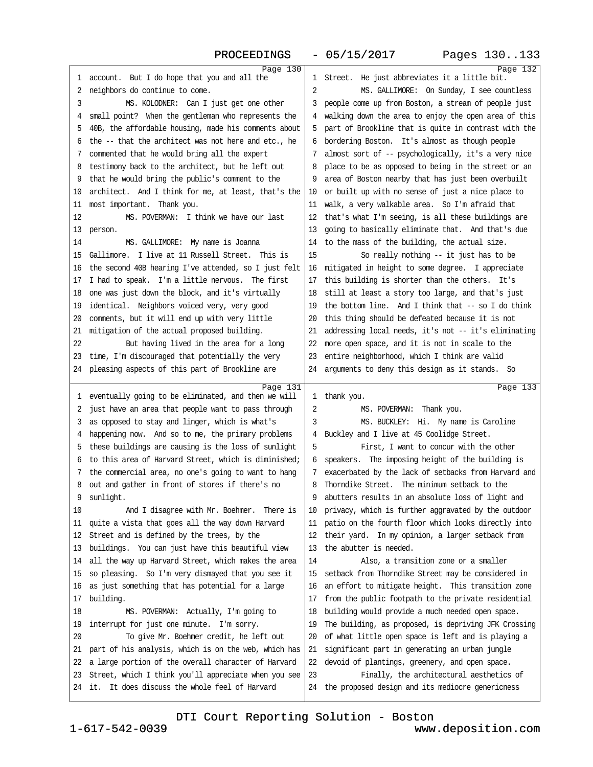| Page 130                                                |                                                         | Page 132 |
|---------------------------------------------------------|---------------------------------------------------------|----------|
| 1 account. But I do hope that you and all the           | 1 Street. He just abbreviates it a little bit.          |          |
| 2 neighbors do continue to come.                        | 2<br>MS. GALLIMORE: On Sunday, I see countless          |          |
| MS. KOLODNER: Can I just get one other<br>3             | 3 people come up from Boston, a stream of people just   |          |
| 4 small point? When the gentleman who represents the    | 4 walking down the area to enjoy the open area of this  |          |
| 5 40B, the affordable housing, made his comments about  | 5 part of Brookline that is quite in contrast with the  |          |
| 6 the -- that the architect was not here and etc., he   | 6 bordering Boston. It's almost as though people        |          |
| 7 commented that he would bring all the expert          | 7 almost sort of -- psychologically, it's a very nice   |          |
| 8 testimony back to the architect, but he left out      | 8 place to be as opposed to being in the street or an   |          |
| 9 that he would bring the public's comment to the       | 9 area of Boston nearby that has just been overbuilt    |          |
| 10 architect. And I think for me, at least, that's the  | 10 or built up with no sense of just a nice place to    |          |
| 11 most important. Thank you.                           | 11 walk, a very walkable area. So I'm afraid that       |          |
| 12<br>MS. POVERMAN: I think we have our last            | 12 that's what I'm seeing, is all these buildings are   |          |
|                                                         | 13 going to basically eliminate that. And that's due    |          |
| 13 person.                                              |                                                         |          |
| 14<br>MS. GALLIMORE: My name is Joanna                  | 14 to the mass of the building, the actual size.        |          |
| 15 Gallimore. I live at 11 Russell Street. This is      | 15<br>So really nothing -- it just has to be            |          |
| 16 the second 40B hearing I've attended, so I just felt | 16 mitigated in height to some degree. I appreciate     |          |
| 17 I had to speak. I'm a little nervous. The first      | 17 this building is shorter than the others. It's       |          |
| 18 one was just down the block, and it's virtually      | 18 still at least a story too large, and that's just    |          |
| 19 identical. Neighbors voiced very, very good          | 19 the bottom line. And I think that -- so I do think   |          |
| 20 comments, but it will end up with very little        | 20 this thing should be defeated because it is not      |          |
| 21 mitigation of the actual proposed building.          | 21 addressing local needs, it's not -- it's eliminating |          |
| 22<br>But having lived in the area for a long           | 22 more open space, and it is not in scale to the       |          |
| 23 time, I'm discouraged that potentially the very      | 23 entire neighborhood, which I think are valid         |          |
| 24 pleasing aspects of this part of Brookline are       | 24 arguments to deny this design as it stands. So       |          |
|                                                         |                                                         |          |
|                                                         |                                                         |          |
| Page 131                                                | 1 thank you.                                            | Page 133 |
| 1 eventually going to be eliminated, and then we will   | 2                                                       |          |
| 2 just have an area that people want to pass through    | MS. POVERMAN: Thank you.                                |          |
| 3 as opposed to stay and linger, which is what's        | MS. BUCKLEY: Hi. My name is Caroline<br>3               |          |
| 4 happening now. And so to me, the primary problems     | 4 Buckley and I live at 45 Coolidge Street.             |          |
| 5 these buildings are causing is the loss of sunlight   | 5<br>First, I want to concur with the other             |          |
| 6 to this area of Harvard Street, which is diminished;  | 6 speakers. The imposing height of the building is      |          |
| 7 the commercial area, no one's going to want to hang   | 7 exacerbated by the lack of setbacks from Harvard and  |          |
| 8 out and gather in front of stores if there's no       | 8 Thorndike Street. The minimum setback to the          |          |
| 9 sunlight.                                             | 9 abutters results in an absolute loss of light and     |          |
| And I disagree with Mr. Boehmer. There is<br>10         | 10 privacy, which is further aggravated by the outdoor  |          |
| 11 quite a vista that goes all the way down Harvard     | 11 patio on the fourth floor which looks directly into  |          |
| 12 Street and is defined by the trees, by the           | 12 their yard. In my opinion, a larger setback from     |          |
| 13 buildings. You can just have this beautiful view     | 13 the abutter is needed.                               |          |
| 14 all the way up Harvard Street, which makes the area  | 14<br>Also, a transition zone or a smaller              |          |
| 15 so pleasing. So I'm very dismayed that you see it    | 15 setback from Thorndike Street may be considered in   |          |
| 16 as just something that has potential for a large     | 16 an effort to mitigate height. This transition zone   |          |
| 17 building.                                            | 17 from the public footpath to the private residential  |          |
| 18<br>MS. POVERMAN: Actually, I'm going to              | 18 building would provide a much needed open space.     |          |
| 19 interrupt for just one minute. I'm sorry.            | 19 The building, as proposed, is depriving JFK Crossing |          |
| 20<br>To give Mr. Boehmer credit, he left out           | 20 of what little open space is left and is playing a   |          |
| 21 part of his analysis, which is on the web, which has | 21 significant part in generating an urban jungle       |          |
| 22 a large portion of the overall character of Harvard  | 22 devoid of plantings, greenery, and open space.       |          |
| 23 Street, which I think you'll appreciate when you see | 23<br>Finally, the architectural aesthetics of          |          |
| 24 it. It does discuss the whole feel of Harvard        | 24 the proposed design and its mediocre genericness     |          |

www.deposition.com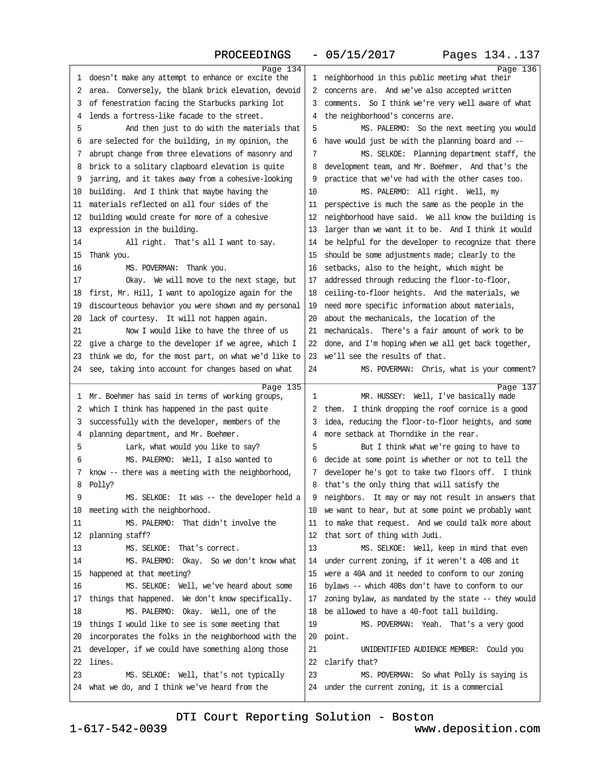| Page 134<br>1 doesn't make any attempt to enhance or excite the | Page 136<br>1 neighborhood in this public meeting what their |  |
|-----------------------------------------------------------------|--------------------------------------------------------------|--|
| 2 area. Conversely, the blank brick elevation, devoid           | 2 concerns are. And we've also accepted written              |  |
| 3 of fenestration facing the Starbucks parking lot              | 3 comments. So I think we're very well aware of what         |  |
| 4 lends a fortress-like facade to the street.                   | 4 the neighborhood's concerns are.                           |  |
| 5<br>And then just to do with the materials that                | 5<br>MS. PALERMO: So the next meeting you would              |  |
| 6 are selected for the building, in my opinion, the             | 6 have would just be with the planning board and -           |  |
| 7 abrupt change from three elevations of masonry and            | MS. SELKOE: Planning department staff, the<br>7              |  |
| 8 brick to a solitary clapboard elevation is quite              | 8 development team, and Mr. Boehmer. And that's the          |  |
| 9 jarring, and it takes away from a cohesive-looking            | 9 practice that we've had with the other cases too.          |  |
|                                                                 | MS. PALERMO: All right. Well, my<br>10                       |  |
| 10 building. And I think that maybe having the                  |                                                              |  |
| 11 materials reflected on all four sides of the                 | 11 perspective is much the same as the people in the         |  |
| 12 building would create for more of a cohesive                 | 12 neighborhood have said. We all know the building is       |  |
| 13 expression in the building.                                  | 13 larger than we want it to be. And I think it would        |  |
| 14<br>All right. That's all I want to say.                      | 14 be helpful for the developer to recognize that there      |  |
| 15 Thank you.                                                   | 15 should be some adjustments made; clearly to the           |  |
| 16<br>MS. POVERMAN: Thank you.                                  | 16 setbacks, also to the height, which might be              |  |
| 17<br>Okay. We will move to the next stage, but                 | 17 addressed through reducing the floor-to-floor,            |  |
| 18 first, Mr. Hill, I want to apologize again for the           | 18 ceiling-to-floor heights. And the materials, we           |  |
| 19 discourteous behavior you were shown and my personal         | 19 need more specific information about materials,           |  |
| 20 lack of courtesy. It will not happen again.                  | 20 about the mechanicals, the location of the                |  |
| Now I would like to have the three of us<br>21                  | 21 mechanicals. There's a fair amount of work to be          |  |
| 22 give a charge to the developer if we agree, which I          | 22 done, and I'm hoping when we all get back together,       |  |
| 23 think we do, for the most part, on what we'd like to         | 23 we'll see the results of that.                            |  |
| 24 see, taking into account for changes based on what           | MS. POVERMAN: Chris, what is your comment?<br>24             |  |
| Page 135                                                        | Page 137                                                     |  |
| 1 Mr. Boehmer has said in terms of working groups,              | MR. HUSSEY: Well, I've basically made<br>1                   |  |
| 2 which I think has happened in the past quite                  | 2 them. I think dropping the roof cornice is a good          |  |
| 3 successfully with the developer, members of the               | 3 idea, reducing the floor-to-floor heights, and some        |  |
| 4 planning department, and Mr. Boehmer.                         | 4 more setback at Thorndike in the rear.                     |  |
| Lark, what would you like to say?<br>5                          | 5<br>But I think what we're going to have to                 |  |
| MS. PALERMO: Well, I also wanted to<br>6                        | 6 decide at some point is whether or not to tell the         |  |
| 7 know - there was a meeting with the neighborhood,             | 7 developer he's got to take two floors off. I think         |  |
| 8 Polly?                                                        | 8 that's the only thing that will satisfy the                |  |
| 9<br>MS. SELKOE: It was -- the developer held a                 | 9 neighbors. It may or may not result in answers that        |  |
| 10 meeting with the neighborhood.                               | 10 we want to hear, but at some point we probably want       |  |
| 11<br>MS. PALERMO: That didn't involve the                      | 11 to make that request. And we could talk more about        |  |
| 12 planning staff?                                              | 12 that sort of thing with Judi.                             |  |
| 13<br>MS. SELKOE: That's correct.                               | 13<br>MS. SELKOE: Well, keep in mind that even               |  |
| 14<br>MS. PALERMO: Okay. So we don't know what                  | 14 under current zoning, if it weren't a 40B and it          |  |
| 15 happened at that meeting?                                    | 15 were a 40A and it needed to conform to our zoning         |  |
| MS. SELKOE: Well, we've heard about some<br>16                  | 16 bylaws -- which 40Bs don't have to conform to our         |  |
| 17 things that happened. We don't know specifically.            | 17 zoning bylaw, as mandated by the state - they would       |  |
| MS. PALERMO: Okay. Well, one of the<br>18                       | 18 be allowed to have a 40-foot tall building.               |  |
| 19 things I would like to see is some meeting that              | 19<br>MS. POVERMAN: Yeah. That's a very good                 |  |
| 20 incorporates the folks in the neighborhood with the          | 20 point.                                                    |  |
| 21 developer, if we could have something along those            | 21<br>UNIDENTIFIED AUDIENCE MEMBER: Could you                |  |
| 22 lines.                                                       |                                                              |  |
|                                                                 | 22 clarify that?                                             |  |
| 23<br>MS. SELKOE: Well, that's not typically                    | 23<br>MS. POVERMAN: So what Polly is saying is               |  |
| 24 what we do, and I think we've heard from the                 | 24 under the current zoning, it is a commercial              |  |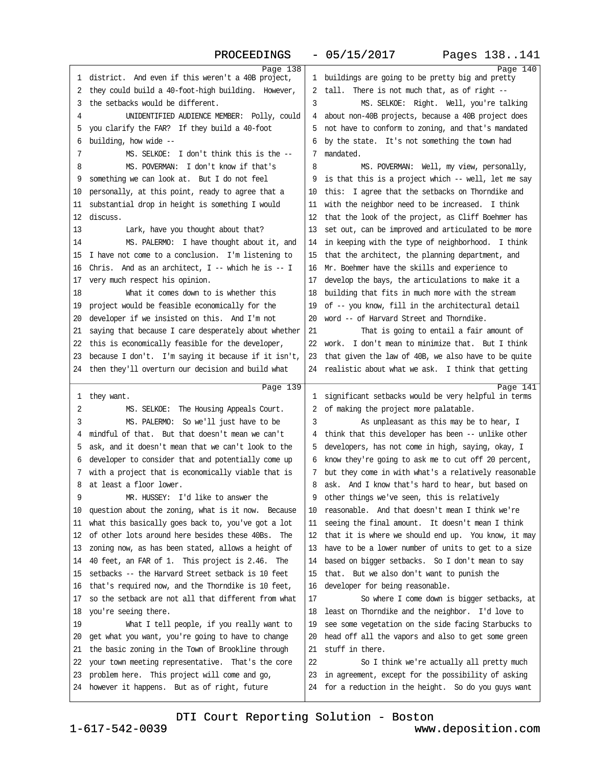| Page 138<br>1 district. And even if this weren't a 40B project,                                              | Page 140<br>1 buildings are going to be pretty big and pretty |
|--------------------------------------------------------------------------------------------------------------|---------------------------------------------------------------|
| 2 they could build a 40-foot-high building. However,                                                         | 2 tall. There is not much that, as of right --                |
| 3 the setbacks would be different.                                                                           | MS. SELKOE: Right. Well, you're talking<br>3                  |
| UNIDENTIFIED AUDIENCE MEMBER: Polly, could<br>4                                                              | 4 about non-40B projects, because a 40B project does          |
| 5 you clarify the FAR? If they build a 40-foot                                                               | 5 not have to conform to zoning, and that's mandated          |
| 6 building, how wide --                                                                                      | 6 by the state. It's not something the town had               |
| MS. SELKOE: I don't think this is the --<br>7                                                                | 7 mandated.                                                   |
| MS. POVERMAN: I don't know if that's<br>8                                                                    | 8<br>MS. POVERMAN: Well, my view, personally,                 |
| 9 something we can look at. But I do not feel                                                                | 9 is that this is a project which -- well, let me say         |
| 10 personally, at this point, ready to agree that a                                                          | 10 this: I agree that the setbacks on Thorndike and           |
| 11 substantial drop in height is something I would                                                           | 11 with the neighbor need to be increased. I think            |
| 12 discuss.                                                                                                  | 12 that the look of the project, as Cliff Boehmer has         |
| 13<br>Lark, have you thought about that?                                                                     | 13 set out, can be improved and articulated to be more        |
| MS. PALERMO: I have thought about it, and<br>14                                                              | 14 in keeping with the type of neighborhood. I think          |
| 15 I have not come to a conclusion. I'm listening to                                                         | 15 that the architect, the planning department, and           |
| 16 Chris. And as an architect, I -- which he is -- I                                                         | 16 Mr. Boehmer have the skills and experience to              |
| 17 very much respect his opinion.                                                                            | 17 develop the bays, the articulations to make it a           |
| What it comes down to is whether this<br>18                                                                  | 18 building that fits in much more with the stream            |
| 19 project would be feasible economically for the                                                            | 19 of -- you know, fill in the architectural detail           |
| 20 developer if we insisted on this. And I'm not                                                             | 20 word -- of Harvard Street and Thorndike.                   |
| 21 saying that because I care desperately about whether                                                      | 21<br>That is going to entail a fair amount of                |
| 22 this is economically feasible for the developer,                                                          | 22 work. I don't mean to minimize that. But I think           |
| 23 because I don't. I'm saying it because if it isn't,                                                       | 23 that given the law of 40B, we also have to be quite        |
| 24 then they'll overturn our decision and build what                                                         | 24 realistic about what we ask. I think that getting          |
|                                                                                                              |                                                               |
| Page 139                                                                                                     | Page 141                                                      |
| 1 they want.                                                                                                 | 1 significant setbacks would be very helpful in terms         |
| 2<br>MS. SELKOE: The Housing Appeals Court.<br>3                                                             | 2 of making the project more palatable.                       |
| MS. PALERMO: So we'll just have to be<br>4 mindful of that. But that doesn't mean we can't                   | 3<br>As unpleasant as this may be to hear, I                  |
| 5 ask, and it doesn't mean that we can't look to the                                                         | 4 think that this developer has been -- unlike other          |
|                                                                                                              | 5 developers, has not come in high, saying, okay, I           |
| 6 developer to consider that and potentially come up<br>7 with a project that is economically viable that is | 6 know they're going to ask me to cut off 20 percent,         |
| 8 at least a floor lower.                                                                                    | 7 but they come in with what's a relatively reasonable        |
| MR. HUSSEY: I'd like to answer the                                                                           | 8 ask. And I know that's hard to hear, but based on           |
| 9                                                                                                            | 9 other things we've seen, this is relatively                 |
| 10 question about the zoning, what is it now. Because                                                        | 10 reasonable. And that doesn't mean I think we're            |
| 11 what this basically goes back to, you've got a lot                                                        | 11 seeing the final amount. It doesn't mean I think           |
| 12 of other lots around here besides these 40Bs. The                                                         | 12 that it is where we should end up. You know, it may        |
| 13 zoning now, as has been stated, allows a height of                                                        | 13 have to be a lower number of units to get to a size        |
| 14 40 feet, an FAR of 1. This project is 2.46. The                                                           | 14 based on bigger setbacks. So I don't mean to say           |
| 15 setbacks -- the Harvard Street setback is 10 feet                                                         | 15 that. But we also don't want to punish the                 |
| 16 that's required now, and the Thorndike is 10 feet,                                                        | 16 developer for being reasonable.                            |
| 17 so the setback are not all that different from what                                                       | So where I come down is bigger setbacks, at<br>17             |
| 18 you're seeing there.                                                                                      | 18 least on Thorndike and the neighbor. I'd love to           |
| 19<br>What I tell people, if you really want to                                                              | 19 see some vegetation on the side facing Starbucks to        |
| 20 get what you want, you're going to have to change                                                         | 20 head off all the vapors and also to get some green         |
| 21 the basic zoning in the Town of Brookline through                                                         | 21 stuff in there.                                            |
| 22 your town meeting representative. That's the core                                                         | 22<br>So I think we're actually all pretty much               |
| 23 problem here. This project will come and go,                                                              | 23 in agreement, except for the possibility of asking         |
| 24 however it happens. But as of right, future                                                               | 24 for a reduction in the height. So do you guys want         |
|                                                                                                              |                                                               |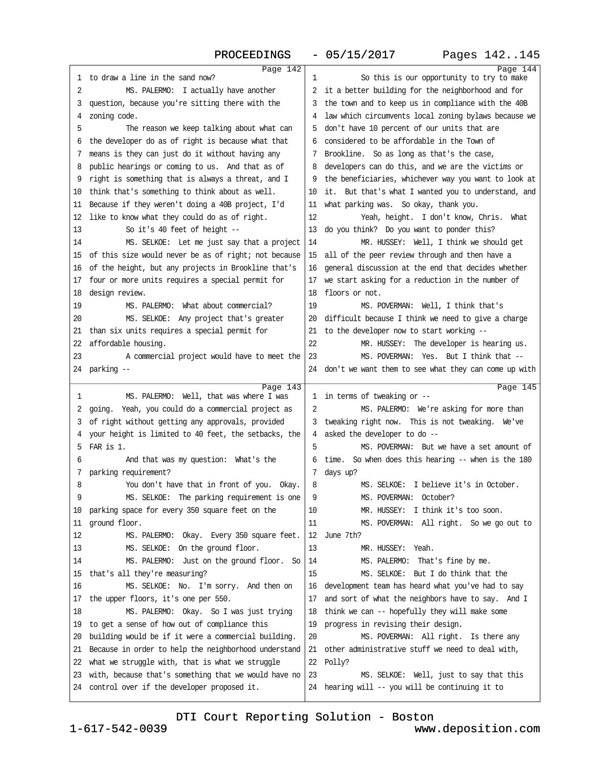<span id="page-36-0"></span>

| 1 to draw a line in the sand now?                                                                        | Page 142                                               | 1<br>So this is our opportunity to try to make                                             | Page 144 |  |
|----------------------------------------------------------------------------------------------------------|--------------------------------------------------------|--------------------------------------------------------------------------------------------|----------|--|
| 2<br>MS. PALERMO: I actually have another                                                                |                                                        | 2 it a better building for the neighborhood and for                                        |          |  |
| 3 question, because you're sitting there with the                                                        |                                                        | 3 the town and to keep us in compliance with the 40B                                       |          |  |
| 4 zoning code.                                                                                           |                                                        | 4 law which circumvents local zoning bylaws because we                                     |          |  |
| 5<br>The reason we keep talking about what can                                                           |                                                        | 5 don't have 10 percent of our units that are                                              |          |  |
| 6 the developer do as of right is because what that                                                      |                                                        | 6 considered to be affordable in the Town of                                               |          |  |
| 7 means is they can just do it without having any                                                        |                                                        | 7 Brookline. So as long as that's the case,                                                |          |  |
| 8 public hearings or coming to us. And that as of                                                        |                                                        | 8 developers can do this, and we are the victims or                                        |          |  |
| 9 right is something that is always a threat, and I                                                      |                                                        | 9 the beneficiaries, whichever way you want to look at                                     |          |  |
| 10 think that's something to think about as well.                                                        | 10 it. But that's what I wanted you to understand, and |                                                                                            |          |  |
| 11 Because if they weren't doing a 40B project, I'd                                                      |                                                        | 11 what parking was. So okay, thank you.                                                   |          |  |
| 12 like to know what they could do as of right.                                                          |                                                        | 12<br>Yeah, height. I don't know, Chris. What                                              |          |  |
| So it's 40 feet of height -<br>13                                                                        |                                                        | 13 do you think? Do you want to ponder this?                                               |          |  |
| 14<br>MS. SELKOE: Let me just say that a project                                                         |                                                        | MR. HUSSEY: Well, I think we should get<br>14                                              |          |  |
| 15 of this size would never be as of right; not because                                                  |                                                        | 15 all of the peer review through and then have a                                          |          |  |
| 16 of the height, but any projects in Brookline that's                                                   |                                                        | 16 general discussion at the end that decides whether                                      |          |  |
| 17 four or more units requires a special permit for                                                      |                                                        | 17 we start asking for a reduction in the number of                                        |          |  |
| 18 design review.                                                                                        |                                                        | 18 floors or not.                                                                          |          |  |
| MS. PALERMO: What about commercial?<br>19                                                                |                                                        | 19<br>MS. POVERMAN: Well, I think that's                                                   |          |  |
| MS. SELKOE: Any project that's greater<br>20                                                             |                                                        | 20 difficult because I think we need to give a charge                                      |          |  |
| 21 than six units requires a special permit for                                                          |                                                        | 21 to the developer now to start working --                                                |          |  |
| 22 affordable housing.                                                                                   |                                                        | 22<br>MR. HUSSEY: The developer is hearing us.                                             |          |  |
| A commercial project would have to meet the<br>23                                                        |                                                        | 23<br>MS. POVERMAN: Yes. But I think that --                                               |          |  |
| 24 parking --                                                                                            |                                                        | 24 don't we want them to see what they can come up with                                    |          |  |
|                                                                                                          |                                                        |                                                                                            |          |  |
|                                                                                                          |                                                        |                                                                                            |          |  |
|                                                                                                          | Page 143                                               |                                                                                            | Page 145 |  |
| MS. PALERMO: Well, that was where I was<br>1                                                             |                                                        | 1 in terms of tweaking or --                                                               |          |  |
| 2 going. Yeah, you could do a commercial project as                                                      |                                                        | 2<br>MS. PALERMO: We're asking for more than                                               |          |  |
| 3 of right without getting any approvals, provided                                                       |                                                        | 3 tweaking right now. This is not tweaking. We've                                          |          |  |
| 4 your height is limited to 40 feet, the setbacks, the                                                   |                                                        | 4 asked the developer to do --<br>5                                                        |          |  |
| 5 FAR is 1.<br>6                                                                                         |                                                        | MS. POVERMAN: But we have a set amount of                                                  |          |  |
| And that was my question: What's the                                                                     |                                                        | 6 time. So when does this hearing -- when is the 180                                       |          |  |
| 7 parking requirement?<br>8                                                                              |                                                        | 7 days up?<br>8<br>MS. SELKOE: I believe it's in October.                                  |          |  |
| You don't have that in front of you. Okay.<br>9                                                          |                                                        |                                                                                            |          |  |
| MS. SELKOE: The parking requirement is one                                                               |                                                        | 9<br>MS. POVERMAN: October?<br>MR. HUSSEY: I think it's too soon.<br>10                    |          |  |
| 10 parking space for every 350 square feet on the                                                        |                                                        | 11                                                                                         |          |  |
| 11 ground floor.<br>12                                                                                   |                                                        | MS. POVERMAN: All right. So we go out to<br>12 June 7th?                                   |          |  |
| MS. PALERMO: Okay. Every 350 square feet.<br>13                                                          |                                                        | 13<br>MR. HUSSEY: Yeah.                                                                    |          |  |
| MS. SELKOE: On the ground floor.<br>14                                                                   |                                                        | 14                                                                                         |          |  |
| MS. PALERMO: Just on the ground floor. So                                                                |                                                        | MS. PALERMO: That's fine by me.<br>15                                                      |          |  |
| 15 that's all they're measuring?<br>16                                                                   |                                                        | MS. SELKOE: But I do think that the                                                        |          |  |
| MS. SELKOE: No. I'm sorry. And then on                                                                   |                                                        | 16 development team has heard what you've had to say                                       |          |  |
| 17 the upper floors, it's one per 550.<br>18                                                             |                                                        | 17 and sort of what the neighbors have to say. And I                                       |          |  |
| MS. PALERMO: Okay. So I was just trying                                                                  |                                                        | 18 think we can -- hopefully they will make some                                           |          |  |
| 19 to get a sense of how out of compliance this                                                          |                                                        | 19 progress in revising their design.<br>20                                                |          |  |
| 20 building would be if it were a commercial building.                                                   |                                                        | MS. POVERMAN: All right. Is there any                                                      |          |  |
| 21 Because in order to help the neighborhood understand                                                  |                                                        | 21 other administrative stuff we need to deal with,                                        |          |  |
| 22 what we struggle with, that is what we struggle                                                       |                                                        | 22 Polly?<br>23                                                                            |          |  |
| 23 with, because that's something that we would have no<br>24 control over if the developer proposed it. |                                                        | MS. SELKOE: Well, just to say that this<br>24 hearing will -- you will be continuing it to |          |  |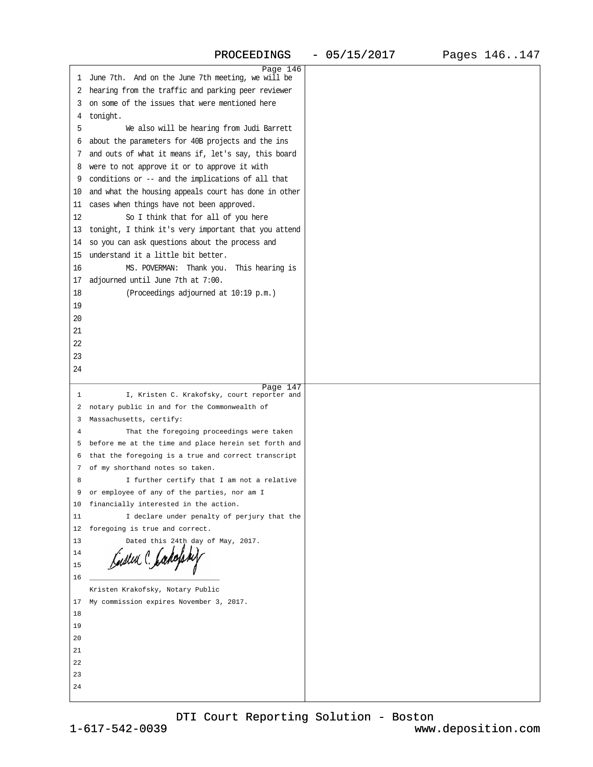<span id="page-37-0"></span>

|                                                         | Page 146 |  |
|---------------------------------------------------------|----------|--|
| 1 June 7th. And on the June 7th meeting, we will be     |          |  |
| 2 hearing from the traffic and parking peer reviewer    |          |  |
| 3 on some of the issues that were mentioned here        |          |  |
| 4 tonight.                                              |          |  |
| 5<br>We also will be hearing from Judi Barrett          |          |  |
| 6 about the parameters for 40B projects and the ins     |          |  |
| 7 and outs of what it means if, let's say, this board   |          |  |
|                                                         |          |  |
| 8 were to not approve it or to approve it with          |          |  |
| 9 conditions or -- and the implications of all that     |          |  |
| 10 and what the housing appeals court has done in other |          |  |
| 11 cases when things have not been approved.            |          |  |
| 12<br>So I think that for all of you here               |          |  |
| 13 tonight, I think it's very important that you attend |          |  |
| 14 so you can ask questions about the process and       |          |  |
| 15 understand it a little bit better.                   |          |  |
| MS. POVERMAN: Thank you. This hearing is<br>16          |          |  |
|                                                         |          |  |
| 17 adjourned until June 7th at 7:00.                    |          |  |
| (Proceedings adjourned at 10:19 p.m.)<br>18             |          |  |
| 19                                                      |          |  |
| 20                                                      |          |  |
| 21                                                      |          |  |
| 22                                                      |          |  |
| 23                                                      |          |  |
| 24                                                      |          |  |
|                                                         |          |  |
|                                                         |          |  |
|                                                         | Page 147 |  |
| 1<br>I, Kristen C. Krakofsky, court reporter and        |          |  |
| 2 notary public in and for the Commonwealth of          |          |  |
| 3 Massachusetts, certify:                               |          |  |
| That the foregoing proceedings were taken<br>4          |          |  |
| 5 before me at the time and place herein set forth and  |          |  |
| 6 that the foregoing is a true and correct transcript   |          |  |
| 7 of my shorthand notes so taken.                       |          |  |
| I further certify that I am not a relative<br>8         |          |  |
| 9 or employee of any of the parties, nor am I           |          |  |
| 10 financially interested in the action.                |          |  |
| 11<br>I declare under penalty of perjury that the       |          |  |
| 12 foregoing is true and correct.                       |          |  |
| 13<br>Dated this 24th day of May, 2017.                 |          |  |
| 14                                                      |          |  |
| 15                                                      |          |  |
|                                                         |          |  |
| 16                                                      |          |  |
| Kristen Krakofsky, Notary Public                        |          |  |
| 17 My commission expires November 3, 2017.              |          |  |
| 18                                                      |          |  |
| 19                                                      |          |  |
| 20                                                      |          |  |
| 21                                                      |          |  |
| 22                                                      |          |  |
| 23                                                      |          |  |
| 24                                                      |          |  |

[DTI Court Reporting Solution - Boston](http://www.deposition.com)

1-617-542-0039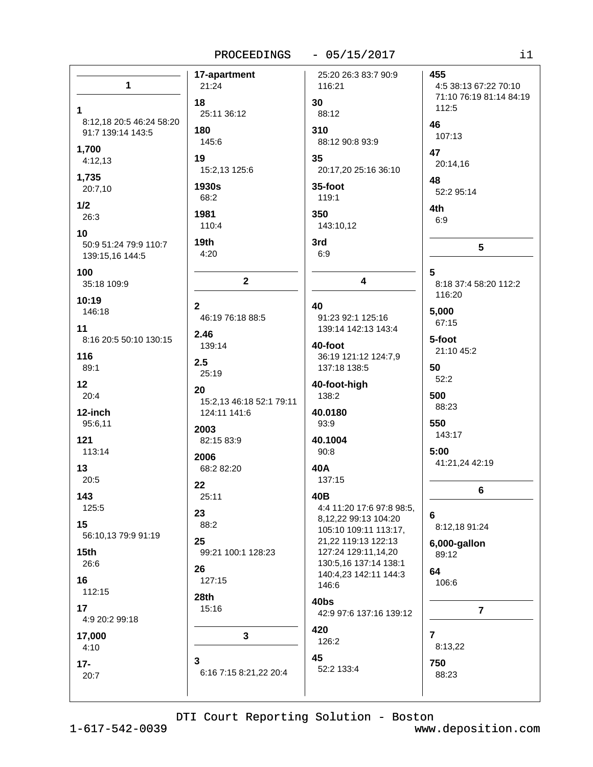PROCEEDINGS - 05/15/2017

| 1                                             | 17-apartment<br>21:24                    | 25:20 26:3 83:7 90:9<br>116:21                | 455<br>4:5 38:13 67:22 70:10    |
|-----------------------------------------------|------------------------------------------|-----------------------------------------------|---------------------------------|
|                                               | 18                                       | 30                                            | 71:10 76:19 81:14 84:19         |
| 1                                             | 25:11 36:12                              | 88:12                                         | 112:5                           |
| 8:12,18 20:5 46:24 58:20<br>91:7 139:14 143:5 | 180                                      | 310                                           | 46                              |
| 1,700                                         | 145:6                                    | 88:12 90:8 93:9                               | 107:13                          |
| 4:12,13                                       | 19                                       | 35                                            | 47<br>20:14,16                  |
| 1,735                                         | 15:2,13 125:6                            | 20:17,20 25:16 36:10                          | 48                              |
| 20:7,10                                       | 1930s<br>68:2                            | 35-foot<br>119:1                              | 52:2 95:14                      |
| 1/2<br>26:3                                   | 1981                                     | 350                                           | 4th                             |
| 10                                            | 110:4                                    | 143:10,12                                     | 6:9                             |
| 50:9 51:24 79:9 110:7                         | 19 <sub>th</sub>                         | 3rd                                           | 5                               |
| 139:15,16 144:5                               | 4:20                                     | 6:9                                           |                                 |
| 100                                           | $\mathbf{2}$                             | $\overline{\mathbf{4}}$                       | 5                               |
| 35:18 109:9                                   |                                          |                                               | 8:18 37:4 58:20 112:2<br>116:20 |
| 10:19<br>146:18                               | $\mathbf{2}$                             | 40                                            | 5,000                           |
| 11                                            | 46:19 76:18 88:5                         | 91:23 92:1 125:16<br>139:14 142:13 143:4      | 67:15                           |
| 8:16 20:5 50:10 130:15                        | 2.46<br>139:14                           | 40-foot                                       | 5-foot                          |
| 116                                           | 2.5                                      | 36:19 121:12 124:7,9                          | 21:10 45:2                      |
| 89:1                                          | 25:19                                    | 137:18 138:5                                  | 50<br>52:2                      |
| 12<br>20:4                                    | 20                                       | 40-foot-high<br>138:2                         | 500                             |
| 12-inch                                       | 15:2,13 46:18 52:1 79:11<br>124:11 141:6 | 40.0180                                       | 88:23                           |
| 95:6,11                                       | 2003                                     | 93:9                                          | 550                             |
| 121                                           | 82:15 83:9                               | 40.1004                                       | 143:17                          |
| 113:14                                        | 2006                                     | 90:8                                          | 5:00<br>41:21,24 42:19          |
| 13<br>20:5                                    | 68:2 82:20                               | 40A<br>137:15                                 |                                 |
| 143                                           | 22<br>25:11                              | 40B                                           | 6                               |
| 125:5                                         | 23                                       | 4:4 11:20 17:6 97:8 98:5,                     |                                 |
| 15                                            | 88:2                                     | 8,12,22 99:13 104:20<br>105:10 109:11 113:17, | 6<br>8:12,18 91:24              |
| 56:10,13 79:9 91:19                           | 25                                       | 21,22 119:13 122:13                           | 6,000-gallon                    |
| 15 <sub>th</sub><br>26:6                      | 99:21 100:1 128:23                       | 127:24 129:11,14,20<br>130:5,16 137:14 138:1  | 89:12                           |
| 16                                            | 26<br>127:15                             | 140:4,23 142:11 144:3                         | 64                              |
| 112:15                                        | 28th                                     | 146:6                                         | 106:6                           |
| 17                                            | 15:16                                    | 40bs<br>42:9 97:6 137:16 139:12               | $\overline{7}$                  |
| 4:9 20:2 99:18                                |                                          | 420                                           |                                 |
| 17,000                                        | $\mathbf{3}$                             | 126:2                                         | $\overline{7}$<br>8:13,22       |
| 4:10                                          | 3                                        | 45                                            | 750                             |
| $17 -$<br>20:7                                | 6:16 7:15 8:21,22 20:4                   | 52:2 133:4                                    | 88:23                           |
|                                               |                                          |                                               |                                 |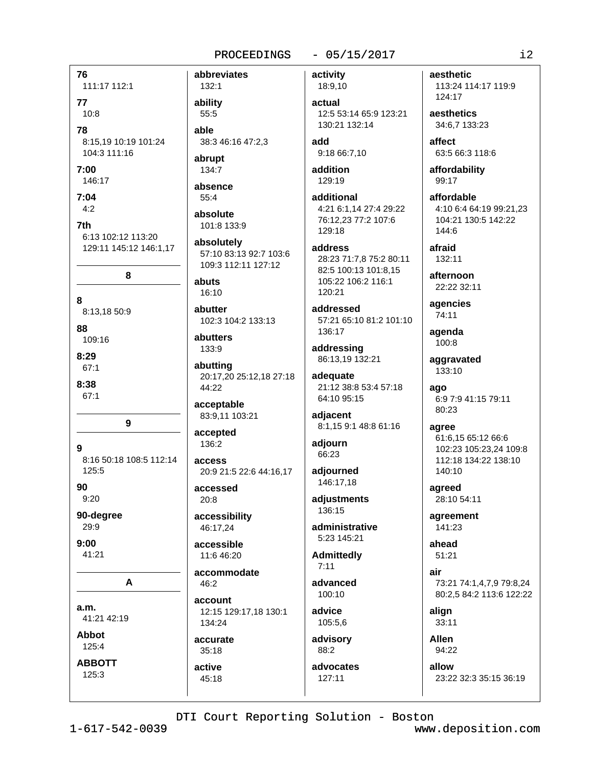## $-05/15/2017$

76 abbreviates 111:17 112:1 77  $10:8$ 78 8:15,19 10:19 101:24 104:3 111:16  $7:00$ 146:17  $7:04$  $4:2$ 7th 6:13 102:12 113:20 129:11 145:12 146:1,17 8 abuts  $\mathbf{R}$ abutter 8:13,18 50:9 88 109:16  $8:29$ 67:1  $8:38$ 67:1  $\mathbf{Q}$  $\mathbf{Q}$ 8:16 50:18 108:5 112:14 125:5 90  $9:20$ 90-degree  $29:9$  $9:00$ 41:21 A  $a.m.$ 41:21 42:19 **Abbot** 125:4 **ABBOTT** active 125:3  $45:18$ 

132:1 ability  $55:5$ able 38:3 46:16 47:2,3

abrupt 134:7

absence 55:4

absolute 101:8 133:9

absolutely 57:10 83:13 92:7 103:6 109:3 112:11 127:12

 $16:10$ 

102:3 104:2 133:13

abutters 133:9

abutting 20:17,20 25:12,18 27:18 44:22

acceptable 83:9,11 103:21

accepted 136:2

access 20:9 21:5 22:6 44:16,17

accessed  $20:8$ 

accessibility 46:17.24

accessible 11:6 46:20

accommodate  $46:2$ account

12:15 129:17,18 130:1 134:24

accurate  $35.18$ 

activity 18:9,10

actual 12:5 53:14 65:9 123:21 130:21 132:14

add 9:18 66:7,10

addition  $129.19$ 

additional 4:21 6:1,14 27:4 29:22 76:12,23 77:2 107:6 129:18

address 28:23 71:7.8 75:2 80:11 82:5 100:13 101:8,15 105:22 106:2 116:1 120:21

addressed 57:21 65:10 81:2 101:10 136:17

addressing 86:13,19 132:21

adequate 21:12 38:8 53:4 57:18 64:10 95:15

adjacent 8:1,15 9:1 48:8 61:16

adjourn 66:23

adjourned 146:17,18

adjustments 136:15

administrative 5:23 145:21

**Admittedly**  $7.11$ 

advanced 100:10

advice 105:5,6

advisory 88:2

advocates 127:11

aesthetic 113:24 114:17 119:9 124:17

aesthetics 34:6.7 133:23

affect 63:5 66:3 118:6

affordability 99:17

affordable 4:10 6:4 64:19 99:21,23 104:21 130:5 142:22  $144.6$ 

afraid  $132:11$ 

afternoon 22:22 32:11

agencies 74:11

agenda 100:8

aggravated 133:10

ago 6:9 7:9 41:15 79:11 80:23

agree 61:6,15 65:12 66:6 102:23 105:23,24 109:8 112:18 134:22 138:10  $140:10$ 

agreed 28:10 54:11

agreement 141:23

ahead 51:21

air 73:21 74:1.4.7.9 79:8.24 80:2,5 84:2 113:6 122:22

alian  $33:11$ 

**Allen** 94:22

allow 23:22 32:3 35:15 36:19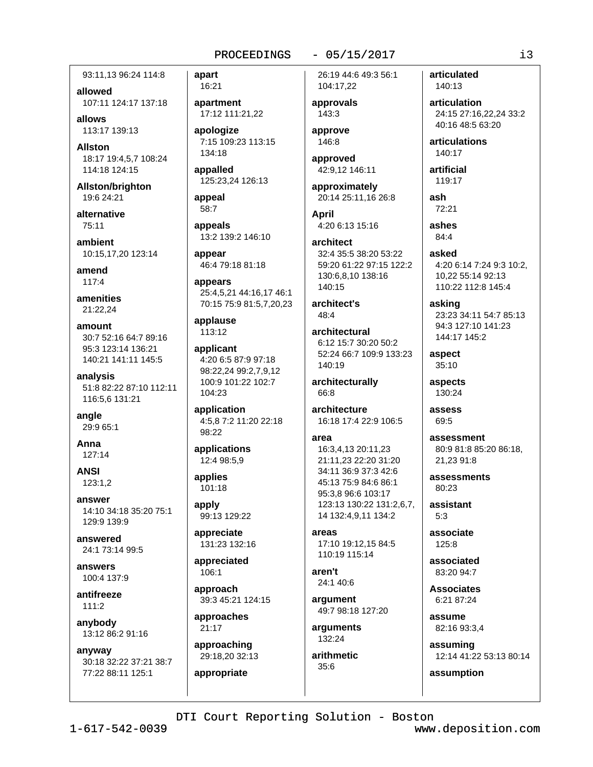93:11.13 96:24 114:8

allowed 107:11 124:17 137:18

allows 113:17 139:13

**Allston** 18:17 19:4.5.7 108:24 114:18 124:15

Allston/brighton 19:6 24:21

alternative 75:11

ambient 10:15,17,20 123:14

amend  $117:4$ 

amenities 21:22.24

amount 30:7 52:16 64:7 89:16 95:3 123:14 136:21 140:21 141:11 145:5

analysis 51:8 82:22 87:10 112:11 116:5,6 131:21

angle 29:9 65:1

Anna 127:14

**ANSI** 123:1.2

answer 14:10 34:18 35:20 75:1 129:9 139:9

answered 24:1 73:14 99:5

answers 100:4 137:9

antifreeze 111:2

anybody 13:12 86:2 91:16

anyway 30:18 32:22 37:21 38:7 77:22 88:11 125:1

apart 16:21

apartment 17:12 111:21,22

apologize 7:15 109:23 113:15 134:18

appalled 125:23,24 126:13

appeal 58:7

appeals 13:2 139:2 146:10

appear 46:4 79:18 81:18

appears 25:4,5,21 44:16,17 46:1 70:15 75:9 81:5,7,20,23

applause 113:12

applicant 4:20 6:5 87:9 97:18 98:22.24 99:2.7.9.12 100:9 101:22 102:7 104:23

application 4:5,8 7:2 11:20 22:18 98:22

applications 12:4 98:5.9

applies  $101:18$ 

apply 99:13 129:22

appreciate 131:23 132:16

appreciated 106:1

approach 39:3 45:21 124:15

approaches 21:17

approaching 29:18,20 32:13

appropriate

26:19 44:6 49:3 56:1 104:17,22

 $-05/15/2017$ 

approvals 143:3

approve 146:8

approved 42:9,12 146:11

approximately 20:14 25:11,16 26:8

**April** 4:20 6:13 15:16

architect 32:4 35:5 38:20 53:22 59:20 61:22 97:15 122:2 130:6,8,10 138:16 140:15

architect's  $48:4$ 

architectural 6:12 15:7 30:20 50:2 52:24 66:7 109:9 133:23 140:19

architecturally 66:8

architecture 16:18 17:4 22:9 106:5

area

16:3,4,13 20:11,23 21:11.23 22:20 31:20 34:11 36:9 37:3 42:6 45:13 75:9 84:6 86:1 95:3,8 96:6 103:17 123:13 130:22 131:2,6,7, 14 132:4,9,11 134:2

areas 17:10 19:12,15 84:5 110:19 115:14

 $ar<sub>en't</sub>$ 24:1 40:6

argument 49:7 98:18 127:20

arguments 132:24

arithmetic  $35:6$ 

articulated 140:13

articulation 24:15 27:16.22.24 33:2 40:16 48:5 63:20

articulations 140:17

artificial 119:17

ash 72:21

ashes 84:4

asked 4:20 6:14 7:24 9:3 10:2, 10.22 55:14 92:13 110:22 112:8 145:4

asking 23:23 34:11 54:7 85:13 94:3 127:10 141:23 144:17 145:2

aspect  $35:10$ 

aspects 130:24

assess 69:5

assessment 80:9 81:8 85:20 86:18, 21.23 91:8

assessments  $80.23$ 

assistant  $5:3$ 

associate 125:8

associated 83:20 94:7

**Associates** 6:21 87:24

assume 82:16 93:3,4

assuming 12:14 41:22 53:13 80:14

assumption

DTI Court Reporting Solution - Boston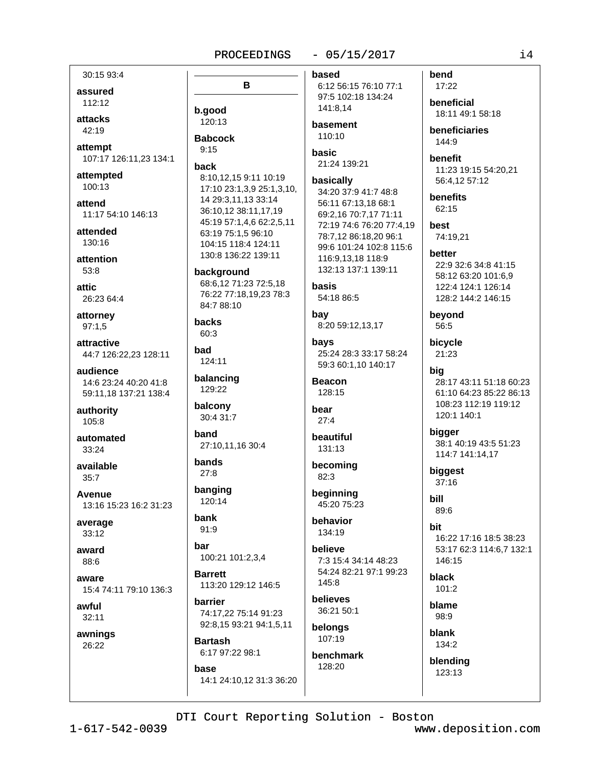## $-05/15/2017$

30:15 93:4

assured 112:12

attacks  $42.19$ 

attempt 107:17 126:11,23 134:1

attempted 100:13

attend 11:17 54:10 146:13

attended 130:16

attention 53:8

attic. 26:23 64:4

attorney  $97:1,5$ 

attractive 44:7 126:22,23 128:11

audience 14:6 23:24 40:20 41:8 59:11.18 137:21 138:4

authority 105:8

automated 33:24

available  $35.7$ 

Avenue 13:16 15:23 16:2 31:23

average 33:12

award 88:6

aware 15:4 74:11 79:10 136:3

awful  $32:11$ 

awnings

26:22

B b.good 120:13 **Babcock**  $9.15$ back 8:10.12.15 9:11 10:19 17:10 23:1,3,9 25:1,3,10, 14 29:3.11.13 33:14 36:10,12 38:11,17,19 45:19 57:1,4,6 62:2,5,11 63:19 75:1,5 96:10 104:15 118:4 124:11 130:8 136:22 139:11 background 68:6,12 71:23 72:5,18 76:22 77:18,19,23 78:3 84:7 88:10 **backs**  $60.3$ bad 124:11 balancing 129:22 balcony 30:4 31:7 **band** 

27:10.11.16 30:4

bands  $27:8$ 

banging 120:14

bank  $91:9$ 

har 100:21 101:2,3,4

**Rarrett** 113:20 129:12 146:5

harrier 74:17,22 75:14 91:23 92:8,15 93:21 94:1,5,11

**Bartash** 6:17 97:22 98:1

base

14:1 24:10.12 31:3 36:20

based 6:12 56:15 76:10 77:1 97:5 102:18 134:24 141:8.14

basement 110:10

basic 21:24 139:21

basically 34:20 37:9 41:7 48:8 56:11 67:13,18 68:1 69:2,16 70:7,17 71:11 72:19 74:6 76:20 77:4,19 78:7,12 86:18,20 96:1 99:6 101:24 102:8 115:6 116:9.13.18 118:9 132:13 137:1 139:11

basis 54:18 86:5

bay 8:20 59:12,13,17

bavs 25:24 28:3 33:17 58:24 59:3 60:1,10 140:17

**Beacon** 128:15

bear  $27.4$ 

beautiful 131:13

becomina  $82:3$ 

beginning 45:20 75:23

behavior 134:19

believe 7:3 15:4 34:14 48:23 54:24 82:21 97:1 99:23 145:8

believes 36:21 50:1

belongs 107:19 benchmark

128:20

17:22 beneficial

bend

18:11 49:1 58:18

beneficiaries 144:9

benefit 11:23 19:15 54:20,21 56:4,12 57:12

benefits 62:15

best 74:19.21

better 22:9 32:6 34:8 41:15 58:12 63:20 101:6.9 122:4 124:1 126:14 128:2 144:2 146:15

beyond 56:5

bicycle 21:23

bia 28:17 43:11 51:18 60:23 61:10 64:23 85:22 86:13 108:23 112:19 119:12 120:1 140:1

bigger 38:1 40:19 43:5 51:23 114:7 141:14.17

biggest  $37:16$ 

bill 89:6

**bit** 16:22 17:16 18:5 38:23 53:17 62:3 114:6,7 132:1 146:15

black  $101:2$ 

blame 98:9

blank 134:2

blending 123:13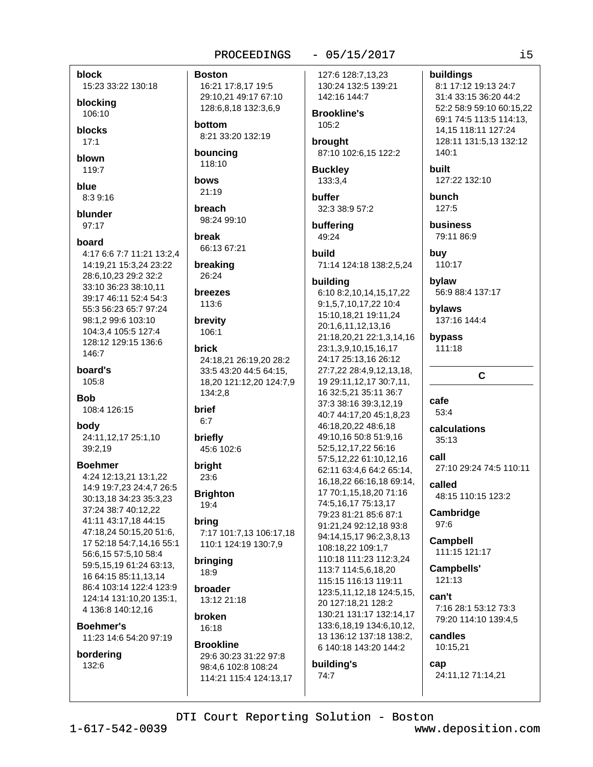## $-05/15/2017$

 $\frac{1}{1}$ 

buildings

140:1

127:22 132:10

**built** 

bunch

127:5

buv

business

110:17

bylaw

bylaws

bypass

cafe

53:4

 $35.13$ 

call

called

97:6

Cambridge

**Campbell** 

Campbells'

121:13

candles

cap

10:15.21

can't

111:15 121:17

7:16 28:1 53:12 73:3

79:20 114:10 139:4,5

calculations

111:18

79:11 86:9

56:9 88:4 137:17

C

27:10 29:24 74:5 110:11

48:15 110:15 123:2

137:16 144:4

8:1 17:12 19:13 24:7

31:4 33:15 36:20 44:2

52:2 58:9 59:10 60:15.22

69:1 74:5 113:5 114:13,

128:11 131:5.13 132:12

14, 15 118: 11 127: 24

block 15:23 33:22 130:18

blocking 106:10

**blocks** 

 $17:1$ 

blown  $119:7$ 

blue

8:3 9:16

blunder 97:17

## hoard

4:17 6:6 7:7 11:21 13:2.4 14:19,21 15:3,24 23:22 28:6,10,23 29:2 32:2 33:10 36:23 38:10.11 39:17 46:11 52:4 54:3 55:3 56:23 65:7 97:24 98:1,2 99:6 103:10 104:3,4 105:5 127:4 128:12 129:15 136:6 146:7

board's 105:8

**Bob** 

108:4 126:15

body 24:11,12,17 25:1,10 39:2,19

**Boehmer** 

4:24 12:13,21 13:1,22 14:9 19:7,23 24:4,7 26:5 30:13.18 34:23 35:3.23 37:24 38:7 40:12.22 41:11 43:17,18 44:15 47:18,24 50:15,20 51:6, 17 52:18 54:7,14,16 55:1 56:6,15 57:5,10 58:4 59:5,15,19 61:24 63:13, 16 64:15 85:11,13,14 86:4 103:14 122:4 123:9 124:14 131:10.20 135:1. 4 136:8 140:12,16

**Boehmer's** 11:23 14:6 54:20 97:19

## bordering 132:6

**Boston** 16:21 17:8,17 19:5 29:10,21 49:17 67:10 128:6,8,18 132:3,6,9

hottom 8:21 33:20 132:19

bouncing 118:10

bows 21:19

breach 98:24 99:10

hreak 66:13 67:21

breaking 26:24

# **breezes**

113:6

brevity 106:1

## brick

24:18,21 26:19,20 28:2 33:5 43:20 44:5 64:15. 18,20 121:12,20 124:7,9 134:2,8

brief  $6:7$ 

briefly 45:6 102:6

**bright**  $23:6$ 

**Brighton** 19:4

brina

7:17 101:7.13 106:17.18 110:1 124:19 130:7,9

bringing 18:9

broader 13:12 21:18

broken 16:18

## **Brookline** 29:6 30:23 31:22 97:8 98:4,6 102:8 108:24 114:21 115:4 124:13.17

127:6 128:7.13.23 130:24 132:5 139:21 142:16 144:7

**Brookline's**  $105:2$ 

brought 87:10 102:6,15 122:2

**Buckley** 133:3,4

buffer 32:3 38:9 57:2

buffering 49:24

build 71:14 124:18 138:2,5,24

## building

6:10 8:2,10,14,15,17,22 9:1,5,7,10,17,22 10:4 15:10.18.21 19:11.24 20:1,6,11,12,13,16 21:18,20,21 22:1,3,14,16 23:1,3,9,10,15,16,17 24:17 25:13,16 26:12 27:7.22 28:4.9.12.13.18. 19 29:11, 12, 17 30: 7, 11, 16 32:5,21 35:11 36:7 37:3 38:16 39:3,12,19 40:7 44:17,20 45:1,8,23 46:18,20,22 48:6,18 49:10,16 50:8 51:9,16 52:5,12,17,22 56:16 57:5,12,22 61:10,12,16 62:11 63:4,6 64:2 65:14, 16, 18, 22 66: 16, 18 69: 14, 17 70:1,15,18,20 71:16 74:5,16,17 75:13,17 79:23 81:21 85:6 87:1 91:21,24 92:12,18 93:8 94:14,15,17 96:2,3,8,13 108:18,22 109:1,7 110:18 111:23 112:3,24 113:7 114:5,6,18,20 115:15 116:13 119:11 123:5, 11, 12, 18 124: 5, 15, 20 127:18,21 128:2 130:21 131:17 132:14,17 133:6, 18, 19 134: 6, 10, 12, 13 136:12 137:18 138:2, 6 140:18 143:20 144:2

## building's 74:7

24:11,12 71:14,21

DTI Court Reporting Solution - Boston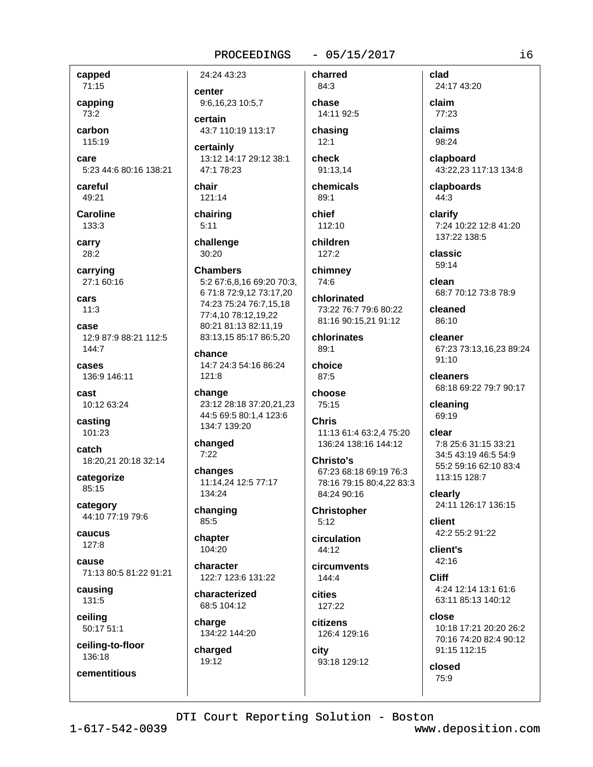## $-05/15/2017$

capped 71:15

capping

 $73:2$ carbon

115:19

care

5:23 44:6 80:16 138:21

careful 49:21

**Caroline** 133:3

carry 28:2

carrying 27:1 60:16

cars  $11:3$ 

case 12:9 87:9 88:21 112:5 144:7

cases 136:9 146:11

cast 10:12 63:24

casting 101:23

catch 18:20,21 20:18 32:14

categorize 85:15

category 44:10 77:19 79:6

caucus 127:8

cause 71:13 80:5 81:22 91:21

causing 131:5

ceiling 50:17 51:1

ceiling-to-floor 136:18

cementitious

24:24 43:23

center 9:6,16,23 10:5,7 certain

43:7 110:19 113:17

certainly 13:12 14:17 29:12 38:1 47:178:23

chair 121:14

chairing  $5:11$ 

challenge 30:20

**Chambers** 5:2 67:6.8.16 69:20 70:3. 6 71:8 72:9,12 73:17,20 74:23 75:24 76:7,15,18 77:4.10 78:12.19.22 80:21 81:13 82:11,19 83:13,15 85:17 86:5,20

chance 14:7 24:3 54:16 86:24  $121:8$ 

change 23:12 28:18 37:20.21.23 44:5 69:5 80:1,4 123:6 134:7 139:20

changed  $7:22$ 

changes 11:14,24 12:5 77:17 134:24

changing 85:5

chapter 104:20

character 122:7 123:6 131:22

characterized 68:5 104:12

charge 134:22 144:20

charged 19:12

84:3 chase 14:11 92:5 chasing  $12:1$ 

charred

check 91:13.14

chemicals  $89:1$ 

chief 112:10

children  $127:2$ 

chimney 74:6

chlorinated 73:22 76:7 79:6 80:22 81:16 90:15,21 91:12

chlorinates  $89:1$ 

choice  $87:5$ 

choose 75:15

**Chris** 11:13 61:4 63:2.4 75:20 136:24 138:16 144:12

Christo's 67:23 68:18 69:19 76:3 78:16 79:15 80:4,22 83:3 84:24 90:16

**Christopher**  $5:12$ 

circulation 44:12

circumvents  $144:4$ 

cities 127:22

citizens 126:4 129:16

city 93:18 129:12

24:17 43:20 claim 77:23 claims 98:24 clapboard

clad

43:22,23 117:13 134:8

clapboards 44:3

clarify 7:24 10:22 12:8 41:20 137:22 138:5

classic 59:14

clean 68:7 70:12 73:8 78:9

cleaned 86:10

cleaner 67:23 73:13,16,23 89:24 91:10

cleaners 68:18 69:22 79:7 90:17

cleaning 69:19

clear 7:8 25:6 31:15 33:21 34:5 43:19 46:5 54:9 55:2 59:16 62:10 83:4 113:15 128:7

clearly 24:11 126:17 136:15

client 42:2 55:2 91:22

client's 42:16

**Cliff**  $4.24$  12:14 13:1 61:6 63:11 85:13 140:12

close 10:18 17:21 20:20 26:2 70:16 74:20 82:4 90:12 91:15 112:15

closed 75:9

DTI Court Reporting Solution - Boston

 $1 - 617 - 542 - 0039$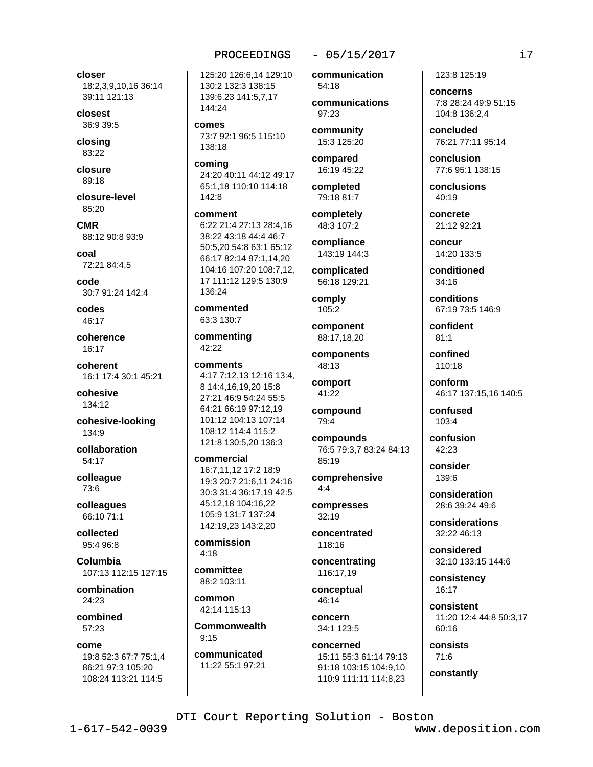## $-05/15/2017$

closer 18:2,3,9,10,16 36:14

39:11 121:13

closest 36:9 39:5

closing 83:22

closure  $89.18$ 

closure-level 85:20

**CMR** 88:12 90:8 93:9

coal 72:21 84:4,5

code 30:7 91:24 142:4

codes  $46.17$ 

coherence 16:17

coherent 16:1 17:4 30:1 45:21

cohesive 134:12

cohesive-looking 134:9

collaboration 54:17

colleague 73:6

colleagues 66:10 71:1

collected 95:4 96:8

Columbia 107:13 112:15 127:15

combination 24:23

combined 57:23

come 19:8 52:3 67:7 75:1,4 86:21 97:3 105:20 108:24 113:21 114:5

125:20 126:6.14 129:10 130:2 132:3 138:15 139:6,23 141:5,7,17 144:24

comes 73:7 92:1 96:5 115:10 138:18

comina 24:20 40:11 44:12 49:17 65:1,18 110:10 114:18 142:8

comment 6:22 21:4 27:13 28:4,16 38:22 43:18 44:4 46:7 50:5.20 54:8 63:1 65:12 66:17 82:14 97:1.14.20 104:16 107:20 108:7,12, 17 111:12 129:5 130:9 136:24

commented 63:3 130:7

commenting 42:22

comments 4:17 7:12,13 12:16 13:4, 8 14:4.16.19.20 15:8 27:21 46:9 54:24 55:5 64:21 66:19 97:12,19 101:12 104:13 107:14 108:12 114:4 115:2 121:8 130:5,20 136:3

commercial 16:7,11,12 17:2 18:9 19:3 20:7 21:6.11 24:16 30:3 31:4 36:17,19 42:5 45:12.18 104:16.22 105:9 131:7 137:24 142:19,23 143:2,20

commission  $4:18$ 

committee 88:2 103:11

common 42:14 115:13

**Commonwealth**  $9:15$ 

communicated 11:22 55:1 97:21 communication 54:18

communications 97:23

community 15:3 125:20

compared 16:19 45:22

completed 79:18 81:7

completely 48:3 107:2

compliance 143:19 144:3

complicated 56:18 129:21

comply 105:2

component 88:17.18.20

components 48:13

comport 41:22

compound 79:4

compounds 76:5 79:3.7 83:24 84:13 85:19

comprehensive  $4:4$ 

compresses 32:19

concentrated 118:16

concentrating 116:17,19

conceptual 46:14

concern 34:1 123:5

concerned 15:11 55:3 61:14 79:13 91:18 103:15 104:9,10 110:9 111:11 114:8,23

123:8 125:19

concerns 7:8 28:24 49:9 51:15 104:8 136:2.4

concluded 76:21 77:11 95:14

conclusion 77:6 95:1 138:15

conclusions 40:19

concrete 21:12 92:21

concur 14:20 133:5

conditioned  $34:16$ 

conditions 67:19 73:5 146:9

confident  $81:1$ 

confined 110:18

conform 46:17 137:15,16 140:5

confused 103:4

confusion 42:23

consider  $139:6$ 

consideration 28:6 39:24 49:6

considerations 32:22 46:13

considered 32:10 133:15 144:6

consistency 16:17

consistent 11:20 12:4 44:8 50:3,17 60:16

consists  $71.6$ 

constantly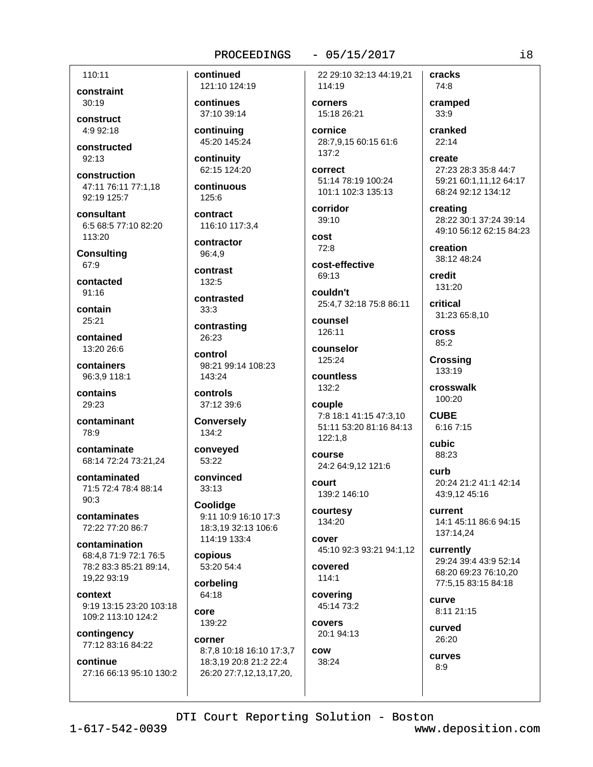## $-05/15/2017$

110:11 constraint

30:19 construct

 $4.9.92.18$ 

constructed 92:13

construction 47:11 76:11 77:1.18 92:19 125:7

consultant 6:5 68:5 77:10 82:20 113:20

**Consulting** 67:9

contacted  $91.16$ 

contain 25:21

contained 13:20 26:6

containers 96:3,9 118:1

contains 29:23

contaminant 78:9

contaminate 68:14 72:24 73:21,24

contaminated 71:5 72:4 78:4 88:14  $90.3$ 

contaminates 72:22 77:20 86:7

contamination 68:4.8 71:9 72:1 76:5 78:2 83:3 85:21 89:14. 19.22 93:19

context 9:19 13:15 23:20 103:18 109:2 113:10 124:2

contingency 77:12 83:16 84:22

continue 27:16 66:13 95:10 130:2 continued 121:10 124:19

continues 37:10 39:14

continuing 45:20 145:24

continuity 62:15 124:20

continuous 125:6

contract 116:10 117:3.4

contractor 96:4.9

contrast  $132:5$ 

contrasted  $33:3$ 

contrasting 26:23

control 98:21 99:14 108:23 143:24

controls 37:12 39:6

**Conversely** 134:2

conveyed 53:22

convinced  $33:13$ 

Coolidge 9:11 10:9 16:10 17:3 18:3.19 32:13 106:6 114:19 133:4

copious 53:20 54:4

corbelina 64:18

core 139:22

corner

8:7,8 10:18 16:10 17:3,7 18:3,19 20:8 21:2 22:4 26:20 27:7,12,13,17,20,

cracks 22 29:10 32:13 44:19.21 114:19

corners 15:18 26:21

cornice 28:7,9,15 60:15 61:6  $137:2$ 

correct 51:14 78:19 100:24 101:1 102:3 135:13

corridor 39:10

cost  $72:8$ 

cost-effective 69:13

couldn't 25:4,7 32:18 75:8 86:11

counsel 126:11

counselor 125:24

countless 132:2

couple 7:8 18:1 41:15 47:3,10 51:11 53:20 81:16 84:13  $122:1.8$ 

course 24:2 64:9.12 121:6

court 139:2 146:10

courtesy 134:20

cover 45:10 92:3 93:21 94:1,12

covered  $114:1$ 

covering 45:14 73:2

covers 20:1 94:13

cow 38:24 cramped  $33:9$ cranked  $22:14$ create

74:8

27:23 28:3 35:8 44:7 59:21 60:1,11,12 64:17 68:24 92:12 134:12

creating 28:22 30:1 37:24 39:14 49:10 56:12 62:15 84:23

creation 38:12 48:24

credit 131:20

critical 31:23 65:8,10

**Cross** 85:2

Crossing 133:19

crosswalk 100:20

**CUBE**  $6:167:15$ 

**cubic** 88:23

curb 20:24 21:2 41:1 42:14 43:9.12 45:16

current 14:1 45:11 86:6 94:15 137:14,24

currently 29:24 39:4 43:9 52:14 68:20 69:23 76:10.20 77:5.15 83:15 84:18

curve 8:11 21:15

curved 26:20

curves  $8:9$ 

DTI Court Reporting Solution - Boston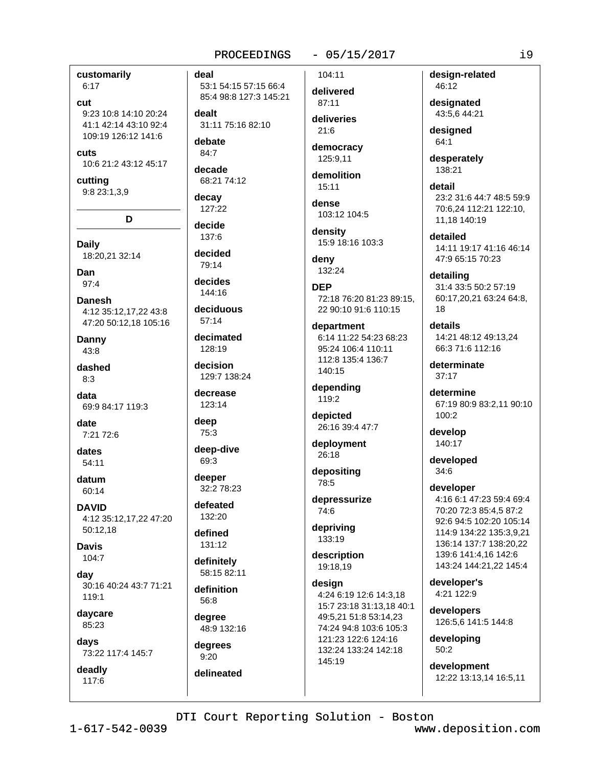## $-05/15/2017$

customarily  $6:17$ 

## cut

9:23 10:8 14:10 20:24 41:1 42:14 43:10 92:4 109:19 126:12 141:6

cuts 10:6 21:2 43:12 45:17

cutting 9:8 23:1,3,9

D

**Daily** 18:20,21 32:14

Dan  $97:4$ 

**Danesh** 4:12 35:12,17,22 43:8 47:20 50:12,18 105:16

Danny  $43:8$ 

dashed  $8:3$ 

data 69:9 84:17 119:3

date 7:21 72:6

dates 54:11

datum 60:14

**DAVID** 4:12 35:12,17,22 47:20 50:12.18

**Davis**  $104:7$ 

day 30:16 40:24 43:7 71:21  $119.1$ 

daycare 85:23

davs

73:22 117:4 145:7 deadly

117:6

deal

53:1 54:15 57:15 66:4 85:4 98:8 127:3 145:21

dealt 31:11 75:16 82:10

debate 84:7

decade 68:21 74:12

decay 127:22

decide 137:6

decided 79:14

decides  $144.16$ 

deciduous  $57:14$ 

decimated 128:19

decision 129:7 138:24

decrease 123:14

deep  $75:3$ 

deep-dive 69:3

deeper 32:2 78:23

defeated 132:20

defined 131:12

definitely 58:15 82:11

definition 56:8

degree 48:9 132:16

dearees  $9:20$ delineated 104:11

delivered 87:11 deliveries

 $21.6$ democracy

125:9.11

demolition  $15:11$ 

dense 103:12 104:5

density 15:9 18:16 103:3

deny 132:24

**DEP** 72:18 76:20 81:23 89:15, 22 90:10 91:6 110:15

department 6:14 11:22 54:23 68:23 95:24 106:4 110:11 112:8 135:4 136:7 140:15

depending 119:2

depicted 26:16 39:4 47:7

deployment 26:18

depositing 78:5

depressurize 74:6

depriving 133:19

description 19:18,19

desian 4:24 6:19 12:6 14:3,18 15:7 23:18 31:13,18 40:1 49:5.21 51:8 53:14.23 74:24 94:8 103:6 105:3 121:23 122:6 124:16 132:24 133:24 142:18 145:19

design-related 46:12

designated 43:5.6 44:21

desianed 64:1

desperately 138:21

detail 23:2 31:6 44:7 48:5 59:9 70:6,24 112:21 122:10, 11.18 140:19

detailed 14:11 19:17 41:16 46:14 47:9 65:15 70:23

detailing 31:4 33:5 50:2 57:19 60:17,20,21 63:24 64:8, 18

details 14:21 48:12 49:13,24 66:3 71:6 112:16

determinate  $37.17$ 

determine 67:19 80:9 83:2,11 90:10 100:2

develop 140:17

developed  $34:6$ 

developer 4:16 6:1 47:23 59:4 69:4 70:20 72:3 85:4,5 87:2 92:6 94:5 102:20 105:14 114:9 134:22 135:3,9,21 136:14 137:7 138:20,22 139:6 141:4,16 142:6 143:24 144:21,22 145:4

developer's 4:21 122:9

developers 126:5,6 141:5 144:8

developing  $50:2$ 

development 12:22 13:13,14 16:5,11

DTI Court Reporting Solution - Boston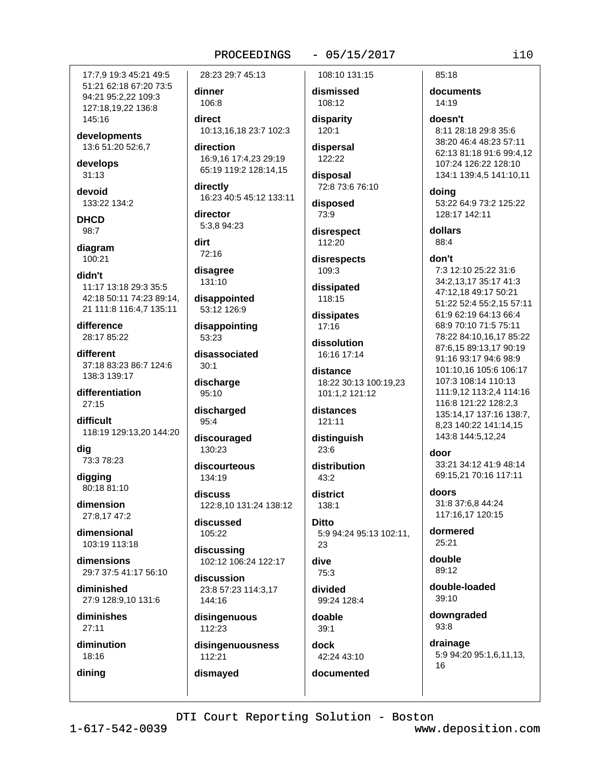## $-05/15/2017$

17:7.9 19:3 45:21 49:5 51:21 62:18 67:20 73:5 94:21 95:2,22 109:3 127:18.19.22 136:8 145:16

developments 13:6 51:20 52:6,7

develops  $31:13$ 

devoid 133:22 134:2

**DHCD** 98:7

diagram  $100:21$ 

didn't 11:17 13:18 29:3 35:5 42:18 50:11 74:23 89:14, 21 111:8 116:4,7 135:11

difference 28:17 85:22

different 37:18 83:23 86:7 124:6 138:3 139:17

differentiation  $27:15$ 

difficult 118:19 129:13,20 144:20

dig 73:3 78:23

digging 80:18 81:10

dimension 27:8.17 47:2

dimensional 103:19 113:18

dimensions 29:7 37:5 41:17 56:10

diminished 27:9 128:9,10 131:6

diminishes  $27:11$ 

diminution 18:16

dining

28:23 29:7 45:13

dinner 106:8

direct 10:13.16.18 23:7 102:3

direction 16:9.16 17:4.23 29:19 65:19 119:2 128:14,15

directly 16:23 40:5 45:12 133:11

director 5:3.8 94:23

dirt 72:16

disagree 131:10

disappointed 53:12 126:9

disappointing 53:23

disassociated  $30:1$ 

discharge  $95:10$ 

discharged 95:4

discouraged 130:23

discourteous 134:19

discuss 122:8,10 131:24 138:12

discussed 105:22

discussing 102:12 106:24 122:17

discussion 23:8 57:23 114:3,17 144:16

disingenuous 112:23

disingenuousness 112:21

dismayed

108:10 131:15

dismissed 108:12

disparity  $120:1$ 

dispersal 122:22

disposal 72:8 73:6 76:10

disposed 73:9

disrespect 112:20

disrespects 109:3

dissipated 118:15

dissipates  $17:16$ 

dissolution 16:16 17:14

distance 18:22 30:13 100:19,23 101:1,2 121:12

distances 121:11

distinguish  $23:6$ 

distribution  $43.2$ 

district 138:1

**Ditto** 5:9 94:24 95:13 102:11, 23

dive 75:3

divided 99:24 128:4

doable  $39:1$ 

dock 42:24 43:10 documented

85:18 documents 14:19

doesn't 8:11 28:18 29:8 35:6 38:20 46:4 48:23 57:11 62:13 81:18 91:6 99:4,12 107:24 126:22 128:10 134:1 139:4,5 141:10,11

doing 53:22 64:9 73:2 125:22 128:17 142:11

dollars 88:4

## don't

7:3 12:10 25:22 31:6 34:2,13,17 35:17 41:3 47:12,18 49:17 50:21 51:22 52:4 55:2,15 57:11 61:9 62:19 64:13 66:4 68:9 70:10 71:5 75:11 78:22 84:10,16,17 85:22 87:6.15 89:13.17 90:19 91:16 93:17 94:6 98:9 101:10,16 105:6 106:17 107:3 108:14 110:13 111:9,12 113:2,4 114:16 116:8 121:22 128:2,3 135:14,17 137:16 138:7, 8,23 140:22 141:14,15 143:8 144:5,12,24

## door

33:21 34:12 41:9 48:14 69:15,21 70:16 117:11

doors 31:8 37:6,8 44:24 117:16.17 120:15

dormered  $25:21$ 

double 89:12

double-loaded  $39:10$ 

downgraded 93:8

drainage 5:9 94:20 95:1,6,11,13, 16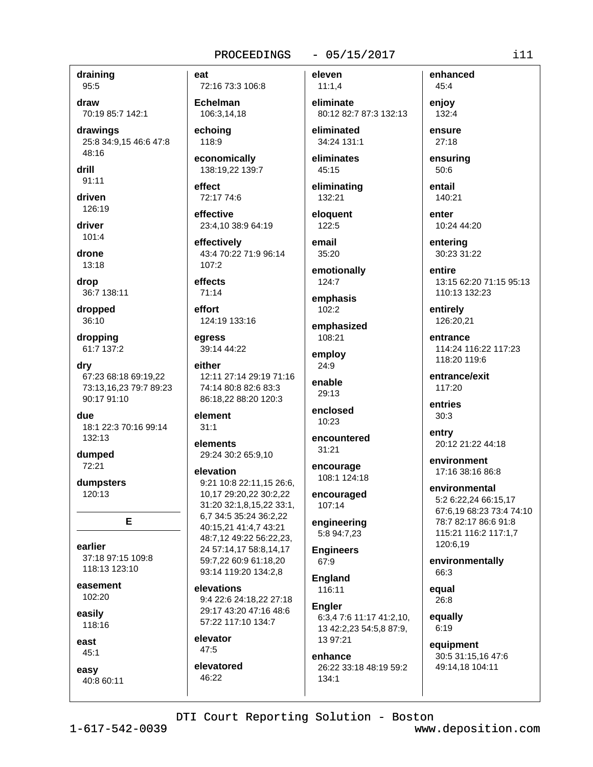## $-05/15/2017$

eleven

draining 95:5

draw

70:19 85:7 142:1 drawings

25:8 34:9,15 46:6 47:8 48:16

drill  $91:11$ 

driven

126:19

driver  $101:4$ 

drone 13:18

drop 36:7 138:11

dropped 36:10

dropping 61:7 137:2

dry 67:23 68:18 69:19,22 73:13,16,23 79:7 89:23 90:17 91:10

**Aub** 18:1 22:3 70:16 99:14 132:13

dumped  $72:21$ 

dumpsters 120:13

E

earlier 37:18 97:15 109:8 118:13 123:10

easement 102:20

easily 118:16

east  $45:1$ 

easy 40:8 60:11 eat 72:16 73:3 106:8

**Echelman** 106:3.14.18

echoina 118:9

economically 138:19,22 139:7

**Affect** 72:17 74:6

effective 23:4.10 38:9 64:19

effectively 43:4 70:22 71:9 96:14  $107:2$ 

effects  $71.14$ 

effort 124:19 133:16

earess 39:14 44:22

either 12:11 27:14 29:19 71:16 74:14 80:8 82:6 83:3 86:18,22 88:20 120:3

element  $31:1$ 

elements 29:24 30:2 65:9,10

elevation

9:21 10:8 22:11,15 26:6, 10.17 29:20.22 30:2.22 31:20 32:1,8,15,22 33:1, 6,7 34:5 35:24 36:2,22 40:15,21 41:4,7 43:21 48:7,12 49:22 56:22,23, 24 57:14,17 58:8,14,17 59:7,22 60:9 61:18,20 93:14 119:20 134:2,8

elevations 9:4 22:6 24:18.22 27:18 29:17 43:20 47:16 48:6 57:22 117:10 134:7

elevator  $47:5$ 

elevatored 46:22

 $11:1,4$ eliminate 80:12 82:7 87:3 132:13 eliminated

34:24 131:1 eliminates

 $45:15$ 

eliminating 132:21 eloauent

122:5 email

 $35:20$ emotionally

 $124:7$ 

emphasis  $102:2$ 

emphasized 108:21

employ 24:9

enable  $29.13$ 

enclosed 10:23

encountered  $31:21$ 

encourage 108:1 124:18

encouraged 107:14

engineering 5:8 94:7,23

**Engineers** 67:9

**England** 116:11

**Engler** 6:3,4 7:6 11:17 41:2,10, 13 42:2,23 54:5,8 87:9, 13 97:21

enhance 26:22 33:18 48:19 59:2  $134:1$ 

132:4 ensure 27:18 ensuring  $50:6$ entail 140:21 enter

enhanced

45:4

enjoy

10:24 44:20

enterina 30:23 31:22

entire 13:15 62:20 71:15 95:13 110:13 132:23

entirely 126:20,21

entrance 114:24 116:22 117:23 118:20 119:6

entrance/exit 117:20

entries  $30:3$ 

entry 20:12 21:22 44:18

environment 17:16 38:16 86:8

environmental 5:2 6:22,24 66:15,17 67:6,19 68:23 73:4 74:10 78:7 82:17 86:6 91:8 115:21 116:2 117:1,7 120:6,19

environmentally 66:3

equal 26:8

equally  $6:19$ 

equipment 30:5 31:15,16 47:6 49:14,18 104:11

DTI Court Reporting Solution - Boston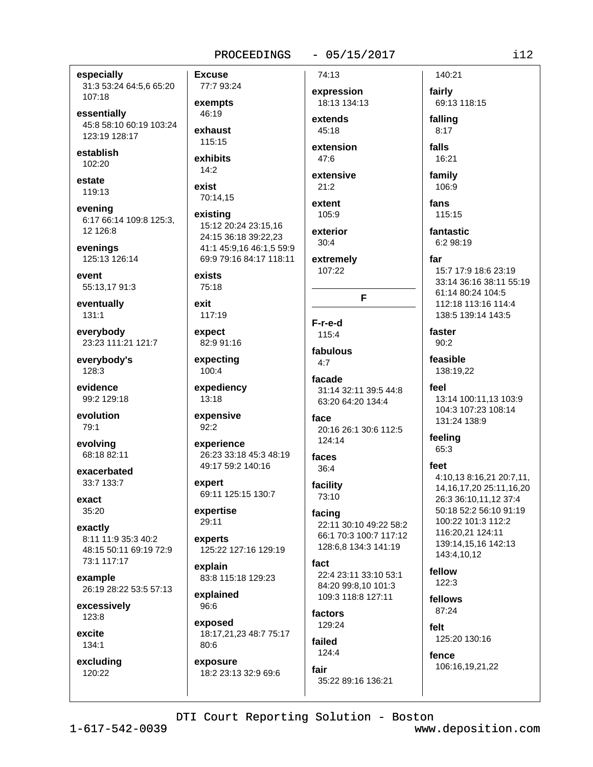$-05/15/2017$ 

especially 31:3 53:24 64:5,6 65:20 107:18

essentially 45:8 58:10 60:19 103:24 123:19 128:17

establish 102:20

estate 119:13

evening 6:17 66:14 109:8 125:3, 12 12 6:8

evenings 125:13 126:14

event 55:13.17 91:3

eventually 131:1

everybody 23:23 111:21 121:7

everybody's 128:3

evidence 99:2 129:18

evolution 79:1

evolving 68:18 82:11

exacerbated 33:7 133:7

exact 35:20

exactly 8:11 11:9 35:3 40:2 48:15 50:11 69:19 72:9 73:1 117:17

example 26:19 28:22 53:5 57:13

excessively 123:8

excite 134:1

excluding 120:22

77:7 93:24 exempts 46:19 exhaust 115:15

**Excuse** 

exhibits  $14:2$ 

exist 70:14,15

existing 15:12 20:24 23:15.16 24:15 36:18 39:22,23 41:1 45:9,16 46:1,5 59:9 69:9 79:16 84:17 118:11

exists 75:18

exit 117:19

expect 82:9 91:16

expecting 100:4

expediency 13:18

expensive  $92:2$ 

experience 26:23 33:18 45:3 48:19 49:17 59:2 140:16

expert 69:11 125:15 130:7

expertise 29:11

experts 125:22 127:16 129:19

explain 83:8 115:18 129:23

explained 96:6

exposed 18:17,21,23 48:7 75:17  $80:6$ 

exposure 18:2 23:13 32:9 69:6 expression 18:13 134:13 extends  $45.18$ 

74:13

extension 47:6

extensive  $21:2$ 

extent 105:9

exterior  $30:4$ 

extremely 107:22

F-r-e-d 115:4

fabulous  $4.7$ 

facade 31:14 32:11 39:5 44:8 63:20 64:20 134:4

F

face 20:16 26:1 30:6 112:5  $124:14$ 

faces  $36:4$ 

facility 73:10

facing 22:11 30:10 49:22 58:2 66:1 70:3 100:7 117:12 128:6,8 134:3 141:19

fact 22:4 23:11 33:10 53:1 84:20 99:8.10 101:3 109:3 118:8 127:11

factors 129:24

failed  $124:4$ 

fair 35:22 89:16 136:21 falls 16:21 family 106:9 fans 115:15 fantastic  $6:298:19$ far 15:7 17:9 18:6 23:19 33:14 36:16 38:11 55:19 61:14 80:24 104:5 112:18 113:16 114:4 138:5 139:14 143:5

faster  $90:2$ 

140:21

69:13 118:15

fairly

falling

 $8:17$ 

feasible 138:19.22

feel 13:14 100:11.13 103:9 104:3 107:23 108:14 131:24 138:9

feeling 65:3

## feet

4:10,13 8:16,21 20:7,11, 14, 16, 17, 20 25: 11, 16, 20 26:3 36:10,11,12 37:4 50:18 52:2 56:10 91:19 100:22 101:3 112:2 116:20.21 124:11 139:14,15,16 142:13 143:4,10,12

fellow  $122:3$ 

fellows 87:24

felt 125:20 130:16

fence 106:16,19,21,22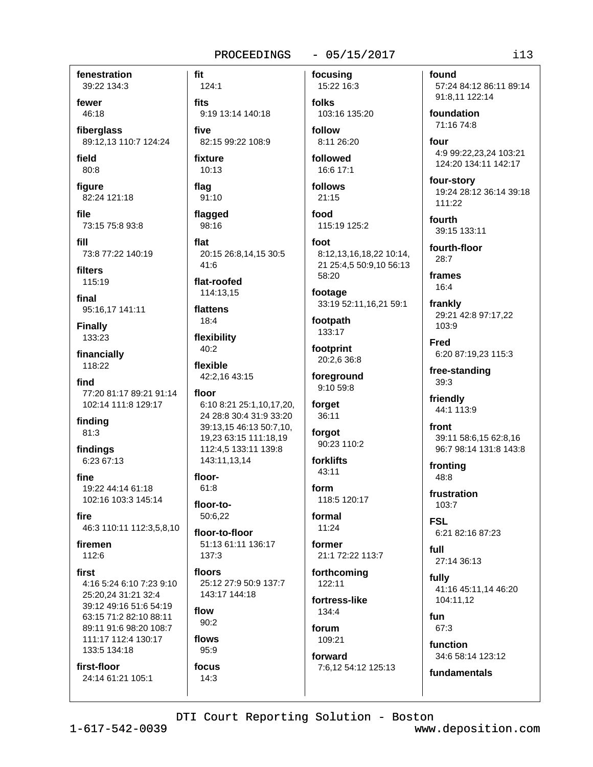## $-05/15/2017$

fenestration 39:22 134:3

fewer 46:18

fiberglass 89:12,13 110:7 124:24

field  $80:8$ 

figure 82:24 121:18

file 73:15 75:8 93:8

fill 73:8 77:22 140:19

filters 115:19

final 95:16,17 141:11

**Finally** 133:23

financially 118:22

find 77:20 81:17 89:21 91:14 102:14 111:8 129:17

finding 81:3

findings 6:23 67:13

fine 19:22 44:14 61:18 102:16 103:3 145:14

fire 46:3 110:11 112:3,5,8,10

firemen 112:6

## first

4:16 5:24 6:10 7:23 9:10 25:20,24 31:21 32:4 39:12 49:16 51:6 54:19 63:15 71:2 82:10 88:11 89:11 91:6 98:20 108:7 111:17 112:4 130:17 133:5 134:18

first-floor 24:14 61:21 105:1

124:1 fits 9:19 13:14 140:18 five

82:15 99:22 108:9 fixture

 $10:13$ flag

91:10

fit

flagged 98:16

flat 20:15 26:8,14,15 30:5  $41:6$ 

flat-roofed 114:13.15

flattens 18:4

flexibility 40:2

flexible 42:2,16 43:15

floor 6:10 8:21 25:1,10,17,20, 24 28:8 30:4 31:9 33:20 39:13,15 46:13 50:7,10, 19,23 63:15 111:18,19 112:4,5 133:11 139:8 143:11.13.14

floor- $61:8$ 

floor-to-50:6.22

floor-to-floor 51:13 61:11 136:17  $137:3$ 

floors 25:12 27:9 50:9 137:7 143:17 144:18

flow  $90:2$ 

flows  $95:9$ 

focus  $14:3$ 

focusing

15:22 16:3 folks 103:16 135:20

follow 8:11 26:20

followed 16:6 17:1

follows  $21:15$ 

food 115:19 125:2

foot 8:12,13,16,18,22 10:14, 21 25:4,5 50:9,10 56:13 58:20

footage 33:19 52:11,16,21 59:1

footpath 133:17

footprint 20:2,6 36:8

foreground 9:10 59:8

forget 36:11

forgot 90:23 110:2

forklifts 43:11

form 118:5 120:17

formal  $11:24$ 

former 21:1 72:22 113:7

forthcoming  $122:11$ 

fortress-like 134:4

forum 109:21

forward 7:6,12 54:12 125:13 found 57:24 84:12 86:11 89:14 91:8,11 122:14

foundation 71:16 74:8

four 4:9 99:22.23.24 103:21 124:20 134:11 142:17

four-story 19:24 28:12 36:14 39:18  $111:22$ 

fourth 39:15 133:11

fourth-floor  $28:7$ 

frames  $16:4$ 

frankly 29:21 42:8 97:17,22 103:9

**Fred** 6:20 87:19,23 115:3

free-standing 39:3

friendly 44:1 113:9

front 39:11 58:6,15 62:8,16 96:7 98:14 131:8 143:8

frontina 48:8

frustration 103:7

**FSL** 6:21 82:16 87:23

full 27:14 36:13

fully 41:16 45:11.14 46:20 104:11,12

fun 67:3

function 34:6 58:14 123:12

fundamentals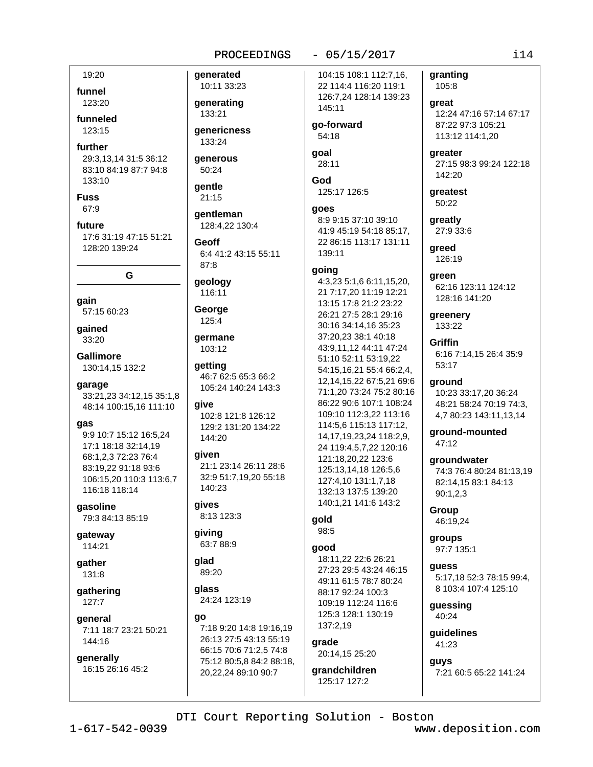## $-05/15/2017$

19:20 funnel

123:20 funneled

 $123.15$ 

## further

29:3.13.14 31:5 36:12 83:10 84:19 87:7 94:8  $133.10$ 

**Fuss** 67:9

future 17:6 31:19 47:15 51:21 128:20 139:24

G

qain 57:15 60:23

gained 33:20

**Gallimore** 130:14,15 132:2

garage 33:21,23 34:12,15 35:1,8

48:14 100:15.16 111:10

## gas

9:9 10:7 15:12 16:5.24 17:1 18:18 32:14.19 68:1,2,3 72:23 76:4 83:19.22 91:18 93:6 106:15,20 110:3 113:6,7 116:18 118:14

gasoline 79:3 84:13 85:19

gateway 114:21

gather 131:8

gathering  $127:7$ 

general 7:11 18:7 23:21 50:21 144:16

generally 16:15 26:16 45:2

10:11 33:23 generating

qenerated

133:21

**aenericness** 133:24

generous 50:24

## qentle 21:15

**gentleman** 128:4.22 130:4

Geoff 6:4 41:2 43:15 55:11 87:8

geology 116:11

## George 125:4

aermane 103:12

qetting 46:7 62:5 65:3 66:2 105:24 140:24 143:3

give 102:8 121:8 126:12 129:2 131:20 134:22 144:20

## given

21:1 23:14 26:11 28:6 32:9 51:7,19,20 55:18 140:23

gives 8:13 123:3

giving 63:7 88:9

alad 89:20

qlass 24:24 123:19

## ao

7:18 9:20 14:8 19:16,19 26:13 27:5 43:13 55:19 66:15 70:6 71:2,5 74:8 75:12 80:5,8 84:2 88:18, 20,22,24 89:10 90:7

104:15 108:1 112:7.16. 22 114:4 116:20 119:1 126:7,24 128:14 139:23 145:11

qo-forward 54:18

goal 28:11

God 125:17 126:5

## goes

8:9 9:15 37:10 39:10 41:9 45:19 54:18 85:17. 22 86:15 113:17 131:11 139:11

## going

4:3,23 5:1,6 6:11,15,20, 21 7:17,20 11:19 12:21 13:15 17:8 21:2 23:22 26:21 27:5 28:1 29:16 30:16 34:14,16 35:23 37:20,23 38:1 40:18 43:9,11,12 44:11 47:24 51:10 52:11 53:19.22 54:15,16,21 55:4 66:2,4, 12.14.15.22 67:5.21 69:6 71:1.20 73:24 75:2 80:16 86:22 90:6 107:1 108:24 109:10 112:3,22 113:16 114:5,6 115:13 117:12, 14, 17, 19, 23, 24 118: 2, 9, 24 119:4,5,7,22 120:16 121:18,20,22 123:6 125:13,14,18 126:5,6 127:4,10 131:1,7,18 132:13 137:5 139:20 140:1.21 141:6 143:2

#### gold 98:5

## good

18:11,22 22:6 26:21 27:23 29:5 43:24 46:15 49:11 61:5 78:7 80:24 88:17 92:24 100:3 109:19 112:24 116:6 125:3 128:1 130:19 137:2,19

## grade 20:14,15 25:20

grandchildren 125:17 127:2

granting 105:8

great 12:24 47:16 57:14 67:17 87:22 97:3 105:21 113:12 114:1,20

greater 27:15 98:3 99:24 122:18  $142.20$ 

greatest 50:22

greatly 27:9 33:6

greed 126:19

areen 62:16 123:11 124:12 128:16 141:20

greenery 133:22

# **Griffin**

6:16 7:14,15 26:4 35:9 53:17

## ground

10:23 33:17,20 36:24 48:21 58:24 70:19 74:3. 4,7 80:23 143:11,13,14

ground-mounted 47:12

**aroundwater** 74:3 76:4 80:24 81:13,19

82:14,15 83:1 84:13  $90:1,2,3$ 

Group 46:19,24

groups 97:7 135:1

guess 5:17.18 52:3 78:15 99:4.

8 103:4 107:4 125:10 guessing

40:24

quidelines 41:23

guys 7:21 60:5 65:22 141:24

DTI Court Reporting Solution - Boston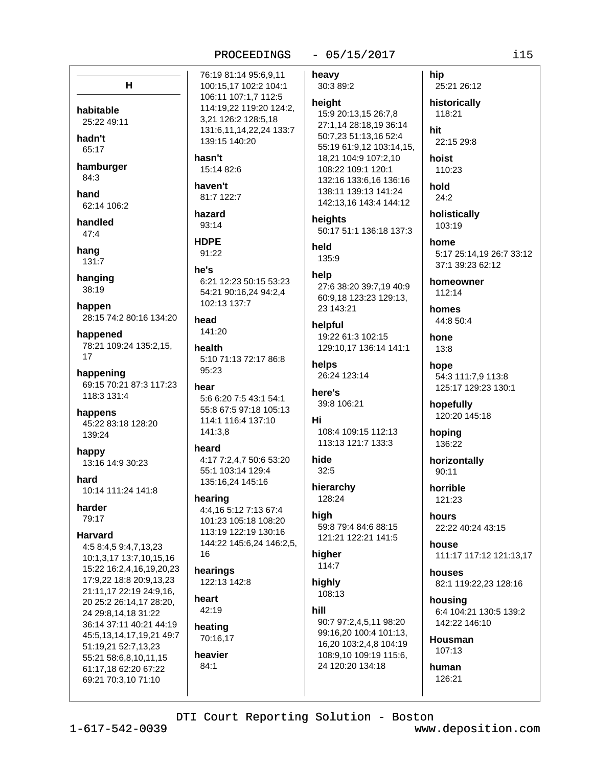## $-05/15/2017$

76:19 81:14 95:6,9,11  $H$ 100:15,17 102:2 104:1 106:11 107:1,7 112:5 114:19.22 119:20 124:2. habitable 3,21 126:2 128:5,18 25:22 49:11 131:6,11,14,22,24 133:7 hadn't 139:15 140:20 65:17 hasn't hamburger 15:14 82:6 84:3 haven't hand 81:7 122:7 62:14 106:2 hazard handled 93:14  $47:4$ **HDPE** hang 91:22 131:7 he's hanging 6:21 12:23 50:15 53:23 38:19 54:21 90:16,24 94:2,4 102:13 137:7 happen 28:15 74:2 80:16 134:20 head 141:20 happened 78:21 109:24 135:2,15, health  $17$ 5:10 71:13 72:17 86:8  $95:23$ happening 69:15 70:21 87:3 117:23 hear 118:3 131:4 5:6 6:20 7:5 43:1 54:1 55:8 67:5 97:18 105:13 happens 114:1 116:4 137:10 45:22 83:18 128:20 141:3,8 139:24 heard happy 4:17 7:2,4,7 50:6 53:20 13:16 14:9 30:23 55:1 103:14 129:4 hard 135:16,24 145:16 10:14 111:24 141:8 hearing harder 4:4.16 5:12 7:13 67:4 79:17 101:23 105:18 108:20 113:19 122:19 130:16 **Harvard** 144:22 145:6,24 146:2,5, 4:5 8:4,5 9:4,7,13,23 16 10:1,3,17 13:7,10,15,16 15:22 16:2,4,16,19,20,23 hearings 17:9,22 18:8 20:9,13,23 122:13 142:8 21:11,17 22:19 24:9,16, heart 20 25:2 26:14,17 28:20,  $42:19$ 24 29:8,14,18 31:22 36:14 37:11 40:21 44:19 heating 45:5,13,14,17,19,21 49:7 70:16,17 51:19,21 52:7,13,23 heavier 55:21 58:6,8,10,11,15  $84:1$ 61:17,18 62:20 67:22 69:21 70:3,10 71:10

heavy hip 30:3 89:2 height 15:9 20:13,15 26:7,8 27:1,14 28:18,19 36:14 50:7,23 51:13,16 52:4 55:19 61:9,12 103:14,15, 18.21 104:9 107:2.10 108:22 109:1 120:1 132:16 133:6,16 136:16 138:11 139:13 141:24 142:13,16 143:4 144:12 heights 50:17 51:1 136:18 137:3 held 135:9 help 27:6 38:20 39:7.19 40:9 60:9,18 123:23 129:13, 23 143:21 helpful 19:22 61:3 102:15 129:10,17 136:14 141:1 helps 26:24 123:14 hara's 39:8 106:21 Hi 108:4 109:15 112:13 113:13 121:7 133:3 hide  $32:5$ hierarchy 128:24 hiah 59:8 79:4 84:6 88:15 121:21 122:21 141:5

higher 114:7

highly  $108:13$ 

hill 90:7 97:2.4.5.11 98:20 99:16,20 100:4 101:13, 16,20 103:2,4,8 104:19 108:9.10 109:19 115:6. 24 120:20 134:18

25:21 26:12 historically

118:21 hit 22:15 29:8 hoist 110:23

hold  $24:2$ 

holistically 103:19

## home 5:17 25:14,19 26:7 33:12 37:1 39:23 62:12

homeowner  $112.14$ 

homes 44:8 50:4

hone 13:8

hope 54:3 111:7,9 113:8 125:17 129:23 130:1

hopefully 120:20 145:18

hoping 136:22

horizontally 90:11

horrible  $121.23$ 

hours 22:22 40:24 43:15

house 111:17 117:12 121:13,17

houses 82:1 119:22,23 128:16

housina 6:4 104:21 130:5 139:2 142:22 146:10

**Housman**  $107.13$ 

human 126:21

DTI Court Reporting Solution - Boston

 $1 - 617 - 542 - 0039$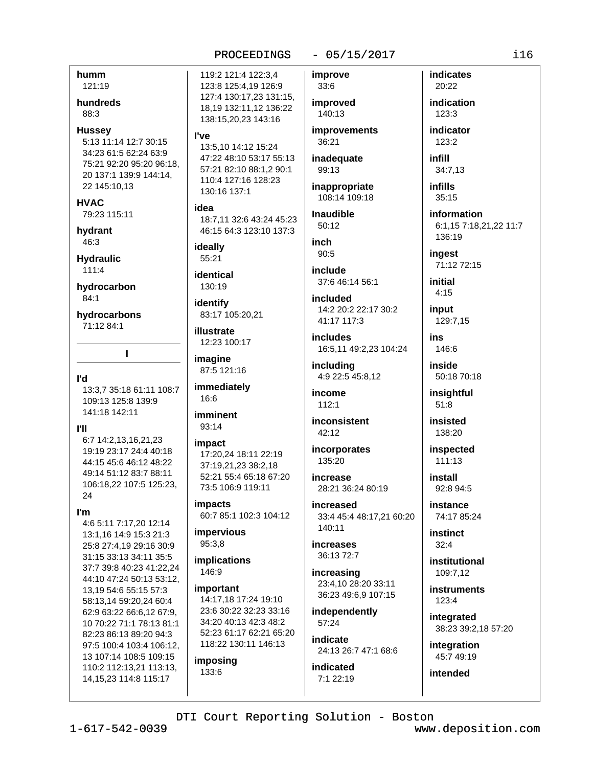## $-05/15/2017$

humm 121:19

hundreds 88:3

**Hussev** 

5:13 11:14 12:7 30:15 34:23 61:5 62:24 63:9 75:21 92:20 95:20 96:18. 20 137:1 139:9 144:14, 22 145:10,13

## **HVAC**

79:23 115:11

hydrant 46:3

**Hydraulic**  $111.4$ 

hydrocarbon  $84:1$ 

hydrocarbons 71:12 84:1

**I'd** 13:3,7 35:18 61:11 108:7 109:13 125:8 139:9

141:18 142:11

 $\mathbf{I}$ 

## **PH**

6:7 14:2.13.16.21.23 19:19 23:17 24:4 40:18 44:15 45:6 46:12 48:22 49:14 51:12 83:7 88:11 106:18,22 107:5 125:23, 24

I'm

4:6 5:11 7:17,20 12:14 13:1.16 14:9 15:3 21:3 25:8 27:4,19 29:16 30:9 31:15 33:13 34:11 35:5 37:7 39:8 40:23 41:22.24 44:10 47:24 50:13 53:12. 13,19 54:6 55:15 57:3 58:13.14 59:20.24 60:4 62:9 63:22 66:6,12 67:9, 10 70:22 71:1 78:13 81:1 82:23 86:13 89:20 94:3 97:5 100:4 103:4 106:12, 13 107:14 108:5 109:15 110:2 112:13,21 113:13, 14, 15, 23 114: 8 115: 17

119:2 121:4 122:3.4 123:8 125:4,19 126:9 127:4 130:17,23 131:15, 18,19 132:11,12 136:22 138:15,20,23 143:16

## l've

13:5.10 14:12 15:24 47:22 48:10 53:17 55:13 57:21 82:10 88:1.2 90:1 110:4 127:16 128:23 130:16 137:1

## idea

18:7,11 32:6 43:24 45:23 46:15 64:3 123:10 137:3

ideally 55:21

identical 130:19

identify 83:17 105:20,21

illustrate 12:23 100:17

imagine 87:5 121:16

immediately 16:6

imminent  $93:14$ 

## impact 17:20.24 18:11 22:19 37:19.21.23 38:2.18 52:21 55:4 65:18 67:20

73:5 106:9 119:11 **impacts** 

60:7 85:1 102:3 104:12

impervious 95:3,8

implications 146:9

important

14:17,18 17:24 19:10 23:6 30:22 32:23 33:16 34:20 40:13 42:3 48:2 52:23 61:17 62:21 65:20 118:22 130:11 146:13

imposing 133:6

33:6 improved 140:13 **improvements** 36:21

improve

inadequate 99:13

inappropriate 108:14 109:18

**Inaudible** 50:12

inch  $90:5$ 

include

37:6 46:14 56:1 included

14:2 20:2 22:17 30:2 41:17 117:3

**includes** 16:5,11 49:2,23 104:24

including 4:9 22:5 45:8,12

income  $112:1$ 

inconsistent 42:12

incorporates 135:20

increase 28:21 36:24 80:19

increased 33:4 45:4 48:17,21 60:20  $140:11$ 

increases 36:13 72:7

increasing 23:4,10 28:20 33:11 36:23 49:6,9 107:15

independently 57:24

indicate 24:13 26:7 47:1 68:6

indicated  $7:122:19$ 

**indicates** 20:22 indication 123:3 indicator 123:2 infill 34:7,13 *infills*  $35:15$ information 6:1.15 7:18.21.22 11:7 136:19 ingest 71:12 72:15 initial  $4.15$ input 129:7,15 ins 146:6

inside 50:18 70:18

insightful  $51:8$ 

insisted 138:20

inspected  $111:13$ 

install 92:8 94:5

instance 74:17 85:24

instinct  $32:4$ 

institutional 109:7.12

**instruments** 123:4

integrated 38:23 39:2,18 57:20

integration 45:7 49:19

intended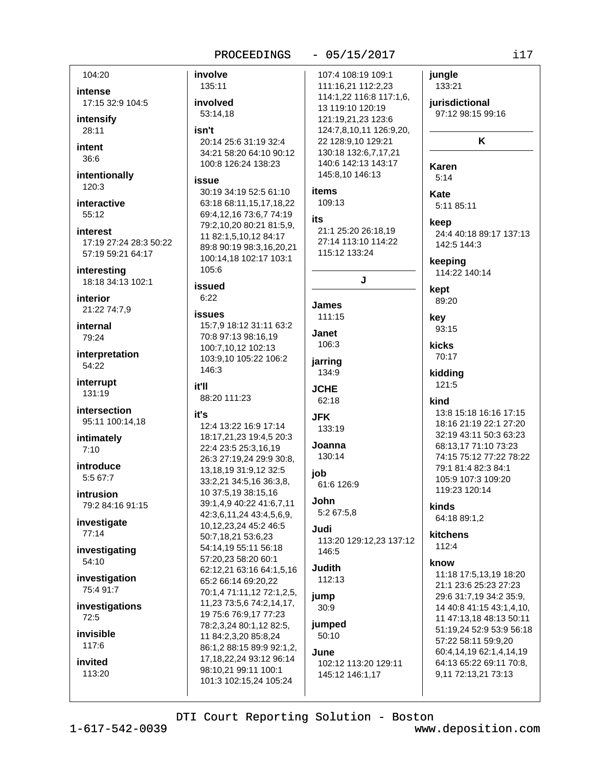$i17$ 

|                        | PROCEEDINGS                                               | $-05/15/2017$                              | i17                                              |
|------------------------|-----------------------------------------------------------|--------------------------------------------|--------------------------------------------------|
| 104:20                 | involve                                                   | 107:4 108:19 109:1                         | jungle                                           |
| intense                | 135:11                                                    | 111:16,21 112:2,23                         | 133:21                                           |
| 17:15 32:9 104:5       | involved                                                  | 114:1,22 116:8 117:1,6,                    | jurisdictional                                   |
|                        | 53:14,18                                                  | 13 119:10 120:19                           | 97:12 98:15 99:16                                |
| intensify              |                                                           | 121:19,21,23 123:6                         |                                                  |
| 28:11                  | isn't                                                     | 124:7,8,10,11 126:9,20,                    | K                                                |
| intent                 | 20:14 25:6 31:19 32:4<br>34:21 58:20 64:10 90:12          | 22 128:9,10 129:21<br>130:18 132:6,7,17,21 |                                                  |
| 36:6                   | 100:8 126:24 138:23                                       | 140:6 142:13 143:17                        |                                                  |
| intentionally          |                                                           | 145:8,10 146:13                            | <b>Karen</b>                                     |
| 120:3                  | issue                                                     |                                            | 5:14                                             |
|                        | 30:19 34:19 52:5 61:10                                    | items                                      | Kate                                             |
| interactive            | 63:18 68:11,15,17,18,22                                   | 109:13                                     | 5:11 85:11                                       |
| 55:12                  | 69:4,12,16 73:6,7 74:19                                   | its                                        | keep                                             |
| <b>interest</b>        | 79:2,10,20 80:21 81:5,9,<br>11 82:1,5,10,12 84:17         | 21:1 25:20 26:18,19                        | 24:4 40:18 89:17 137:13                          |
| 17:19 27:24 28:3 50:22 | 89:8 90:19 98:3,16,20,21                                  | 27:14 113:10 114:22                        | 142:5 144:3                                      |
| 57:19 59:21 64:17      | 100:14,18 102:17 103:1                                    | 115:12 133:24                              |                                                  |
| interesting            | 105:6                                                     |                                            | keeping<br>114:22 140:14                         |
| 18:18 34:13 102:1      |                                                           | J                                          |                                                  |
| interior               | issued<br>6:22                                            |                                            | kept                                             |
| 21:22 74:7,9           |                                                           | James                                      | 89:20                                            |
|                        | <b>issues</b>                                             | 111:15                                     | key                                              |
| internal               | 15:7,9 18:12 31:11 63:2                                   | Janet                                      | 93:15                                            |
| 79:24                  | 70:8 97:13 98:16,19<br>100:7,10,12 102:13                 | 106:3                                      | kicks                                            |
| interpretation         | 103:9,10 105:22 106:2                                     |                                            | 70:17                                            |
| 54:22                  | 146:3                                                     | jarring<br>134:9                           | kidding                                          |
| interrupt              | it'll                                                     |                                            | 121:5                                            |
| 131:19                 | 88:20 111:23                                              | <b>JCHE</b>                                |                                                  |
| intersection           |                                                           | 62:18                                      | kind                                             |
| 95:11 100:14,18        | it's                                                      | <b>JFK</b>                                 | 13:8 15:18 16:16 17:15<br>18:16 21:19 22:1 27:20 |
|                        | 12:4 13:22 16:9 17:14                                     | 133:19                                     | 32:19 43:11 50:3 63:23                           |
| intimately             | 18:17,21,23 19:4,5 20:3<br>22:4 23:5 25:3,16,19           | Joanna                                     | 68:13,17 71:10 73:23                             |
| 7:10                   | 26:3 27:19,24 29:9 30:8,                                  | 130:14                                     | 74:15 75:12 77:22 78:22                          |
| introduce              | 13, 18, 19 31: 9, 12 32: 5                                |                                            | 79:1 81:4 82:3 84:1                              |
| 5:5 67:7               | 33:2,21 34:5,16 36:3,8,                                   | job<br>61:6 126:9                          | 105:9 107:3 109:20                               |
| intrusion              | 10 37:5,19 38:15,16                                       |                                            | 119:23 120:14                                    |
| 79:2 84:16 91:15       | 39:1,4,9 40:22 41:6,7,11                                  | John                                       | kinds                                            |
| investigate            | 42:3,6,11,24 43:4,5,6,9,                                  | 5:2 67:5,8                                 | 64:18 89:1,2                                     |
| 77:14                  | 10, 12, 23, 24 45: 246: 5                                 | Judi                                       | kitchens                                         |
|                        | 50:7,18,21 53:6,23                                        | 113:20 129:12,23 137:12                    | 112:4                                            |
| investigating          | 54:14,19 55:11 56:18<br>57:20,23 58:20 60:1               | 146:5                                      |                                                  |
| 54:10                  | 62:12,21 63:16 64:1,5,16                                  | <b>Judith</b>                              | know                                             |
| investigation          | 65:2 66:14 69:20,22                                       | 112:13                                     | 11:18 17:5,13,19 18:20<br>21:1 23:6 25:23 27:23  |
| 75:4 91:7              | 70:1,4 71:11,12 72:1,2,5,                                 | jump                                       | 29:6 31:7,19 34:2 35:9,                          |
| investigations         | 11,23 73:5,6 74:2,14,17,                                  | 30:9                                       | 14 40:8 41:15 43:1,4,10,                         |
| 72:5                   | 19 75:6 76:9,17 77:23                                     |                                            | 11 47:13,18 48:13 50:11                          |
| invisible              | 78:2,3,24 80:1,12 82:5,                                   | jumped                                     | 51:19,24 52:9 53:9 56:18                         |
| 117:6                  | 11 84:2,3,20 85:8,24                                      | 50:10                                      | 57:22 58:11 59:9,20                              |
|                        | 86:1,2 88:15 89:9 92:1,2,<br>17, 18, 22, 24 93: 12 96: 14 | June                                       | 60:4,14,19 62:1,4,14,19                          |
| invited                | 98:10,21 99:11 100:1                                      | 102:12 113:20 129:11                       | 64:13 65:22 69:11 70:8,                          |
| 113:20                 | 101:3 102:15,24 105:24                                    | 145:12 146:1,17                            | 9,11 72:13,21 73:13                              |
|                        |                                                           |                                            |                                                  |

DTI Court Reporting Solution - Boston

 $1 - 617 - 542 - 0039$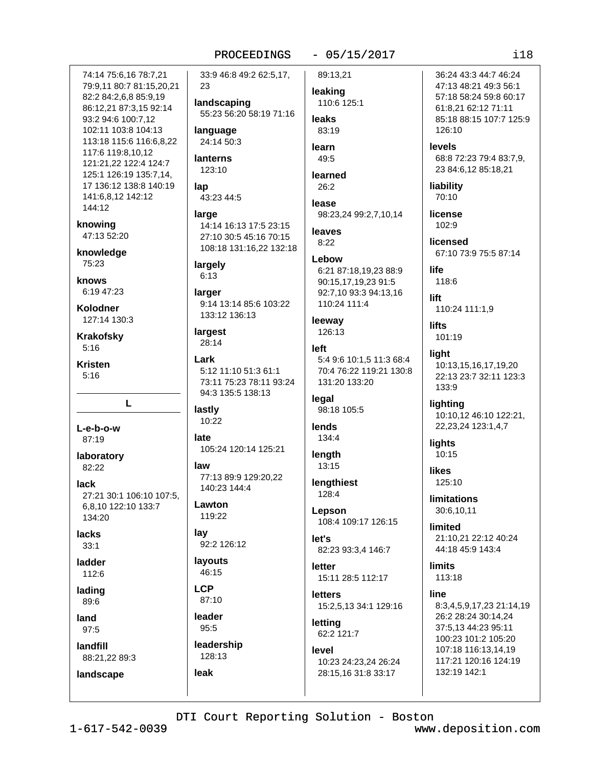## $-05/15/2017$

74:14 75:6.16 78:7.21 79:9,11 80:7 81:15,20,21 82:2 84:2,6,8 85:9,19 86:12.21 87:3.15 92:14 93:2 94:6 100:7,12 102:11 103:8 104:13 113:18 115:6 116:6,8,22 117:6 119:8,10,12 121:21.22 122:4 124:7 125:1 126:19 135:7,14, 17 136:12 138:8 140:19 141:6,8,12 142:12 144:12 knowing 47:13 52:20 knowledge 75:23 knows 6:19 47:23 Kolodner 127:14 130:3 **Krakofsky**  $5:16$ **Kristen**  $5:16$ L L-e-b-o-w 87:19 laboratory 82:22 **lack** 27:21 30:1 106:10 107:5, 6.8.10 122:10 133:7 134:20 lacks  $33:1$ ladder  $112.6$ lading 89:6 land 97:5 landfill 88:21,22 89:3

33:9 46:8 49:2 62:5,17, 23

landscaping 55:23 56:20 58:19 71:16

language 24:14 50:3

**lanterns** 123:10

lap 43:23 44:5

large 14:14 16:13 17:5 23:15 27:10 30:5 45:16 70:15 108:18 131:16,22 132:18

largely  $6:13$ 

larger 9:14 13:14 85:6 103:22 133:12 136:13

largest 28:14

Lark 5:12 11:10 51:3 61:1 73:11 75:23 78:11 93:24 94:3 135:5 138:13

lastly 10:22

late 105:24 120:14 125:21

law 77:13 89:9 129:20,22 140:23 144:4

Lawton 119:22

lay 92:2 126:12

layouts 46:15

**LCP** 87:10

leader 95:5

leak

leadership 128:13

leaking 110:6 125:1 **leaks** 83:19

89:13.21

learn 49:5

learned  $26:2$ 

lease 98:23.24 99:2.7.10.14

leaves  $8:22$ 

Lebow 6:21 87:18,19,23 88:9 90:15,17,19,23 91:5 92:7,10 93:3 94:13,16 110:24 111:4

leeway 126:13

left 5:4 9:6 10:1,5 11:3 68:4 70:4 76:22 119:21 130:8 131:20 133:20

legal 98:18 105:5

lends 134:4

length  $13:15$ 

lengthiest 128:4

Lepson 108:4 109:17 126:15

 $let's$ 82:23 93:3,4 146:7

letter 15:11 28:5 112:17

**letters** 15:2,5,13 34:1 129:16

letting 62:2 121:7

level 10:23 24:23,24 26:24 28:15,16 31:8 33:17

36:24 43:3 44:7 46:24 47:13 48:21 49:3 56:1 57:18 58:24 59:8 60:17 61:8.21 62:12 71:11 85:18 88:15 107:7 125:9 126:10

levels 68:8 72:23 79:4 83:7.9. 23 84:6,12 85:18,21

liability 70:10

license 102:9

licensed 67:10 73:9 75:5 87:14

life 118:6

lift 110:24 111:1,9

**lifts** 101:19

liaht 10:13,15,16,17,19,20 22:13 23:7 32:11 123:3 133:9

lighting 10:10,12 46:10 122:21, 22,23,24 123:1,4,7

lights 10:15

**likes**  $125:10$ 

**limitations** 30:6,10,11

limited 21:10,21 22:12 40:24 44:18 45:9 143:4

**limits** 113:18

line 8:3,4,5,9,17,23 21:14,19 26:2 28:24 30:14.24 37:5,13 44:23 95:11 100:23 101:2 105:20 107:18 116:13.14.19 117:21 120:16 124:19 132:19 142:1

DTI Court Reporting Solution - Boston

landscape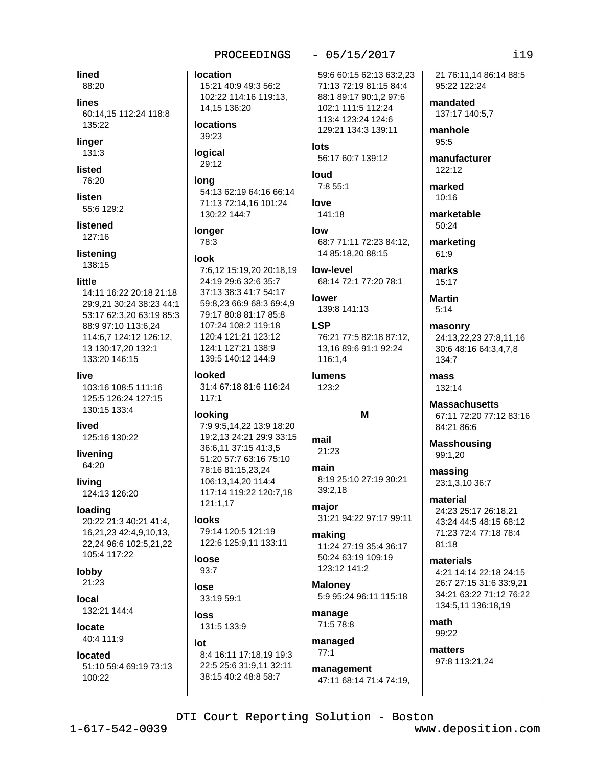88:20 lines

60:14.15 112:24 118:8 135:22

linger 131:3

lined

listed

76:20

listen 55:6 129:2

listened 127:16

listening 138:15

## little

14:11 16:22 20:18 21:18 29:9,21 30:24 38:23 44:1 53:17 62:3,20 63:19 85:3 88:9 97:10 113:6,24 114:6,7 124:12 126:12, 13 130:17,20 132:1 133:20 146:15

#### live

103:16 108:5 111:16 125:5 126:24 127:15 130:15 133:4

hevil

125:16 130:22

livening 64:20

livina 124:13 126:20

## loading

20:22 21:3 40:21 41:4, 16,21,23 42:4,9,10,13, 22,24 96:6 102:5,21,22 105:4 117:22

# lobby

21:23

local 132:21 144:4

## locate 40:4 111:9

located

51:10 59:4 69:19 73:13 100:22

## **location** 15:21 40:9 49:3 56:2 102:22 114:16 119:13, 14.15 136:20

**locations** 39:23

#### logical 29:12

lona 54:13 62:19 64:16 66:14 71:13 72:14.16 101:24 130:22 144:7

## longer

78:3

## look

7:6,12 15:19,20 20:18,19 24:19 29:6 32:6 35:7 37:13 38:3 41:7 54:17 59:8,23 66:9 68:3 69:4,9 79:17 80:8 81:17 85:8 107:24 108:2 119:18 120:4 121:21 123:12 124:1 127:21 138:9 139:5 140:12 144:9

## looked

31:4 67:18 81:6 116:24  $117:1$ 

## looking

7:9 9:5,14,22 13:9 18:20 19:2,13 24:21 29:9 33:15 36:6.11 37:15 41:3.5 51:20 57:7 63:16 75:10 78:16 81:15,23,24 106:13.14.20 114:4 117:14 119:22 120:7,18  $121:1.17$ 

## **looks**

79:14 120:5 121:19 122:6 125:9,11 133:11

#### loose  $93:7$

lose 33:19 59:1

loss 131:5 133:9

## $I$ nt

8:4 16:11 17:18,19 19:3 22:5 25:6 31:9,11 32:11 38:15 40:2 48:8 58:7

 $-05/15/2017$ 

59:6 60:15 62:13 63:2.23 71:13 72:19 81:15 84:4 88:1 89:17 90:1,2 97:6 102:1 111:5 112:24 113:4 123:24 124:6 129:21 134:3 139:11

 $let$ s 56:17 60:7 139:12

**huol** 7:8 55:1

love  $141:18$ 

# low

68:7 71:11 72:23 84:12, 14 85:18.20 88:15

low-level 68:14 72:1 77:20 78:1

**lower** 139:8 141:13

## **LSP** 76:21 77:5 82:18 87:12, 13.16 89:6 91:1 92:24 116:1.4

**lumens** 123:2

## mail  $21.23$

main 8:19 25:10 27:19 30:21 39:2,18

M

major 31:21 94:22 97:17 99:11

## making 11:24 27:19 35:4 36:17 50:24 63:19 109:19 123:12 141:2

**Maloney** 5:9 95:24 96:11 115:18

manage 71:5 78:8

## managed  $77:1$

management 47:11 68:14 71:4 74:19. 21 76:11.14 86:14 88:5 95:22 122:24

mandated 137:17 140:5.7

manhole 95:5

manufacturer  $122:12$ 

marked  $10:16$ 

marketable 50:24

marketing 61:9

marks  $15:17$ 

**Martin**  $5:14$ 

masonry 24:13,22,23 27:8,11,16 30:6 48:16 64:3,4,7,8 134:7

mass 132:14

**Massachusetts** 67:11 72:20 77:12 83:16 84:21 86:6

**Masshousing** 99:1,20

massing 23:1,3,10 36:7

material 24:23 25:17 26:18,21 43:24 44:5 48:15 68:12 71:23 72:4 77:18 78:4  $81.18$ 

materials 4:21 14:14 22:18 24:15 26:7 27:15 31:6 33:9.21 34:21 63:22 71:12 76:22 134:5,11 136:18,19

math 99:22

matters 97:8 113:21,24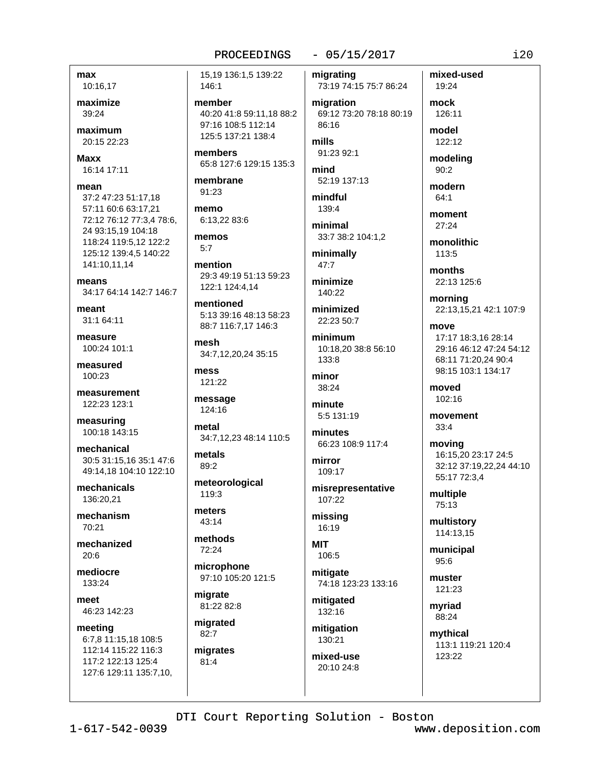## $-05/15/2017$

# max

10:16,17

maximize 39:24

maximum 20:15 22:23

**Maxx** 16:14 17:11

## mean

37:2 47:23 51:17,18 57:11 60:6 63:17,21 72:12 76:12 77:3.4 78:6. 24 93:15.19 104:18 118:24 119:5,12 122:2 125:12 139:4.5 140:22 141:10,11,14

means 34:17 64:14 142:7 146:7

meant 31:1 64:11

measure 100:24 101:1

measured  $100.23$ 

measurement 122:23 123:1

measuring 100:18 143:15

mechanical 30:5 31:15.16 35:1 47:6 49:14,18 104:10 122:10

mechanicals 136:20,21

mechanism 70:21

mechanized  $20:6$ 

mediocre 133:24

meet 46:23 142:23

meeting 6:7,8 11:15,18 108:5 112:14 115:22 116:3 117:2 122:13 125:4 127:6 129:11 135:7,10, 15,19 136:1,5 139:22 146:1

member 40:20 41:8 59:11.18 88:2 97:16 108:5 112:14 125:5 137:21 138:4

members 65:8 127:6 129:15 135:3

membrane 91:23

memo 6:13,22 83:6

memos  $5:7$ 

mention 29:3 49:19 51:13 59:23 122:1 124:4,14

mentioned 5:13 39:16 48:13 58:23 88:7 116:7,17 146:3

mesh 34:7,12,20,24 35:15

mess 121:22

message 124:16

metal 34:7,12,23 48:14 110:5

metals  $89:2$ 

meteorological 119:3

meters 43:14

methods 72:24

microphone 97:10 105:20 121:5

migrate 81:22 82:8

migrated 82:7 migrates

 $81:4$ 

migrating 73:19 74:15 75:7 86:24

migration 69:12 73:20 78:18 80:19 86:16

mills 91:23 92:1

mind 52:19 137:13

mindful 139:4

minimal 33:7 38:2 104:1.2

minimally 47:7

minimize  $140.22$ 

minimized 22:23.50:7

minimum 10:18,20 38:8 56:10 133:8

minor 38:24

minute 5:5 131:19

minutes 66:23 108:9 117:4

mirror 109:17

misrepresentative 107:22

missing 16:19

**MIT** 106:5

mitigate 74:18 123:23 133:16

mitigated 132:16

mitigation 130:21

mixed-use 20:10 24:8

mixed-used 19:24 mock 126:11 model 122:12 modeling  $90:2$ modern  $64:1$ moment 27:24 monolithic 113:5 months 22:13 125:6 morning 22:13,15,21 42:1 107:9 move 17:17 18:3.16 28:14 29:16 46:12 47:24 54:12 68:11 71:20,24 90:4 98:15 103:1 134:17 moved 102:16 movement  $33:4$ moving 16:15,20 23:17 24:5 32:12 37:19.22.24 44:10 55:17 72:3,4

multiple 75:13

multistory 114:13,15

municipal  $95:6$ 

muster 121:23

myriad 88:24

mythical 113:1 119:21 120:4 123:22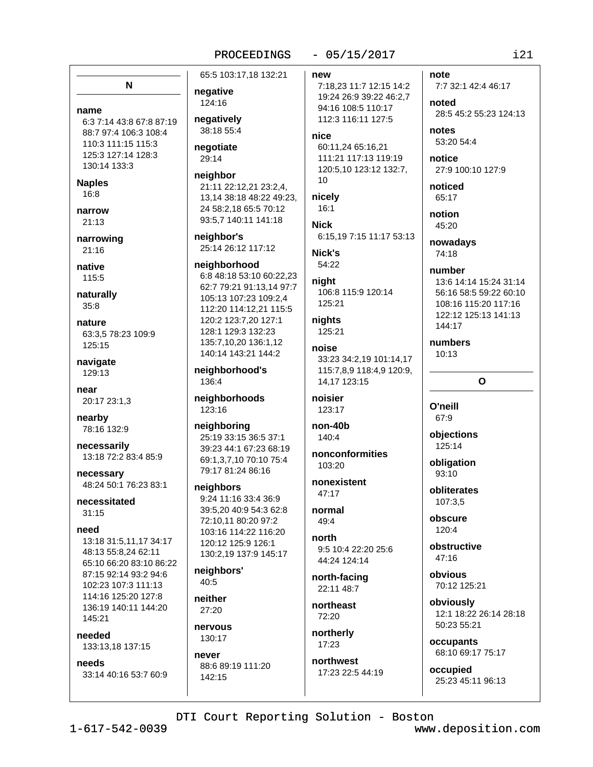N

name 6:3 7:14 43:8 67:8 87:19 88:7 97:4 106:3 108:4

110:3 111:15 115:3 125:3 127:14 128:3 130:14 133:3

**Naples** 

 $16:8$ 

narrow  $21:13$ 

narrowing 21:16

native 115:5

naturally  $35:8$ 

nature 63:3,5 78:23 109:9 125:15

navigate 129:13

near 20:17 23:1,3

nearby 78:16 132:9

necessarily 13:18 72:2 83:4 85:9

necessary 48:24 50:1 76:23 83:1

necessitated  $31:15$ 

need

13:18 31:5,11,17 34:17 48:13 55:8,24 62:11 65:10 66:20 83:10 86:22 87:15 92:14 93:2 94:6 102:23 107:3 111:13 114:16 125:20 127:8 136:19 140:11 144:20 145:21

heeded 133:13,18 137:15

needs

33:14 40:16 53:7 60:9

65:5 103:17,18 132:21

negative 124:16

negatively 38:18 55:4

negotiate 29:14

neighbor 21:11 22:12,21 23:2,4, 13,14 38:18 48:22 49:23, 24 58:2,18 65:5 70:12 93:5,7 140:11 141:18

neighbor's 25:14 26:12 117:12

neighborhood 6:8 48:18 53:10 60:22,23 62:7 79:21 91:13.14 97:7 105:13 107:23 109:2,4 112:20 114:12,21 115:5 120:2 123:7,20 127:1 128:1 129:3 132:23 135:7,10,20 136:1,12 140:14 143:21 144:2

neighborhood's 136:4

neighborhoods 123:16

neighboring 25:19 33:15 36:5 37:1 39:23 44:1 67:23 68:19 69:1,3,7,10 70:10 75:4 79:17 81:24 86:16

neighbors 9:24 11:16 33:4 36:9 39:5.20 40:9 54:3 62:8 72:10,11 80:20 97:2 103:16 114:22 116:20 120:12 125:9 126:1 130:2,19 137:9 145:17

neighbors'  $40:5$ 

neither 27:20

nervous 130:17

never 88:6 89:19 111:20 142:15

new

7:18,23 11:7 12:15 14:2 19:24 26:9 39:22 46:2,7 94:16 108:5 110:17 112:3 116:11 127:5

 $-05/15/2017$ 

nice

60:11.24 65:16.21 111:21 117:13 119:19 120:5,10 123:12 132:7,  $10$ 

nicely  $16:1$ 

**Nick** 6:15,19 7:15 11:17 53:13 Nick's

54:22

night 106:8 115:9 120:14 125:21

niahts 125:21

noise 33:23 34:2,19 101:14,17 115:7,8,9 118:4,9 120:9, 14,17 123:15

noisier 123:17

non-40b 140:4

nonconformities 103:20

nonexistent 47:17

normal 49:4

north 9:5 10:4 22:20 25:6 44:24 124:14

north-facing 22:11 48:7

northeast 72:20

northerly 17:23

northwest 17:23 22:5 44:19 7:7 32:1 42:4 46:17

noted 28:5 45:2 55:23 124:13

notes 53:20 54:4

note

notice 27:9 100:10 127:9

noticed 65:17

notion 45:20

nowadays 74:18

number 13:6 14:14 15:24 31:14 56:16 58:5 59:22 60:10 108:16 115:20 117:16 122:12 125:13 141:13 144:17

 $\Omega$ 

numbers  $10:13$ 

O'neill

67:9

objections 125:14

obligation 93:10

obliterates 107:3.5

obscure  $120:4$ 

obstructive  $47.16$ 

obvious 70:12 125:21

obviously 12:1 18:22 26:14 28:18 50:23 55:21

occupants 68:10 69:17 75:17

occupied 25:23 45:11 96:13

DTI Court Reporting Solution - Boston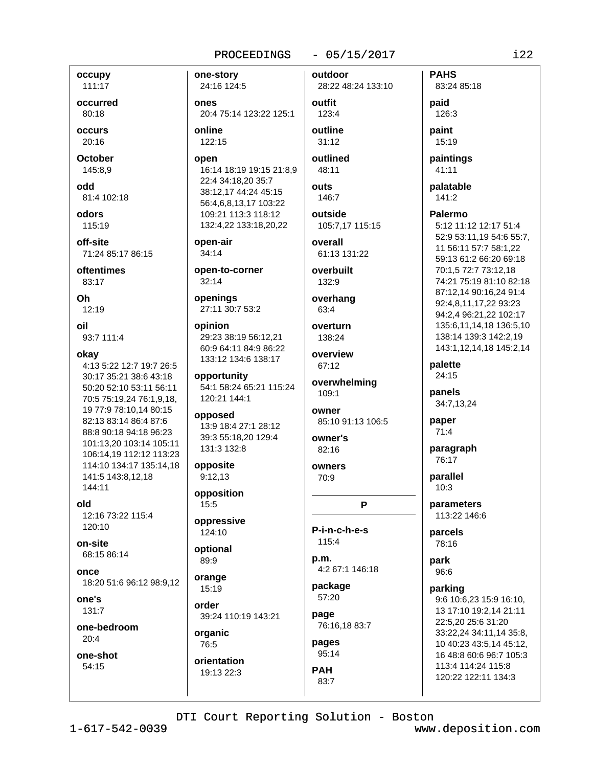## $-05/15/2017$

outdoor

occupy 111:17

occurred 80:18

occurs 20:16

**October** 145:8.9

odd 81:4 102:18

odors 115:19

off-site 71:24 85:17 86:15

oftentimes 83:17

Oh  $12:19$ 

oil 93:7 111:4

#### okay

4:13 5:22 12:7 19:7 26:5 30:17 35:21 38:6 43:18 50:20 52:10 53:11 56:11 70:5 75:19,24 76:1,9,18, 19 77:9 78:10,14 80:15 82:13 83:14 86:4 87:6 88:8 90:18 94:18 96:23 101:13,20 103:14 105:11 106:14,19 112:12 113:23 114:10 134:17 135:14.18 141:5 143:8.12.18 144:11

old

12:16 73:22 115:4 120:10

on-site 68:15 86:14

ODCA 18:20 51:6 96:12 98:9,12

one's 131:7

one-bedroom  $20:4$ 

one-shot 54:15

one-story 24:16 124:5 ones 20:4 75:14 123:22 125:1 online 122:15

open 16:14 18:19 19:15 21:8,9 22:4 34:18,20 35:7 38:12,17 44:24 45:15 56:4,6,8,13,17 103:22 109:21 113:3 118:12 132:4,22 133:18,20,22

open-air  $34:14$ 

open-to-corner  $32:14$ 

openings 27:11 30:7 53:2

opinion 29:23 38:19 56:12,21 60:9 64:11 84:9 86:22 133:12 134:6 138:17

opportunity 54:1 58:24 65:21 115:24 120:21 144:1

opposed 13:9 18:4 27:1 28:12 39:3 55:18,20 129:4 131:3 132:8

opposite  $9:12.13$ 

opposition 15:5

oppressive  $124:10$ 

optional 89:9

orange  $15:19$ 

order 39:24 110:19 143:21

organic 76:5

orientation 19:13 22:3

28:22 48:24 133:10 outfit 123:4 outline  $31:12$ outlined 48:11 **outs** 146:7 outside 105:7.17 115:15

overall 61:13 131:22

overbuilt 132:9

overhang 63:4

overturn 138:24

overview 67:12

overwhelming 109:1

owner 85:10 91:13 106:5

owner's  $82:16$ 

owners 70:9

P

P-i-n-c-h-e-s 115:4

p.m. 4:2 67:1 146:18

package 57:20

page 76:16,18 83:7

pages 95:14

**PAH** 

83:7

**PAHS** 83:24 85:18 paid 126:3 paint 15:19 paintings 41:11 palatable  $141:2$ Palermo 5:12 11:12 12:17 51:4 52:9 53:11,19 54:6 55:7, 11 56:11 57:7 58:1,22 59:13 61:2 66:20 69:18 70:1.5 72:7 73:12.18 74:21 75:19 81:10 82:18 87:12,14 90:16,24 91:4 92:4,8,11,17,22 93:23 94:2,4 96:21,22 102:17 135:6,11,14,18 136:5,10

143:1,12,14,18 145:2,14 palette 24:15

panels 34:7,13,24

138:14 139:3 142:2,19

paper  $71:4$ 

paragraph 76:17

parallel  $10:3$ 

parameters 113:22 146:6

parcels 78:16

park 96:6

parking

9:6 10:6,23 15:9 16:10, 13 17:10 19:2.14 21:11 22:5.20 25:6 31:20 33:22,24 34:11,14 35:8, 10 40:23 43:5,14 45:12, 16 48:8 60:6 96:7 105:3 113:4 114:24 115:8 120:22 122:11 134:3

DTI Court Reporting Solution - Boston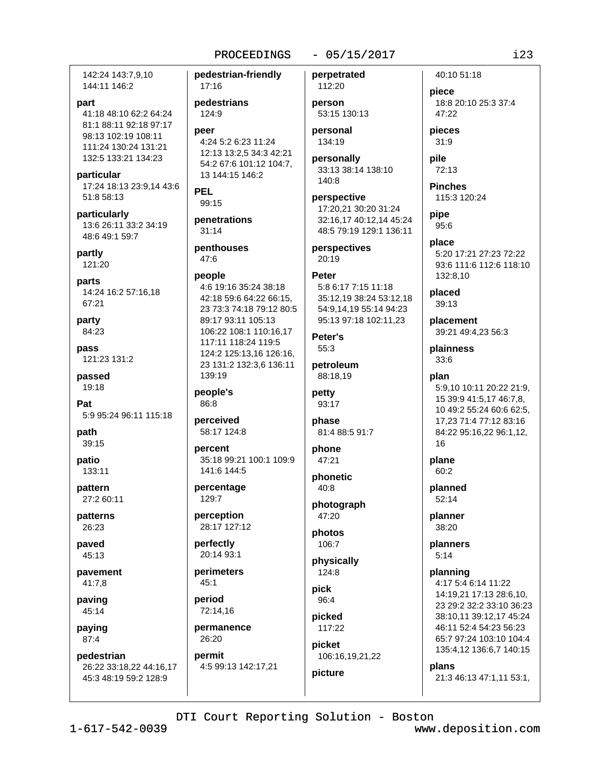pedestrian-friendly

 $17:16$ 

## $-05/15/2017$

142:24 143:7.9.10 144:11 146:2

#### part

41:18 48:10 62:2 64:24 81:1 88:11 92:18 97:17 98:13 102:19 108:11 111:24 130:24 131:21 132:5 133:21 134:23

particular 17:24 18:13 23:9,14 43:6 51:8 58:13

particularly 13:6 26:11 33:2 34:19 48:6 49:1 59:7

partly 121:20

parts 14:24 16:2 57:16,18 67:21

party 84:23

pass 121:23 131:2

passed 19:18

Pat 5:9 95:24 96:11 115:18

path 39:15

patio  $133:11$ 

pattern 27:2 60:11

patterns 26:23

paved 45:13

pavement  $41:7.8$ 

paving 45:14

paying 87:4

pedestrian 26:22 33:18,22 44:16,17 45:3 48:19 59:2 128:9

pedestrians 124:9 peer 4:24 5:2 6:23 11:24 12:13 13:2,5 34:3 42:21 54:2 67:6 101:12 104:7. 13 144:15 146:2 **PEL** 99:15 penetrations  $31:14$ penthouses  $47:6$ people 4:6 19:16 35:24 38:18 42:18 59:6 64:22 66:15, 23 73:3 74:18 79:12 80:5 89:17 93:11 105:13

106:22 108:1 110:16,17 117:11 118:24 119:5 124:2 125:13.16 126:16. 23 131:2 132:3,6 136:11 139:19

people's 86:8

perceived 58:17 124:8

percent 35:18 99:21 100:1 109:9 141:6 144:5

percentage 129:7

perception 28:17 127:12

perfectly 20:14 93:1

perimeters  $45:1$ 

period 72:14.16

permanence 26:20 permit

4:5 99:13 142:17,21

112:20 person 53:15 130:13

perpetrated

personal 134:19

personally 33:13 38:14 138:10 140:8

perspective 17:20,21 30:20 31:24 32:16,17 40:12,14 45:24 48:5 79:19 129:1 136:11

perspectives  $20:19$ 

## **Peter** 5:8 6:17 7:15 11:18 35:12,19 38:24 53:12,18 54:9,14,19 55:14 94:23 95:13 97:18 102:11,23

Peter's 55:3

petroleum 88:18.19

## petty 93:17

phase 81:4 88:5 91:7

phone 47:21

phonetic  $40:8$ 

photograph 47:20

photos 106:7

physically 124:8

pick 96:4

picked 117:22

picture

picket 106:16,19,21,22 40:10 51:18

piece 18:8 20:10 25:3 37:4 47:22

pieces  $31:9$ 

pile  $72:13$ 

**Pinches** 115:3 120:24

pipe 95:6

place 5:20 17:21 27:23 72:22 93:6 111:6 112:6 118:10 132:8.10

placed 39:13

placement 39:21 49:4,23 56:3

plainness  $33:6$ 

plan 5:9,10 10:11 20:22 21:9, 15 39:9 41:5,17 46:7,8, 10 49:2 55:24 60:6 62:5, 17,23 71:4 77:12 83:16 84:22 95:16,22 96:1,12, 16

plane  $60:2$ 

planned  $52:14$ 

planner 38:20

planners  $5:14$ 

planning 4:17 5:4 6:14 11:22 14:19,21 17:13 28:6,10, 23 29:2 32:2 33:10 36:23 38:10.11 39:12.17 45:24 46:11 52:4 54:23 56:23 65:7 97:24 103:10 104:4 135:4,12 136:6,7 140:15

plans

21:3 46:13 47:1,11 53:1,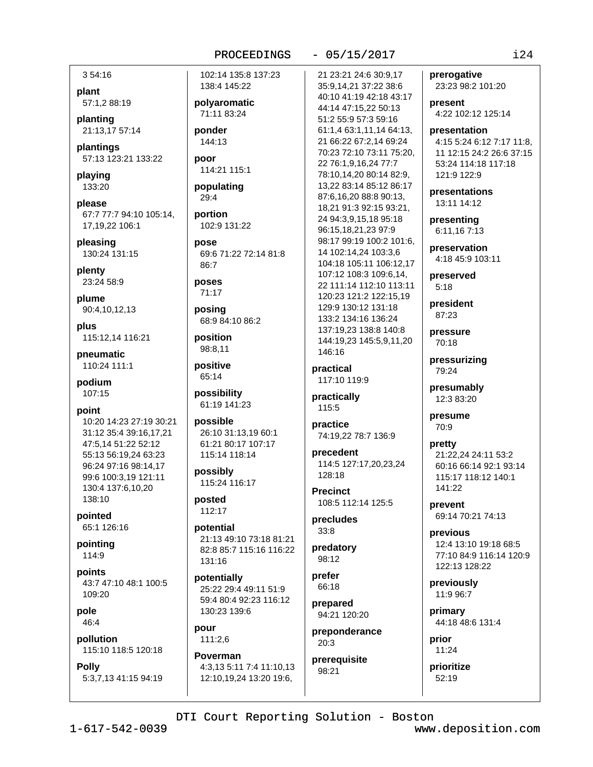## $-05/15/2017$

354:16

plant 57:1,2 88:19

planting 21:13,17 57:14

plantings 57:13 123:21 133:22

playing 133:20

please 67:7 77:7 94:10 105:14. 17.19.22 106:1

pleasing 130:24 131:15

plenty 23:24 58:9

plume 90:4,10,12,13

plus 115:12.14 116:21

pneumatic 110:24 111:1

podium  $107:15$ 

point

10:20 14:23 27:19 30:21 31:12 35:4 39:16.17.21 47:5,14 51:22 52:12 55:13 56:19,24 63:23 96:24 97:16 98:14.17 99:6 100:3,19 121:11 130:4 137:6,10,20 138:10

pointed 65:1 126:16

pointing 114:9

points 43:7 47:10 48:1 100:5 109:20

pole 46:4

pollution 115:10 118:5 120:18

## **Polly**

5:3,7,13 41:15 94:19

102:14 135:8 137:23 138:4 145:22

polyaromatic 71:11 83:24

ponder 144:13

poor 114:21 115:1

populating 29:4

portion 102:9 131:22

pose 69:6 71:22 72:14 81:8 86:7

poses  $71:17$ 

posing 68:9 84:10 86:2

position 98:8,11

positive 65:14

possibility 61:19 141:23

possible 26:10 31:13.19 60:1 61:21 80:17 107:17 115:14 118:14

possibly 115:24 116:17

posted 112:17

potential 21:13 49:10 73:18 81:21 82:8 85:7 115:16 116:22 131:16

potentially 25:22 29:4 49:11 51:9 59:4 80:4 92:23 116:12 130:23 139:6

pour 111:2.6

Poverman 4:3,13 5:11 7:4 11:10,13 12:10,19,24 13:20 19:6,

21 23:21 24:6 30:9.17 35:9,14,21 37:22 38:6 40:10 41:19 42:18 43:17 44:14 47:15,22 50:13 51:2 55:9 57:3 59:16 61:1.4 63:1.11.14 64:13. 21 66:22 67:2.14 69:24 70:23 72:10 73:11 75:20, 22 76:1,9,16,24 77:7 78:10,14,20 80:14 82:9, 13,22 83:14 85:12 86:17 87:6,16,20 88:8 90:13, 18,21 91:3 92:15 93:21, 24 94:3,9,15,18 95:18 96:15,18,21,23 97:9 98:17 99:19 100:2 101:6. 14 102:14,24 103:3,6 104:18 105:11 106:12.17 107:12 108:3 109:6.14. 22 111:14 112:10 113:11 120:23 121:2 122:15,19 129:9 130:12 131:18 133:2 134:16 136:24 137:19,23 138:8 140:8 144:19,23 145:5,9,11,20 146:16

practical 117:10 119:9

practically 115:5

practice 74:19.22 78:7 136:9

precedent 114:5 127:17,20,23,24 128:18

**Precinct** 108:5 112:14 125:5

precludes  $33:8$ 

predatory 98:12

prefer 66:18

prepared 94:21 120:20

preponderance  $20:3$ 

prerequisite 98:21

prerogative 23:23 98:2 101:20 present 4:22 102:12 125:14 presentation

4:15 5:24 6:12 7:17 11:8, 11 12:15 24:2 26:6 37:15 53:24 114:18 117:18  $121.9122.9$ 

presentations 13:11 14:12

presenting 6:11.16 7:13

preservation 4:18 45:9 103:11

preserved  $5:18$ 

president 87:23

pressure 70:18

pressurizing 79:24

presumably 12:3 83:20

presume 70:9

pretty 21:22,24 24:11 53:2 60:16 66:14 92:1 93:14 115:17 118:12 140:1 141:22

prevent 69:14 70:21 74:13

previous 12:4 13:10 19:18 68:5 77:10 84:9 116:14 120:9 122:13 128:22

previously 11:9 96:7

primary 44:18 48:6 131:4

prior 11:24

prioritize 52:19

DTI Court Reporting Solution - Boston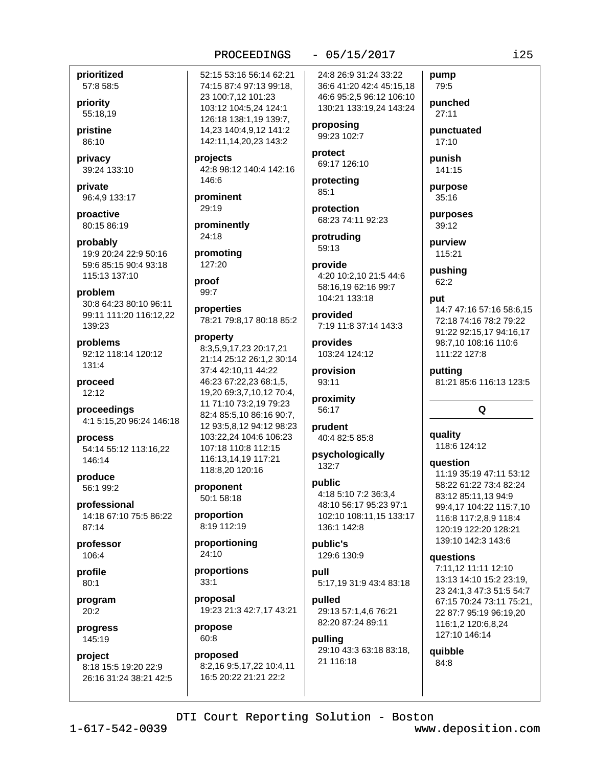## $-05/15/2017$

prioritized 57:8 58:5

priority 55:18,19

pristine 86:10

privacy 39:24 133:10

private 96:4,9 133:17

proactive 80:15 86:19

probably 19:9 20:24 22:9 50:16 59:6 85:15 90:4 93:18 115:13 137:10

problem 30:8 64:23 80:10 96:11 99:11 111:20 116:12.22 139:23

problems 92:12 118:14 120:12 131:4

proceed 12:12

proceedings 4:1 5:15,20 96:24 146:18

process 54:14 55:12 113:16,22 146:14

produce 56:1 99:2

professional 14:18 67:10 75:5 86:22 87:14

professor 106:4

profile  $80:1$ 

program  $20:2$ 

progress 145:19

project 8:18 15:5 19:20 22:9 26:16 31:24 38:21 42:5 52:15 53:16 56:14 62:21 74:15 87:4 97:13 99:18, 23 100:7,12 101:23 103:12 104:5,24 124:1 126:18 138:1.19 139:7. 14,23 140:4,9,12 141:2 142:11,14,20,23 143:2

projects 42:8 98:12 140:4 142:16 146:6

prominent  $29:19$ 

prominently 24:18

promoting 127:20

proof  $99:7$ 

properties 78:21 79:8,17 80:18 85:2

#### property

8:3,5,9,17,23 20:17,21 21:14 25:12 26:1,2 30:14 37:4 42:10.11 44:22 46:23 67:22,23 68:1,5, 19,20 69:3,7,10,12 70:4, 11 71:10 73:2,19 79:23 82:4 85:5.10 86:16 90:7. 12 93:5,8,12 94:12 98:23 103:22,24 104:6 106:23 107:18 110:8 112:15 116:13,14,19 117:21 118:8,20 120:16

proponent 50:1 58:18

proportion 8:19 112:19

proportioning 24:10

proportions  $33:1$ 

proposal 19:23 21:3 42:7,17 43:21

propose 60:8

proposed 8:2,16 9:5,17,22 10:4,11 16:5 20:22 21:21 22:2

24:8 26:9 31:24 33:22 36:6 41:20 42:4 45:15,18 46:6 95:2,5 96:12 106:10 130:21 133:19,24 143:24

proposing 99:23 102:7

protect 69:17 126:10

protecting  $85:1$ 

protection 68:23 74:11 92:23

protruding 59:13

provide 4:20 10:2.10 21:5 44:6 58:16.19 62:16 99:7 104:21 133:18

provided 7:19 11:8 37:14 143:3

provides 103:24 124:12

provision 93:11

proximity 56:17

prudent 40:4 82:5 85:8

psychologically  $132:7$ 

## public

4:18 5:10 7:2 36:3.4 48:10 56:17 95:23 97:1 102:10 108:11,15 133:17 136:1 142:8

public's 129:6 130:9

pull 5:17.19 31:9 43:4 83:18

pulled 29:13 57:1.4.6 76:21 82:20 87:24 89:11

pulling 29:10 43:3 63:18 83:18, 21 116:18

79:5 punched  $27:11$ 

pump

punctuated  $17:10$ 

punish

141:15 purpose 35:16

purposes 39:12

purview 115:21

pushing  $62:2$ 

## put

14:7 47:16 57:16 58:6.15 72:18 74:16 78:2 79:22 91:22 92:15,17 94:16,17 98:7,10 108:16 110:6 111:22 127:8

puttina 81:21 85:6 116:13 123:5

## Q

quality 118:6 124:12

**auestion** 

11:19 35:19 47:11 53:12 58:22 61:22 73:4 82:24 83:12 85:11,13 94:9 99:4,17 104:22 115:7,10 116:8 117:2.8.9 118:4 120:19 122:20 128:21 139:10 142:3 143:6

## questions

7:11.12 11:11 12:10 13:13 14:10 15:2 23:19, 23 24:1,3 47:3 51:5 54:7 67:15 70:24 73:11 75:21, 22 87:7 95:19 96:19,20 116:1,2 120:6,8,24 127:10 146:14

quibble  $84:8$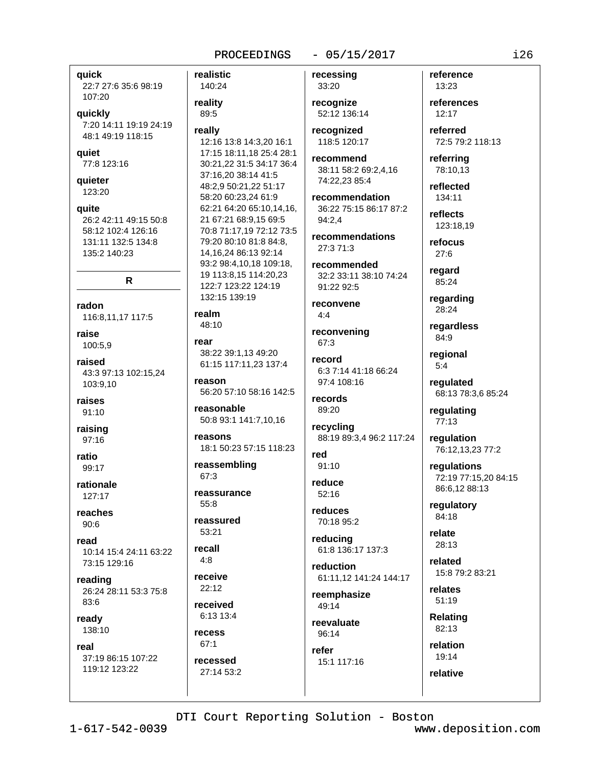realistic

## $-05/15/2017$

**auick** 22:7 27:6 35:6 98:19 107:20

## quickly

7:20 14:11 19:19 24:19 48:1 49:19 118:15

## **aujet**

77:8 123:16

# quieter

123:20

quite 26:2 42:11 49:15 50:8 58:12 102:4 126:16 131:11 132:5 134:8 135:2 140:23

## R

radon 116:8,11,17 117:5

raise 100:5,9

## raised 43:3 97:13 102:15,24 103:9,10

raises  $91:10$ 

raising  $97:16$ 

ratio 99:17

rationale 127:17

reaches  $90:6$ 

## read 10:14 15:4 24:11 63:22 73:15 129:16

reading 26:24 28:11 53:3 75:8  $83:6$ 

ready 138:10

#### real

37:19 86:15 107:22 119:12 123:22

140:24 reality 89:5 really 12:16 13:8 14:3,20 16:1 17:15 18:11,18 25:4 28:1 30:21.22 31:5 34:17 36:4 37:16,20 38:14 41:5 48:2,9 50:21,22 51:17 58:20 60:23.24 61:9 62:21 64:20 65:10,14,16, 21 67:21 68:9,15 69:5 70:8 71:17,19 72:12 73:5 79:20 80:10 81:8 84:8. 14.16.24 86:13 92:14 93:2 98:4.10.18 109:18. 19 113:8,15 114:20,23 122:7 123:22 124:19 132:15 139:19

#### realm 48:10

rear 38:22 39:1,13 49:20 61:15 117:11,23 137:4

reason 56:20 57:10 58:16 142:5

reasonable 50:8 93:1 141:7,10,16

reasons 18:1 50:23 57:15 118:23

reassembling 67:3

reassurance  $55:8$ 

reassured 53:21

recall  $4:8$ 

receive  $22:12$ 

received 6:13 13:4

recess  $67:1$ 

recessed 27:14 53:2 recessing 33:20

recognize 52:12 136:14

recognized 118:5 120:17

recommend 38:11 58:2 69:2,4,16 74:22,23 85:4

recommendation 36:22 75:15 86:17 87:2 94:2.4

recommendations 27:3 71:3

recommended 32:2 33:11 38:10 74:24 91:22 92:5

reconvene  $4:4$ 

reconvening  $67:3$ 

record 6:3 7:14 41:18 66:24  $97.4108.16$ 

records 89:20

recycling 88:19 89:3,4 96:2 117:24

red  $91:10$ 

reduce  $52:16$ 

reduces 70:18 95:2

reducing 61:8 136:17 137:3

reduction 61:11.12 141:24 144:17

reemphasize 49:14

reevaluate 96:14 refer

15:1 117:16

reference 13:23 references

 $12:17$ 

referred 72:5 79:2 118:13

referrina 78:10,13

reflected 134:11

reflects 123:18.19

refocus  $27:6$ 

regard 85:24

regarding 28:24

regardless 84:9

regional  $5:4$ 

regulated 68:13 78:3,6 85:24

regulating 77:13

regulation 76:12,13,23 77:2

regulations 72:19 77:15,20 84:15 86:6,12 88:13

regulatory 84:18

relate 28:13

related 15:8 79:2 83:21

relates  $51:19$ 

**Relating** 82:13

relation 19:14

relative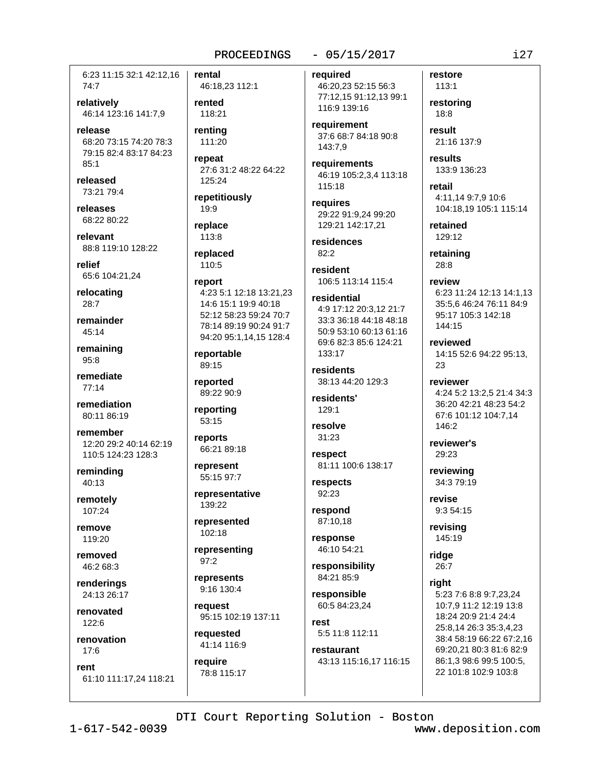6:23 11:15 32:1 42:12.16 74:7

relatively 46:14 123:16 141:7.9

release 68:20 73:15 74:20 78:3 79:15 82:4 83:17 84:23  $85.1$ 

released 73:21 79:4

releases 68:22 80:22

relevant 88:8 119:10 128:22

relief 65:6 104:21,24

relocating  $28:7$ 

remainder  $45.14$ 

remaining  $95:8$ 

remediate  $77:14$ 

remediation 80:11 86:19

remember 12:20 29:2 40:14 62:19 110:5 124:23 128:3

reminding 40:13

remotely 107:24

remove 119:20

removed 46:2 68:3

renderings 24:13 26:17

renovated 122:6

renovation  $17:6$ 

rent 61:10 111:17,24 118:21 rental 46:18,23 112:1

rented 118:21

rentina 111:20

repeat 27:6 31:2 48:22 64:22 125:24

repetitiously 19:9

replace 113:8

replaced 110:5

## report 4:23 5:1 12:18 13:21,23 14:6 15:1 19:9 40:18 52:12 58:23 59:24 70:7 78:14 89:19 90:24 91:7 94:20 95:1,14,15 128:4

reportable 89:15

reported 89:22 90:9

reporting 53:15

reports 66:21 89:18

represent 55:15 97:7

representative 139:22

represented 102:18

representing  $97:2$ 

represents  $9.161304$ 

request 95:15 102:19 137:11

requested 41:14 116:9

require 78:8 115:17

## $-05/15/2017$

required 46:20,23 52:15 56:3 77:12,15 91:12,13 99:1 116:9 139:16

requirement 37:6 68:7 84:18 90:8 143:7.9

requirements 46:19 105:2,3,4 113:18 115:18

requires 29:22 91:9,24 99:20 129:21 142:17,21

residences  $82:2$ 

resident 106:5 113:14 115:4

residential 4:9 17:12 20:3,12 21:7 33:3 36:18 44:18 48:18 50:9 53:10 60:13 61:16 69:6 82:3 85:6 124:21 133:17

residents 38:13 44:20 129:3

residents' 129:1

resolve 31:23

respect 81:11 100:6 138:17

respects 92:23

respond 87:10.18

response 46:10 54:21

responsibility 84:21 85:9

responsible 60:5 84:23,24

rest 5:5 11:8 112:11

restaurant 43:13 115:16,17 116:15

113:1 restoring  $18:8$ result 21:16 137:9

restore

results

133:9 136:23

retail 4:11,14 9:7,9 10:6 104:18,19 105:1 115:14

retained 129:12

retaining 28:8

review 6:23 11:24 12:13 14:1,13 35:5,6 46:24 76:11 84:9 95:17 105:3 142:18 144:15

reviewed 14:15 52:6 94:22 95:13, 23

reviewer 4:24 5:2 13:2,5 21:4 34:3 36:20 42:21 48:23 54:2 67:6 101:12 104:7.14 146:2

reviewer's 29:23

reviewing 34:3 79:19

revise 9:3 54:15

revisina 145:19

ridge 26:7

riaht

5:23 7:6 8:8 9:7,23,24 10:7,9 11:2 12:19 13:8 18:24 20:9 21:4 24:4 25:8,14 26:3 35:3,4,23 38:4 58:19 66:22 67:2,16 69:20.21 80:3 81:6 82:9 86:1,3 98:6 99:5 100:5, 22 101:8 102:9 103:8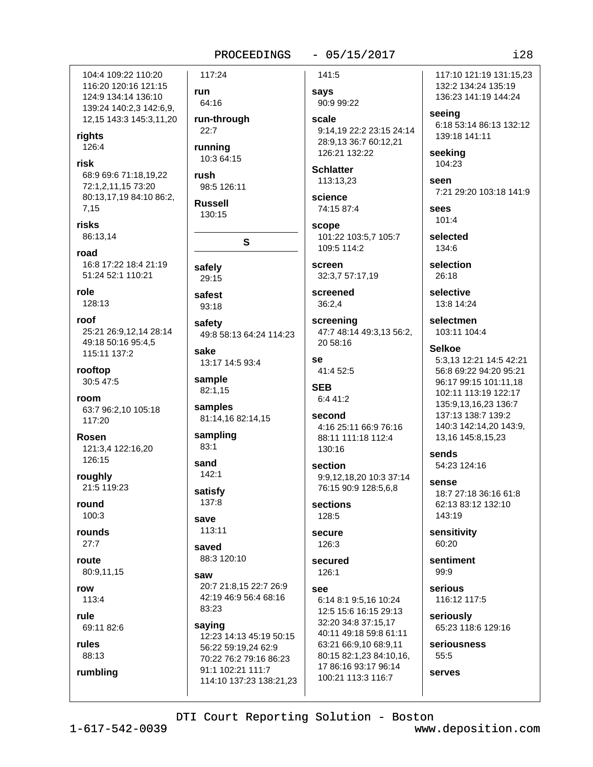## $-05/15/2017$

104:4 109:22 110:20 116:20 120:16 121:15 124:9 134:14 136:10 139:24 140:2.3 142:6.9. 12,15 143:3 145:3,11,20

rights 126:4

risk 68:9 69:6 71:18,19,22 72:1,2,11,15 73:20 80:13,17,19 84:10 86:2,

 $7,15$ risks

86:13,14

road 16:8 17:22 18:4 21:19 51:24 52:1 110:21

role 128:13

roof 25:21 26:9,12,14 28:14 49:18 50:16 95:4.5 115:11 137:2

rooftop 30:5 47:5

room 63:7 96:2.10 105:18 117:20

**Rosen** 121:3,4 122:16,20 126:15

roughly 21:5 119:23

round  $100:3$ 

rounds  $27:7$ 

route 80:9,11,15

row 113:4

rule  $69.11826$ 

rules

88:13 rumbling

117:24 run 64:16 run-through  $22:7$ running

10:3 64:15 rush

98:5 126:11

**Russell** 130:15

S

safely 29:15

safest  $93:18$ 

safety 49:8 58:13 64:24 114:23 sake

13:17 14:5 93:4

sample 82:1,15

samples 81:14,16 82:14,15

sampling  $83:1$ 

sand  $142:1$ 

satisfy 137:8

save 113:11

saved 88:3 120:10

saw 20:7 21:8,15 22:7 26:9 42:19 46:9 56:4 68:16 83:23

saying 12:23 14:13 45:19 50:15 56:22 59:19.24 62:9 70:22 76:2 79:16 86:23 91:1 102:21 111:7 114:10 137:23 138:21,23

141:5 says 90:9 99:22

scale 9:14.19 22:2 23:15 24:14 28:9,13 36:7 60:12,21 126:21 132:22

**Schlatter** 113:13,23

science 74:15 87:4

scope 101:22 103:5,7 105:7 109:5 114:2

screen 32:3,7 57:17,19

screened  $36:2,4$ 

screening 47:7 48:14 49:3,13 56:2, 20 58:16

se 41:4 52:5

**SEB** 6:4 41:2

second 4:16 25:11 66:9 76:16 88:11 111:18 112:4 130:16

section 9:9,12,18,20 10:3 37:14 76:15 90:9 128:5.6.8

sections 128:5

**Secure** 126:3

secured 126:1

See 6:14 8:1 9:5,16 10:24 12:5 15:6 16:15 29:13 32:20 34:8 37:15.17 40:11 49:18 59:8 61:11 63:21 66:9,10 68:9,11 80:15 82:1,23 84:10,16, 17 86:16 93:17 96:14 100:21 113:3 116:7

117:10 121:19 131:15.23 132:2 134:24 135:19 136:23 141:19 144:24

seeina 6:18 53:14 86:13 132:12 139:18 141:11

seeking 104:23

seen 7:21 29:20 103:18 141:9

sees 101:4

selected 134:6

selection 26:18

selective 13:8 14:24

selectmen 103:11 104:4

## **Selkoe**

5:3.13 12:21 14:5 42:21 56:8 69:22 94:20 95:21 96:17 99:15 101:11.18 102:11 113:19 122:17 135:9.13.16.23 136:7 137:13 138:7 139:2 140:3 142:14,20 143:9, 13,16 145:8,15,23

sends 54:23 124:16

SANSA 18:7 27:18 36:16 61:8 62:13 83:12 132:10 143:19

sensitivity 60:20

sentiment 99:9

serious 116:12 117:5

seriously 65:23 118:6 129:16

seriousness  $55:5$ 

serves

DTI Court Reporting Solution - Boston

 $1 - 617 - 542 - 0039$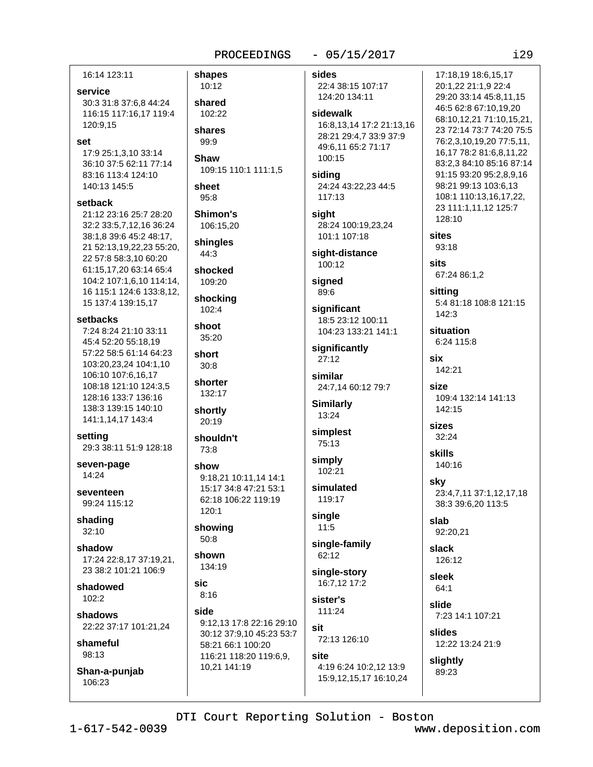## $-05/15/2017$

 $129$ 

16:14 123:11 service 30:3 31:8 37:6,8 44:24 116:15 117:16,17 119:4 120:9.15 set 17:9 25:1,3,10 33:14 36:10 37:5 62:11 77:14 83:16 113:4 124:10 140:13 145:5 setback 21:12 23:16 25:7 28:20 32:2 33:5,7,12,16 36:24 38:1,8 39:6 45:2 48:17, 21 52:13.19.22.23 55:20. 22 57:8 58:3.10 60:20 61:15,17,20 63:14 65:4 104:2 107:1,6,10 114:14, 16 115:1 124:6 133:8.12. 15 137:4 139:15.17 setbacks 7:24 8:24 21:10 33:11 45:4 52:20 55:18,19 57:22 58:5 61:14 64:23 short 103:20,23,24 104:1,10 106:10 107:6.16.17 108:18 121:10 124:3.5 128:16 133:7 136:16 138:3 139:15 140:10 141:1,14,17 143:4 setting 29:3 38:11 51:9 128:18 seven-page show 14:24 SAVANTAAN 99:24 115:12 shading  $32:10$ shadow 17:24 22:8,17 37:19,21, 23 38:2 101:21 106:9 sic. shadowed  $102:2$ side shadows 22:22 37:17 101:21.24 shameful 98:13 Shan-a-punjab 106:23

shapes 10:12 shared 102:22 shares 99:9 Shaw 109:15 110:1 111:1,5 sheet  $95:8$ Shimon's 106:15.20 shingles 44:3 shocked 109:20 shocking 102:4 shoot  $35:20$  $30:8$ shorter 132:17 shortly 20:19 shouldn't 73:8 9:18.21 10:11.14 14:1 15:17 34:8 47:21 53:1 62:18 106:22 119:19 120:1 showing 50:8 shown 134:19  $8:16$ 9:12,13 17:8 22:16 29:10 30:12 37:9,10 45:23 53:7 58:21 66:1 100:20 116:21 118:20 119:6,9, 10,21 141:19

sides 17:18.19 18:6.15.17 22:4 38:15 107:17 124:20 134:11 sidewalk 16:8.13.14 17:2 21:13.16 28:21 29:4,7 33:9 37:9 49:6.11 65:2 71:17 100:15 siding 24:24 43:22,23 44:5  $117:13$ sight 128:10 28:24 100:19,23,24 sites 101:1 107:18 93:18 sight-distance sits  $100.12$ signed  $89:6$ sittina significant 142:3 18:5 23:12 100:11 104:23 133:21 141:1 significantly six  $27:12$ 142:21 similar size 24:7,14 60:12 79:7 **Similarly** 13:24 sizes simplest 32:24 75:13 skills simply  $102:21$ sky simulated 119:17 single slab  $11:5$ single-family slack 62:12 single-story sleek 16:7.12 17:2 64:1 sister's slide 111:24 sit slides 72:13 126:10 site slightly 4:19 6:24 10:2,12 13:9 89:23 15:9,12,15,17 16:10,24

20:1,22 21:1,9 22:4 29:20 33:14 45:8,11,15 46:5 62:8 67:10.19.20 68:10,12,21 71:10,15,21, 23 72:14 73:7 74:20 75:5 76:2.3.10.19.20 77:5.11. 16,17 78:2 81:6,8,11,22 83:2,3 84:10 85:16 87:14 91:15 93:20 95:2,8,9,16 98:21 99:13 103:6,13 108:1 110:13,16,17,22, 23 111:1,11,12 125:7 67:24 86:1,2 5:4 81:18 108:8 121:15 situation 6:24 115:8 109:4 132:14 141:13 142:15

140:16

23:4,7,11 37:1,12,17,18 38:3 39:6.20 113:5

92:20.21

126:12

7:23 14:1 107:21

12:22 13:24 21:9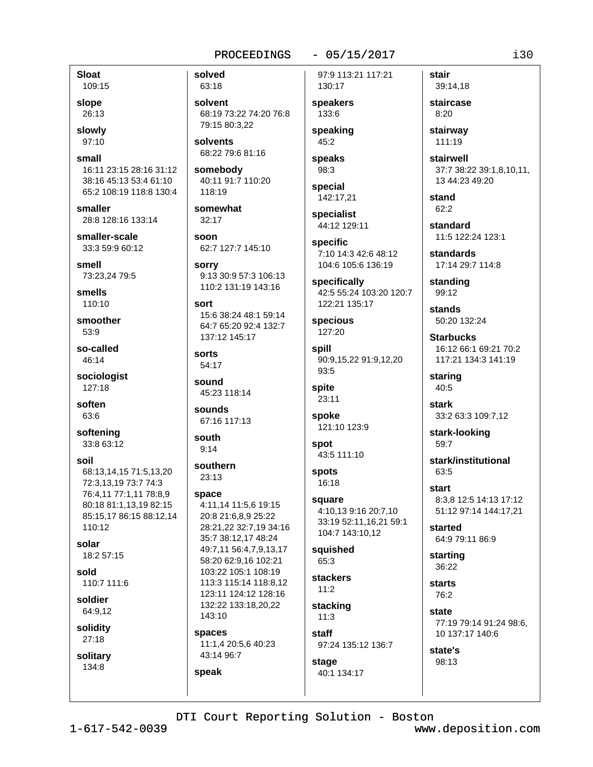## $-05/15/2017$

**Sloat** 109:15

slope 26:13

slowly 97:10

small 16:11 23:15 28:16 31:12 38:16 45:13 53:4 61:10 65:2 108:19 118:8 130:4

smaller 28:8 128:16 133:14

smaller-scale 33:3 59:9 60:12

smell 73:23,24 79:5

smells 110:10

smoother  $53.9$ 

so-called 46:14

sociologist 127:18

soften 63:6

softening 33:8 63:12

soil

68:13,14,15 71:5,13,20 72:3,13,19 73:7 74:3 76:4,11 77:1,11 78:8,9 80:18 81:1,13,19 82:15 85:15,17 86:15 88:12,14 110:12

## solar

18:2 57:15

## sold

110:7 111:6

soldier 64:9,12

solidity  $27:18$ 

solitary 134:8

solved 63:18

solvent 68:19 73:22 74:20 76:8 79:15 80:3.22

solvents 68:22 79:6 81:16

somebody 40:11 91:7 110:20 118:19

somewhat  $32:17$ 

 $S<sub>00n</sub>$ 62:7 127:7 145:10

sorry 9:13 30:9 57:3 106:13 110:2 131:19 143:16

sort 15:6 38:24 48:1 59:14 64:7 65:20 92:4 132:7 137:12 145:17

sorts 54:17

sound 45:23 118:14

sounds 67:16 117:13

south  $9:14$ 

southern  $23:13$ 

#### space

4:11,14 11:5,6 19:15 20:8 21:6,8,9 25:22 28:21.22 32:7.19 34:16 35:7 38:12,17 48:24 49:7,11 56:4,7,9,13,17 58:20 62:9.16 102:21 103:22 105:1 108:19 113:3 115:14 118:8,12 123:11 124:12 128:16 132:22 133:18,20,22 143:10

spaces 11:1,4 20:5,6 40:23

43:14 96:7 speak

97:9 113:21 117:21 130:17

speakers 133:6

speaking 45:2

speaks 98:3

special 142:17,21

specialist 44:12 129:11

specific 7:10 14:3 42:6 48:12 104:6 105:6 136:19

specifically 42:5 55:24 103:20 120:7 122:21 135:17

specious 127:20

spill 90:9,15,22 91:9,12,20 93:5

spite 23:11

spoke 121:10 123:9

spot 43:5 111:10

**spots** 16:18

square 4:10,13 9:16 20:7,10 33:19 52:11.16.21 59:1 104:7 143:10,12

squished 65:3

**stackers**  $11:2$ 

stacking  $11:3$ 

staff 97:24 135:12 136:7

stage 40:1 134:17 stair 39:14,18

staircase  $8:20$ 

stairway 111:19

stairwell 37:7 38:22 39:1,8,10,11, 13 44:23 49:20

stand  $62:2$ 

standard 11:5 122:24 123:1

standards 17:14 29:7 114:8

standing 99:12

stands 50:20 132:24

**Starbucks** 16:12 66:1 69:21 70:2 117:21 134:3 141:19

staring 40:5

stark 33:2 63:3 109:7,12

stark-looking  $59.7$ 

stark/institutional 63:5

start 8:3.8 12:5 14:13 17:12 51:12 97:14 144:17,21

started 64:9 79:11 86:9

starting 36:22

**starts** 76:2

state 77:19 79:14 91:24 98:6, 10 137:17 140:6

state's 98:13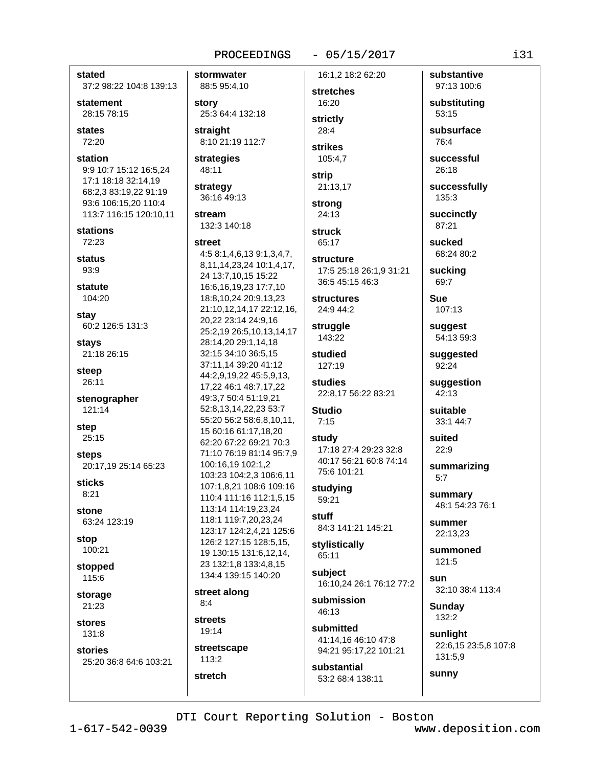# $-05/15/2017$ 16:1.2 18:2 62:20

stated 37:2 98:22 104:8 139:13 statement 28:15 78:15 states 72:20 station 9:9 10:7 15:12 16:5,24 17:1 18:18 32:14,19 68:2,3 83:19,22 91:19 93:6 106:15,20 110:4 113:7 116:15 120:10,11 **stations** 72:23 status  $93.9$ statute 104:20 stay 60:2 126:5 131:3 stavs 21:18 26:15 steep 26:11 stenographer 121:14 step 25:15 steps 20:17,19 25:14 65:23 sticks  $8:21$ stone 63:24 123:19 stop 100:21 stopped 115:6 storage 21:23 stores 131:8 stories 25:20 36:8 64:6 103:21

stormwater 88:5 95:4,10 story 25:3 64:4 132:18 straight 8:10 21:19 112:7

strategies 48:11

strategy 36:16 49:13

stream 132:3 140:18

#### street

4:5 8:1,4,6,13 9:1,3,4,7, 8,11,14,23,24 10:1,4,17, 24 13:7,10,15 15:22 16:6,16,19,23 17:7,10 18:8,10,24 20:9,13,23 21:10,12,14,17 22:12,16, 20,22 23:14 24:9,16 25:2,19 26:5,10,13,14,17 28:14,20 29:1,14,18 32:15 34:10 36:5,15 37:11,14 39:20 41:12 44:2,9,19,22 45:5,9,13, 17,22 46:1 48:7,17,22 49:3,7 50:4 51:19,21 52:8,13,14,22,23 53:7 55:20 56:2 58:6,8,10,11, 15 60:16 61:17,18,20 62:20 67:22 69:21 70:3 71:10 76:19 81:14 95:7.9 100:16,19 102:1,2 103:23 104:2,3 106:6,11 107:1.8.21 108:6 109:16 110:4 111:16 112:1.5.15 113:14 114:19.23.24 118:1 119:7.20.23.24 123:17 124:2,4,21 125:6 126:2 127:15 128:5,15, 19 130:15 131:6,12,14, 23 132:1,8 133:4,8,15 134:4 139:15 140:20

street along  $8:4$ 

**streets** 19:14

stretch

streetscape  $113:2$ 

stretches 16:20 strictly  $28:4$ 

strikes 105:4.7

strip 21:13,17

strong 24:13

struck 65:17

structure 17:5 25:18 26:1,9 31:21 36:5 45:15 46:3

**structures** 24:9 44:2

struggle 143:22

studied 127:19

studies 22:8,17 56:22 83:21

**Studio**  $7:15$ 

study 17:18 27:4 29:23 32:8 40:17 56:21 60:8 74:14 75:6 101:21

studying 59:21

**stuff** 84:3 141:21 145:21

stylistically 65:11

subiect 16:10.24 26:1 76:12 77:2

submission 46:13

submitted 41:14.16 46:10 47:8 94:21 95:17,22 101:21

substantial 53:2 68:4 138:11 substituting 53:15 subsurface 76:4 successful 26:18 successfully 135:3 succinctly 87:21 sucked 68:24 80:2

substantive

97:13 100:6

sucking  $69:7$ 

**Sue** 107:13

suggest 54:13 59:3

suggested 92:24

suggestion  $42:13$ 

suitable 33:1 44:7

Suited  $22:9$ 

summarizing  $5:7$ 

summary 48:1 54:23 76:1

summer 22:13,23

summoned  $121:5$ 

sun 32:10 38:4 113:4

**Sundav** 132:2

sunny

sunlight 22:6,15 23:5,8 107:8 131:5,9

DTI Court Reporting Solution - Boston

 $1 - 617 - 542 - 0039$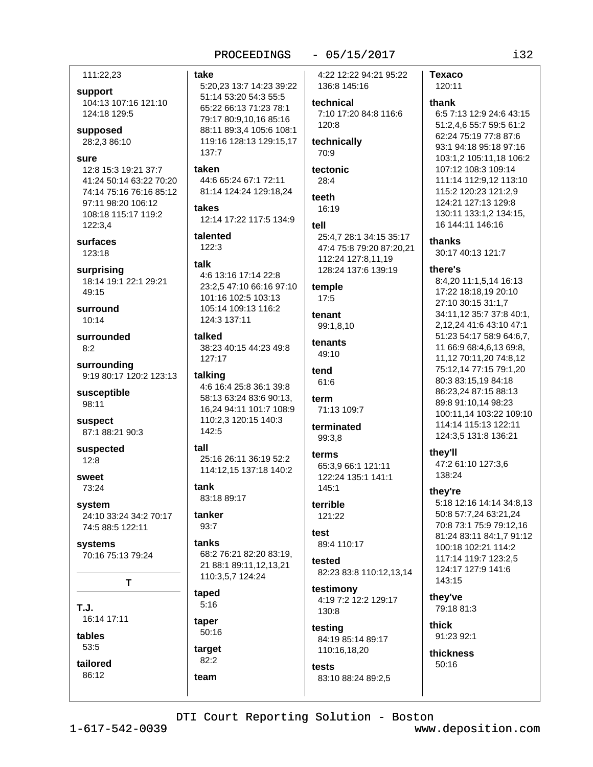## $-05/15/2017$

111:22,23

## support

104:13 107:16 121:10 124:18 129:5

supposed 28:2,3 86:10

#### sure

12:8 15:3 19:21 37:7 41:24 50:14 63:22 70:20 74:14 75:16 76:16 85:12 97:11 98:20 106:12 108:18 115:17 119:2 122:3,4

surfaces  $123:18$ 

surprising 18:14 19:1 22:1 29:21  $49:15$ 

surround  $10:14$ 

surrounded  $8:2$ 

surrounding 9:19 80:17 120:2 123:13

susceptible 98:11

suspect 87:1 88:21 90:3

suspected  $12:8$ 

sweet 73:24

system 24:10 33:24 34:2 70:17 74:5 88:5 122:11

systems 70:16 75:13 79:24

T

 $T.J.$ 16:14 17:11

tables 53:5 tailored

86:12

5:20,23 13:7 14:23 39:22 51:14 53:20 54:3 55:5

65:22 66:13 71:23 78:1 79:17 80:9,10,16 85:16 88:11 89:3,4 105:6 108:1 119:16 128:13 129:15,17 137:7

## taken

take

44:6 65:24 67:1 72:11 81:14 124:24 129:18,24

takes 12:14 17:22 117:5 134:9

talented  $122:3$ 

#### talk

4:6 13:16 17:14 22:8 23:2.5 47:10 66:16 97:10 101:16 102:5 103:13 105:14 109:13 116:2 124:3 137:11

talked 38:23 40:15 44:23 49:8 127:17

talking 4:6 16:4 25:8 36:1 39:8 58:13 63:24 83:6 90:13, 16,24 94:11 101:7 108:9 110:2,3 120:15 140:3 142:5

## $tall$ 25:16 26:11 36:19 52:2 114:12,15 137:18 140:2

tank 83:18 89:17

tanker  $93:7$ 

tanks 68:2 76:21 82:20 83:19, 21 88:1 89:11,12,13,21 110:3,5,7 124:24

#### taped  $5:16$

taper 50:16

target  $82:2$ team

4:22 12:22 94:21 95:22 136:8 145:16

technical 7:10 17:20 84:8 116:6  $120:8$ 

technically 70:9

tectonic  $28:4$ 

teeth 16:19

tell

25:4.7 28:1 34:15 35:17 47:4 75:8 79:20 87:20,21 112:24 127:8.11.19 128:24 137:6 139:19

temple 17:5

tenant 99:1,8,10

tenants 49:10

tend  $61.6$ 

term 71:13 109:7

terminated 99:3.8

terms 65:3.9 66:1 121:11 122:24 135:1 141:1  $145:1$ 

terrible 121:22

 $<sub>1</sub>$ </sub> 89:4 110:17

tested 82:23 83:8 110:12,13,14

testimony 4:19 7:2 12:2 129:17 130:8

testing 84:19 85:14 89:17 110:16,18,20

tests 83:10 88:24 89:2,5

120:11 thank 6:5 7:13 12:9 24:6 43:15 51:2,4,6 55:7 59:5 61:2 62:24 75:19 77:8 87:6

**Texaco** 

93:1 94:18 95:18 97:16 103:1.2 105:11.18 106:2 107:12 108:3 109:14 111:14 112:9,12 113:10 115:2 120:23 121:2,9 124:21 127:13 129:8 130:11 133:1,2 134:15, 16 144:11 146:16 thanks

30:17 40:13 121:7

## there's

8:4,20 11:1,5,14 16:13 17:22 18:18.19 20:10 27:10 30:15 31:1,7 34:11,12 35:7 37:8 40:1, 2.12.24 41:6 43:10 47:1 51:23 54:17 58:9 64:6,7, 11 66:9 68:4,6,13 69:8, 11,12 70:11,20 74:8,12 75:12,14 77:15 79:1,20 80:3 83:15.19 84:18 86:23.24 87:15 88:13 89:8 91:10,14 98:23 100:11,14 103:22 109:10 114:14 115:13 122:11 124:3,5 131:8 136:21

they'll 47:2 61:10 127:3,6 138:24

## they're

5:18 12:16 14:14 34:8,13 50:8 57:7.24 63:21.24 70:8 73:1 75:9 79:12.16 81:24 83:11 84:1,7 91:12 100:18 102:21 114:2 117:14 119:7 123:2,5 124:17 127:9 141:6 143:15

they've 79:18 81:3

thick 91:23 92:1 thickness

 $50:16$ 

DTI Court Reporting Solution - Boston

 $1 - 617 - 542 - 0039$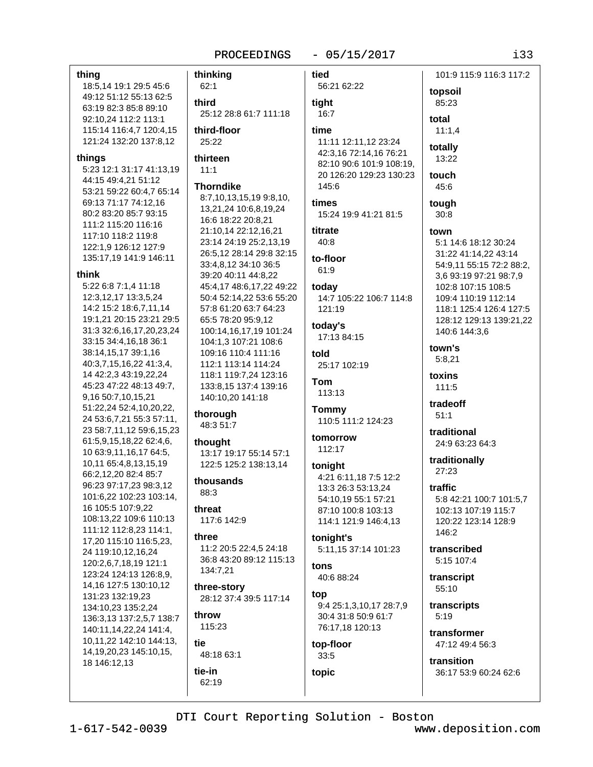thinking

## $-05/15/2017$

#### thing

18:5,14 19:1 29:5 45:6 49:12 51:12 55:13 62:5 63:19 82:3 85:8 89:10 92:10.24 112:2 113:1 115:14 116:4,7 120:4,15 121:24 132:20 137:8,12

#### things

5:23 12:1 31:17 41:13,19 44:15 49:4,21 51:12 53:21 59:22 60:4,7 65:14 69:13 71:17 74:12.16 80:2 83:20 85:7 93:15 111:2 115:20 116:16 117:10 118:2 119:8 122:1,9 126:12 127:9 135:17,19 141:9 146:11

#### think

5:22 6:8 7:1,4 11:18 12:3,12,17 13:3,5,24 14:2 15:2 18:6,7,11,14 19:1,21 20:15 23:21 29:5 31:3 32:6,16,17,20,23,24 33:15 34:4,16,18 36:1 38:14,15,17 39:1,16 40:3,7,15,16,22 41:3,4, 14 42:2,3 43:19,22,24 45:23 47:22 48:13 49:7, 9,16 50:7,10,15,21 51:22,24 52:4,10,20,22, 24 53:6,7,21 55:3 57:11, 23 58:7,11,12 59:6,15,23 61:5,9,15,18,22 62:4,6, 10 63:9,11,16,17 64:5, 10,11 65:4,8,13,15,19 66:2,12,20 82:4 85:7 96:23 97:17,23 98:3,12 101:6,22 102:23 103:14, 16 105:5 107:9,22 108:13,22 109:6 110:13 111:12 112:8,23 114:1, 17,20 115:10 116:5,23, 24 119:10,12,16,24 120:2,6,7,18,19 121:1 123:24 124:13 126:8,9, 14,16 127:5 130:10,12 131:23 132:19,23 134:10,23 135:2,24 136:3,13 137:2,5,7 138:7 140:11,14,22,24 141:4, 10,11,22 142:10 144:13, 14, 19, 20, 23 145: 10, 15, 18 146:12,13

## $62:1$ third 25:12 28:8 61:7 111:18 third-floor 25:22 thirteen  $11:1$ **Thorndike** 8:7,10,13,15,19 9:8,10, 13,21,24 10:6,8,19,24 16:6 18:22 20:8,21 21:10,14 22:12,16,21 23:14 24:19 25:2,13,19 26:5.12 28:14 29:8 32:15 33:4,8,12 34:10 36:5 39:20 40:11 44:8,22 45:4,17 48:6,17,22 49:22 50:4 52:14,22 53:6 55:20 57:8 61:20 63:7 64:23 65:5 78:20 95:9.12 100:14,16,17,19 101:24 104:1,3 107:21 108:6 109:16 110:4 111:16 112:1 113:14 114:24 118:1 119:7.24 123:16 133:8.15 137:4 139:16

140:10,20 141:18 thorough

48:3 51:7

thought 13:17 19:17 55:14 57:1 122:5 125:2 138:13,14

thousands 88:3

threat 117:6 142:9

three 11:2 20:5 22:4,5 24:18 36:8 43:20 89:12 115:13 134:7,21

three-story 28:12 37:4 39:5 117:14

throw 115:23

tie 48:18 63:1 tie-in

62:19

heit 101:9 115:9 116:3 117:2 56:21 62:22 topsoil tight 85:23  $16:7$ total time  $11:1.4$ 11:11 12:11,12 23:24 totally 42:3,16 72:14,16 76:21 13:22 82:10 90:6 101:9 108:19. 20 126:20 129:23 130:23 touch 145:6 45:6 times tough 15:24 19:9 41:21 81:5  $30:8$ titrate town 40:8 5:1 14:6 18:12 30:24 31:22 41:14,22 43:14 to-floor 54:9,11 55:15 72:2 88:2, 61:9 3,6 93:19 97:21 98:7,9 todav 102:8 107:15 108:5 14:7 105:22 106:7 114:8 109:4 110:19 112:14 121:19 118:1 125:4 126:4 127:5 128:12 129:13 139:21,22 today's 140:6 144:3,6 17:13 84:15 town's hlot  $5:8.21$ 25:17 102:19 toxins Tom 111:5 113:13 tradeoff **Tommy**  $51:1$ 110:5 111:2 124:23 traditional tomorrow 24:9 63:23 64:3 112:17 traditionally toniaht 27:23 4:21 6:11,18 7:5 12:2 13:3 26:3 53:13,24 traffic 54:10.19 55:1 57:21 5:8 42:21 100:7 101:5,7 87:10 100:8 103:13 102:13 107:19 115:7 114:1 121:9 146:4,13 120:22 123:14 128:9 146:2 tonight's 5:11,15 37:14 101:23 transcribed 5:15 107:4 tons 40:6 88:24 transcript 55:10 top 9:4 25:1,3,10,17 28:7,9 transcripts 30:4 31:8 50:9 61:7  $5:19$ 76:17,18 120:13 transformer 47:12 49:4 56:3

top-floor  $33:5$ 

topic

36:17 53:9 60:24 62:6

DTI Court Reporting Solution - Boston

transition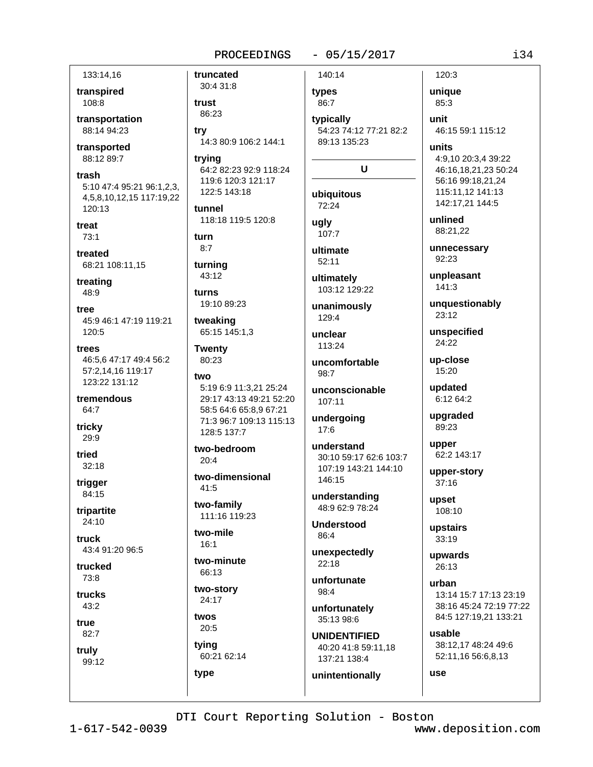## $-05/15/2017$

133:14.16

transpired 108:8

transportation 88:14 94:23

transported 88:12 89:7

trash 5:10 47:4 95:21 96:1,2,3, 4,5,8,10,12,15 117:19,22 120:13

treat  $73:1$ 

treated 68:21 108:11,15

treating 48:9

tree 45:9 46:1 47:19 119:21 120:5

trees 46:5.6 47:17 49:4 56:2 57:2.14.16 119:17 123:22 131:12

tremendous 64:7

tricky 29:9

tried  $32:18$ 

trigger 84:15

tripartite  $24:10$ 

truck 43:4 91:20 96:5

trucked  $73:8$ 

trucks 43:2

true

82:7

truly 99:12

30:4 31:8 trust 86:23 trv

truncated

14:3 80:9 106:2 144:1

trvina 64:2 82:23 92:9 118:24 119:6 120:3 121:17 122:5 143:18

tunnel 118:18 119:5 120:8

turn  $8:7$ 

turning 43:12

turns 19:10 89:23

tweaking 65:15 145:1,3

**Twenty** 80:23

two 5:19 6:9 11:3,21 25:24 29:17 43:13 49:21 52:20 58:5 64:6 65:8,9 67:21 71:3 96:7 109:13 115:13 128:5 137:7

two-bedroom  $20:4$ 

two-dimensional  $41:5$ 

two-family 111:16 119:23

two-mile  $16:1$ 

two-minute 66:13

two-story 24:17

twos  $20:5$ tvina

60:21 62:14 type

140:14 types

86:7

typically 54:23 74:12 77:21 82:2 89:13 135:23

## $\mathbf U$

ubiauitous  $72.24$ 

ugly 107:7

ultimate  $52:11$ 

ultimately 103:12 129:22

unanimously 129:4

unclear 113:24

uncomfortable 98:7

unconscionable 107:11

undergoing  $17:6$ 

understand 30:10 59:17 62:6 103:7 107:19 143:21 144:10 146:15

understanding 48:9 62:9 78:24

**Understood**  $86:4$ 

unexpectedly  $22:18$ 

unfortunate 98:4

unfortunately 35:13 98:6

**UNIDENTIFIED** 40:20 41:8 59:11.18 137:21 138:4

unintentionally

unique 85:3

120:3

unit 46:15 59:1 115:12

units 4:9.10 20:3.4 39:22 46:16,18,21,23 50:24 56:16 99:18,21,24 115:11,12 141:13 142:17,21 144:5

unlined 88:21.22

unnecessary 92:23

unpleasant  $141:3$ 

unquestionably 23:12

unspecified 24:22

up-close 15:20

updated 6:12 64:2

upgraded 89:23

upper 62:2 143:17

upper-story  $37:16$ 

upset 108:10

upstairs  $33:19$ 

upwards 26:13

urban 13:14 15:7 17:13 23:19 38:16 45:24 72:19 77:22 84:5 127:19,21 133:21

usable 38:12,17 48:24 49:6 52:11,16 56:6,8,13

use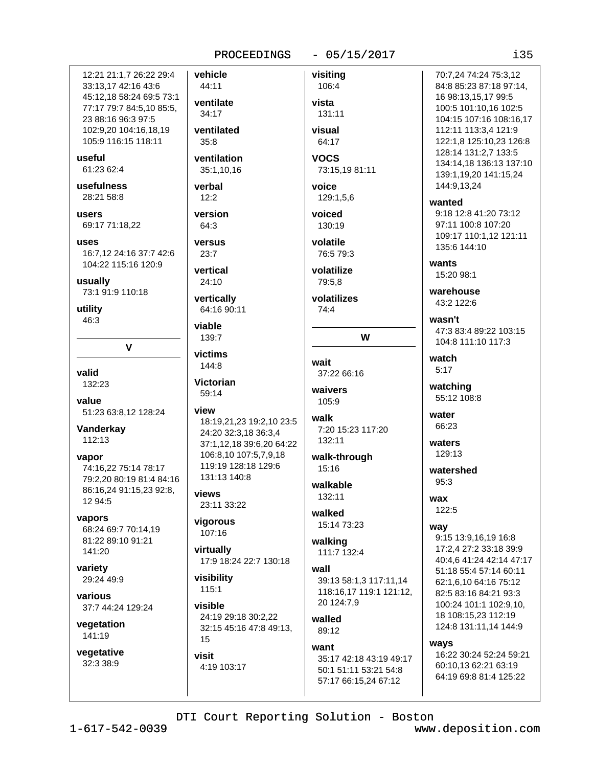## PROCEEDINGS

 $-05/15/2017$ 

 $135$ 

12:21 21:1.7 26:22 29:4 33:13,17 42:16 43:6 45:12,18 58:24 69:5 73:1 77:17 79:7 84:5.10 85:5. 23 88:16 96:3 97:5 102:9,20 104:16,18,19 105:9 116:15 118:11

useful 61:23 62:4

usefulness

28:21 58:8

users 69:17 71:18,22

uses 16:7.12 24:16 37:7 42:6 104:22 115:16 120:9

usually 73:1 91:9 110:18

utility  $46:3$ 

 $\mathbf v$ 

valid 132:23

value 51:23 63:8,12 128:24

Vanderkay  $112:13$ 

vapor 74:16.22 75:14 78:17 79:2,20 80:19 81:4 84:16 86:16,24 91:15,23 92:8, 12 94:5

vapors 68:24 69:7 70:14.19 81:22 89:10 91:21 141:20

variety 29:24 49:9

various 37:7 44:24 129:24

vegetation 141:19

vegetative 32:3 38:9

vehicle 44:11 ventilate 34:17 ventilated  $35:8$ ventilation 35:1.10.16 verbal  $12:2$ version 64:3 versus  $23:7$ vertical  $24:10$ vertically 64:16 90:11 viable 139:7 victims 144:8 **Victorian** 59:14 view 18:19,21,23 19:2,10 23:5 24:20 32:3.18 36:3.4 37:1,12,18 39:6,20 64:22 106:8,10 107:5,7,9,18 119:19 128:18 129:6 131:13 140:8 views 23:11 33:22 vigorous 107:16 virtually 17:9 18:24 22:7 130:18 visibility  $115.1$ 

visible 24:19 29:18 30:2.22 32:15 45:16 47:8 49:13, 15

visit 4:19 103:17 visiting 106:4 vista 131:11 visual 64:17 **VOCS** 73:15,19 81:11 voice 129:1,5,6 voiced 130:19 volatile 76:5 79:3 volatilize 79:5.8

volatilizes  $74.4$ 

W

wait 37:22 66:16

waivers 105:9

walk 7:20 15:23 117:20 132:11

walk-through  $15:16$ 

walkable 132:11

walked 15:14 73:23

walking 111:7 132:4

wall 39:13 58:1,3 117:11,14 118:16,17 119:1 121:12, 20 124:7,9

walled 89:12

want 35:17 42:18 43:19 49:17 50:1 51:11 53:21 54:8 57:17 66:15,24 67:12

70:7.24 74:24 75:3.12 84:8 85:23 87:18 97:14, 16 98:13,15,17 99:5 100:5 101:10,16 102:5 104:15 107:16 108:16,17 112:11 113:3,4 121:9 122:1.8 125:10.23 126:8 128:14 131:2,7 133:5 134:14.18 136:13 137:10 139:1,19,20 141:15,24 144:9,13,24

wanted 9:18 12:8 41:20 73:12 97:11 100:8 107:20 109:17 110:1.12 121:11 135:6 144:10

wants 15:20 98:1

warehouse  $43.21226$ 

wasn't 47:3 83:4 89:22 103:15 104:8 111:10 117:3

watch  $5:17$ 

watching 55:12 108:8

water 66:23

waters  $129:13$ 

watershed  $95:3$ 

wax 122:5

way

9:15 13:9,16,19 16:8 17:2,4 27:2 33:18 39:9 40:4,6 41:24 42:14 47:17 51:18 55:4 57:14 60:11 62:1.6.10 64:16 75:12 82:5 83:16 84:21 93:3 100:24 101:1 102:9.10. 18 108:15,23 112:19 124:8 131:11,14 144:9

ways 16:22 30:24 52:24 59:21 60:10.13 62:21 63:19 64:19 69:8 81:4 125:22

DTI Court Reporting Solution - Boston

 $1 - 617 - 542 - 0039$ 

www.deposition.com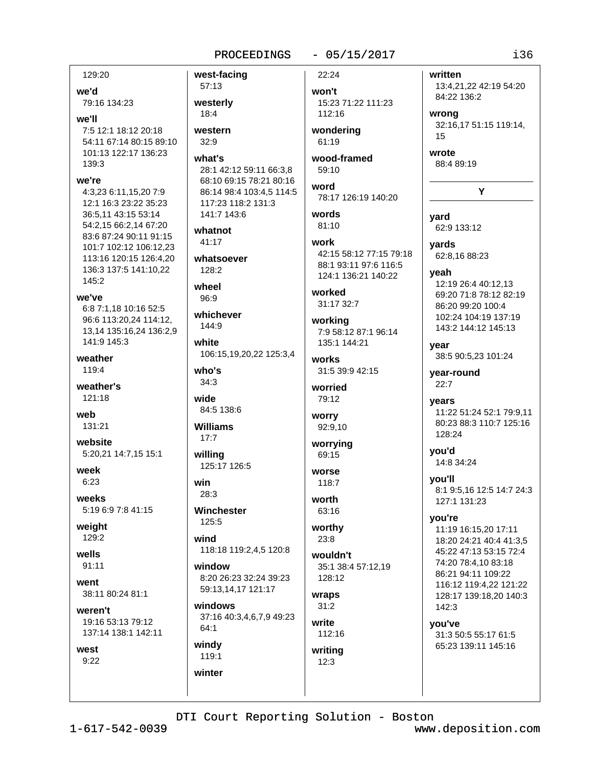## PROCEEDINGS

## $-05/15/2017$

written

129:20

we'd 79:16 134:23

we'll

7:5 12:1 18:12 20:18 54:11 67:14 80:15 89:10 101:13 122:17 136:23 139:3

## we're

4:3,23 6:11,15,20 7:9 12:1 16:3 23:22 35:23 36:5,11 43:15 53:14 54:2,15 66:2,14 67:20 83:6 87:24 90:11 91:15 101:7 102:12 106:12.23 113:16 120:15 126:4.20 136:3 137:5 141:10,22 145:2

we've 6:8 7:1,18 10:16 52:5 96:6 113:20,24 114:12, 13,14 135:16,24 136:2,9 141:9 145:3

weather 119:4

weather's 121:18

weh 131:21

website 5:20,21 14:7,15 15:1

week 6:23

weeks 5:19 6:9 7:8 41:15

weight 129:2

wells  $91:11$ 

went 38:11 80:24 81:1

weren't 19:16 53:13 79:12 137:14 138:1 142:11

119:1

winter

west

 $9:22$ 

west-facing 57:13 westerly  $18:4$ western  $32:9$ what's 28:1 42:12 59:11 66:3.8 68:10 69:15 78:21 80:16 86:14 98:4 103:4,5 114:5 117:23 118:2 131:3 141:7 143:6 whatnot 41:17 whatsoever  $128.2$ wheel 96:9 whichever 144:9 white 106:15,19,20,22 125:3,4 who's  $34.3$ wide 84:5 138:6 **Williams**  $17:7$ willing 125:17 126:5 **WOLSA** win  $28:3$ Winchester 125:5 wind 118:18 119:2,4,5 120:8 window 8:20 26:23 32:24 39:23 59:13,14,17 121:17 windows 37:16 40:3,4,6,7,9 49:23  $64:1$ windy

22:24

won't 15:23 71:22 111:23 112:16

wondering 61:19

wood-framed  $59:10$ 

word 78:17 126:19 140:20

words 81:10

work 42:15 58:12 77:15 79:18 88:1 93:11 97:6 116:5 124:1 136:21 140:22

worked 31:17 32:7

working 7:9 58:12 87:1 96:14 135:1 144:21

works 31:5 39:9 42:15

worried 79:12

worry 92:9,10

worrying 69:15

118:7 worth

63:16 worthy

 $23:8$ wouldn't

35:1 38:4 57:12,19 128:12

wraps  $31:2$ 

write 112:16

writing  $12:3$ 

84:22 136:2 wrong 32:16,17 51:15 119:14,  $15$ 

Y

13:4,21,22 42:19 54:20

wrote 88:4 89:19

vard 62:9 133:12

vards 62:8,16 88:23

yeah 12:19 26:4 40:12,13 69:20 71:8 78:12 82:19 86:20 99:20 100:4 102:24 104:19 137:19 143:2 144:12 145:13

vear 38:5 90:5,23 101:24

year-round  $22:7$ 

years 11:22 51:24 52:1 79:9,11 80:23 88:3 110:7 125:16 128:24

vou'd 14:8 34:24

you'll 8:1 9:5,16 12:5 14:7 24:3 127:1 131:23

you're 11:19 16:15.20 17:11 18:20 24:21 40:4 41:3.5 45:22 47:13 53:15 72:4 74:20 78:4.10 83:18 86:21 94:11 109:22 116:12 119:4,22 121:22 128:17 139:18,20 140:3 142:3

you've 31:3 50:5 55:17 61:5 65:23 139:11 145:16

DTI Court Reporting Solution - Boston

www.deposition.com